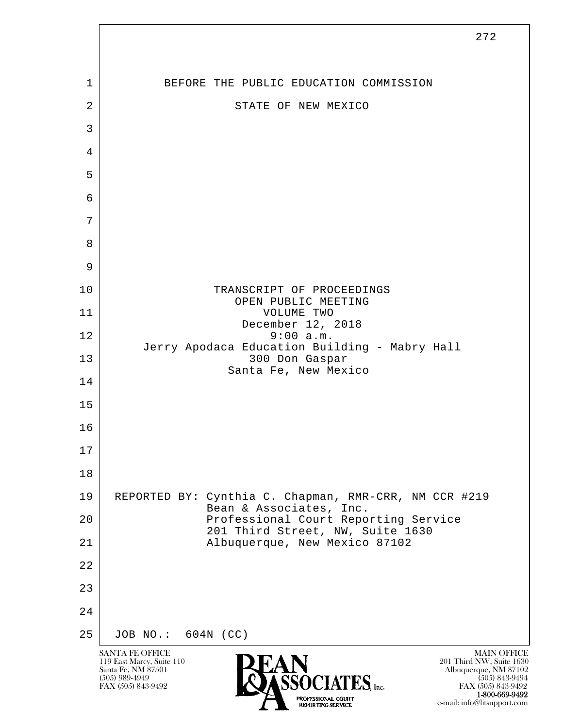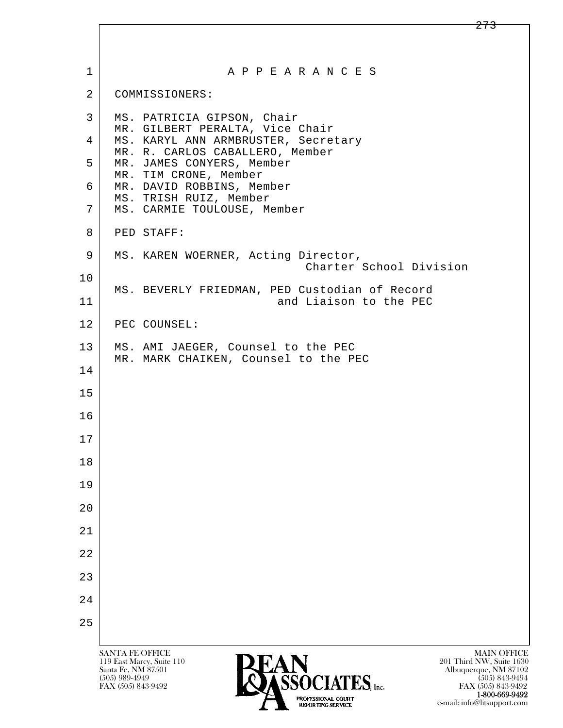| $\mathbf 1$    | A P P E A R A N C E S                                                                                                                                    |
|----------------|----------------------------------------------------------------------------------------------------------------------------------------------------------|
| $\overline{2}$ | COMMISSIONERS:                                                                                                                                           |
| 3              | MS. PATRICIA GIPSON, Chair<br>MR. GILBERT PERALTA, Vice Chair                                                                                            |
| 4              | MS. KARYL ANN ARMBRUSTER, Secretary<br>MR. R. CARLOS CABALLERO, Member                                                                                   |
| 5              | MR. JAMES CONYERS, Member<br>MR. TIM CRONE, Member                                                                                                       |
| 6              | MR. DAVID ROBBINS, Member<br>MS. TRISH RUIZ, Member                                                                                                      |
| 7              | MS. CARMIE TOULOUSE, Member                                                                                                                              |
| 8              | PED STAFF:                                                                                                                                               |
| 9              | MS. KAREN WOERNER, Acting Director,<br>Charter School Division                                                                                           |
| 10             |                                                                                                                                                          |
| 11             | MS. BEVERLY FRIEDMAN, PED Custodian of Record<br>and Liaison to the PEC                                                                                  |
| 12             | PEC COUNSEL:                                                                                                                                             |
| 13             | MS. AMI JAEGER, Counsel to the PEC<br>MR. MARK CHAIKEN, Counsel to the PEC                                                                               |
| 14             |                                                                                                                                                          |
| 15             |                                                                                                                                                          |
| 16             |                                                                                                                                                          |
| 17             |                                                                                                                                                          |
| 18             |                                                                                                                                                          |
| 19             |                                                                                                                                                          |
| 20             |                                                                                                                                                          |
| 21             |                                                                                                                                                          |
| 22             |                                                                                                                                                          |
| 23             |                                                                                                                                                          |
| 24             |                                                                                                                                                          |
| 25             |                                                                                                                                                          |
|                | <b>MAIN OFFICE</b><br><b>SANTA FE OFFICE</b>                                                                                                             |
|                | 201 Third NW, Suite 1630<br>119 East Marcy, Suite 110<br>Santa Fe, NM 87501<br>Albuquerque, NM 87102<br>CENTATEC<br>$(505)$ 989-4949<br>$(505)$ 843-9494 |

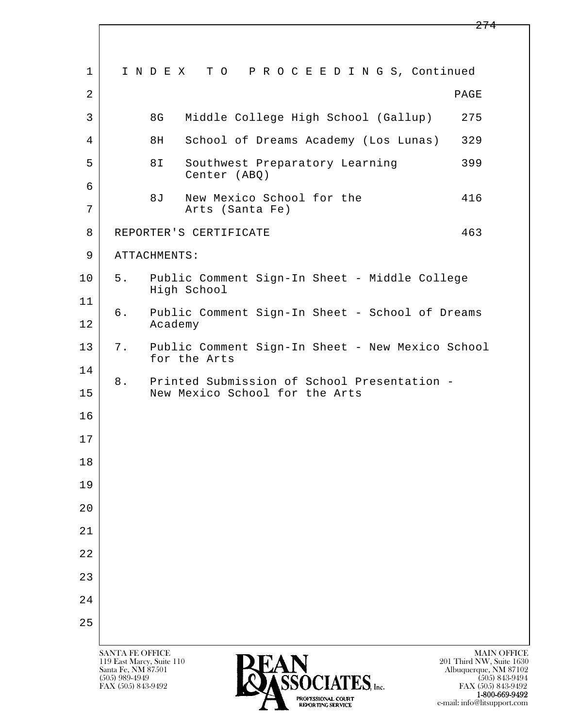l  $\overline{\phantom{a}}$  1 I N D E X T O P R O C E E D I N G S, Continued  $2$  PAGE 3 8G Middle College High School (Gallup) 275 4 8H School of Dreams Academy (Los Lunas) 329 5 8I Southwest Preparatory Learning 399 Center (ABQ) 6 8J New Mexico School for the 416 7 Arts (Santa Fe) 8 REPORTER'S CERTIFICATE 463 9 ATTACHMENTS: 10 5. Public Comment Sign-In Sheet - Middle College High School 11 6. Public Comment Sign-In Sheet - School of Dreams 12 Academy 13 7. Public Comment Sign-In Sheet - New Mexico School for the Arts 14 8. Printed Submission of School Presentation -<br>15 New Mexico School for the Arts New Mexico School for the Arts 16 17 18 19 20 21 22 23 24 25



FAX (505) 843-9492 FAX (505) 843-9492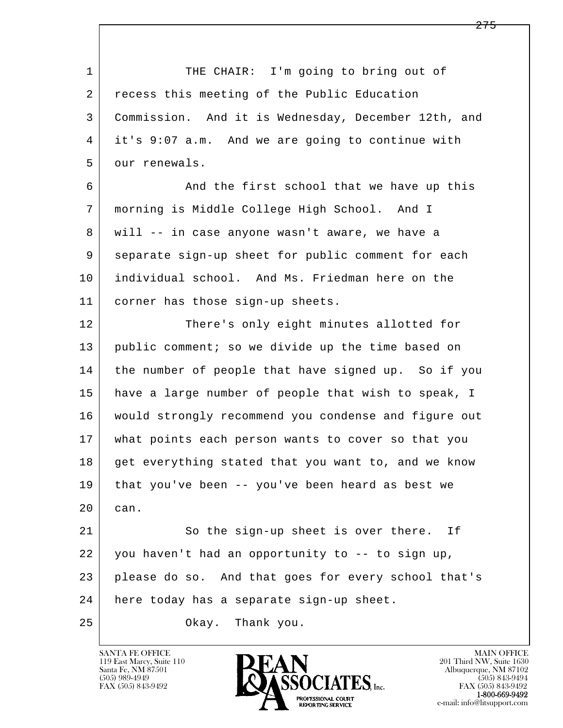l  $\overline{\phantom{a}}$ 1 THE CHAIR: I'm going to bring out of 2 recess this meeting of the Public Education 3 Commission. And it is Wednesday, December 12th, and 4 it's 9:07 a.m. And we are going to continue with 5 our renewals. 6 And the first school that we have up this 7 morning is Middle College High School. And I 8 will -- in case anyone wasn't aware, we have a 9 separate sign-up sheet for public comment for each 10 individual school. And Ms. Friedman here on the 11 corner has those sign-up sheets. 12 There's only eight minutes allotted for 13 public comment; so we divide up the time based on 14 the number of people that have signed up. So if you 15 have a large number of people that wish to speak, I 16 would strongly recommend you condense and figure out 17 what points each person wants to cover so that you 18 get everything stated that you want to, and we know 19 that you've been -- you've been heard as best we 20 can. 21 So the sign-up sheet is over there. If 22 you haven't had an opportunity to -- to sign up, 23 please do so. And that goes for every school that's 24 here today has a separate sign-up sheet. 25 Okay. Thank you.

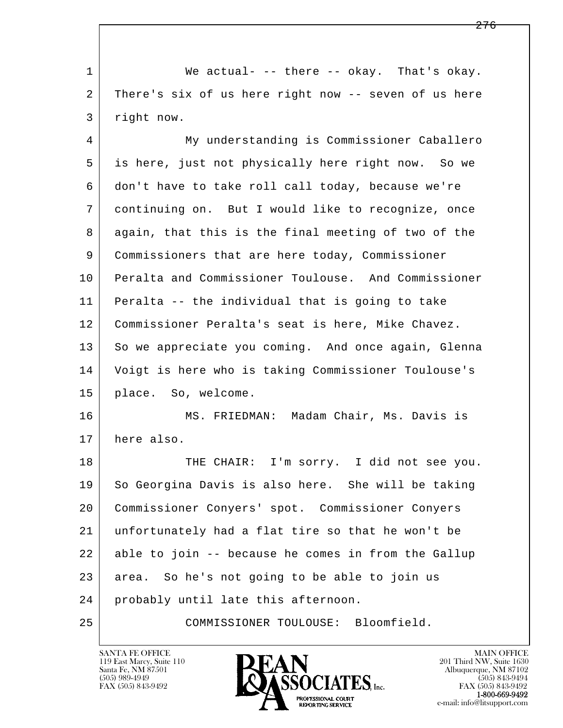1 We actual- -- there -- okay. That's okay. 2 There's six of us here right now -- seven of us here 3 right now.

 4 My understanding is Commissioner Caballero 5 is here, just not physically here right now. So we 6 don't have to take roll call today, because we're 7 continuing on. But I would like to recognize, once 8 again, that this is the final meeting of two of the 9 Commissioners that are here today, Commissioner 10 Peralta and Commissioner Toulouse. And Commissioner 11 Peralta -- the individual that is going to take 12 Commissioner Peralta's seat is here, Mike Chavez. 13 So we appreciate you coming. And once again, Glenna 14 Voigt is here who is taking Commissioner Toulouse's 15 place. So, welcome.

 16 MS. FRIEDMAN: Madam Chair, Ms. Davis is 17 here also.

l  $\overline{\phantom{a}}$ 18 THE CHAIR: I'm sorry. I did not see you. 19 So Georgina Davis is also here. She will be taking 20 Commissioner Conyers' spot. Commissioner Conyers 21 unfortunately had a flat tire so that he won't be 22 able to join -- because he comes in from the Gallup 23 area. So he's not going to be able to join us 24 probably until late this afternoon. 25 COMMISSIONER TOULOUSE: Bloomfield.

119 East Marcy, Suite 110<br>Santa Fe, NM 87501

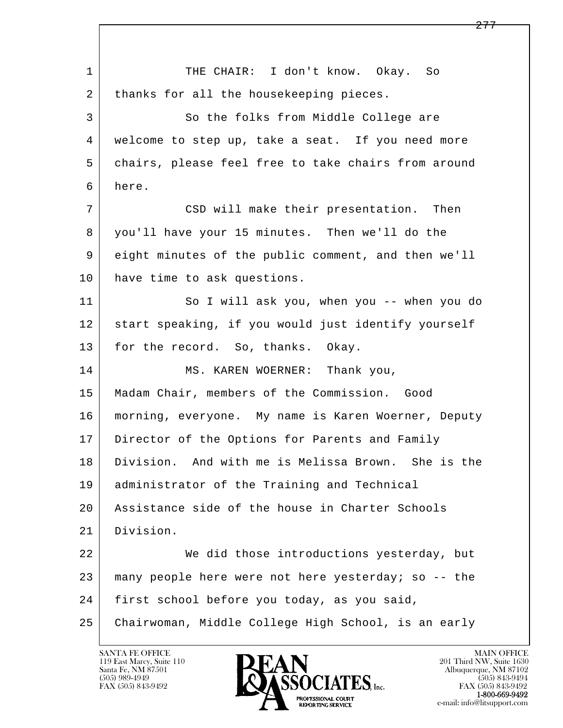l  $\overline{\phantom{a}}$ 1 THE CHAIR: I don't know. Okay. So 2 | thanks for all the housekeeping pieces. 3 So the folks from Middle College are 4 welcome to step up, take a seat. If you need more 5 chairs, please feel free to take chairs from around 6 here. 7 CSD will make their presentation. Then 8 you'll have your 15 minutes. Then we'll do the 9 eight minutes of the public comment, and then we'll 10 have time to ask questions. 11 So I will ask you, when you -- when you do 12 start speaking, if you would just identify yourself 13 for the record. So, thanks. Okay. 14 MS. KAREN WOERNER: Thank you, 15 Madam Chair, members of the Commission. Good 16 morning, everyone. My name is Karen Woerner, Deputy 17 | Director of the Options for Parents and Family 18 Division. And with me is Melissa Brown. She is the 19 administrator of the Training and Technical 20 Assistance side of the house in Charter Schools 21 Division. 22 We did those introductions yesterday, but 23 many people here were not here yesterday; so -- the 24 | first school before you today, as you said, 25 Chairwoman, Middle College High School, is an early

119 East Marcy, Suite 110<br>Santa Fe, NM 87501

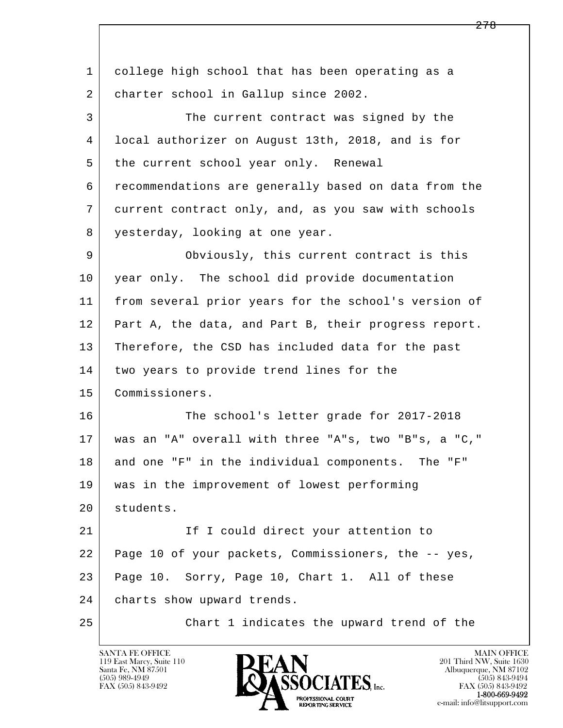l  $\overline{\phantom{a}}$  1 college high school that has been operating as a 2 charter school in Gallup since 2002. 3 The current contract was signed by the 4 local authorizer on August 13th, 2018, and is for 5 the current school year only. Renewal 6 recommendations are generally based on data from the 7 current contract only, and, as you saw with schools 8 yesterday, looking at one year. 9 Obviously, this current contract is this 10 year only. The school did provide documentation 11 from several prior years for the school's version of 12 Part A, the data, and Part B, their progress report. 13 Therefore, the CSD has included data for the past 14 two years to provide trend lines for the 15 Commissioners. 16 The school's letter grade for 2017-2018 17 was an "A" overall with three "A"s, two "B"s, a "C," 18 and one "F" in the individual components. The "F" 19 was in the improvement of lowest performing 20 students. 21 | The I could direct your attention to 22 Page 10 of your packets, Commissioners, the -- yes, 23 Page 10. Sorry, Page 10, Chart 1. All of these 24 | charts show upward trends. 25 Chart 1 indicates the upward trend of the

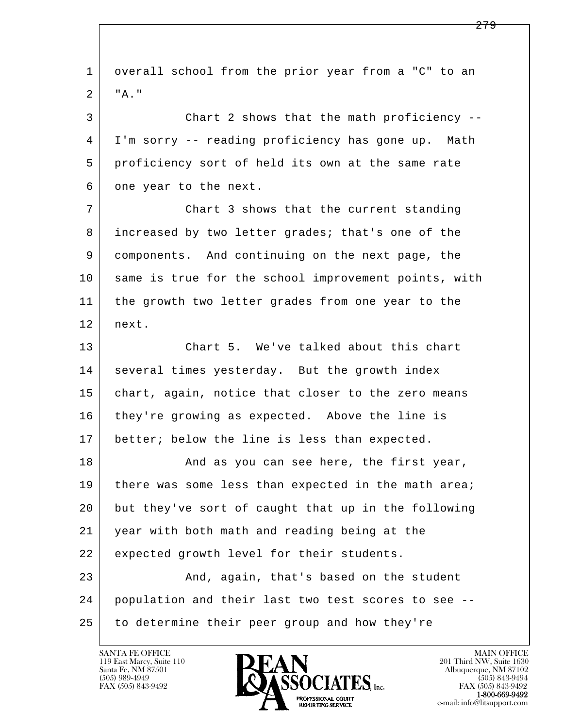l  $\overline{\phantom{a}}$  1 overall school from the prior year from a "C" to an 2 "A." 3 Chart 2 shows that the math proficiency -- 4 I'm sorry -- reading proficiency has gone up. Math 5 proficiency sort of held its own at the same rate 6 one year to the next. 7 Chart 3 shows that the current standing 8 increased by two letter grades; that's one of the 9 components. And continuing on the next page, the 10 same is true for the school improvement points, with 11 the growth two letter grades from one year to the 12 next. 13 Chart 5. We've talked about this chart 14 several times yesterday. But the growth index 15 | chart, again, notice that closer to the zero means 16 they're growing as expected. Above the line is 17 better; below the line is less than expected. 18 and as you can see here, the first year, 19 | there was some less than expected in the math area; 20 but they've sort of caught that up in the following 21 year with both math and reading being at the 22 expected growth level for their students. 23 And, again, that's based on the student 24 population and their last two test scores to see -- 25 to determine their peer group and how they're

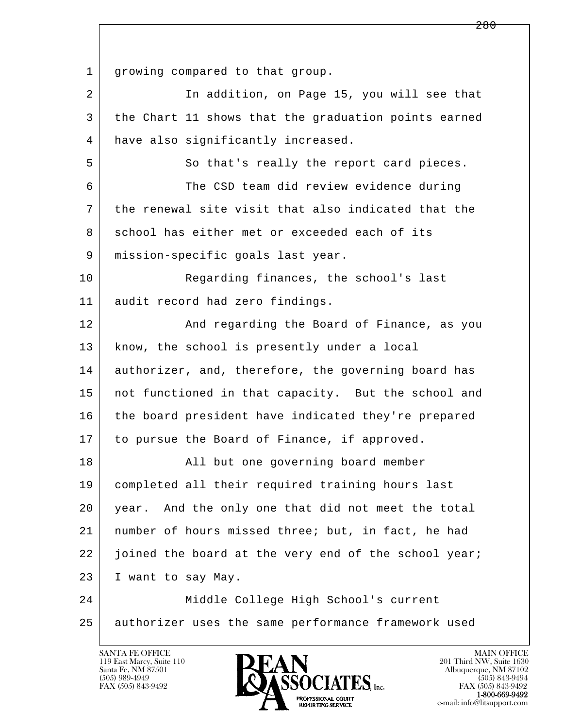l  $\overline{\phantom{a}}$ 1 | growing compared to that group. 2 In addition, on Page 15, you will see that 3 the Chart 11 shows that the graduation points earned 4 have also significantly increased. 5 So that's really the report card pieces. 6 The CSD team did review evidence during 7 the renewal site visit that also indicated that the 8 school has either met or exceeded each of its 9 mission-specific goals last year. 10 Reqarding finances, the school's last 11 audit record had zero findings. 12 And regarding the Board of Finance, as you 13 | know, the school is presently under a local 14 authorizer, and, therefore, the governing board has 15 | not functioned in that capacity. But the school and 16 the board president have indicated they're prepared 17 to pursue the Board of Finance, if approved. 18 | Radia but one governing board member 19 completed all their required training hours last 20 year. And the only one that did not meet the total 21 number of hours missed three; but, in fact, he had 22 joined the board at the very end of the school year; 23 I want to say May. 24 Middle College High School's current 25 authorizer uses the same performance framework used

119 East Marcy, Suite 110<br>Santa Fe, NM 87501



FAX (505) 843-9492<br>**1-800-669-9492**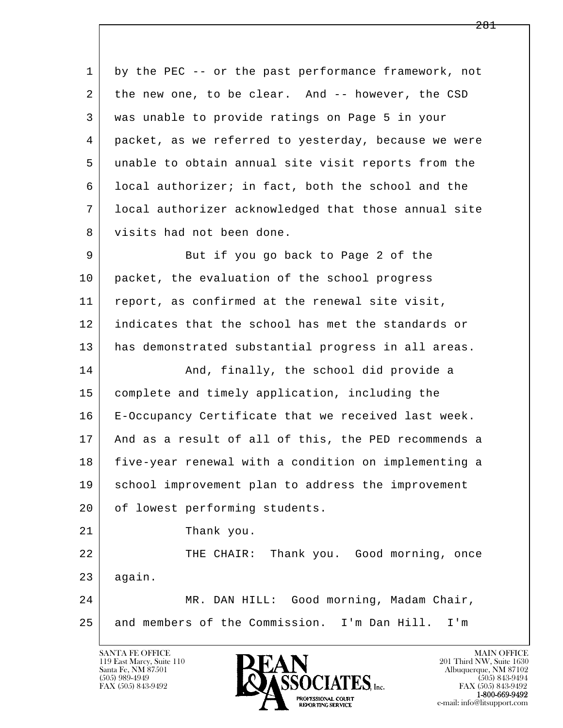l  $\overline{\phantom{a}}$  1 by the PEC -- or the past performance framework, not 2 the new one, to be clear. And -- however, the CSD 3 was unable to provide ratings on Page 5 in your 4 packet, as we referred to yesterday, because we were 5 unable to obtain annual site visit reports from the 6 local authorizer; in fact, both the school and the 7 local authorizer acknowledged that those annual site 8 visits had not been done. 9 But if you go back to Page 2 of the 10 packet, the evaluation of the school progress 11 report, as confirmed at the renewal site visit, 12 indicates that the school has met the standards or 13 has demonstrated substantial progress in all areas. 14 And, finally, the school did provide a 15 complete and timely application, including the 16 E-Occupancy Certificate that we received last week. 17 And as a result of all of this, the PED recommends a 18 five-year renewal with a condition on implementing a 19 school improvement plan to address the improvement 20 of lowest performing students. 21 Thank you. 22 THE CHAIR: Thank you. Good morning, once  $23$  again. 24 MR. DAN HILL: Good morning, Madam Chair, 25 and members of the Commission. I'm Dan Hill. I'm

119 East Marcy, Suite 110<br>Santa Fe, NM 87501

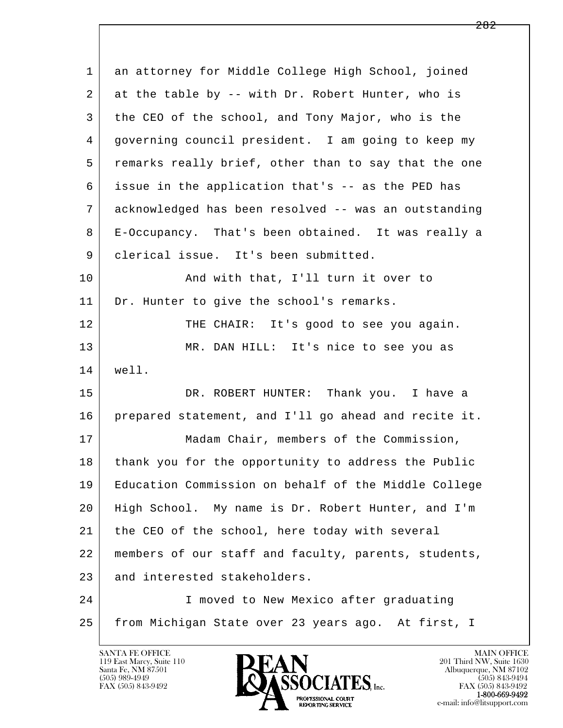| $\mathbf 1$ | an attorney for Middle College High School, joined   |
|-------------|------------------------------------------------------|
| 2           | at the table by -- with Dr. Robert Hunter, who is    |
| 3           | the CEO of the school, and Tony Major, who is the    |
| 4           | governing council president. I am going to keep my   |
| 5           | remarks really brief, other than to say that the one |
| 6           | issue in the application that's -- as the PED has    |
| 7           | acknowledged has been resolved -- was an outstanding |
| 8           | E-Occupancy. That's been obtained. It was really a   |
| 9           | clerical issue. It's been submitted.                 |
| 10          | And with that, I'll turn it over to                  |
| 11          | Dr. Hunter to give the school's remarks.             |
| 12          | THE CHAIR: It's good to see you again.               |
| 13          | MR. DAN HILL: It's nice to see you as                |
| 14          | well.                                                |
| 15          | DR. ROBERT HUNTER: Thank you. I have a               |
| 16          | prepared statement, and I'll go ahead and recite it. |
| 17          | Madam Chair, members of the Commission,              |
| 18          | thank you for the opportunity to address the Public  |
| 19          | Education Commission on behalf of the Middle College |
| 20          | High School. My name is Dr. Robert Hunter, and I'm   |
| 21          | the CEO of the school, here today with several       |
| 22          | members of our staff and faculty, parents, students, |
| 23          | and interested stakeholders.                         |
| 24          | I moved to New Mexico after graduating               |
| 25          | from Michigan State over 23 years ago. At first, I   |

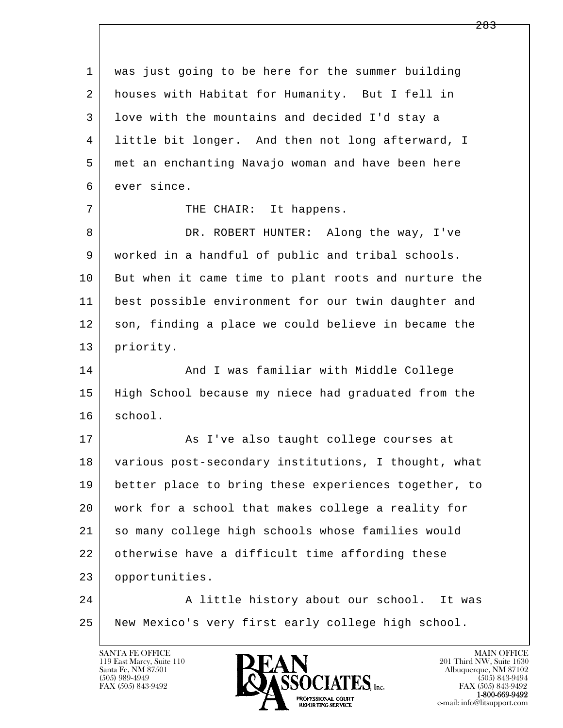| was just going to be here for the summer building    |
|------------------------------------------------------|
| houses with Habitat for Humanity. But I fell in      |
| love with the mountains and decided I'd stay a       |
| little bit longer. And then not long afterward, I    |
| met an enchanting Navajo woman and have been here    |
| ever since.                                          |
| THE CHAIR: It happens.                               |
| DR. ROBERT HUNTER: Along the way, I've               |
| worked in a handful of public and tribal schools.    |
| But when it came time to plant roots and nurture the |
| best possible environment for our twin daughter and  |
| son, finding a place we could believe in became the  |
| priority.                                            |
| And I was familiar with Middle College               |
| High School because my niece had graduated from the  |
| school.                                              |
| As I've also taught college courses at               |
| various post-secondary institutions, I thought, what |
| better place to bring these experiences together, to |
| work for a school that makes college a reality for   |
| so many college high schools whose families would    |
| otherwise have a difficult time affording these      |
| opportunities.                                       |
| A little history about our school. It was            |
| New Mexico's very first early college high school.   |
|                                                      |

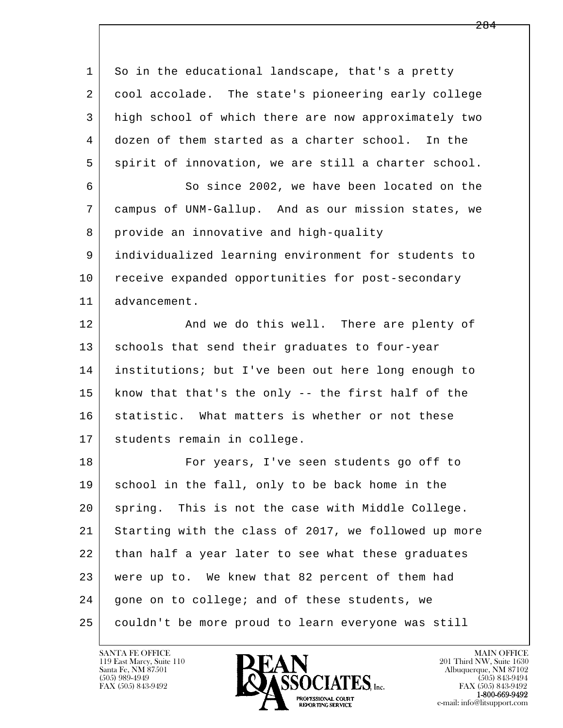| $\mathbf{1}$ | So in the educational landscape, that's a pretty     |
|--------------|------------------------------------------------------|
| 2            | cool accolade. The state's pioneering early college  |
| 3            | high school of which there are now approximately two |
| 4            | dozen of them started as a charter school. In the    |
| 5            | spirit of innovation, we are still a charter school. |
| 6            | So since 2002, we have been located on the           |
| 7            | campus of UNM-Gallup. And as our mission states, we  |
| 8            | provide an innovative and high-quality               |
| 9            | individualized learning environment for students to  |
| 10           | receive expanded opportunities for post-secondary    |
| 11           | advancement.                                         |
| 12           | And we do this well. There are plenty of             |
| 13           | schools that send their graduates to four-year       |
| 14           | institutions; but I've been out here long enough to  |
| 15           | know that that's the only -- the first half of the   |
| 16           | statistic. What matters is whether or not these      |
| 17           | students remain in college.                          |
| 18           | For years, I've seen students go off to              |
| 19           | school in the fall, only to be back home in the      |
| 20           | spring. This is not the case with Middle College.    |
| 21           | Starting with the class of 2017, we followed up more |
| 22           | than half a year later to see what these graduates   |
| 23           | were up to. We knew that 82 percent of them had      |
| 24           | gone on to college; and of these students, we        |
| 25           | couldn't be more proud to learn everyone was still   |

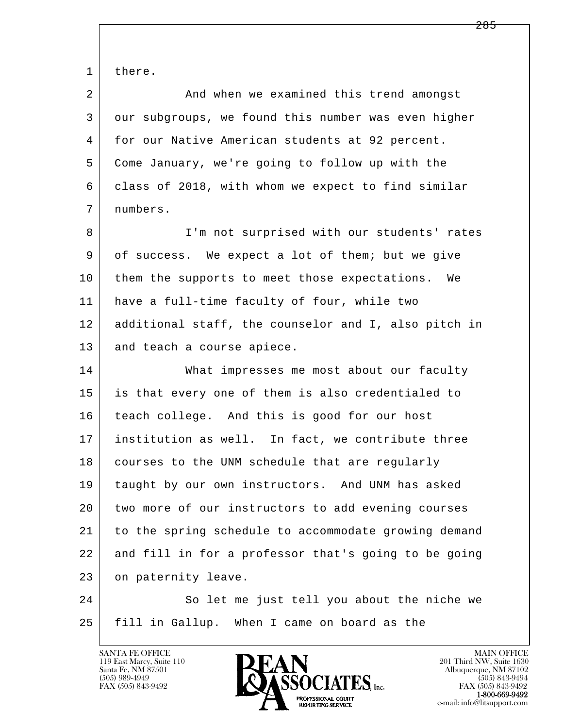l  $\overline{\phantom{a}}$ 1 there. 2 And when we examined this trend amongst 3 our subgroups, we found this number was even higher 4 for our Native American students at 92 percent. 5 Come January, we're going to follow up with the 6 class of 2018, with whom we expect to find similar 7 numbers. 8 | I'm not surprised with our students' rates 9 of success. We expect a lot of them; but we give 10 them the supports to meet those expectations. We 11 have a full-time faculty of four, while two 12 additional staff, the counselor and I, also pitch in 13 and teach a course apiece. 14 What impresses me most about our faculty 15 is that every one of them is also credentialed to 16 teach college. And this is good for our host 17 institution as well. In fact, we contribute three 18 | courses to the UNM schedule that are regularly 19 taught by our own instructors. And UNM has asked 20 two more of our instructors to add evening courses 21 to the spring schedule to accommodate growing demand 22 and fill in for a professor that's going to be going 23 on paternity leave. 24 So let me just tell you about the niche we 25 fill in Gallup. When I came on board as the

119 East Marcy, Suite 110<br>Santa Fe, NM 87501



FAX (505) 843-9492<br>**1-800-669-9492**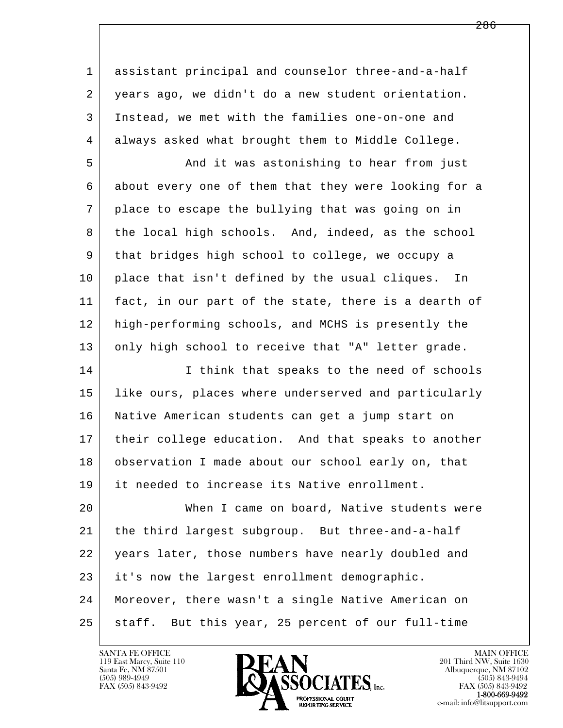1 assistant principal and counselor three-and-a-half 2 years ago, we didn't do a new student orientation. 3 Instead, we met with the families one-on-one and 4 always asked what brought them to Middle College.

 5 And it was astonishing to hear from just 6 about every one of them that they were looking for a 7 place to escape the bullying that was going on in 8 the local high schools. And, indeed, as the school 9 that bridges high school to college, we occupy a 10 | place that isn't defined by the usual cliques. In 11 fact, in our part of the state, there is a dearth of 12 high-performing schools, and MCHS is presently the 13 only high school to receive that "A" letter grade.

14 I inink that speaks to the need of schools 15 | like ours, places where underserved and particularly 16 Native American students can get a jump start on 17 their college education. And that speaks to another 18 observation I made about our school early on, that 19 it needed to increase its Native enrollment.

l  $\overline{\phantom{a}}$  20 When I came on board, Native students were 21 the third largest subgroup. But three-and-a-half 22 years later, those numbers have nearly doubled and 23 it's now the largest enrollment demographic. 24 Moreover, there wasn't a single Native American on 25 staff. But this year, 25 percent of our full-time

119 East Marcy, Suite 110<br>Santa Fe, NM 87501

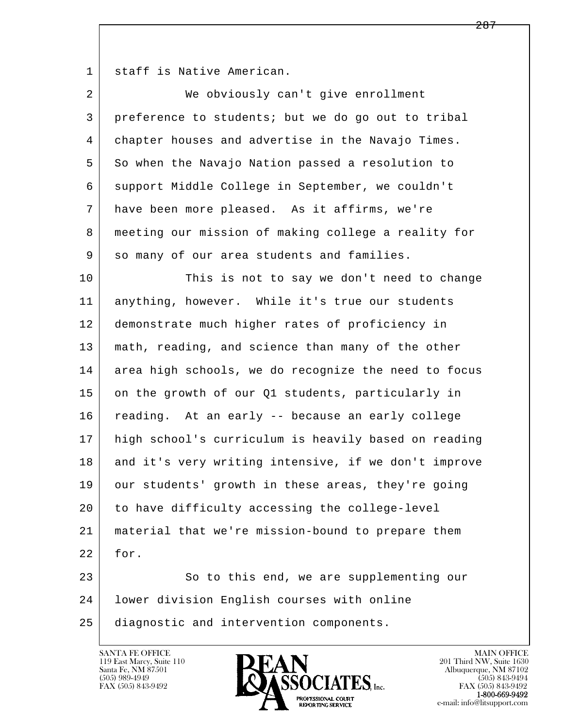1 staff is Native American.

| $\overline{2}$ | We obviously can't give enrollment                   |
|----------------|------------------------------------------------------|
| 3              | preference to students; but we do go out to tribal   |
| 4              | chapter houses and advertise in the Navajo Times.    |
| 5              | So when the Navajo Nation passed a resolution to     |
| 6              | support Middle College in September, we couldn't     |
| 7              | have been more pleased. As it affirms, we're         |
| 8              | meeting our mission of making college a reality for  |
| 9              | so many of our area students and families.           |
| 10             | This is not to say we don't need to change           |
| 11             | anything, however. While it's true our students      |
| 12             | demonstrate much higher rates of proficiency in      |
| 13             | math, reading, and science than many of the other    |
| 14             | area high schools, we do recognize the need to focus |
| 15             | on the growth of our Q1 students, particularly in    |
| 16             | reading. At an early -- because an early college     |
| 17             | high school's curriculum is heavily based on reading |
| 18             | and it's very writing intensive, if we don't improve |
| 19             | our students' growth in these areas, they're going   |
| 20             | to have difficulty accessing the college-level       |
| 21             | material that we're mission-bound to prepare them    |
| 22             | for.                                                 |
| 23             | So to this end, we are supplementing our             |
| 24             | lower division English courses with online           |
| 25             | diagnostic and intervention components.              |

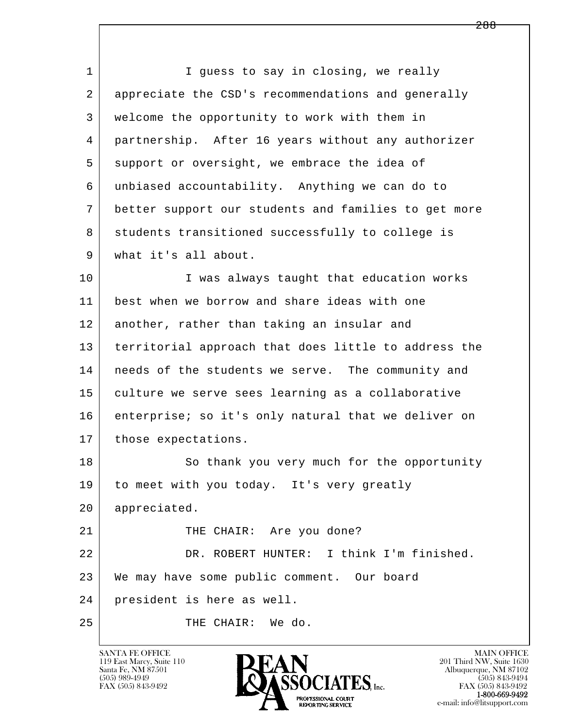l  $\overline{\phantom{a}}$ 1 I guess to say in closing, we really 2 appreciate the CSD's recommendations and generally 3 welcome the opportunity to work with them in 4 partnership. After 16 years without any authorizer 5 support or oversight, we embrace the idea of 6 unbiased accountability. Anything we can do to 7 better support our students and families to get more 8 students transitioned successfully to college is 9 what it's all about. 10 | T was always taught that education works 11 best when we borrow and share ideas with one 12 another, rather than taking an insular and 13 territorial approach that does little to address the 14 | needs of the students we serve. The community and 15 culture we serve sees learning as a collaborative 16 enterprise; so it's only natural that we deliver on 17 | those expectations. 18 So thank you very much for the opportunity 19 to meet with you today. It's very greatly 20 appreciated. 21 THE CHAIR: Are you done? 22 DR. ROBERT HUNTER: I think I'm finished. 23 We may have some public comment. Our board 24 president is here as well. 25 THE CHAIR: We do.

119 East Marcy, Suite 110<br>Santa Fe, NM 87501



FAX (505) 843-9492<br>**1-800-669-9492**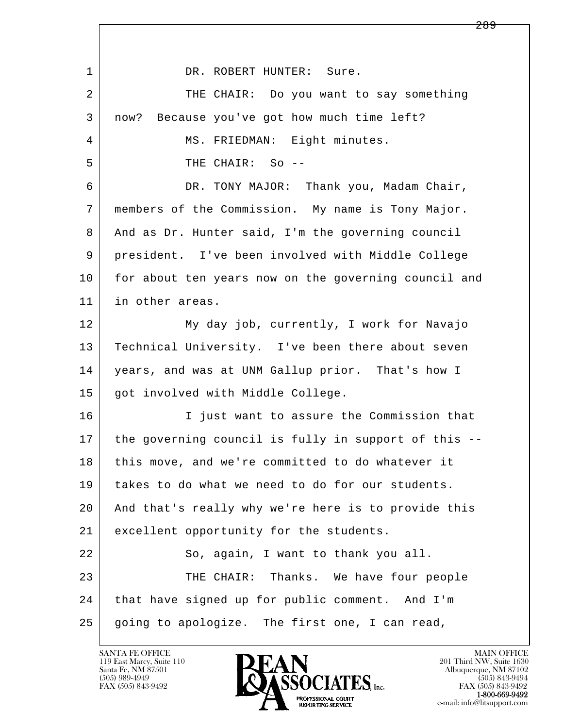l  $\overline{\phantom{a}}$ 1 DR. ROBERT HUNTER: Sure. 2 THE CHAIR: Do you want to say something 3 now? Because you've got how much time left? 4 | MS. FRIEDMAN: Eight minutes. 5 THE CHAIR: So -- 6 DR. TONY MAJOR: Thank you, Madam Chair, 7 members of the Commission. My name is Tony Major. 8 And as Dr. Hunter said, I'm the governing council 9 president. I've been involved with Middle College 10 for about ten years now on the governing council and 11 in other areas. 12 My day job, currently, I work for Navajo 13 | Technical University. I've been there about seven 14 | years, and was at UNM Gallup prior. That's how I 15 got involved with Middle College. 16 I just want to assure the Commission that 17 the governing council is fully in support of this -- 18 | this move, and we're committed to do whatever it 19 takes to do what we need to do for our students. 20 And that's really why we're here is to provide this 21 excellent opportunity for the students. 22 So, again, I want to thank you all. 23 THE CHAIR: Thanks. We have four people 24 that have signed up for public comment. And I'm  $25$  going to apologize. The first one, I can read,

119 East Marcy, Suite 110<br>Santa Fe, NM 87501



FAX (505) 843-9492<br>1-800-669-9492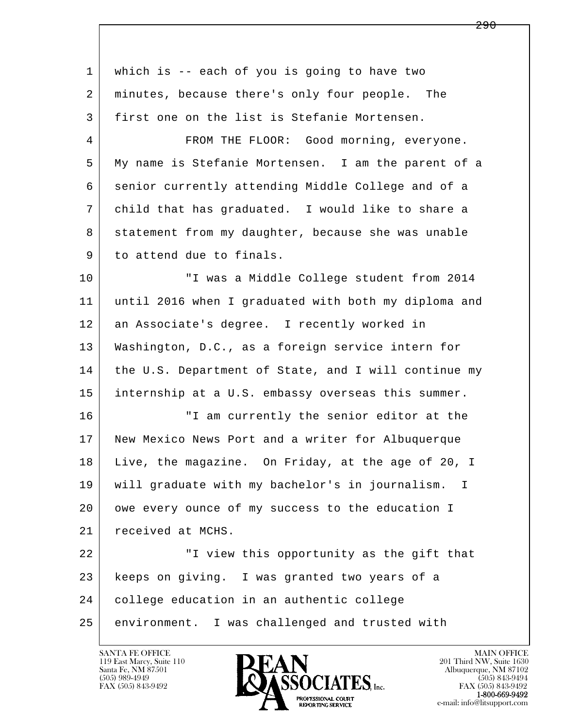| 1  | which is -- each of you is going to have two          |
|----|-------------------------------------------------------|
| 2  | minutes, because there's only four people. The        |
| 3  | first one on the list is Stefanie Mortensen.          |
| 4  | FROM THE FLOOR: Good morning, everyone.               |
| 5  | My name is Stefanie Mortensen. I am the parent of a   |
| 6  | senior currently attending Middle College and of a    |
| 7  | child that has graduated. I would like to share a     |
| 8  | statement from my daughter, because she was unable    |
| 9  | to attend due to finals.                              |
| 10 | "I was a Middle College student from 2014             |
| 11 | until 2016 when I graduated with both my diploma and  |
| 12 | an Associate's degree. I recently worked in           |
| 13 | Washington, D.C., as a foreign service intern for     |
| 14 | the U.S. Department of State, and I will continue my  |
| 15 | internship at a U.S. embassy overseas this summer.    |
| 16 | "I am currently the senior editor at the              |
| 17 | New Mexico News Port and a writer for Albuquerque     |
| 18 | Live, the magazine. On Friday, at the age of 20, I    |
| 19 | will graduate with my bachelor's in journalism.<br>I. |
| 20 | owe every ounce of my success to the education I      |
| 21 | received at MCHS.                                     |
| 22 | "I view this opportunity as the gift that             |
| 23 | keeps on giving. I was granted two years of a         |
| 24 | college education in an authentic college             |
| 25 | I was challenged and trusted with<br>environment.     |

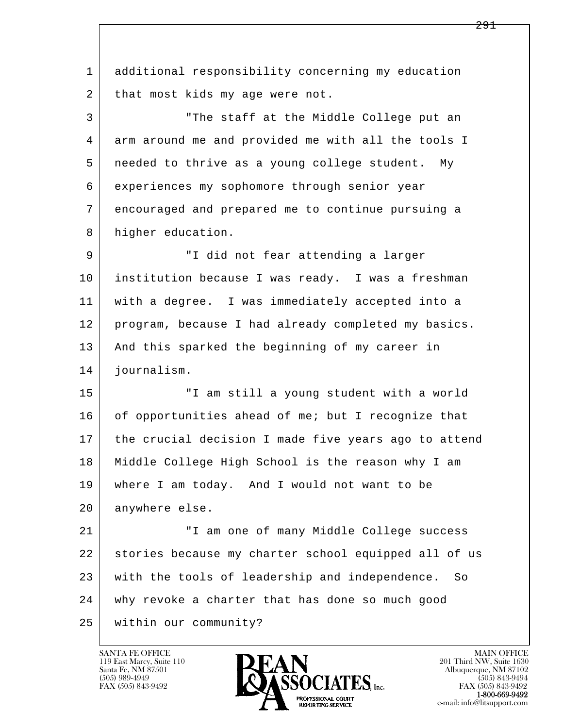l  $\overline{\phantom{a}}$  1 additional responsibility concerning my education 2 | that most kids my age were not. 3 "The staff at the Middle College put an 4 arm around me and provided me with all the tools I 5 needed to thrive as a young college student. My 6 experiences my sophomore through senior year 7 encouraged and prepared me to continue pursuing a 8 higher education. 9 "I did not fear attending a larger 10 institution because I was ready. I was a freshman 11 with a degree. I was immediately accepted into a 12 program, because I had already completed my basics. 13 | And this sparked the beginning of my career in 14 journalism. 15 "I am still a young student with a world 16 of opportunities ahead of me; but I recognize that 17 the crucial decision I made five years ago to attend 18 Middle College High School is the reason why I am 19 where I am today. And I would not want to be 20 anywhere else. 21 "I am one of many Middle College success 22 stories because my charter school equipped all of us 23 with the tools of leadership and independence. So 24 why revoke a charter that has done so much good 25 within our community?

119 East Marcy, Suite 110<br>Santa Fe, NM 87501

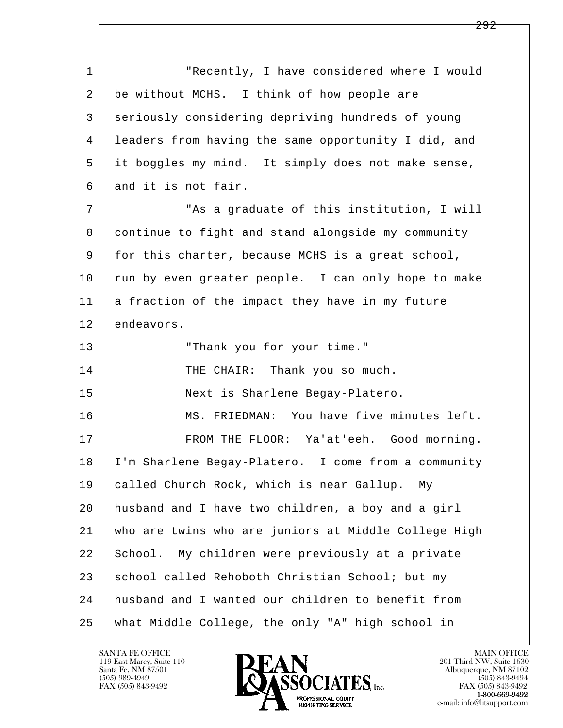l  $\overline{\phantom{a}}$ 1 The recently, I have considered where I would 2 be without MCHS. I think of how people are 3 seriously considering depriving hundreds of young 4 leaders from having the same opportunity I did, and 5 it boggles my mind. It simply does not make sense, 6 and it is not fair. 7 | This a graduate of this institution, I will 8 continue to fight and stand alongside my community 9 for this charter, because MCHS is a great school, 10 run by even greater people. I can only hope to make 11 a fraction of the impact they have in my future 12 endeavors. 13 "Thank you for your time." 14 THE CHAIR: Thank you so much. 15 Next is Sharlene Begay-Platero. 16 MS. FRIEDMAN: You have five minutes left. 17 FROM THE FLOOR: Ya'at'eeh. Good morning. 18 I'm Sharlene Begay-Platero. I come from a community 19 called Church Rock, which is near Gallup. My 20 husband and I have two children, a boy and a girl 21 who are twins who are juniors at Middle College High 22 School. My children were previously at a private 23 school called Rehoboth Christian School; but my 24 husband and I wanted our children to benefit from 25 what Middle College, the only "A" high school in

119 East Marcy, Suite 110<br>Santa Fe, NM 87501



FAX (505) 843-9492<br>1-800-669-9492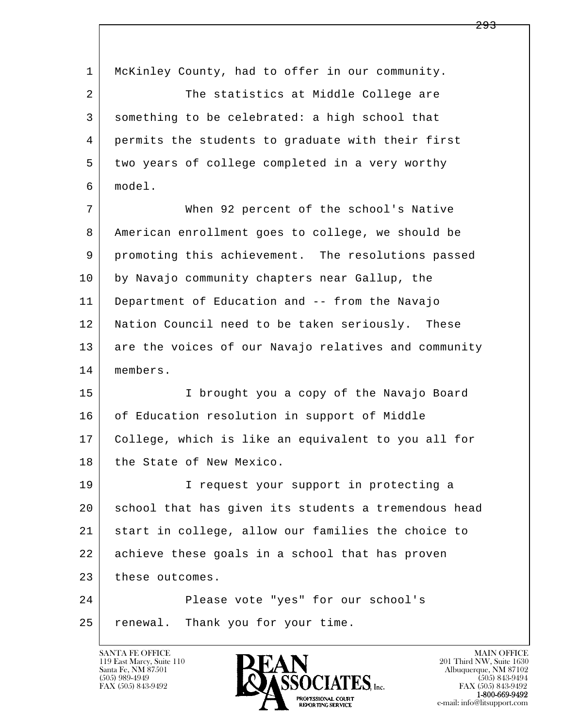l  $\overline{\phantom{a}}$  1 McKinley County, had to offer in our community. 2 The statistics at Middle College are 3 something to be celebrated: a high school that 4 permits the students to graduate with their first 5 two years of college completed in a very worthy 6 model. 7 When 92 percent of the school's Native 8 American enrollment goes to college, we should be 9 promoting this achievement. The resolutions passed 10 by Navajo community chapters near Gallup, the 11 Department of Education and -- from the Navajo 12 Nation Council need to be taken seriously. These 13 are the voices of our Navajo relatives and community 14 members. 15 I brought you a copy of the Navajo Board 16 of Education resolution in support of Middle 17 College, which is like an equivalent to you all for 18 the State of New Mexico. 19 | I request your support in protecting a 20 school that has given its students a tremendous head 21 start in college, allow our families the choice to 22 achieve these goals in a school that has proven 23 these outcomes. 24 Please vote "yes" for our school's 25 renewal. Thank you for your time.

119 East Marcy, Suite 110<br>Santa Fe, NM 87501



FAX (505) 843-9492<br>**1-800-669-9492**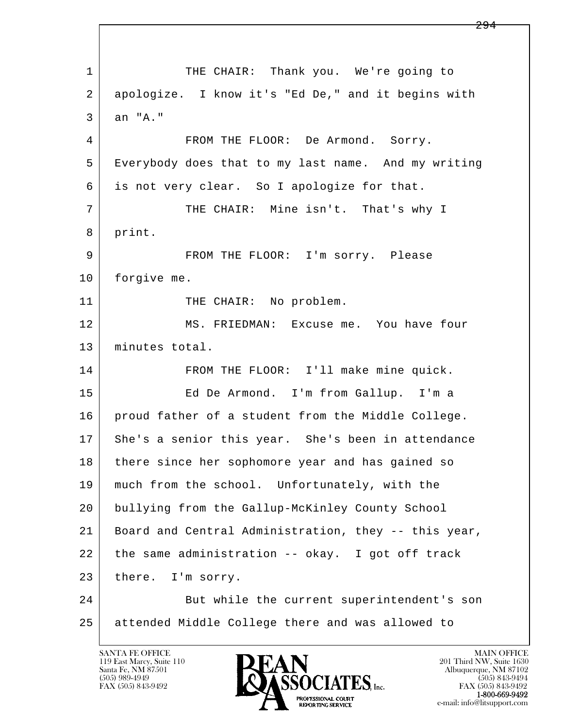l  $\overline{\phantom{a}}$ 1 THE CHAIR: Thank you. We're going to 2 apologize. I know it's "Ed De," and it begins with 3 an "A." 4 FROM THE FLOOR: De Armond. Sorry. 5 Everybody does that to my last name. And my writing 6 is not very clear. So I apologize for that. 7 THE CHAIR: Mine isn't. That's why I 8 print. 9 FROM THE FLOOR: I'm sorry. Please 10 forgive me. 11 THE CHAIR: No problem. 12 MS. FRIEDMAN: Excuse me. You have four 13 minutes total. 14 FROM THE FLOOR: I'll make mine quick. 15 Ed De Armond. I'm from Gallup. I'm a 16 proud father of a student from the Middle College. 17 She's a senior this year. She's been in attendance 18 there since her sophomore year and has gained so 19 much from the school. Unfortunately, with the 20 bullying from the Gallup-McKinley County School 21 Board and Central Administration, they -- this year, 22 the same administration -- okay. I got off track 23 there. I'm sorry. 24 But while the current superintendent's son 25 attended Middle College there and was allowed to

119 East Marcy, Suite 110<br>Santa Fe, NM 87501

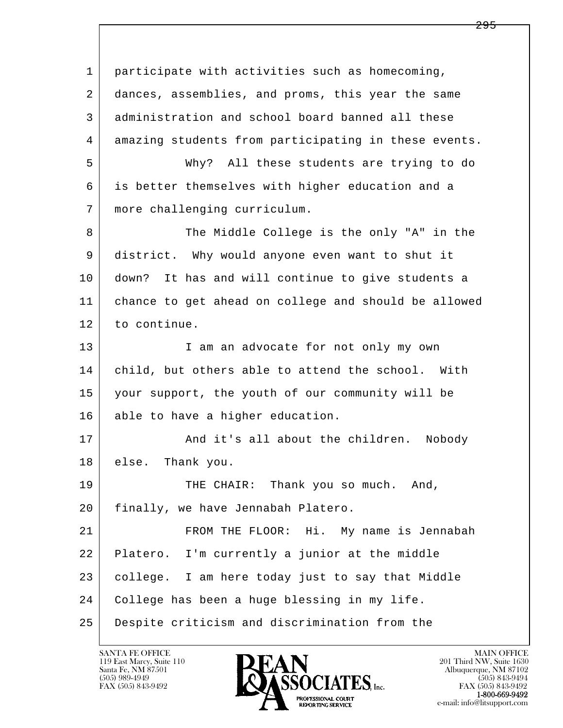l  $\overline{\phantom{a}}$  1 participate with activities such as homecoming, 2 dances, assemblies, and proms, this year the same 3 administration and school board banned all these 4 amazing students from participating in these events. 5 Why? All these students are trying to do 6 is better themselves with higher education and a 7 more challenging curriculum. 8 The Middle College is the only "A" in the 9 district. Why would anyone even want to shut it 10 down? It has and will continue to give students a 11 chance to get ahead on college and should be allowed 12 to continue. 13 | I am an advocate for not only my own 14 child, but others able to attend the school. With 15 your support, the youth of our community will be 16 able to have a higher education. 17 | And it's all about the children. Nobody 18 else. Thank you. 19 THE CHAIR: Thank you so much. And, 20 finally, we have Jennabah Platero. 21 FROM THE FLOOR: Hi. My name is Jennabah 22 Platero. I'm currently a junior at the middle 23 college. I am here today just to say that Middle 24 College has been a huge blessing in my life. 25 Despite criticism and discrimination from the

119 East Marcy, Suite 110<br>Santa Fe, NM 87501

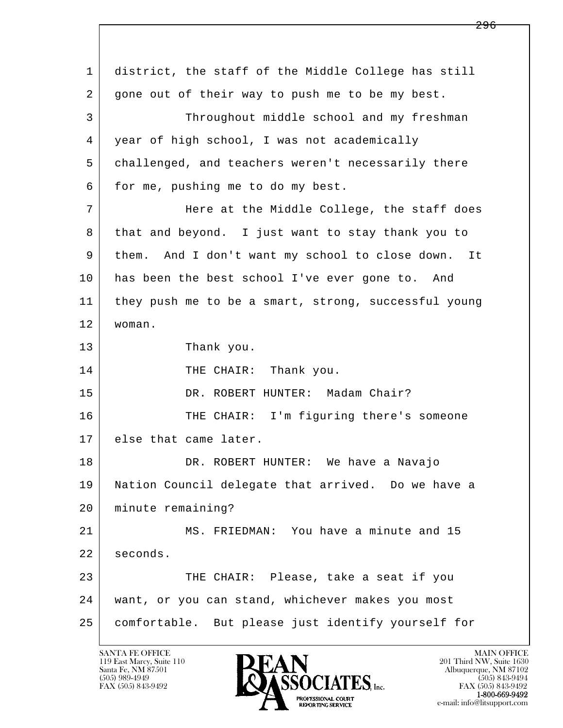l  $\overline{\phantom{a}}$  1 district, the staff of the Middle College has still 2 gone out of their way to push me to be my best. 3 Throughout middle school and my freshman 4 year of high school, I was not academically 5 challenged, and teachers weren't necessarily there 6 for me, pushing me to do my best. 7 Here at the Middle College, the staff does 8 that and beyond. I just want to stay thank you to 9 them. And I don't want my school to close down. It 10 has been the best school I've ever gone to. And 11 they push me to be a smart, strong, successful young 12 woman. 13 Thank you. 14 THE CHAIR: Thank you. 15 | DR. ROBERT HUNTER: Madam Chair? 16 | THE CHAIR: I'm figuring there's someone 17 | else that came later. 18 DR. ROBERT HUNTER: We have a Navajo 19 Nation Council delegate that arrived. Do we have a 20 minute remaining? 21 MS. FRIEDMAN: You have a minute and 15 22 seconds. 23 THE CHAIR: Please, take a seat if you 24 want, or you can stand, whichever makes you most 25 comfortable. But please just identify yourself for

119 East Marcy, Suite 110<br>Santa Fe, NM 87501

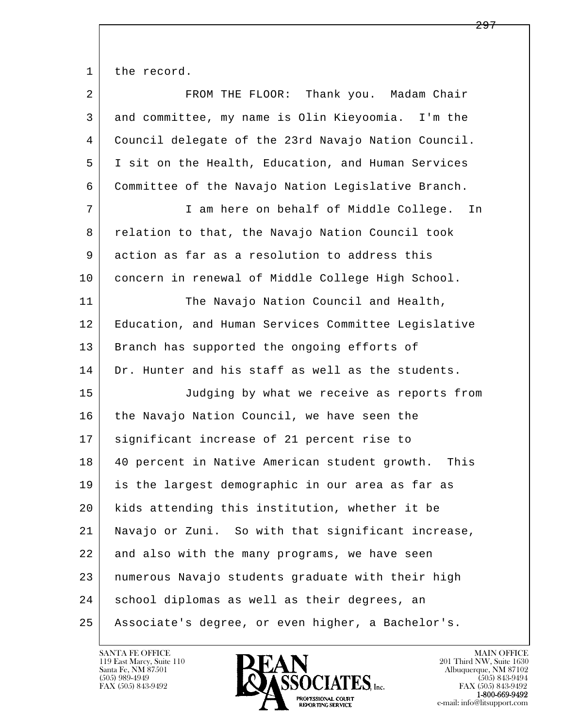1 the record.

| 2  | FROM THE FLOOR: Thank you. Madam Chair                |
|----|-------------------------------------------------------|
| 3  | and committee, my name is Olin Kieyoomia. I'm the     |
| 4  | Council delegate of the 23rd Navajo Nation Council.   |
| 5  | I sit on the Health, Education, and Human Services    |
| 6  | Committee of the Navajo Nation Legislative Branch.    |
| 7  | I am here on behalf of Middle College. In             |
| 8  | relation to that, the Navajo Nation Council took      |
| 9  | action as far as a resolution to address this         |
| 10 | concern in renewal of Middle College High School.     |
| 11 | The Navajo Nation Council and Health,                 |
| 12 | Education, and Human Services Committee Legislative   |
| 13 | Branch has supported the ongoing efforts of           |
| 14 | Dr. Hunter and his staff as well as the students.     |
| 15 | Judging by what we receive as reports from            |
| 16 | the Navajo Nation Council, we have seen the           |
| 17 | significant increase of 21 percent rise to            |
| 18 | 40 percent in Native American student growth.<br>This |
| 19 | is the largest demographic in our area as far as      |
| 20 | kids attending this institution, whether it be        |
| 21 | Navajo or Zuni. So with that significant increase,    |
| 22 | and also with the many programs, we have seen         |
| 23 | numerous Navajo students graduate with their high     |
| 24 | school diplomas as well as their degrees, an          |
| 25 | Associate's degree, or even higher, a Bachelor's.     |

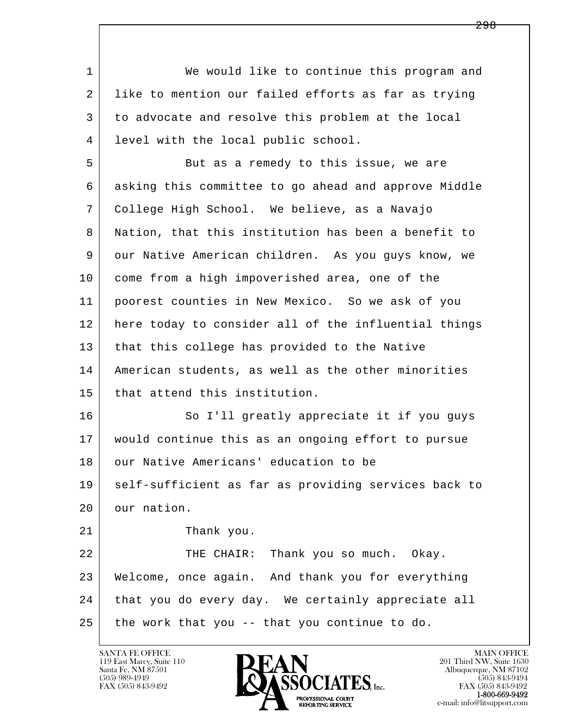l  $\overline{\phantom{a}}$ 1 We would like to continue this program and 2 like to mention our failed efforts as far as trying 3 to advocate and resolve this problem at the local 4 level with the local public school. 5 But as a remedy to this issue, we are 6 asking this committee to go ahead and approve Middle 7 College High School. We believe, as a Navajo 8 Nation, that this institution has been a benefit to 9 our Native American children. As you guys know, we 10 come from a high impoverished area, one of the 11 poorest counties in New Mexico. So we ask of you 12 here today to consider all of the influential things 13 that this college has provided to the Native 14 American students, as well as the other minorities 15 that attend this institution. 16 So I'll greatly appreciate it if you guys 17 would continue this as an ongoing effort to pursue 18 our Native Americans' education to be 19 | self-sufficient as far as providing services back to 20 our nation. 21 Thank you. 22 THE CHAIR: Thank you so much. Okay. 23 Welcome, once again. And thank you for everything 24 that you do every day. We certainly appreciate all  $25$  the work that you  $-$ - that you continue to do.

119 East Marcy, Suite 110<br>Santa Fe, NM 87501

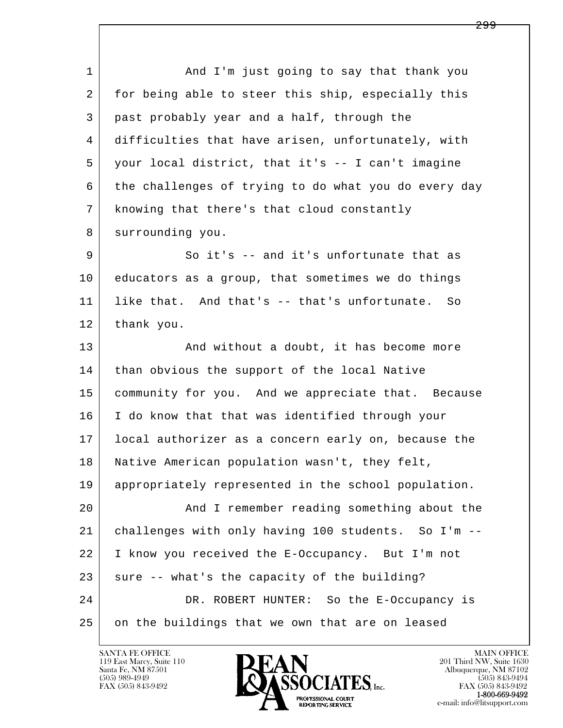l  $\overline{\phantom{a}}$ 1 and I'm just going to say that thank you 2 | for being able to steer this ship, especially this 3 past probably year and a half, through the 4 difficulties that have arisen, unfortunately, with 5 your local district, that it's -- I can't imagine 6 the challenges of trying to do what you do every day 7 knowing that there's that cloud constantly 8 surrounding you. 9 So it's -- and it's unfortunate that as 10 educators as a group, that sometimes we do things 11 like that. And that's -- that's unfortunate. So 12 thank you. 13 And without a doubt, it has become more 14 than obvious the support of the local Native 15 community for you. And we appreciate that. Because 16 I do know that that was identified through your 17 local authorizer as a concern early on, because the 18 Native American population wasn't, they felt, 19 appropriately represented in the school population. 20 And I remember reading something about the 21 challenges with only having 100 students. So I'm -- 22 I know you received the E-Occupancy. But I'm not  $23$  sure  $-$ - what's the capacity of the building? 24 DR. ROBERT HUNTER: So the E-Occupancy is 25 on the buildings that we own that are on leased

119 East Marcy, Suite 110<br>Santa Fe, NM 87501

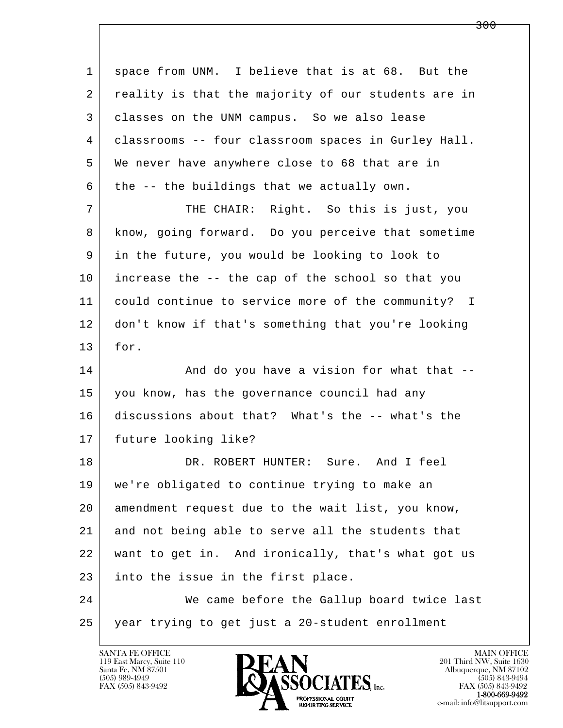| 1  | space from UNM. I believe that is at 68. But the    |
|----|-----------------------------------------------------|
| 2  | reality is that the majority of our students are in |
| 3  | classes on the UNM campus. So we also lease         |
| 4  | classrooms -- four classroom spaces in Gurley Hall. |
| 5  | We never have anywhere close to 68 that are in      |
| 6  | the -- the buildings that we actually own.          |
| 7  | THE CHAIR: Right. So this is just, you              |
| 8  | know, going forward. Do you perceive that sometime  |
| 9  | in the future, you would be looking to look to      |
| 10 | increase the -- the cap of the school so that you   |
| 11 | could continue to service more of the community? I  |
| 12 | don't know if that's something that you're looking  |
| 13 | for.                                                |
| 14 | And do you have a vision for what that --           |
| 15 | you know, has the governance council had any        |
| 16 | discussions about that? What's the -- what's the    |
| 17 | future looking like?                                |
| 18 | DR. ROBERT HUNTER: Sure. And I feel                 |
| 19 | we're obligated to continue trying to make an       |
| 20 | amendment request due to the wait list, you know,   |
| 21 | and not being able to serve all the students that   |
| 22 | want to get in. And ironically, that's what got us  |
| 23 | into the issue in the first place.                  |
| 24 | We came before the Gallup board twice last          |
| 25 | year trying to get just a 20-student enrollment     |

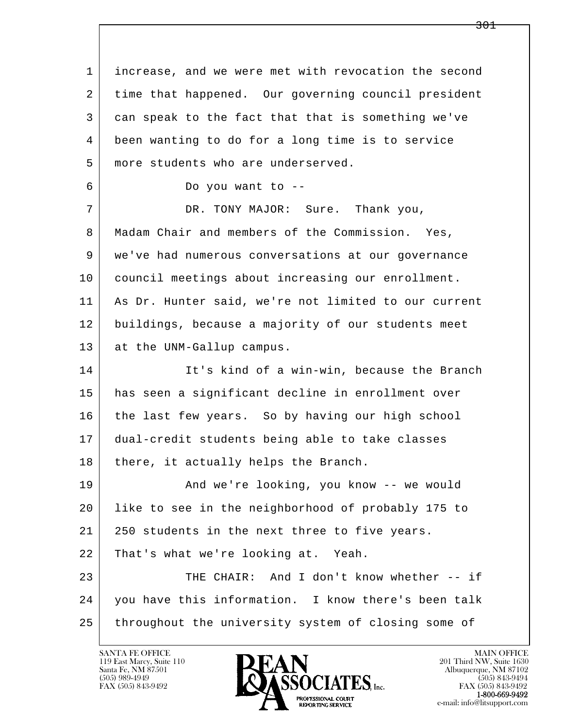l  $\overline{\phantom{a}}$  1 increase, and we were met with revocation the second 2 time that happened. Our governing council president 3 can speak to the fact that that is something we've 4 been wanting to do for a long time is to service 5 more students who are underserved. 6 Do you want to -- 7 DR. TONY MAJOR: Sure. Thank you, 8 | Madam Chair and members of the Commission. Yes, 9 we've had numerous conversations at our governance 10 council meetings about increasing our enrollment. 11 As Dr. Hunter said, we're not limited to our current 12 buildings, because a majority of our students meet 13 at the UNM-Gallup campus. 14 It's kind of a win-win, because the Branch 15 has seen a significant decline in enrollment over 16 the last few years. So by having our high school 17 dual-credit students being able to take classes 18 | there, it actually helps the Branch. 19 | Mand we're looking, you know -- we would 20 like to see in the neighborhood of probably 175 to 21 | 250 students in the next three to five years. 22 That's what we're looking at. Yeah. 23 THE CHAIR: And I don't know whether -- if 24 you have this information. I know there's been talk 25 throughout the university system of closing some of

119 East Marcy, Suite 110<br>Santa Fe, NM 87501

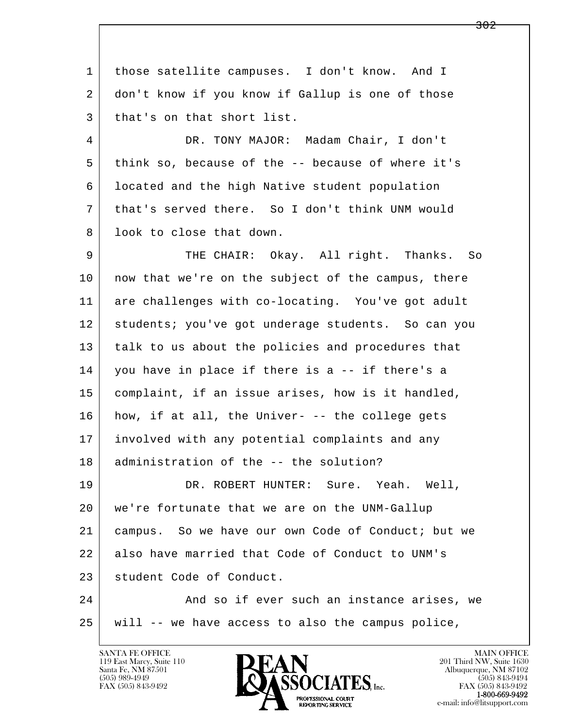l  $\overline{\phantom{a}}$  1 those satellite campuses. I don't know. And I 2 don't know if you know if Gallup is one of those 3 | that's on that short list. 4 DR. TONY MAJOR: Madam Chair, I don't 5 think so, because of the -- because of where it's 6 located and the high Native student population 7 that's served there. So I don't think UNM would 8 | look to close that down. 9 THE CHAIR: Okay. All right. Thanks. So 10 | now that we're on the subject of the campus, there 11 are challenges with co-locating. You've got adult 12 students; you've got underage students. So can you 13 talk to us about the policies and procedures that 14 you have in place if there is a -- if there's a 15 complaint, if an issue arises, how is it handled,  $16$  how, if at all, the Univer-  $-$ - the college gets 17 involved with any potential complaints and any 18 administration of the -- the solution? 19 DR. ROBERT HUNTER: Sure. Yeah. Well, 20 we're fortunate that we are on the UNM-Gallup 21 campus. So we have our own Code of Conduct; but we 22 also have married that Code of Conduct to UNM's 23 student Code of Conduct. 24 And so if ever such an instance arises, we 25 will -- we have access to also the campus police,

119 East Marcy, Suite 110<br>Santa Fe, NM 87501

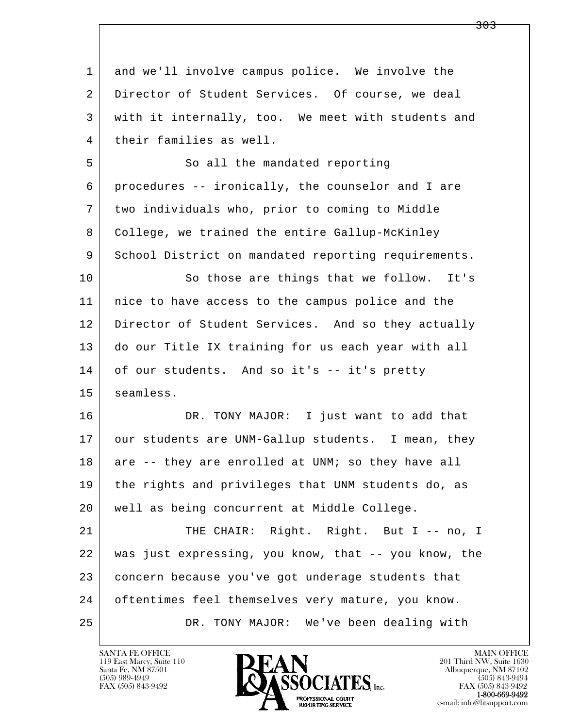| 1  | and we'll involve campus police. We involve the      |
|----|------------------------------------------------------|
| 2  | Director of Student Services. Of course, we deal     |
| 3  | with it internally, too. We meet with students and   |
| 4  | their families as well.                              |
| 5  | So all the mandated reporting                        |
| 6  | procedures -- ironically, the counselor and I are    |
| 7  | two individuals who, prior to coming to Middle       |
| 8  | College, we trained the entire Gallup-McKinley       |
| 9  | School District on mandated reporting requirements.  |
| 10 | So those are things that we follow. It's             |
| 11 | nice to have access to the campus police and the     |
| 12 | Director of Student Services. And so they actually   |
| 13 | do our Title IX training for us each year with all   |
| 14 | of our students. And so it's -- it's pretty          |
| 15 | seamless.                                            |
| 16 | DR. TONY MAJOR: I just want to add that              |
| 17 | our students are UNM-Gallup students. I mean, they   |
| 18 | are -- they are enrolled at UNM; so they have all    |
| 19 | the rights and privileges that UNM students do, as   |
| 20 | well as being concurrent at Middle College.          |
| 21 | THE CHAIR: Right. Right. But I -- no, I              |
| 22 | was just expressing, you know, that -- you know, the |
| 23 | concern because you've got underage students that    |
| 24 | oftentimes feel themselves very mature, you know.    |
| 25 | DR. TONY MAJOR:<br>We've been dealing with           |

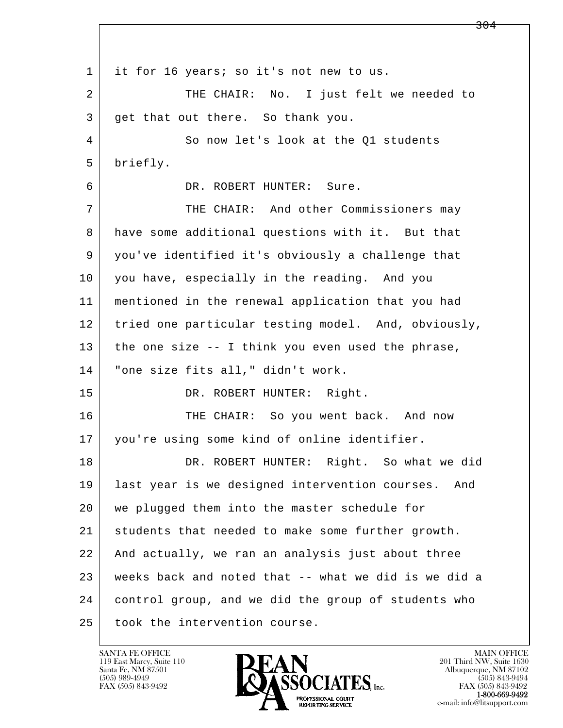l  $\overline{\phantom{a}}$ 1 it for 16 years; so it's not new to us. 2 THE CHAIR: No. I just felt we needed to 3 get that out there. So thank you. 4 So now let's look at the Q1 students 5 briefly. 6 DR. ROBERT HUNTER: Sure. 7 THE CHAIR: And other Commissioners may 8 have some additional questions with it. But that 9 you've identified it's obviously a challenge that 10 you have, especially in the reading. And you 11 mentioned in the renewal application that you had 12 tried one particular testing model. And, obviously, 13 the one size -- I think you even used the phrase, 14 | "one size fits all," didn't work. 15 DR. ROBERT HUNTER: Right. 16 THE CHAIR: So you went back. And now 17 you're using some kind of online identifier. 18 | DR. ROBERT HUNTER: Right. So what we did 19 last year is we designed intervention courses. And 20 we plugged them into the master schedule for 21 students that needed to make some further growth. 22 And actually, we ran an analysis just about three 23 weeks back and noted that -- what we did is we did a 24 control group, and we did the group of students who 25 took the intervention course.

119 East Marcy, Suite 110<br>Santa Fe, NM 87501

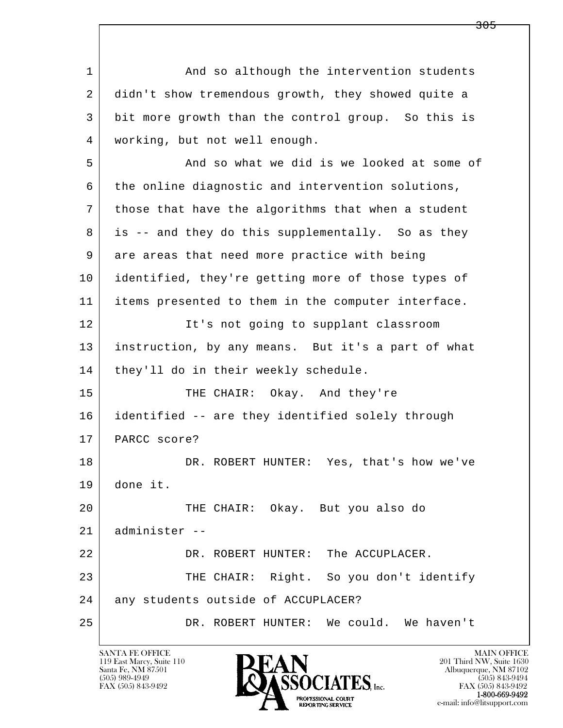l  $\overline{\phantom{a}}$ 1 and so although the intervention students 2 didn't show tremendous growth, they showed quite a 3 bit more growth than the control group. So this is 4 working, but not well enough. 5 And so what we did is we looked at some of 6 the online diagnostic and intervention solutions, 7 those that have the algorithms that when a student 8 is -- and they do this supplementally. So as they 9 are areas that need more practice with being 10 identified, they're getting more of those types of 11 items presented to them in the computer interface. 12 It's not going to supplant classroom 13 instruction, by any means. But it's a part of what 14 | they'll do in their weekly schedule. 15 THE CHAIR: Okay. And they're 16 identified -- are they identified solely through 17 PARCC score? 18 DR. ROBERT HUNTER: Yes, that's how we've 19 done it. 20 | THE CHAIR: Okay. But you also do 21 administer -- 22 DR. ROBERT HUNTER: The ACCUPLACER. 23 THE CHAIR: Right. So you don't identify 24 any students outside of ACCUPLACER? 25 DR. ROBERT HUNTER: We could. We haven't

119 East Marcy, Suite 110<br>Santa Fe, NM 87501

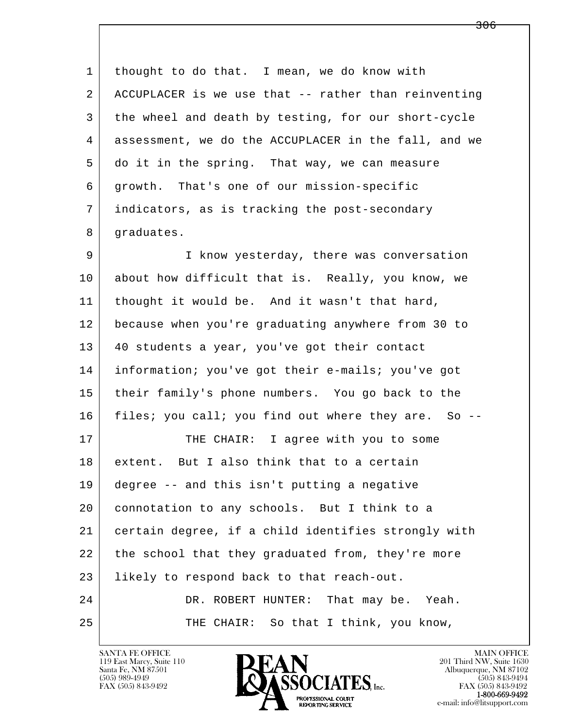l  $\overline{\phantom{a}}$ 1 thought to do that. I mean, we do know with 2 ACCUPLACER is we use that -- rather than reinventing 3 the wheel and death by testing, for our short-cycle 4 assessment, we do the ACCUPLACER in the fall, and we 5 do it in the spring. That way, we can measure 6 growth. That's one of our mission-specific 7 indicators, as is tracking the post-secondary 8 | graduates. 9 I know yesterday, there was conversation 10 about how difficult that is. Really, you know, we 11 thought it would be. And it wasn't that hard, 12 because when you're graduating anywhere from 30 to 13 40 students a year, you've got their contact 14 information; you've got their e-mails; you've got 15 their family's phone numbers. You go back to the 16 files; you call; you find out where they are. So -- 17 THE CHAIR: I agree with you to some 18 extent. But I also think that to a certain 19 degree -- and this isn't putting a negative 20 connotation to any schools. But I think to a 21 certain degree, if a child identifies strongly with 22 the school that they graduated from, they're more 23 likely to respond back to that reach-out. 24 DR. ROBERT HUNTER: That may be. Yeah. 25 THE CHAIR: So that I think, you know,

119 East Marcy, Suite 110<br>Santa Fe, NM 87501



FAX (505) 843-9492<br>**1-800-669-9492**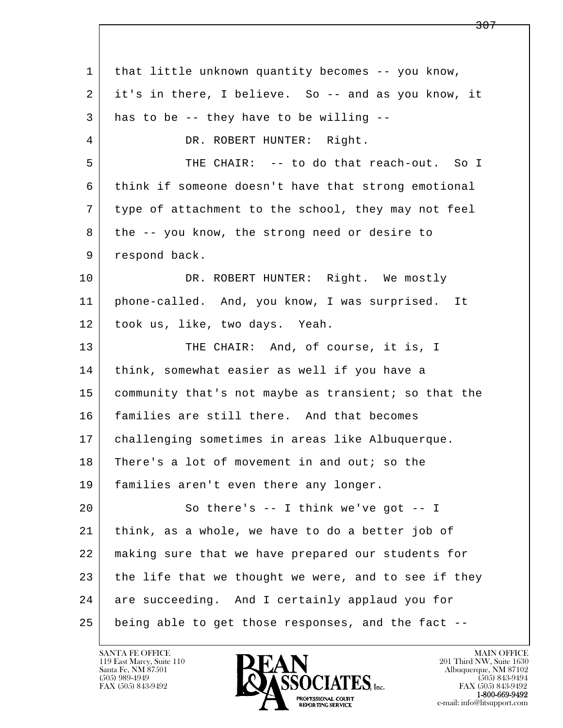l  $\overline{\phantom{a}}$  1 that little unknown quantity becomes -- you know, 2 it's in there, I believe. So -- and as you know, it  $3$  has to be -- they have to be willing --4 DR. ROBERT HUNTER: Right. 5 | THE CHAIR: -- to do that reach-out. So I 6 think if someone doesn't have that strong emotional 7 type of attachment to the school, they may not feel 8 the -- you know, the strong need or desire to 9 respond back. 10 DR. ROBERT HUNTER: Right. We mostly 11 phone-called. And, you know, I was surprised. It 12 took us, like, two days. Yeah. 13 THE CHAIR: And, of course, it is, I 14 think, somewhat easier as well if you have a 15 | community that's not maybe as transient; so that the 16 families are still there. And that becomes 17 challenging sometimes in areas like Albuquerque. 18 There's a lot of movement in and out; so the 19 families aren't even there any longer. 20 So there's -- I think we've got -- I 21 think, as a whole, we have to do a better job of 22 making sure that we have prepared our students for 23 the life that we thought we were, and to see if they 24 are succeeding. And I certainly applaud you for 25 being able to get those responses, and the fact --

119 East Marcy, Suite 110<br>Santa Fe, NM 87501

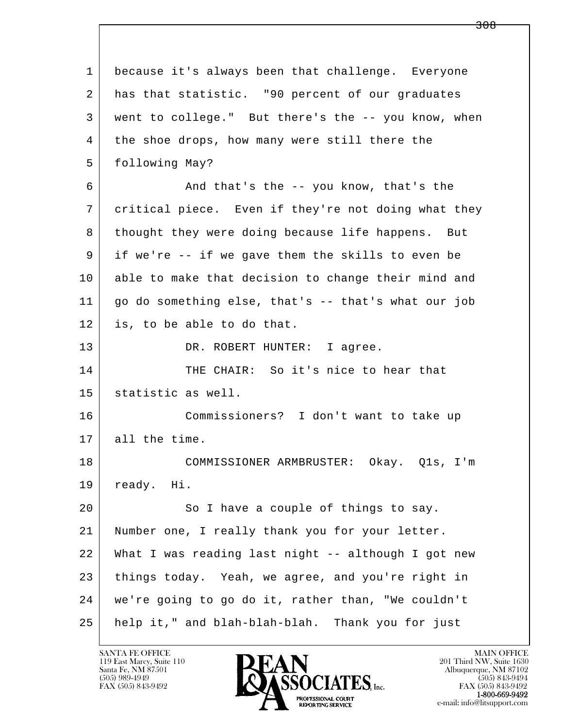| $\mathbf{1}$ | because it's always been that challenge. Everyone   |
|--------------|-----------------------------------------------------|
| 2            | has that statistic. "90 percent of our graduates    |
| 3            | went to college." But there's the -- you know, when |
| 4            | the shoe drops, how many were still there the       |
| 5            | following May?                                      |
| 6            | And that's the -- you know, that's the              |
| 7            | critical piece. Even if they're not doing what they |
| 8            | thought they were doing because life happens. But   |
| 9            | if we're -- if we gave them the skills to even be   |
| 10           | able to make that decision to change their mind and |
| 11           | go do something else, that's -- that's what our job |
| 12           | is, to be able to do that.                          |
| 13           | DR. ROBERT HUNTER: I agree.                         |
| 14           | THE CHAIR: So it's nice to hear that                |
| 15           | statistic as well.                                  |
| 16           | Commissioners? I don't want to take up              |
| 17           | all the time.                                       |
| 18           | COMMISSIONER ARMBRUSTER: Okay. Q1s, I'm             |
| 19           | ready. Hi.                                          |
| 20           | So I have a couple of things to say.                |
| 21           | Number one, I really thank you for your letter.     |
| 22           | What I was reading last night -- although I got new |
| 23           | things today. Yeah, we agree, and you're right in   |
| 24           | we're going to go do it, rather than, "We couldn't  |
| 25           | help it," and blah-blah-blah. Thank you for just    |

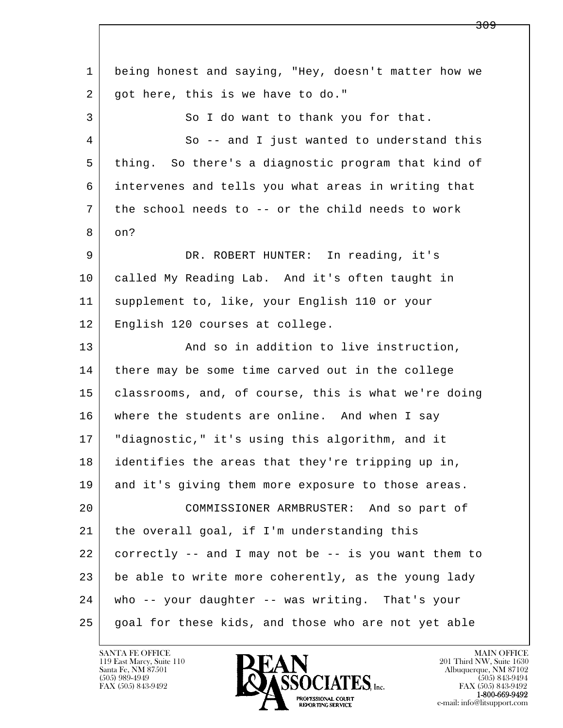l  $\overline{\phantom{a}}$  1 being honest and saying, "Hey, doesn't matter how we 2 | got here, this is we have to do." 3 So I do want to thank you for that. 4 So -- and I just wanted to understand this 5 thing. So there's a diagnostic program that kind of 6 intervenes and tells you what areas in writing that 7 the school needs to -- or the child needs to work 8 on? 9 DR. ROBERT HUNTER: In reading, it's 10 called My Reading Lab. And it's often taught in 11 supplement to, like, your English 110 or your 12 English 120 courses at college. 13 And so in addition to live instruction, 14 there may be some time carved out in the college 15 classrooms, and, of course, this is what we're doing 16 | where the students are online. And when I say 17 "diagnostic," it's using this algorithm, and it 18 identifies the areas that they're tripping up in, 19 and it's giving them more exposure to those areas. 20 COMMISSIONER ARMBRUSTER: And so part of 21 the overall goal, if I'm understanding this 22 correctly -- and I may not be -- is you want them to 23 be able to write more coherently, as the young lady 24 who -- your daughter -- was writing. That's your 25 goal for these kids, and those who are not yet able

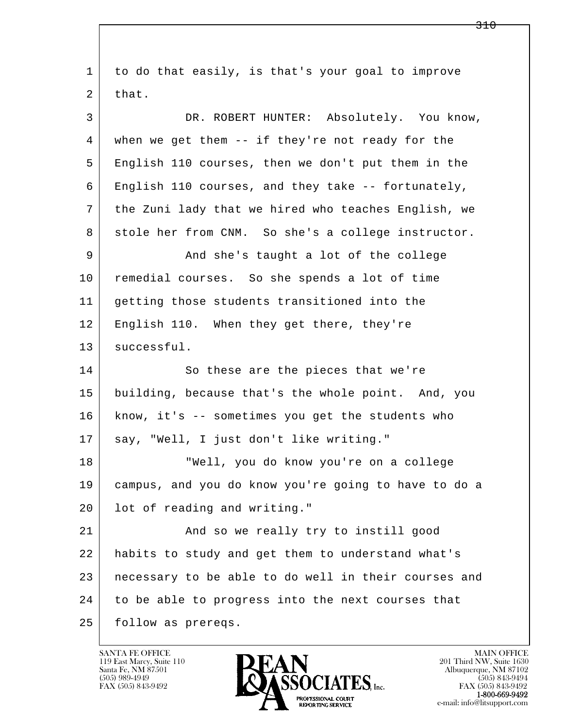l  $\overline{\phantom{a}}$  1 to do that easily, is that's your goal to improve  $2$  that. 3 DR. ROBERT HUNTER: Absolutely. You know, 4 when we get them -- if they're not ready for the 5 English 110 courses, then we don't put them in the 6 English 110 courses, and they take -- fortunately, 7 the Zuni lady that we hired who teaches English, we 8 stole her from CNM. So she's a college instructor. 9 And she's taught a lot of the college 10 remedial courses. So she spends a lot of time 11 getting those students transitioned into the 12 English 110. When they get there, they're 13 | successful. 14 So these are the pieces that we're 15 building, because that's the whole point. And, you 16 know, it's -- sometimes you get the students who 17 | say, "Well, I just don't like writing." 18 "Well, you do know you're on a college 19 campus, and you do know you're going to have to do a 20 lot of reading and writing." 21 And so we really try to instill good 22 habits to study and get them to understand what's 23 necessary to be able to do well in their courses and 24 to be able to progress into the next courses that 25 | follow as prereqs.

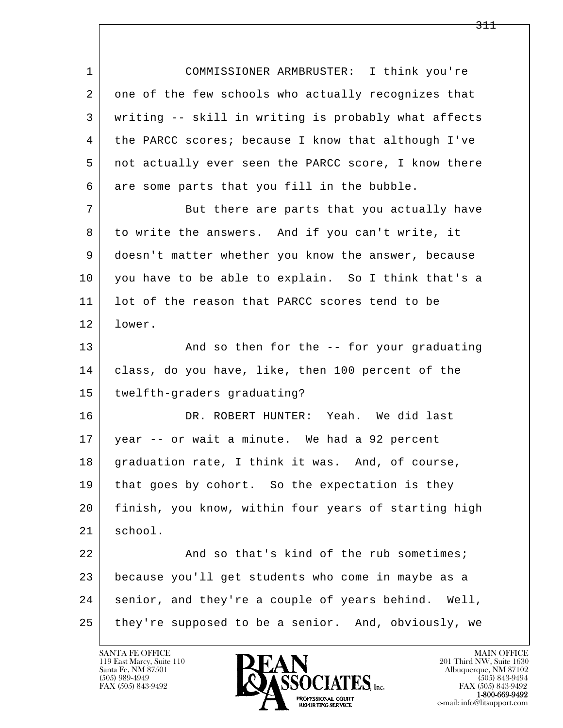l  $\overline{\phantom{a}}$  1 COMMISSIONER ARMBRUSTER: I think you're 2 one of the few schools who actually recognizes that 3 writing -- skill in writing is probably what affects 4 the PARCC scores; because I know that although I've 5 not actually ever seen the PARCC score, I know there 6 are some parts that you fill in the bubble. 7 But there are parts that you actually have 8 to write the answers. And if you can't write, it 9 doesn't matter whether you know the answer, because 10 you have to be able to explain. So I think that's a 11 | lot of the reason that PARCC scores tend to be 12 lower. 13 And so then for the -- for your graduating 14 class, do you have, like, then 100 percent of the 15 twelfth-graders graduating? 16 DR. ROBERT HUNTER: Yeah. We did last 17 year -- or wait a minute. We had a 92 percent 18 | graduation rate, I think it was. And, of course, 19 | that goes by cohort. So the expectation is they 20 finish, you know, within four years of starting high 21 school. 22 And so that's kind of the rub sometimes; 23 because you'll get students who come in maybe as a 24 | senior, and they're a couple of years behind. Well, 25 they're supposed to be a senior. And, obviously, we

119 East Marcy, Suite 110<br>Santa Fe, NM 87501

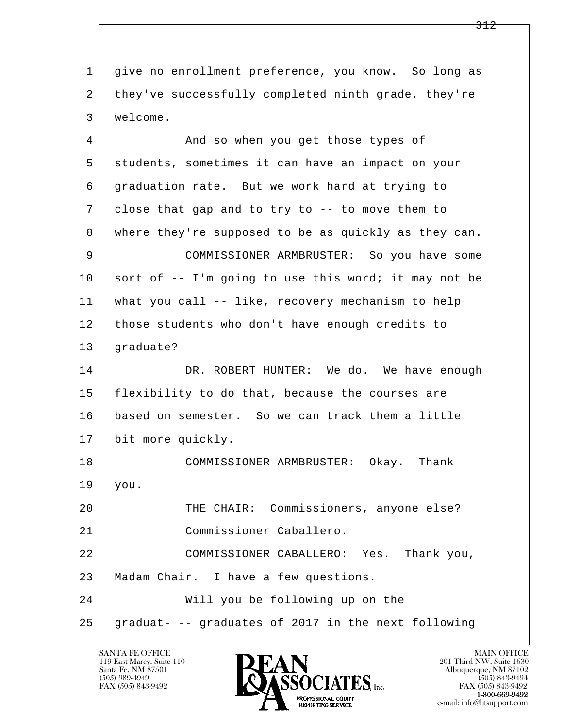l  $\overline{\phantom{a}}$  1 give no enrollment preference, you know. So long as 2 they've successfully completed ninth grade, they're 3 welcome. 4 And so when you get those types of 5 students, sometimes it can have an impact on your 6 graduation rate. But we work hard at trying to 7 | close that gap and to try to -- to move them to 8 where they're supposed to be as quickly as they can. 9 COMMISSIONER ARMBRUSTER: So you have some  $10$  sort of  $-$  I'm going to use this word; it may not be 11 what you call -- like, recovery mechanism to help 12 those students who don't have enough credits to 13 graduate? 14 DR. ROBERT HUNTER: We do. We have enough 15 | flexibility to do that, because the courses are 16 based on semester. So we can track them a little 17 bit more quickly. 18 COMMISSIONER ARMBRUSTER: Okay. Thank 19 you. 20 THE CHAIR: Commissioners, anyone else? 21 Commissioner Caballero. 22 COMMISSIONER CABALLERO: Yes. Thank you, 23 | Madam Chair. I have a few questions. 24 Will you be following up on the 25 graduat- -- graduates of 2017 in the next following

119 East Marcy, Suite 110<br>Santa Fe, NM 87501

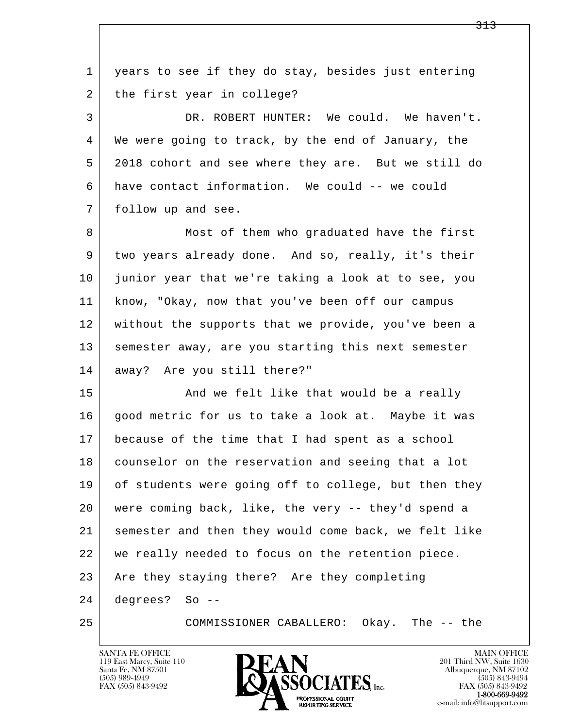| $\mathbf 1$ | years to see if they do stay, besides just entering  |
|-------------|------------------------------------------------------|
| 2           | the first year in college?                           |
| 3           | DR. ROBERT HUNTER: We could. We haven't.             |
| 4           | We were going to track, by the end of January, the   |
| 5           | 2018 cohort and see where they are. But we still do  |
| 6           | have contact information. We could -- we could       |
| 7           | follow up and see.                                   |
| 8           | Most of them who graduated have the first            |
| 9           | two years already done. And so, really, it's their   |
| 10          | junior year that we're taking a look at to see, you  |
| 11          | know, "Okay, now that you've been off our campus     |
| 12          | without the supports that we provide, you've been a  |
| 13          | semester away, are you starting this next semester   |
| 14          | away? Are you still there?"                          |
| 15          | And we felt like that would be a really              |
| 16          | good metric for us to take a look at. Maybe it was   |
| 17          | because of the time that I had spent as a school     |
| 18          | counselor on the reservation and seeing that a lot   |
| 19          | of students were going off to college, but then they |
| 20          | were coming back, like, the very -- they'd spend a   |
| 21          | semester and then they would come back, we felt like |
| 22          | we really needed to focus on the retention piece.    |
| 23          | Are they staying there? Are they completing          |
| 24          | degrees? So --                                       |
| 25          | COMMISSIONER CABALLERO:<br>Okay. The -- the          |

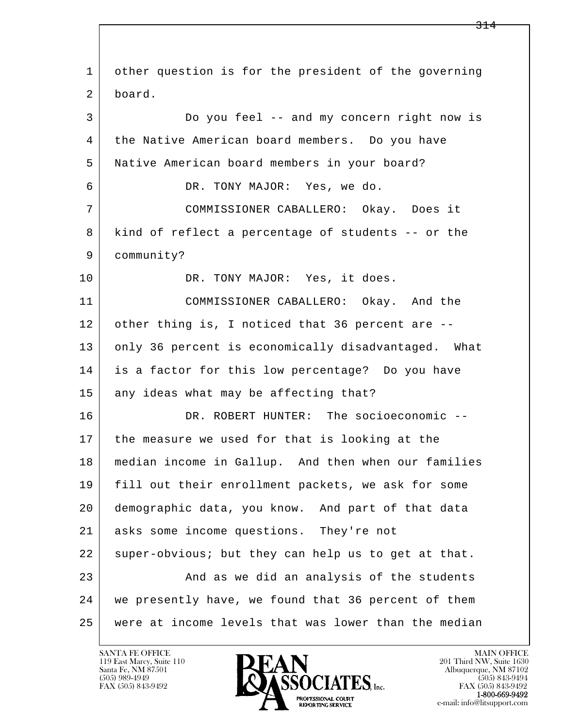l  $\overline{\phantom{a}}$  1 other question is for the president of the governing 2 board. 3 Do you feel -- and my concern right now is 4 the Native American board members. Do you have 5 Native American board members in your board? 6 DR. TONY MAJOR: Yes, we do. 7 COMMISSIONER CABALLERO: Okay. Does it 8 kind of reflect a percentage of students -- or the 9 community? 10 DR. TONY MAJOR: Yes, it does. 11 COMMISSIONER CABALLERO: Okay. And the 12 other thing is, I noticed that 36 percent are --13 only 36 percent is economically disadvantaged. What 14 is a factor for this low percentage? Do you have 15 any ideas what may be affecting that? 16 DR. ROBERT HUNTER: The socioeconomic -- 17 the measure we used for that is looking at the 18 median income in Gallup. And then when our families 19 fill out their enrollment packets, we ask for some 20 demographic data, you know. And part of that data 21 asks some income questions. They're not 22 super-obvious; but they can help us to get at that. 23 and as we did an analysis of the students 24 we presently have, we found that 36 percent of them 25 were at income levels that was lower than the median

119 East Marcy, Suite 110<br>Santa Fe, NM 87501



FAX (505) 843-9492<br>**1-800-669-9492**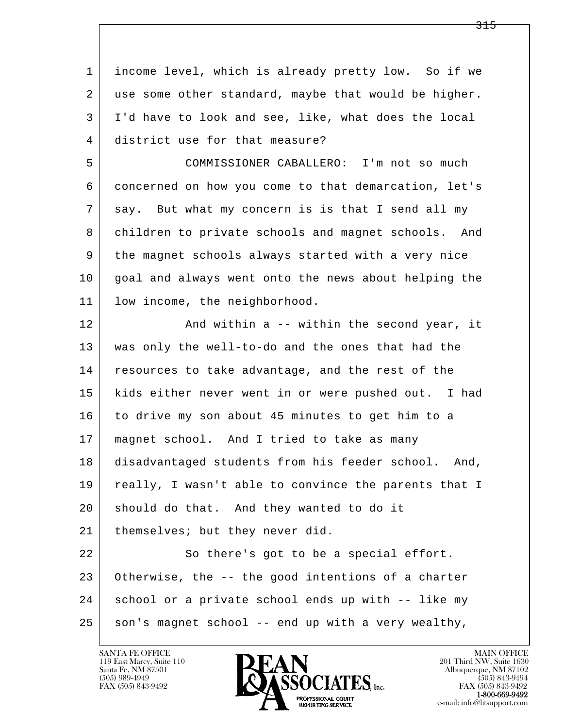l  $\overline{\phantom{a}}$  1 income level, which is already pretty low. So if we 2 use some other standard, maybe that would be higher. 3 I'd have to look and see, like, what does the local 4 district use for that measure? 5 COMMISSIONER CABALLERO: I'm not so much 6 concerned on how you come to that demarcation, let's 7 say. But what my concern is is that I send all my 8 children to private schools and magnet schools. And 9 the magnet schools always started with a very nice 10 goal and always went onto the news about helping the 11 low income, the neighborhood. 12 And within a -- within the second year, it 13 was only the well-to-do and the ones that had the 14 resources to take advantage, and the rest of the 15 | kids either never went in or were pushed out. I had 16 to drive my son about 45 minutes to get him to a 17 | magnet school. And I tried to take as many 18 disadvantaged students from his feeder school. And, 19 | really, I wasn't able to convince the parents that I 20 should do that. And they wanted to do it 21 | themselves; but they never did. 22 So there's got to be a special effort. 23 Otherwise, the -- the good intentions of a charter 24 | school or a private school ends up with -- like my  $25$  son's magnet school -- end up with a very wealthy,

119 East Marcy, Suite 110<br>Santa Fe, NM 87501



FAX (505) 843-9492<br>1-800-669-9492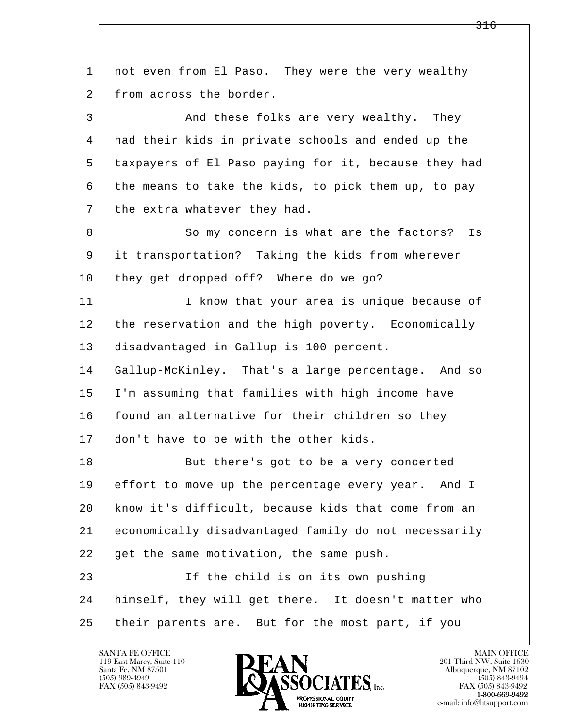l  $\overline{\phantom{a}}$  1 not even from El Paso. They were the very wealthy 2 from across the border. 3 And these folks are very wealthy. They 4 had their kids in private schools and ended up the 5 taxpayers of El Paso paying for it, because they had  $6$  the means to take the kids, to pick them up, to pay 7 the extra whatever they had. 8 So my concern is what are the factors? Is 9 it transportation? Taking the kids from wherever 10 they get dropped off? Where do we go? 11 | The I know that your area is unique because of 12 the reservation and the high poverty. Economically 13 disadvantaged in Gallup is 100 percent. 14 Gallup-McKinley. That's a large percentage. And so 15 I'm assuming that families with high income have 16 found an alternative for their children so they 17 don't have to be with the other kids. 18 But there's got to be a very concerted 19 effort to move up the percentage every year. And I 20 know it's difficult, because kids that come from an 21 economically disadvantaged family do not necessarily 22 get the same motivation, the same push. 23 If the child is on its own pushing 24 himself, they will get there. It doesn't matter who 25 their parents are. But for the most part, if you

119 East Marcy, Suite 110<br>Santa Fe, NM 87501

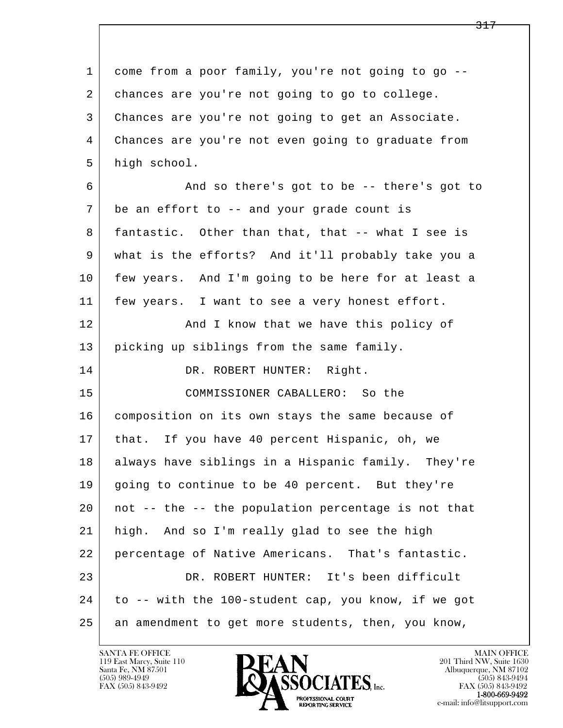l  $\overline{\phantom{a}}$  1 come from a poor family, you're not going to go -- 2 chances are you're not going to go to college. 3 Chances are you're not going to get an Associate. 4 Chances are you're not even going to graduate from 5 high school. 6 And so there's got to be -- there's got to 7 be an effort to -- and your grade count is 8 | fantastic. Other than that, that -- what I see is 9 what is the efforts? And it'll probably take you a 10 few years. And I'm going to be here for at least a 11 | few years. I want to see a very honest effort. 12 | And I know that we have this policy of 13 | picking up siblings from the same family. 14 DR. ROBERT HUNTER: Right. 15 COMMISSIONER CABALLERO: So the 16 | composition on its own stays the same because of 17 | that. If you have 40 percent Hispanic, oh, we 18 always have siblings in a Hispanic family. They're 19 going to continue to be 40 percent. But they're 20 not -- the -- the population percentage is not that 21 high. And so I'm really glad to see the high 22 percentage of Native Americans. That's fantastic. 23 DR. ROBERT HUNTER: It's been difficult 24 to -- with the 100-student cap, you know, if we got 25 an amendment to get more students, then, you know,

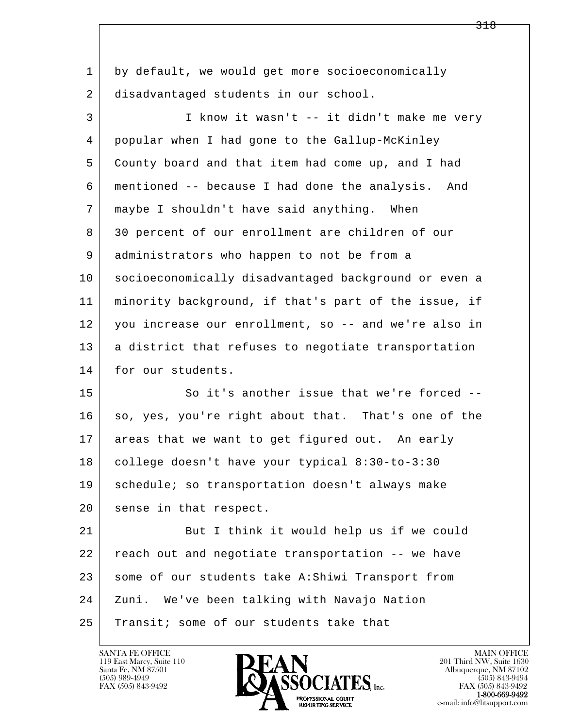l  $\overline{\phantom{a}}$  1 by default, we would get more socioeconomically 2 disadvantaged students in our school. 3 I know it wasn't -- it didn't make me very 4 popular when I had gone to the Gallup-McKinley 5 County board and that item had come up, and I had 6 mentioned -- because I had done the analysis. And 7 maybe I shouldn't have said anything. When 8 30 percent of our enrollment are children of our 9 administrators who happen to not be from a 10 socioeconomically disadvantaged background or even a 11 minority background, if that's part of the issue, if 12 you increase our enrollment, so -- and we're also in 13 | a district that refuses to negotiate transportation 14 for our students. 15 So it's another issue that we're forced --16 so, yes, you're right about that. That's one of the 17 areas that we want to get figured out. An early 18 college doesn't have your typical 8:30-to-3:30 19 schedule; so transportation doesn't always make 20 sense in that respect. 21 But I think it would help us if we could 22 reach out and negotiate transportation -- we have 23 some of our students take A:Shiwi Transport from 24 Zuni. We've been talking with Navajo Nation 25 Transit; some of our students take that

119 East Marcy, Suite 110<br>Santa Fe, NM 87501



FAX (505) 843-9492<br>1-800-669-9492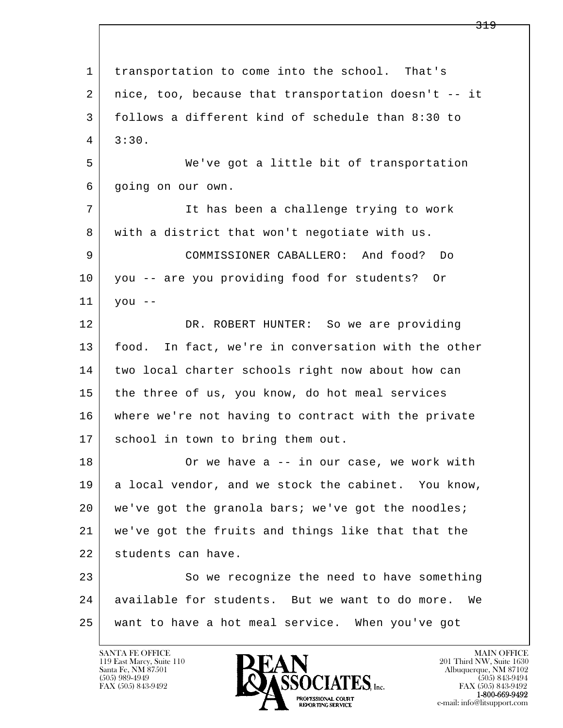l  $\overline{\phantom{a}}$  1 transportation to come into the school. That's 2 nice, too, because that transportation doesn't -- it 3 follows a different kind of schedule than 8:30 to  $4 \mid 3:30.$  5 We've got a little bit of transportation 6 going on our own. 7 It has been a challenge trying to work 8 with a district that won't negotiate with us. 9 COMMISSIONER CABALLERO: And food? Do 10 you -- are you providing food for students? Or  $11$  you  $-$  12 DR. ROBERT HUNTER: So we are providing 13 | food. In fact, we're in conversation with the other 14 two local charter schools right now about how can 15 the three of us, you know, do hot meal services 16 where we're not having to contract with the private 17 | school in town to bring them out. 18 Or we have a -- in our case, we work with 19 a local vendor, and we stock the cabinet. You know, 20 we've got the granola bars; we've got the noodles; 21 we've got the fruits and things like that that the 22 students can have. 23 So we recognize the need to have something 24 available for students. But we want to do more. We 25 want to have a hot meal service. When you've got

119 East Marcy, Suite 110<br>Santa Fe, NM 87501

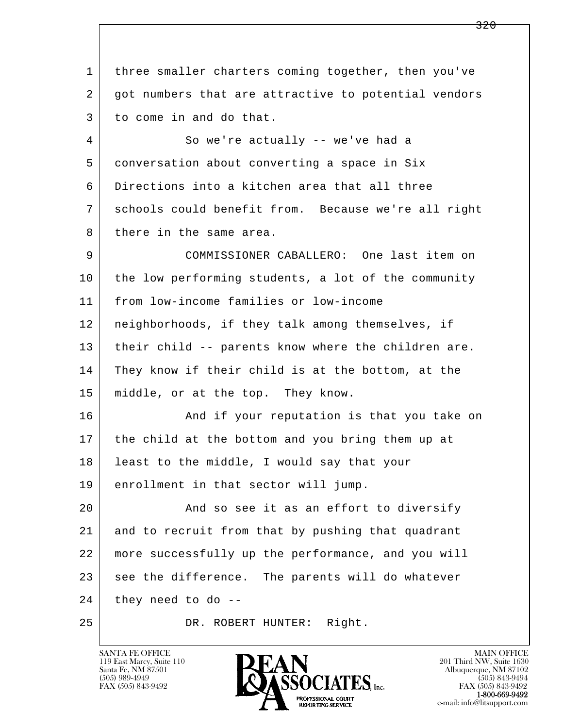l  $\overline{\phantom{a}}$  1 three smaller charters coming together, then you've 2 got numbers that are attractive to potential vendors 3 to come in and do that. 4 So we're actually -- we've had a 5 conversation about converting a space in Six 6 Directions into a kitchen area that all three 7 schools could benefit from. Because we're all right 8 there in the same area. 9 COMMISSIONER CABALLERO: One last item on 10 the low performing students, a lot of the community 11 from low-income families or low-income 12 neighborhoods, if they talk among themselves, if 13 their child -- parents know where the children are. 14 They know if their child is at the bottom, at the 15 middle, or at the top. They know. 16 And if your reputation is that you take on 17 the child at the bottom and you bring them up at 18 | least to the middle, I would say that your 19 enrollment in that sector will jump. 20 And so see it as an effort to diversify 21 and to recruit from that by pushing that quadrant 22 more successfully up the performance, and you will 23 see the difference. The parents will do whatever  $24$  they need to do --25 DR. ROBERT HUNTER: Right.

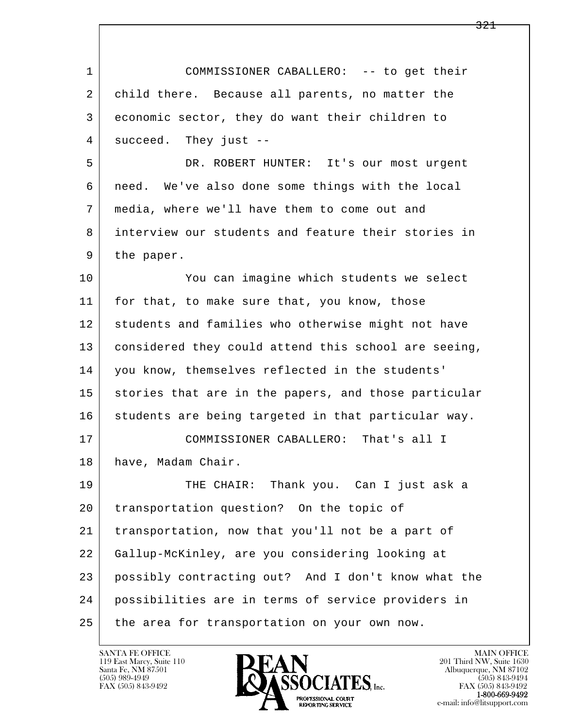l  $\overline{\phantom{a}}$  1 COMMISSIONER CABALLERO: -- to get their 2 child there. Because all parents, no matter the 3 economic sector, they do want their children to 4 succeed. They just -- 5 DR. ROBERT HUNTER: It's our most urgent 6 need. We've also done some things with the local 7 media, where we'll have them to come out and 8 interview our students and feature their stories in 9 | the paper. 10 You can imagine which students we select 11 for that, to make sure that, you know, those 12 students and families who otherwise might not have 13 considered they could attend this school are seeing, 14 you know, themselves reflected in the students' 15 stories that are in the papers, and those particular 16 students are being targeted in that particular way. 17 COMMISSIONER CABALLERO: That's all I 18 | have, Madam Chair. 19 THE CHAIR: Thank you. Can I just ask a 20 | transportation question? On the topic of 21 transportation, now that you'll not be a part of 22 Gallup-McKinley, are you considering looking at 23 possibly contracting out? And I don't know what the 24 possibilities are in terms of service providers in 25 the area for transportation on your own now.

119 East Marcy, Suite 110<br>Santa Fe, NM 87501

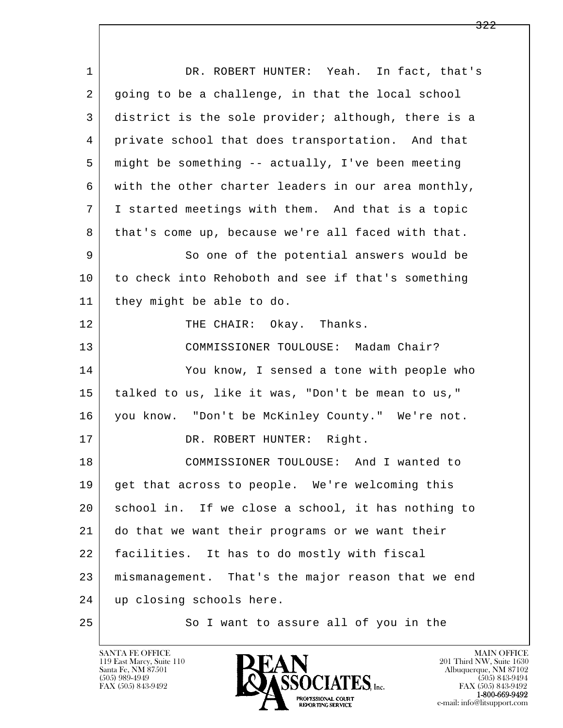| $\mathbf 1$ | DR. ROBERT HUNTER: Yeah. In fact, that's            |
|-------------|-----------------------------------------------------|
| 2           | going to be a challenge, in that the local school   |
| 3           | district is the sole provider; although, there is a |
| 4           | private school that does transportation. And that   |
| 5           | might be something -- actually, I've been meeting   |
| 6           | with the other charter leaders in our area monthly, |
| 7           | I started meetings with them. And that is a topic   |
| 8           | that's come up, because we're all faced with that.  |
| 9           | So one of the potential answers would be            |
| 10          | to check into Rehoboth and see if that's something  |
| 11          | they might be able to do.                           |
| 12          | THE CHAIR: Okay. Thanks.                            |
| 13          | COMMISSIONER TOULOUSE: Madam Chair?                 |
| 14          | You know, I sensed a tone with people who           |
| 15          | talked to us, like it was, "Don't be mean to us,"   |
| 16          | you know. "Don't be McKinley County." We're not.    |
| 17          | DR. ROBERT HUNTER: Right.                           |
| 18          | COMMISSIONER TOULOUSE: And I wanted to              |
| 19          | get that across to people. We're welcoming this     |
| 20          | school in. If we close a school, it has nothing to  |
| 21          | do that we want their programs or we want their     |
| 22          | facilities. It has to do mostly with fiscal         |
| 23          | mismanagement. That's the major reason that we end  |
| 24          | up closing schools here.                            |
| 25          | So I want to assure all of you in the               |

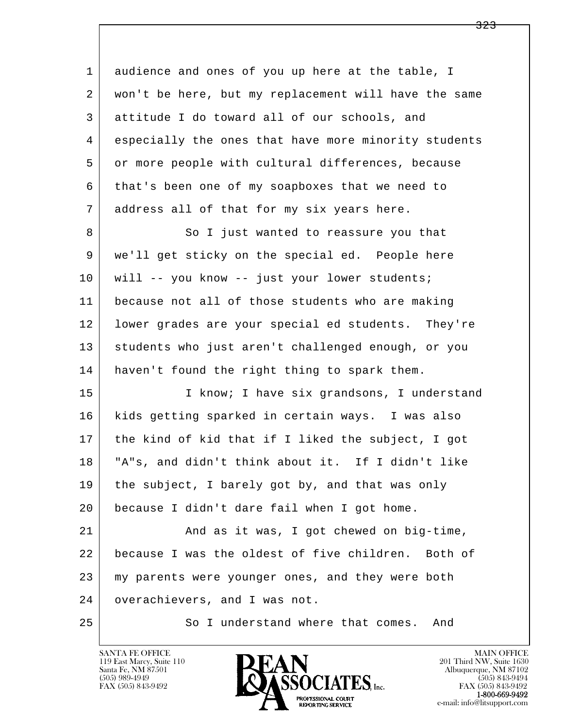| 1              | audience and ones of you up here at the table, I     |
|----------------|------------------------------------------------------|
| 2              | won't be here, but my replacement will have the same |
| 3              | attitude I do toward all of our schools, and         |
| $\overline{4}$ | especially the ones that have more minority students |
| 5              | or more people with cultural differences, because    |
| 6              | that's been one of my soapboxes that we need to      |
| 7              | address all of that for my six years here.           |
| 8              | So I just wanted to reassure you that                |
| 9              | we'll get sticky on the special ed. People here      |
| 10             | will -- you know -- just your lower students;        |
| 11             | because not all of those students who are making     |
| 12             | lower grades are your special ed students. They're   |
| 13             | students who just aren't challenged enough, or you   |
| 14             | haven't found the right thing to spark them.         |
| 15             | I know; I have six grandsons, I understand           |
| 16             | kids getting sparked in certain ways. I was also     |
| 17             | the kind of kid that if I liked the subject, I got   |
| 18             | "A"s, and didn't think about it. If I didn't like    |
| 19             | the subject, I barely got by, and that was only      |
| 20             | because I didn't dare fail when I got home.          |
| 21             | And as it was, I got chewed on big-time,             |
| 22             | because I was the oldest of five children. Both of   |
| 23             | my parents were younger ones, and they were both     |
| 24             | overachievers, and I was not.                        |
| 25             | So I understand where that comes. And                |

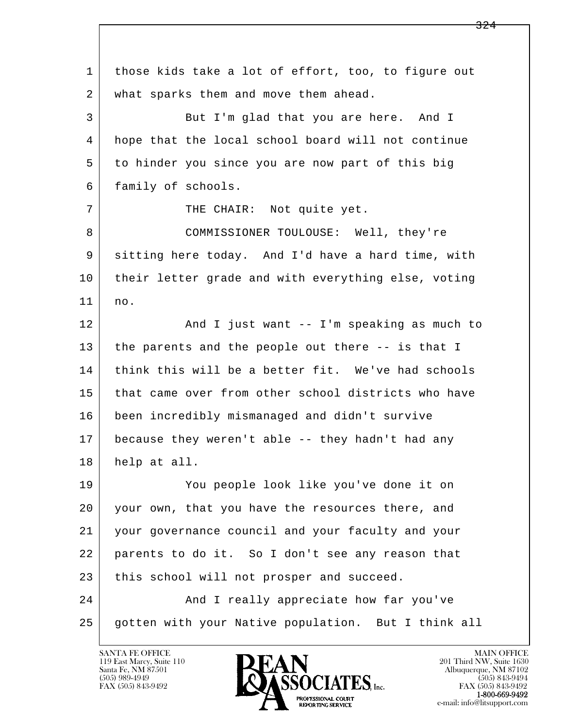l  $\overline{\phantom{a}}$  1 those kids take a lot of effort, too, to figure out 2 what sparks them and move them ahead. 3 But I'm glad that you are here. And I 4 hope that the local school board will not continue 5 to hinder you since you are now part of this big 6 family of schools. 7 | THE CHAIR: Not quite yet. 8 COMMISSIONER TOULOUSE: Well, they're 9 sitting here today. And I'd have a hard time, with 10 their letter grade and with everything else, voting 11 no. 12 And I just want -- I'm speaking as much to 13 the parents and the people out there -- is that I 14 think this will be a better fit. We've had schools 15 that came over from other school districts who have 16 been incredibly mismanaged and didn't survive 17 because they weren't able -- they hadn't had any 18 help at all. 19 You people look like you've done it on 20 your own, that you have the resources there, and 21 your governance council and your faculty and your 22 parents to do it. So I don't see any reason that 23 this school will not prosper and succeed. 24 And I really appreciate how far you've 25 gotten with your Native population. But I think all



FAX (505) 843-9492<br>**1-800-669-9492**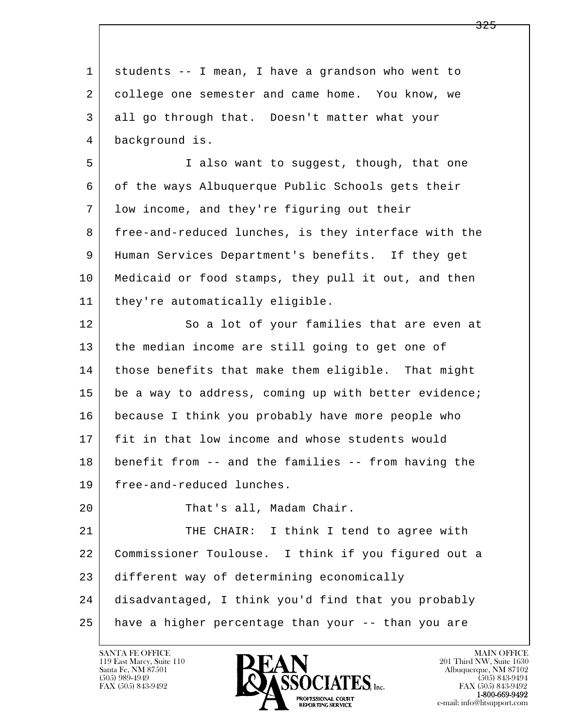| $\mathbf{1}$ | students -- I mean, I have a grandson who went to    |
|--------------|------------------------------------------------------|
| 2            | college one semester and came home. You know, we     |
| 3            | all go through that. Doesn't matter what your        |
| 4            | background is.                                       |
| 5            | I also want to suggest, though, that one             |
| 6            | of the ways Albuquerque Public Schools gets their    |
| 7            | low income, and they're figuring out their           |
| 8            | free-and-reduced lunches, is they interface with the |
| 9            | Human Services Department's benefits. If they get    |
| 10           | Medicaid or food stamps, they pull it out, and then  |
| 11           | they're automatically eligible.                      |
| 12           | So a lot of your families that are even at           |
| 13           | the median income are still going to get one of      |
| 14           | those benefits that make them eligible. That might   |
| 15           | be a way to address, coming up with better evidence; |
| 16           | because I think you probably have more people who    |
| 17           | fit in that low income and whose students would      |
| 18           | benefit from -- and the families -- from having the  |
| 19           | free-and-reduced lunches.                            |
| 20           | That's all, Madam Chair.                             |
| 21           | THE CHAIR: I think I tend to agree with              |
| 22           | Commissioner Toulouse. I think if you figured out a  |
| 23           | different way of determining economically            |
| 24           | disadvantaged, I think you'd find that you probably  |
| 25           | have a higher percentage than your -- than you are   |

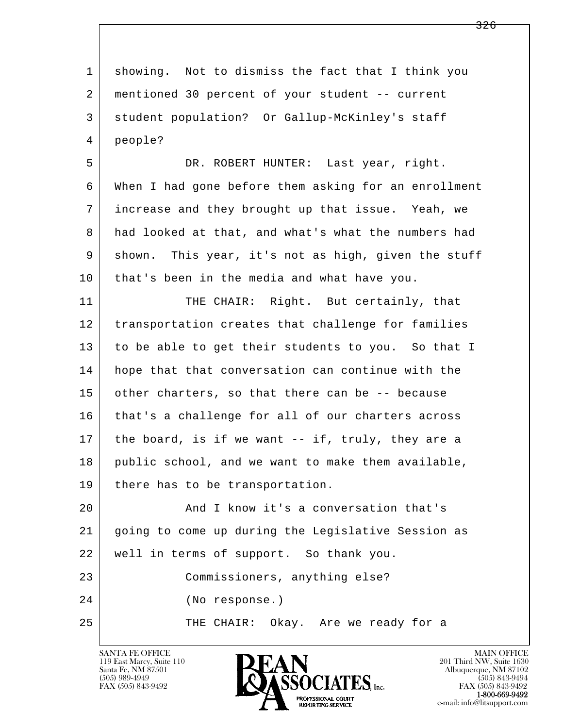| $\mathbf{1}$ | showing. Not to dismiss the fact that I think you    |
|--------------|------------------------------------------------------|
| 2            | mentioned 30 percent of your student -- current      |
| 3            | student population? Or Gallup-McKinley's staff       |
| 4            | people?                                              |
| 5            | DR. ROBERT HUNTER: Last year, right.                 |
| 6            | When I had gone before them asking for an enrollment |
| 7            | increase and they brought up that issue. Yeah, we    |
| 8            | had looked at that, and what's what the numbers had  |
| 9            | shown. This year, it's not as high, given the stuff  |
| 10           | that's been in the media and what have you.          |
| 11           | THE CHAIR: Right. But certainly, that                |
| 12           | transportation creates that challenge for families   |
| 13           | to be able to get their students to you. So that I   |
| 14           | hope that that conversation can continue with the    |
| 15           | other charters, so that there can be -- because      |
| 16           | that's a challenge for all of our charters across    |
| 17           | the board, is if we want -- if, truly, they are a    |
| 18           | public school, and we want to make them available,   |
| 19           | there has to be transportation.                      |
| 20           | And I know it's a conversation that's                |
| 21           | going to come up during the Legislative Session as   |
| 22           | well in terms of support. So thank you.              |
| 23           | Commissioners, anything else?                        |
| 24           | (No response.)                                       |
| 25           | THE CHAIR: Okay. Are we ready for a                  |
|              |                                                      |

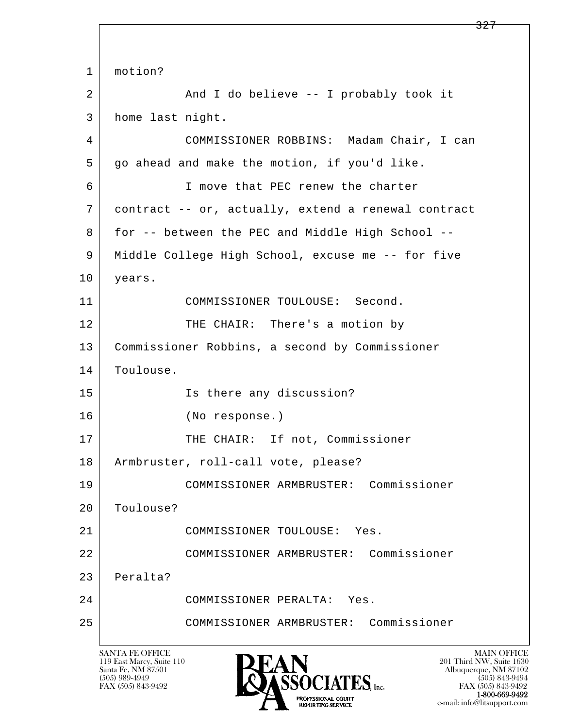l  $\overline{\phantom{a}}$ 1 | motion? 2 And I do believe -- I probably took it 3 home last night. 4 COMMISSIONER ROBBINS: Madam Chair, I can 5 go ahead and make the motion, if you'd like. 6 I move that PEC renew the charter 7 contract -- or, actually, extend a renewal contract 8 for -- between the PEC and Middle High School -- 9 Middle College High School, excuse me -- for five 10 | years. 11 COMMISSIONER TOULOUSE: Second. 12 THE CHAIR: There's a motion by 13 Commissioner Robbins, a second by Commissioner 14 Toulouse. 15 Is there any discussion? 16 (No response.) 17 | THE CHAIR: If not, Commissioner 18 Armbruster, roll-call vote, please? 19 COMMISSIONER ARMBRUSTER: Commissioner 20 Toulouse? 21 | COMMISSIONER TOULOUSE: Yes. 22 COMMISSIONER ARMBRUSTER: Commissioner 23 Peralta? 24 COMMISSIONER PERALTA: Yes. 25 COMMISSIONER ARMBRUSTER: Commissioner

119 East Marcy, Suite 110<br>Santa Fe, NM 87501

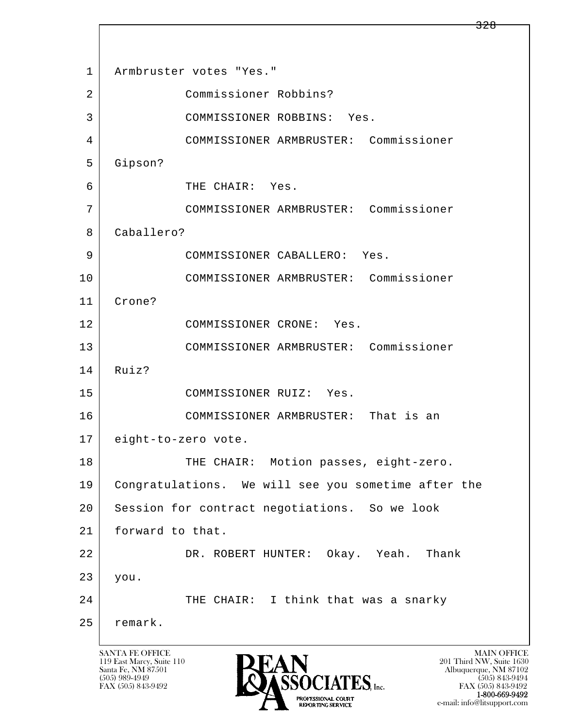l  $\overline{\phantom{a}}$ 1 Armbruster votes "Yes." 2 Commissioner Robbins? 3 COMMISSIONER ROBBINS: Yes. 4 COMMISSIONER ARMBRUSTER: Commissioner 5 Gipson? 6 THE CHAIR: Yes. 7 COMMISSIONER ARMBRUSTER: Commissioner 8 Caballero? 9 COMMISSIONER CABALLERO: Yes. 10 COMMISSIONER ARMBRUSTER: Commissioner 11 Crone? 12 COMMISSIONER CRONE: Yes. 13 COMMISSIONER ARMBRUSTER: Commissioner 14 Ruiz? 15 COMMISSIONER RUIZ: Yes. 16 COMMISSIONER ARMBRUSTER: That is an 17 eight-to-zero vote. 18 THE CHAIR: Motion passes, eight-zero. 19 Congratulations. We will see you sometime after the 20 Session for contract negotiations. So we look 21 forward to that. 22 DR. ROBERT HUNTER: Okay. Yeah. Thank 23 you. 24 THE CHAIR: I think that was a snarky 25 remark.

119 East Marcy, Suite 110<br>Santa Fe, NM 87501

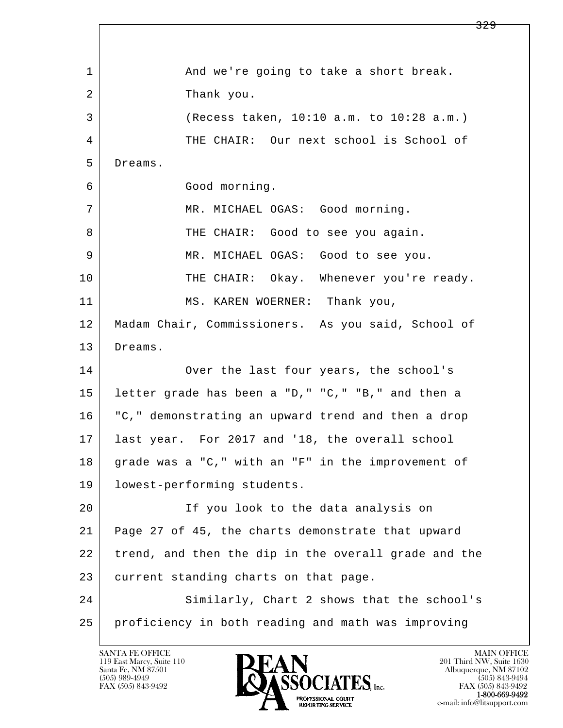l  $\overline{\phantom{a}}$ 1 and we're going to take a short break. 2 a Thank you. 3 (Recess taken, 10:10 a.m. to 10:28 a.m.) 4 THE CHAIR: Our next school is School of 5 Dreams. 6 Good morning. 7 MR. MICHAEL OGAS: Good morning. 8 THE CHAIR: Good to see you again. 9 | MR. MICHAEL OGAS: Good to see you. 10 THE CHAIR: Okay. Whenever you're ready. 11 | MS. KAREN WOERNER: Thank you, 12 Madam Chair, Commissioners. As you said, School of 13 Dreams. 14 Over the last four years, the school's 15 letter grade has been a "D," "C," "B," and then a 16 "C," demonstrating an upward trend and then a drop 17 last year. For 2017 and '18, the overall school 18 grade was a "C," with an "F" in the improvement of 19 lowest-performing students. 20 | The you look to the data analysis on 21 Page 27 of 45, the charts demonstrate that upward 22 trend, and then the dip in the overall grade and the 23 current standing charts on that page. 24 Similarly, Chart 2 shows that the school's 25 proficiency in both reading and math was improving

119 East Marcy, Suite 110<br>Santa Fe, NM 87501

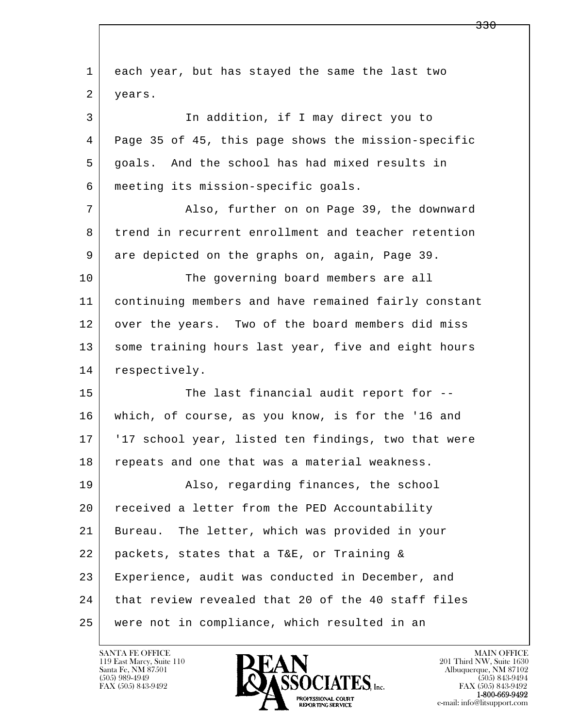| 1  | each year, but has stayed the same the last two      |
|----|------------------------------------------------------|
| 2  | years.                                               |
| 3  | In addition, if I may direct you to                  |
| 4  | Page 35 of 45, this page shows the mission-specific  |
| 5  | goals. And the school has had mixed results in       |
| 6  | meeting its mission-specific goals.                  |
| 7  | Also, further on on Page 39, the downward            |
| 8  | trend in recurrent enrollment and teacher retention  |
| 9  | are depicted on the graphs on, again, Page 39.       |
| 10 | The governing board members are all                  |
| 11 | continuing members and have remained fairly constant |
| 12 | over the years. Two of the board members did miss    |
| 13 | some training hours last year, five and eight hours  |
| 14 | respectively.                                        |
| 15 | The last financial audit report for --               |
| 16 | which, of course, as you know, is for the '16 and    |
| 17 | '17 school year, listed ten findings, two that were  |
| 18 | repeats and one that was a material weakness.        |
| 19 | Also, regarding finances, the school                 |
| 20 | received a letter from the PED Accountability        |
| 21 | The letter, which was provided in your<br>Bureau.    |
| 22 | packets, states that a T&E, or Training &            |
| 23 | Experience, audit was conducted in December, and     |
| 24 | that review revealed that 20 of the 40 staff files   |
| 25 | were not in compliance, which resulted in an         |

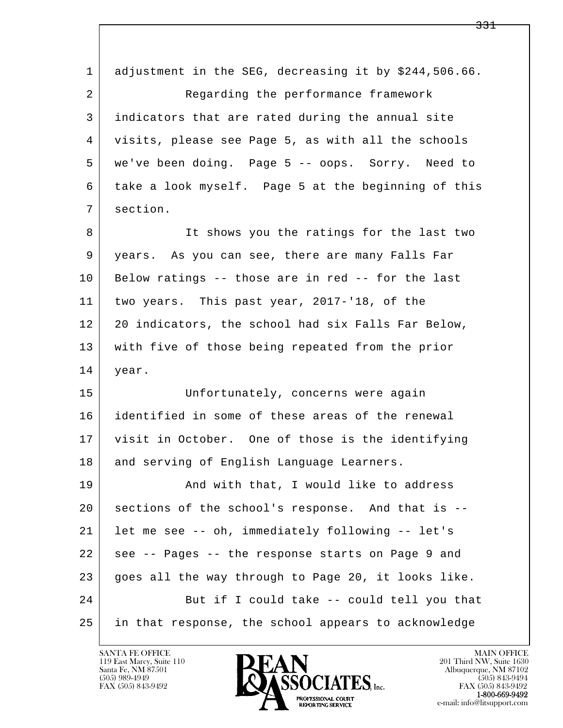l  $\overline{\phantom{a}}$ 1 adjustment in the SEG, decreasing it by \$244,506.66. 2 Regarding the performance framework 3 indicators that are rated during the annual site 4 visits, please see Page 5, as with all the schools 5 we've been doing. Page 5 -- oops. Sorry. Need to 6 take a look myself. Page 5 at the beginning of this 7 section. 8 It shows you the ratings for the last two 9 years. As you can see, there are many Falls Far 10 Below ratings -- those are in red -- for the last 11 two years. This past year, 2017-'18, of the 12 20 indicators, the school had six Falls Far Below, 13 with five of those being repeated from the prior 14 year. 15 Unfortunately, concerns were again 16 identified in some of these areas of the renewal 17 visit in October. One of those is the identifying 18 and serving of English Language Learners. 19 | And with that, I would like to address 20 sections of the school's response. And that is -- 21 let me see -- oh, immediately following -- let's 22 see -- Pages -- the response starts on Page 9 and 23 goes all the way through to Page 20, it looks like. 24 But if I could take -- could tell you that 25 in that response, the school appears to acknowledge

119 East Marcy, Suite 110<br>Santa Fe, NM 87501

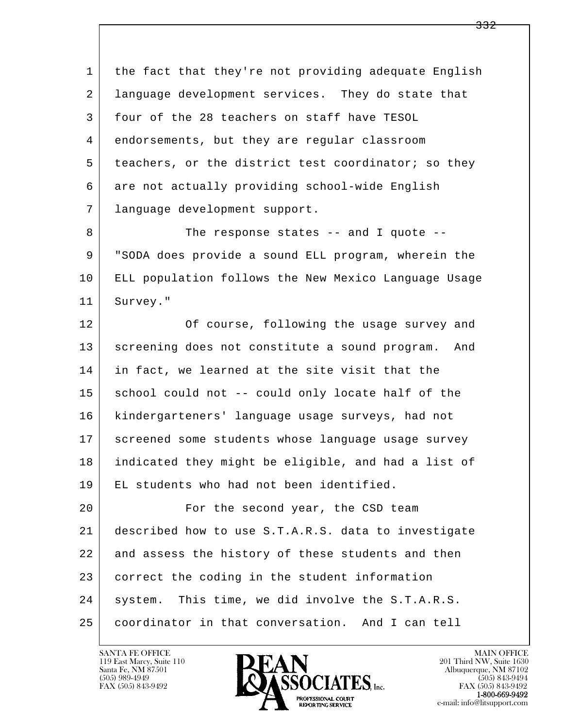1 the fact that they're not providing adequate English 2 language development services. They do state that 3 four of the 28 teachers on staff have TESOL 4 endorsements, but they are regular classroom 5 teachers, or the district test coordinator; so they 6 | are not actually providing school-wide English 7 language development support.

8 The response states -- and I quote -- 9 "SODA does provide a sound ELL program, wherein the 10 ELL population follows the New Mexico Language Usage 11 Survey."

12 | Course, following the usage survey and 13 screening does not constitute a sound program. And 14 in fact, we learned at the site visit that the 15 school could not -- could only locate half of the 16 kindergarteners' language usage surveys, had not 17 screened some students whose language usage survey 18 indicated they might be eligible, and had a list of 19 EL students who had not been identified.

l  $\overline{\phantom{a}}$ 20 | Tor the second year, the CSD team 21 described how to use S.T.A.R.S. data to investigate 22 and assess the history of these students and then 23 correct the coding in the student information 24 | system. This time, we did involve the S.T.A.R.S. 25 coordinator in that conversation. And I can tell



FAX (505) 843-9492<br>**1-800-669-9492**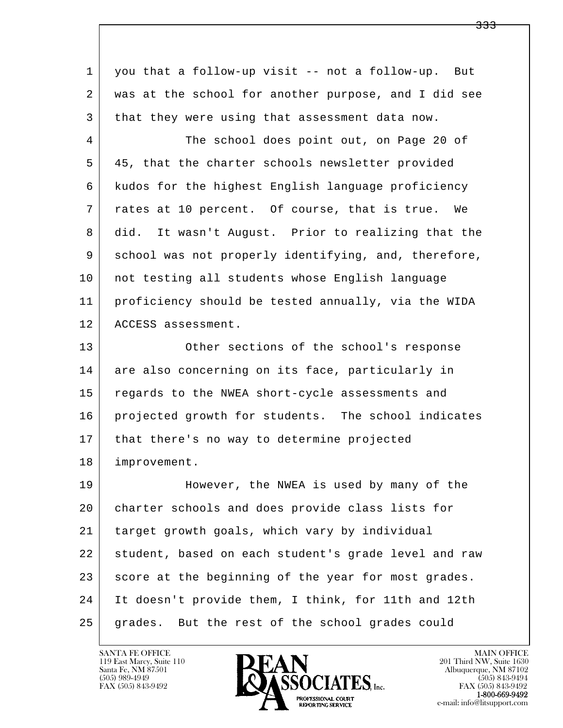| $\mathbf{1}$ | you that a follow-up visit -- not a follow-up. But   |
|--------------|------------------------------------------------------|
| 2            | was at the school for another purpose, and I did see |
| 3            | that they were using that assessment data now.       |
| 4            | The school does point out, on Page 20 of             |
| 5            | 45, that the charter schools newsletter provided     |
| 6            | kudos for the highest English language proficiency   |
| 7            | rates at 10 percent. Of course, that is true. We     |
| 8            | did. It wasn't August. Prior to realizing that the   |
| 9            | school was not properly identifying, and, therefore, |
| 10           | not testing all students whose English language      |
| 11           | proficiency should be tested annually, via the WIDA  |
| 12           | ACCESS assessment.                                   |
| 13           | Other sections of the school's response              |
| 14           | are also concerning on its face, particularly in     |
| 15           | regards to the NWEA short-cycle assessments and      |
| 16           | projected growth for students. The school indicates  |
| 17           | that there's no way to determine projected           |
| 18           | improvement.                                         |
| 19           | However, the NWEA is used by many of the             |
| 20           | charter schools and does provide class lists for     |
| 21           | target growth goals, which vary by individual        |
| 22           | student, based on each student's grade level and raw |
| 23           | score at the beginning of the year for most grades.  |
| 24           | It doesn't provide them, I think, for 11th and 12th  |
| 25           | grades. But the rest of the school grades could      |

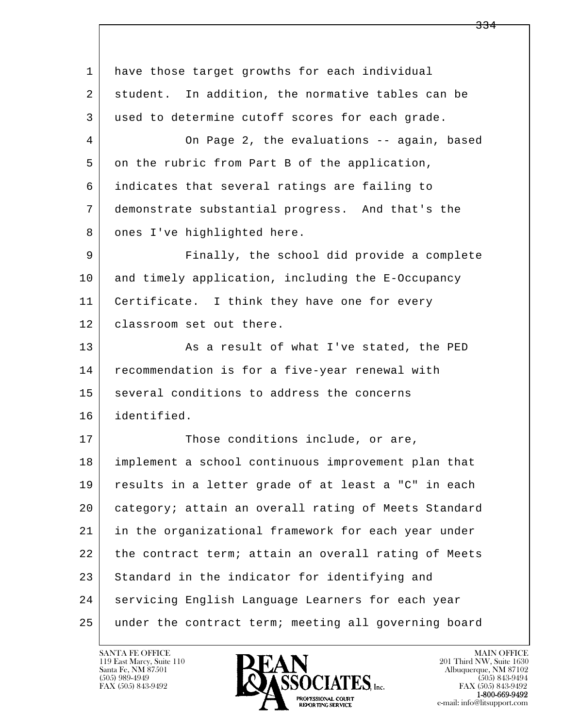l  $\overline{\phantom{a}}$  1 have those target growths for each individual 2 student. In addition, the normative tables can be 3 used to determine cutoff scores for each grade. 4 On Page 2, the evaluations -- again, based 5 on the rubric from Part B of the application, 6 indicates that several ratings are failing to 7 demonstrate substantial progress. And that's the 8 ones I've highlighted here. 9 Finally, the school did provide a complete 10 and timely application, including the E-Occupancy 11 | Certificate. I think they have one for every 12 | classroom set out there. 13 As a result of what I've stated, the PED 14 recommendation is for a five-year renewal with 15 several conditions to address the concerns 16 identified. 17 Those conditions include, or are, 18 implement a school continuous improvement plan that 19 results in a letter grade of at least a "C" in each 20 category; attain an overall rating of Meets Standard 21 in the organizational framework for each year under 22 the contract term; attain an overall rating of Meets 23 Standard in the indicator for identifying and 24 servicing English Language Learners for each year 25 under the contract term; meeting all governing board

119 East Marcy, Suite 110<br>Santa Fe, NM 87501

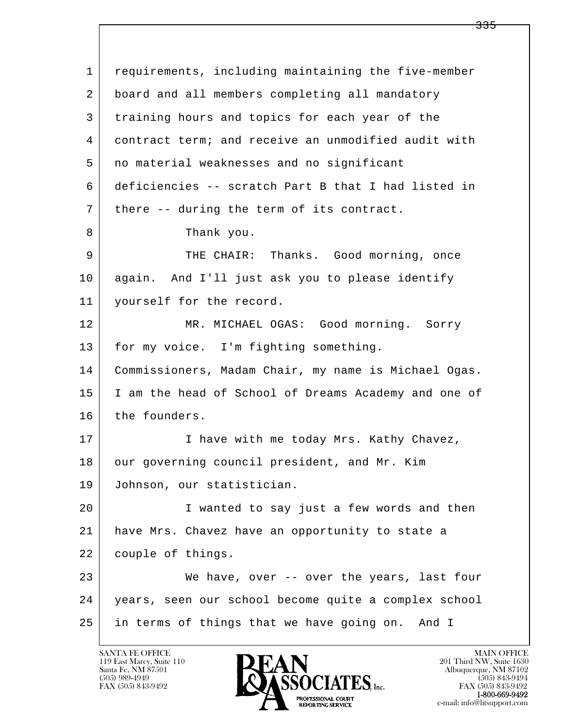l  $\overline{\phantom{a}}$  1 requirements, including maintaining the five-member 2 board and all members completing all mandatory 3 training hours and topics for each year of the 4 contract term; and receive an unmodified audit with 5 no material weaknesses and no significant 6 deficiencies -- scratch Part B that I had listed in 7 | there -- during the term of its contract. 8 Thank you. 9 THE CHAIR: Thanks. Good morning, once 10 again. And I'll just ask you to please identify 11 yourself for the record. 12 MR. MICHAEL OGAS: Good morning. Sorry 13 | for my voice. I'm fighting something. 14 Commissioners, Madam Chair, my name is Michael Ogas. 15 I am the head of School of Dreams Academy and one of 16 the founders. 17 | Thave with me today Mrs. Kathy Chavez, 18 our governing council president, and Mr. Kim 19 Johnson, our statistician. 20 I wanted to say just a few words and then 21 have Mrs. Chavez have an opportunity to state a 22 couple of things. 23 We have, over -- over the years, last four 24 years, seen our school become quite a complex school 25 in terms of things that we have going on. And I

119 East Marcy, Suite 110<br>Santa Fe, NM 87501

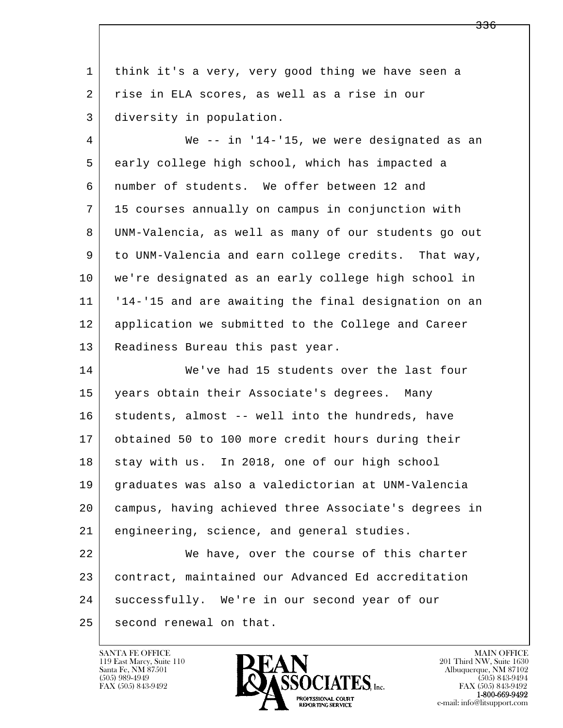| 1  | think it's a very, very good thing we have seen a    |
|----|------------------------------------------------------|
| 2  | rise in ELA scores, as well as a rise in our         |
| 3  | diversity in population.                             |
| 4  | We -- in '14-'15, we were designated as an           |
| 5  | early college high school, which has impacted a      |
| 6  | number of students. We offer between 12 and          |
| 7  | 15 courses annually on campus in conjunction with    |
| 8  | UNM-Valencia, as well as many of our students go out |
| 9  | to UNM-Valencia and earn college credits. That way,  |
| 10 | we're designated as an early college high school in  |
| 11 | '14-'15 and are awaiting the final designation on an |
| 12 | application we submitted to the College and Career   |
| 13 | Readiness Bureau this past year.                     |
| 14 | We've had 15 students over the last four             |
| 15 | years obtain their Associate's degrees. Many         |
| 16 | students, almost -- well into the hundreds, have     |
| 17 | obtained 50 to 100 more credit hours during their    |
| 18 | stay with us. In 2018, one of our high school        |
| 19 | graduates was also a valedictorian at UNM-Valencia   |
| 20 | campus, having achieved three Associate's degrees in |
| 21 | engineering, science, and general studies.           |
| 22 | We have, over the course of this charter             |
| 23 | contract, maintained our Advanced Ed accreditation   |
| 24 | successfully. We're in our second year of our        |
| 25 | second renewal on that.                              |

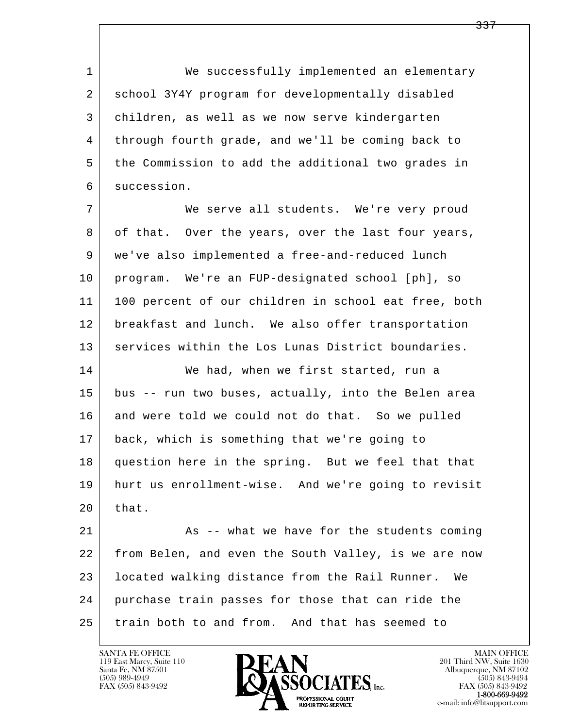1 We successfully implemented an elementary 2 school 3Y4Y program for developmentally disabled 3 children, as well as we now serve kindergarten 4 through fourth grade, and we'll be coming back to 5 the Commission to add the additional two grades in 6 succession.

 7 We serve all students. We're very proud 8 of that. Over the years, over the last four years, 9 we've also implemented a free-and-reduced lunch 10 program. We're an FUP-designated school [ph], so 11 100 percent of our children in school eat free, both 12 breakfast and lunch. We also offer transportation 13 services within the Los Lunas District boundaries.

14 We had, when we first started, run a 15 bus -- run two buses, actually, into the Belen area 16 and were told we could not do that. So we pulled 17 back, which is something that we're going to 18 question here in the spring. But we feel that that 19 hurt us enrollment-wise. And we're going to revisit  $20$  that.

l  $\overline{\phantom{a}}$ 21 As -- what we have for the students coming 22 from Belen, and even the South Valley, is we are now 23 located walking distance from the Rail Runner. We 24 purchase train passes for those that can ride the 25 train both to and from. And that has seemed to

119 East Marcy, Suite 110<br>Santa Fe, NM 87501

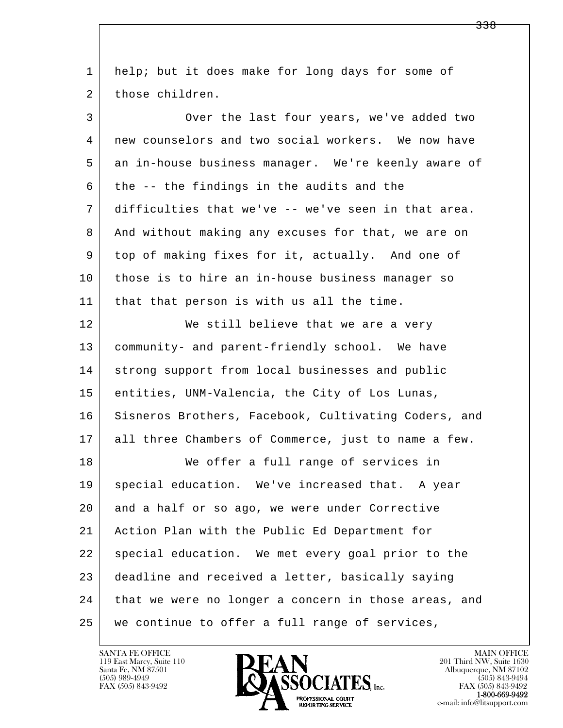l  $\overline{\phantom{a}}$  1 help; but it does make for long days for some of 2 those children. 3 Over the last four years, we've added two 4 new counselors and two social workers. We now have 5 an in-house business manager. We're keenly aware of  $6$  the  $-$  the findings in the audits and the 7 difficulties that we've -- we've seen in that area. 8 And without making any excuses for that, we are on 9 top of making fixes for it, actually. And one of 10 those is to hire an in-house business manager so 11 | that that person is with us all the time. 12 We still believe that we are a very 13 community- and parent-friendly school. We have 14 strong support from local businesses and public 15 entities, UNM-Valencia, the City of Los Lunas, 16 Sisneros Brothers, Facebook, Cultivating Coders, and 17 all three Chambers of Commerce, just to name a few. 18 We offer a full range of services in 19 | special education. We've increased that. A year 20 and a half or so ago, we were under Corrective 21 Action Plan with the Public Ed Department for 22 | special education. We met every goal prior to the 23 deadline and received a letter, basically saying 24 that we were no longer a concern in those areas, and 25 we continue to offer a full range of services,

119 East Marcy, Suite 110<br>Santa Fe, NM 87501



FAX (505) 843-9492<br>1-800-669-9492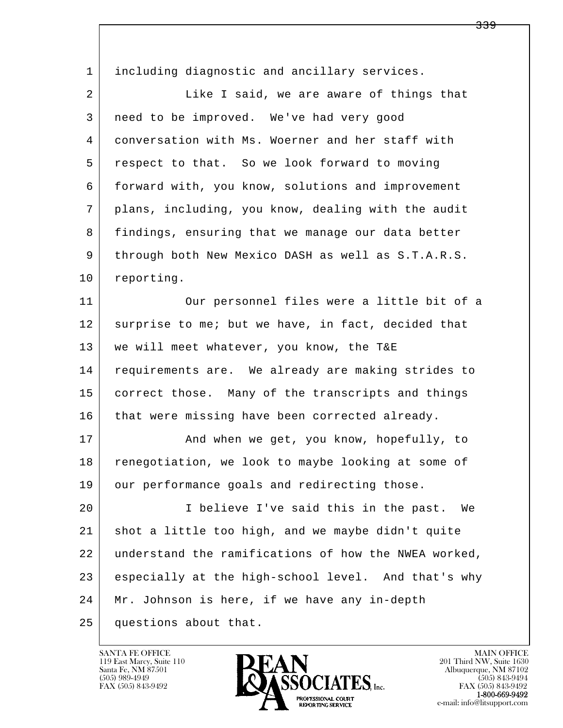l  $\overline{\phantom{a}}$ 1 including diagnostic and ancillary services. 2 Like I said, we are aware of things that 3 need to be improved. We've had very good 4 conversation with Ms. Woerner and her staff with 5 respect to that. So we look forward to moving 6 forward with, you know, solutions and improvement 7 plans, including, you know, dealing with the audit 8 findings, ensuring that we manage our data better 9 through both New Mexico DASH as well as S.T.A.R.S. 10 reporting. 11 | Our personnel files were a little bit of a 12 surprise to me; but we have, in fact, decided that 13 | we will meet whatever, you know, the T&E 14 requirements are. We already are making strides to 15 correct those. Many of the transcripts and things 16 that were missing have been corrected already. 17 | And when we get, you know, hopefully, to 18 renegotiation, we look to maybe looking at some of 19 | our performance goals and redirecting those. 20 I believe I've said this in the past. We 21 shot a little too high, and we maybe didn't quite 22 understand the ramifications of how the NWEA worked, 23 especially at the high-school level. And that's why 24 | Mr. Johnson is here, if we have any in-depth 25 questions about that.

119 East Marcy, Suite 110<br>Santa Fe, NM 87501

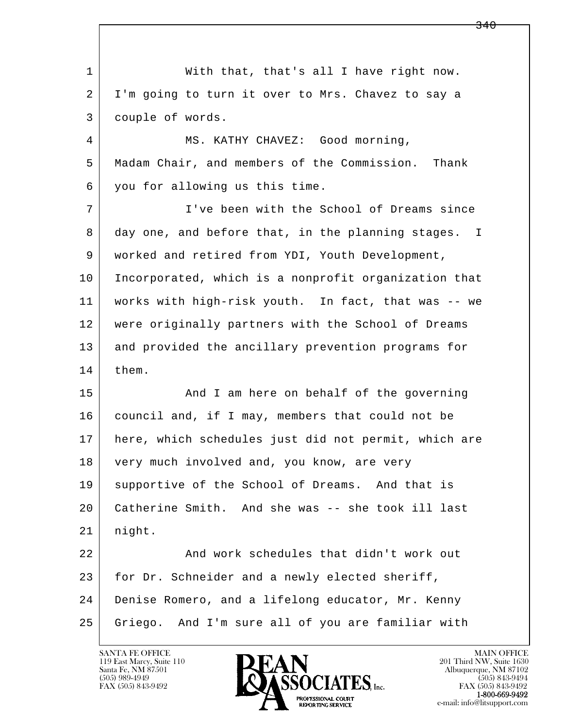l  $\overline{\phantom{a}}$  1 With that, that's all I have right now. 2 I'm going to turn it over to Mrs. Chavez to say a 3 couple of words. 4 MS. KATHY CHAVEZ: Good morning, 5 Madam Chair, and members of the Commission. Thank 6 you for allowing us this time. 7 I've been with the School of Dreams since 8 day one, and before that, in the planning stages. I 9 worked and retired from YDI, Youth Development, 10 Incorporated, which is a nonprofit organization that 11 works with high-risk youth. In fact, that was -- we 12 were originally partners with the School of Dreams 13 and provided the ancillary prevention programs for 14 them. 15 | And I am here on behalf of the governing 16 council and, if I may, members that could not be 17 here, which schedules just did not permit, which are 18 very much involved and, you know, are very 19 | supportive of the School of Dreams. And that is 20 Catherine Smith. And she was -- she took ill last 21 night. 22 and work schedules that didn't work out 23 for Dr. Schneider and a newly elected sheriff, 24 Denise Romero, and a lifelong educator, Mr. Kenny 25 Griego. And I'm sure all of you are familiar with

119 East Marcy, Suite 110<br>Santa Fe, NM 87501



FAX (505) 843-9492<br>**1-800-669-9492**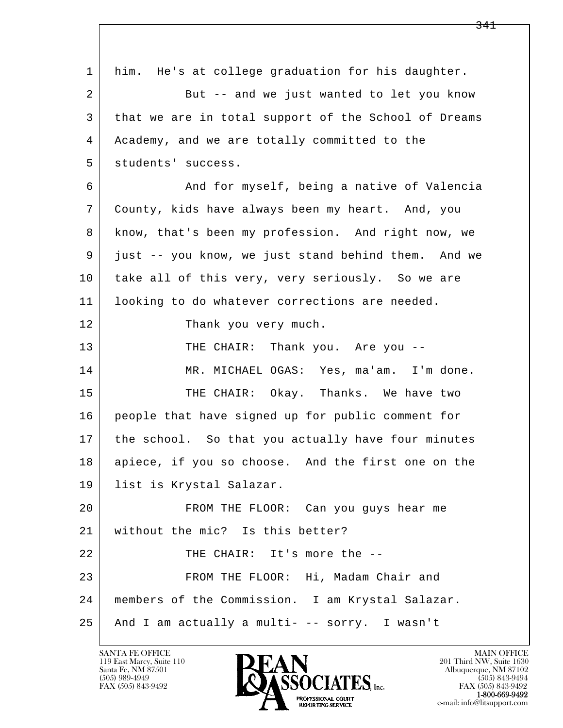l  $\overline{\phantom{a}}$  1 him. He's at college graduation for his daughter. 2 But -- and we just wanted to let you know 3 that we are in total support of the School of Dreams 4 Academy, and we are totally committed to the 5 students' success. 6 And for myself, being a native of Valencia 7 County, kids have always been my heart. And, you 8 know, that's been my profession. And right now, we 9 just -- you know, we just stand behind them. And we 10 take all of this very, very seriously. So we are 11 | looking to do whatever corrections are needed. 12 Thank you very much. 13 THE CHAIR: Thank you. Are you -- 14 MR. MICHAEL OGAS: Yes, ma'am. I'm done. 15 THE CHAIR: Okay. Thanks. We have two 16 people that have signed up for public comment for 17 the school. So that you actually have four minutes 18 | apiece, if you so choose. And the first one on the 19 list is Krystal Salazar. 20 FROM THE FLOOR: Can you guys hear me 21 without the mic? Is this better? 22 | THE CHAIR: It's more the --23 | FROM THE FLOOR: Hi, Madam Chair and 24 members of the Commission. I am Krystal Salazar. 25 And I am actually a multi- -- sorry. I wasn't

119 East Marcy, Suite 110<br>Santa Fe, NM 87501

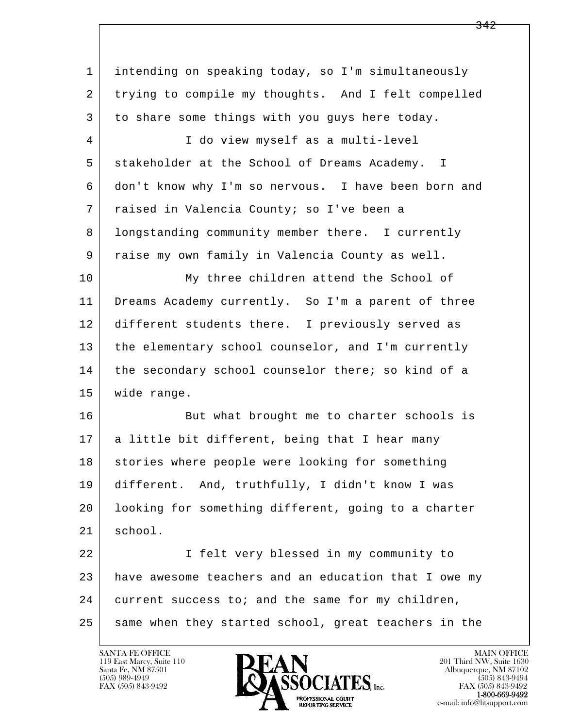l  $\overline{\phantom{a}}$  1 intending on speaking today, so I'm simultaneously 2 trying to compile my thoughts. And I felt compelled 3 to share some things with you guys here today. 4 | I do view myself as a multi-level 5 stakeholder at the School of Dreams Academy. I 6 don't know why I'm so nervous. I have been born and 7 raised in Valencia County; so I've been a 8 | longstanding community member there. I currently 9 raise my own family in Valencia County as well. 10 | My three children attend the School of 11 Dreams Academy currently. So I'm a parent of three 12 different students there. I previously served as 13 the elementary school counselor, and I'm currently 14 the secondary school counselor there; so kind of a 15 wide range. 16 But what brought me to charter schools is 17 a little bit different, being that I hear many 18 stories where people were looking for something 19 different. And, truthfully, I didn't know I was 20 looking for something different, going to a charter 21 school. 22 I felt very blessed in my community to 23 have awesome teachers and an education that I owe my 24 current success to; and the same for my children, 25 same when they started school, great teachers in the

119 East Marcy, Suite 110<br>Santa Fe, NM 87501

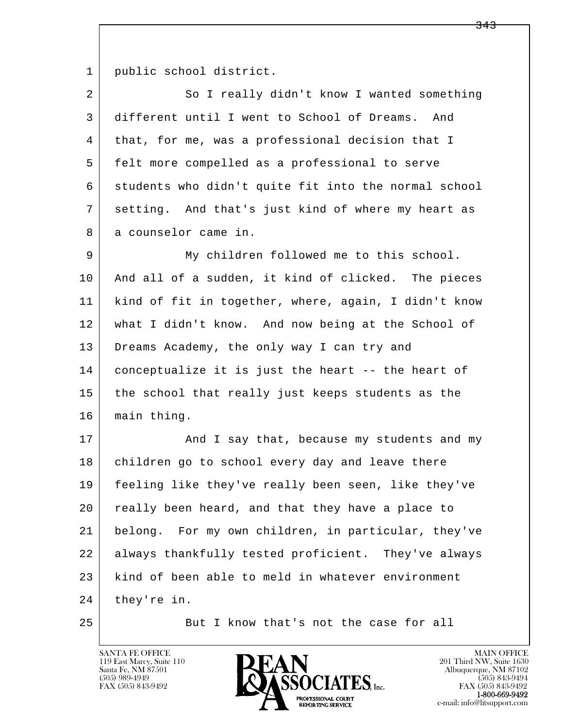1 public school district.

| 2  | So I really didn't know I wanted something           |
|----|------------------------------------------------------|
| 3  | different until I went to School of Dreams.<br>And   |
| 4  | that, for me, was a professional decision that I     |
| 5  | felt more compelled as a professional to serve       |
| 6  | students who didn't quite fit into the normal school |
| 7  | setting. And that's just kind of where my heart as   |
| 8  | a counselor came in.                                 |
| 9  | My children followed me to this school.              |
| 10 | And all of a sudden, it kind of clicked. The pieces  |
| 11 | kind of fit in together, where, again, I didn't know |
| 12 | what I didn't know. And now being at the School of   |
| 13 | Dreams Academy, the only way I can try and           |
| 14 | conceptualize it is just the heart -- the heart of   |
| 15 | the school that really just keeps students as the    |
| 16 | main thing.                                          |
| 17 | And I say that, because my students and my           |
| 18 | children go to school every day and leave there      |
| 19 | feeling like they've really been seen, like they've  |
| 20 | really been heard, and that they have a place to     |
| 21 | belong. For my own children, in particular, they've  |
| 22 | always thankfully tested proficient. They've always  |
| 23 | kind of been able to meld in whatever environment    |
| 24 | they're in.                                          |

25 But I know that's not the case for all

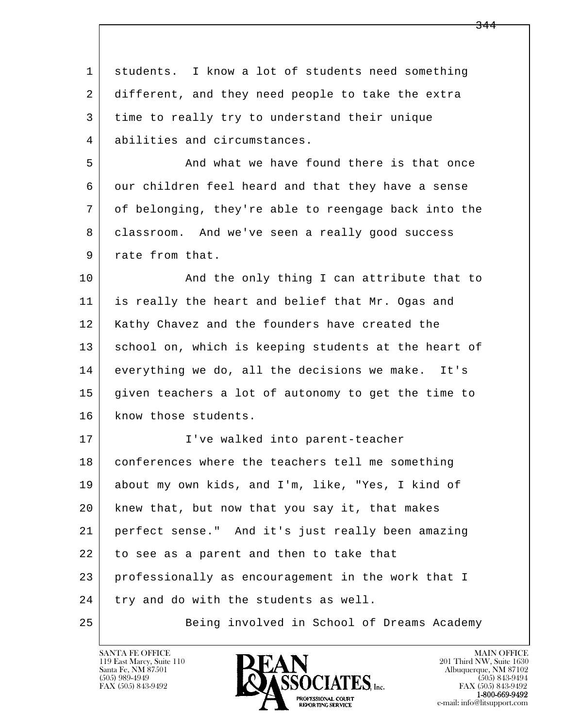| $\mathbf 1$ | students. I know a lot of students need something    |
|-------------|------------------------------------------------------|
| 2           | different, and they need people to take the extra    |
| 3           | time to really try to understand their unique        |
| 4           | abilities and circumstances.                         |
| 5           | And what we have found there is that once            |
| 6           | our children feel heard and that they have a sense   |
| 7           | of belonging, they're able to reengage back into the |
| 8           | classroom. And we've seen a really good success      |
| 9           | rate from that.                                      |
| 10          | And the only thing I can attribute that to           |
| 11          | is really the heart and belief that Mr. Ogas and     |
| 12          | Kathy Chavez and the founders have created the       |
| 13          | school on, which is keeping students at the heart of |
| 14          | everything we do, all the decisions we make. It's    |
| 15          | given teachers a lot of autonomy to get the time to  |
| 16          | know those students.                                 |
| 17          | I've walked into parent-teacher                      |
| 18          | conferences where the teachers tell me something     |
| 19          | about my own kids, and I'm, like, "Yes, I kind of    |
| 20          | knew that, but now that you say it, that makes       |
| 21          | perfect sense." And it's just really been amazing    |
| 22          | to see as a parent and then to take that             |
| 23          | professionally as encouragement in the work that I   |
| 24          | try and do with the students as well.                |
| 25          | Being involved in School of Dreams Academy           |

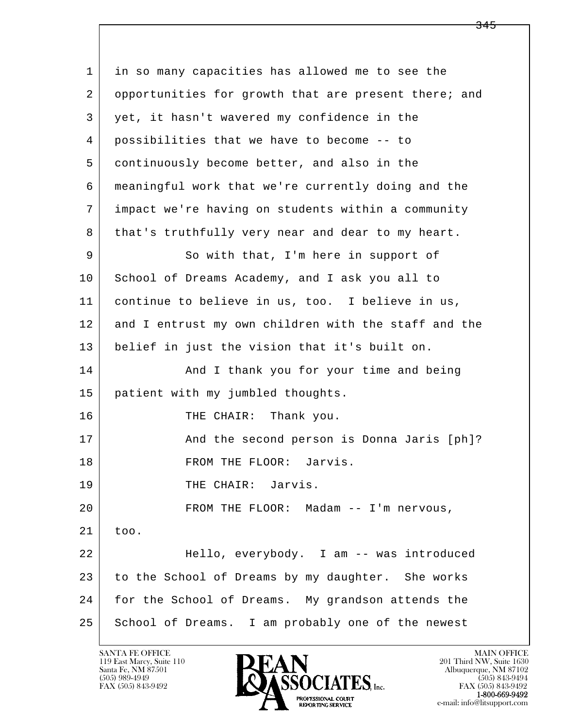l  $\overline{\phantom{a}}$  1 in so many capacities has allowed me to see the 2 opportunities for growth that are present there; and 3 yet, it hasn't wavered my confidence in the 4 possibilities that we have to become -- to 5 continuously become better, and also in the 6 meaningful work that we're currently doing and the 7 impact we're having on students within a community 8 | that's truthfully very near and dear to my heart. 9 So with that, I'm here in support of 10 School of Dreams Academy, and I ask you all to 11 continue to believe in us, too. I believe in us, 12 and I entrust my own children with the staff and the 13 belief in just the vision that it's built on. 14 And I thank you for your time and being 15 patient with my jumbled thoughts. 16 THE CHAIR: Thank you. 17 | The second person is Donna Jaris [ph]? 18 | FROM THE FLOOR: Jarvis. 19 THE CHAIR: Jarvis. 20 | FROM THE FLOOR: Madam -- I'm nervous, 21 too. 22 Hello, everybody. I am -- was introduced 23 to the School of Dreams by my daughter. She works 24 for the School of Dreams. My grandson attends the 25 | School of Dreams. I am probably one of the newest

119 East Marcy, Suite 110<br>Santa Fe, NM 87501



<del>345</del>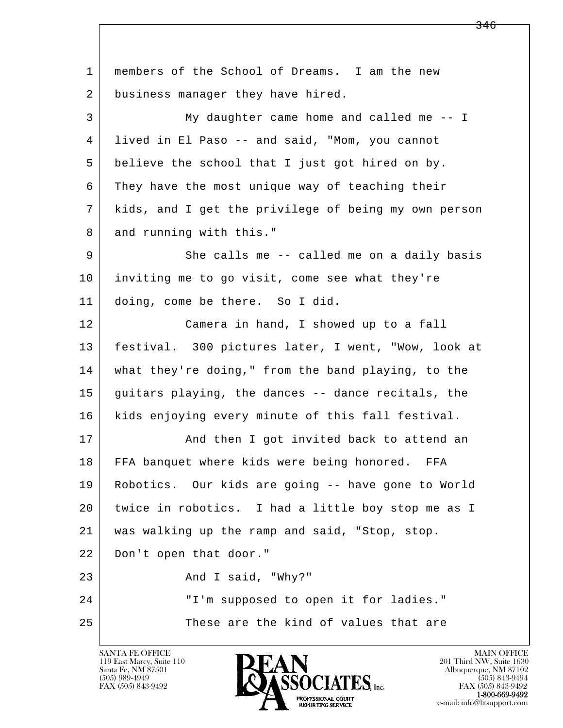l  $\overline{\phantom{a}}$  1 members of the School of Dreams. I am the new 2 business manager they have hired. 3 My daughter came home and called me -- I 4 lived in El Paso -- and said, "Mom, you cannot 5 believe the school that I just got hired on by. 6 They have the most unique way of teaching their 7 kids, and I get the privilege of being my own person 8 and running with this." 9 She calls me -- called me on a daily basis 10 inviting me to go visit, come see what they're 11 doing, come be there. So I did. 12 Camera in hand, I showed up to a fall 13 festival. 300 pictures later, I went, "Wow, look at 14 what they're doing," from the band playing, to the 15 guitars playing, the dances -- dance recitals, the 16 | kids enjoying every minute of this fall festival. 17 | And then I got invited back to attend an 18 FFA banquet where kids were being honored. FFA 19 Robotics. Our kids are going -- have gone to World 20 twice in robotics. I had a little boy stop me as I 21 was walking up the ramp and said, "Stop, stop. 22 Don't open that door." 23 And I said, "Why?" 24 | T'm supposed to open it for ladies." 25 These are the kind of values that are

119 East Marcy, Suite 110<br>Santa Fe, NM 87501



FAX (505) 843-9492<br>1-800-669-9492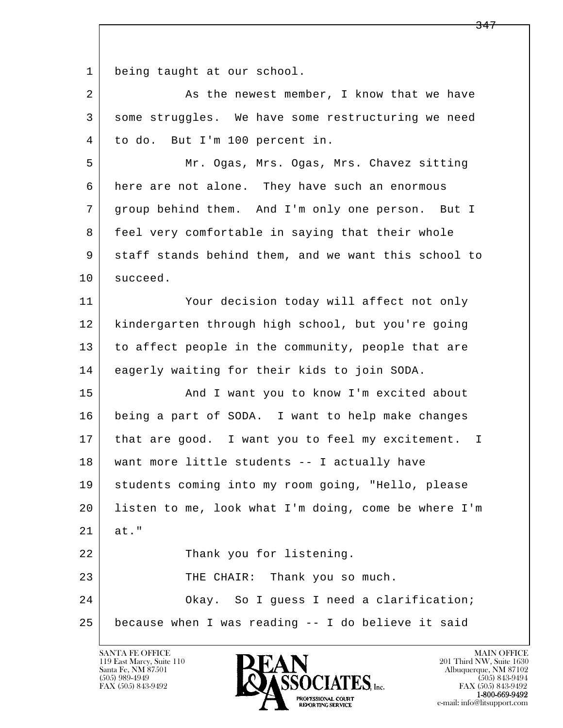1 being taught at our school.

| $\overline{2}$ | As the newest member, I know that we have            |
|----------------|------------------------------------------------------|
| 3              | some struggles. We have some restructuring we need   |
| 4              | to do. But I'm 100 percent in.                       |
| 5              | Mr. Ogas, Mrs. Ogas, Mrs. Chavez sitting             |
| 6              | here are not alone. They have such an enormous       |
| 7              | group behind them. And I'm only one person. But I    |
| 8              | feel very comfortable in saying that their whole     |
| 9              | staff stands behind them, and we want this school to |
| 10             | succeed.                                             |
| 11             | Your decision today will affect not only             |
| 12             | kindergarten through high school, but you're going   |
| 13             | to affect people in the community, people that are   |
| 14             | eagerly waiting for their kids to join SODA.         |
| 15             | And I want you to know I'm excited about             |
| 16             | being a part of SODA. I want to help make changes    |
| 17             | that are good. I want you to feel my excitement. I   |
| 18             | want more little students -- I actually have         |
| 19             | students coming into my room going, "Hello, please   |
| 20             | listen to me, look what I'm doing, come be where I'm |
| 21             | at."                                                 |
| 22             | Thank you for listening.                             |
| 23             | THE CHAIR: Thank you so much.                        |
| 24             | Okay. So I guess I need a clarification;             |
| 25             | because when I was reading -- I do believe it said   |

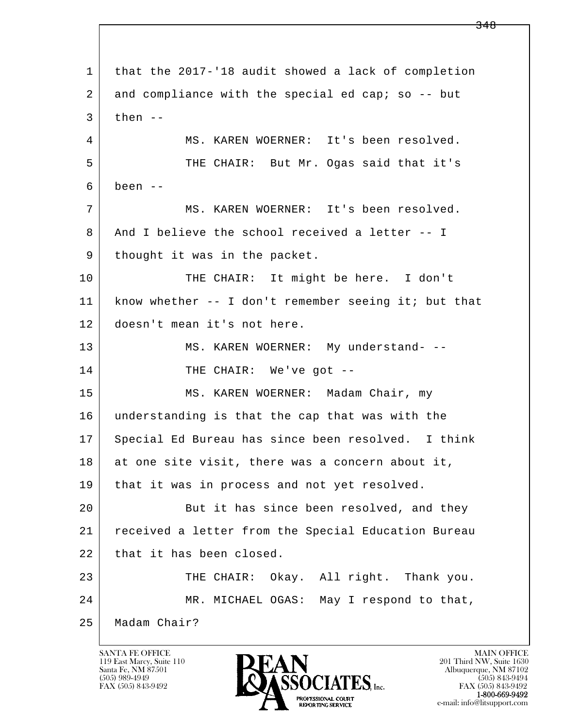l  $\overline{\phantom{a}}$  1 that the 2017-'18 audit showed a lack of completion 2 and compliance with the special ed cap; so -- but  $3$  then  $-$  4 MS. KAREN WOERNER: It's been resolved. 5 THE CHAIR: But Mr. Ogas said that it's  $6$  been  $-$  7 MS. KAREN WOERNER: It's been resolved. 8 | And I believe the school received a letter -- I 9 | thought it was in the packet. 10 THE CHAIR: It might be here. I don't 11 know whether -- I don't remember seeing it; but that 12 doesn't mean it's not here. 13 | MS. KAREN WOERNER: My understand- --14 THE CHAIR: We've got -- 15 MS. KAREN WOERNER: Madam Chair, my 16 understanding is that the cap that was with the 17 Special Ed Bureau has since been resolved. I think 18 at one site visit, there was a concern about it, 19 that it was in process and not yet resolved. 20 But it has since been resolved, and they 21 received a letter from the Special Education Bureau 22 that it has been closed. 23 | THE CHAIR: Okay. All right. Thank you. 24 MR. MICHAEL OGAS: May I respond to that, 25 Madam Chair?

119 East Marcy, Suite 110<br>Santa Fe, NM 87501

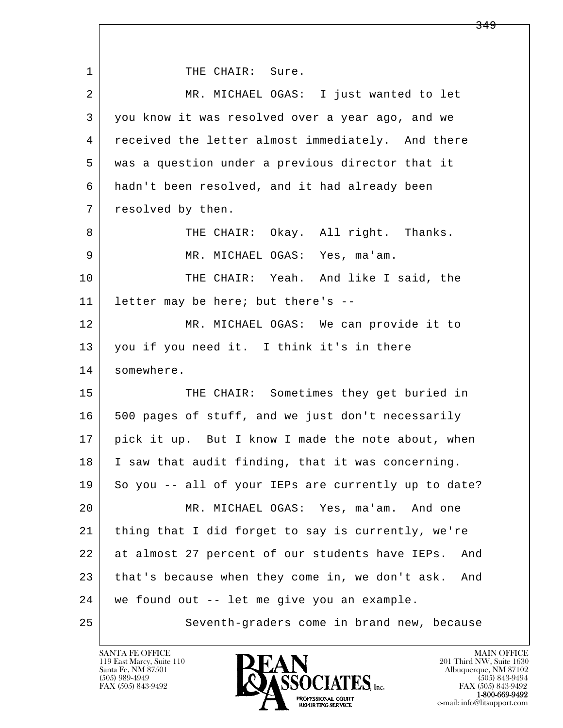l  $\overline{\phantom{a}}$ 1 THE CHAIR: Sure. 2 MR. MICHAEL OGAS: I just wanted to let 3 you know it was resolved over a year ago, and we 4 | received the letter almost immediately. And there 5 was a question under a previous director that it 6 hadn't been resolved, and it had already been 7 resolved by then. 8 THE CHAIR: Okay. All right. Thanks. 9 MR. MICHAEL OGAS: Yes, ma'am. 10 THE CHAIR: Yeah. And like I said, the 11 letter may be here; but there's -- 12 MR. MICHAEL OGAS: We can provide it to 13 you if you need it. I think it's in there 14 somewhere. 15 | THE CHAIR: Sometimes they get buried in 16 500 pages of stuff, and we just don't necessarily 17 pick it up. But I know I made the note about, when 18 I saw that audit finding, that it was concerning. 19 So you -- all of your IEPs are currently up to date? 20 MR. MICHAEL OGAS: Yes, ma'am. And one 21 thing that I did forget to say is currently, we're 22 at almost 27 percent of our students have IEPs. And 23 that's because when they come in, we don't ask. And 24 we found out -- let me give you an example. 25 | Seventh-graders come in brand new, because

119 East Marcy, Suite 110<br>Santa Fe, NM 87501

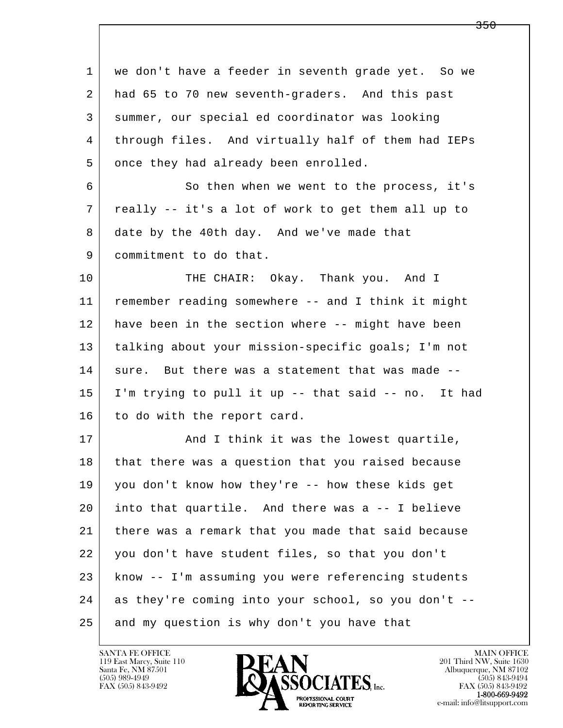l  $\overline{\phantom{a}}$  1 we don't have a feeder in seventh grade yet. So we 2 had 65 to 70 new seventh-graders. And this past 3 summer, our special ed coordinator was looking 4 through files. And virtually half of them had IEPs 5 once they had already been enrolled. 6 So then when we went to the process, it's 7 really -- it's a lot of work to get them all up to 8 date by the 40th day. And we've made that 9 commitment to do that. 10 THE CHAIR: Okay. Thank you. And I 11 remember reading somewhere -- and I think it might 12 have been in the section where -- might have been 13 talking about your mission-specific goals; I'm not  $14$  sure. But there was a statement that was made  $-$  15 I'm trying to pull it up -- that said -- no. It had 16 to do with the report card. 17 | And I think it was the lowest quartile, 18 that there was a question that you raised because 19 you don't know how they're -- how these kids get 20 into that quartile. And there was a -- I believe 21 there was a remark that you made that said because 22 you don't have student files, so that you don't 23 know -- I'm assuming you were referencing students 24 as they're coming into your school, so you don't -- 25 and my question is why don't you have that

119 East Marcy, Suite 110<br>Santa Fe, NM 87501



FAX (505) 843-9492<br>1-800-669-9492

<del>350</del>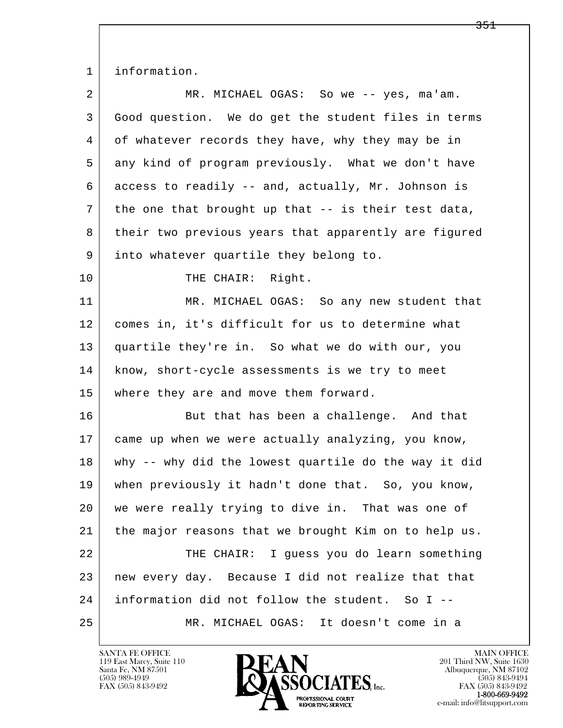1 information.

| $\overline{a}$ | MR. MICHAEL OGAS: So we -- yes, ma'am.               |
|----------------|------------------------------------------------------|
| 3              | Good question. We do get the student files in terms  |
| 4              | of whatever records they have, why they may be in    |
| 5              | any kind of program previously. What we don't have   |
| 6              | access to readily -- and, actually, Mr. Johnson is   |
| 7              | the one that brought up that -- is their test data,  |
| 8              | their two previous years that apparently are figured |
| 9              | into whatever quartile they belong to.               |
| 10             | THE CHAIR: Right.                                    |
| 11             | MR. MICHAEL OGAS: So any new student that            |
| 12             | comes in, it's difficult for us to determine what    |
| 13             | quartile they're in. So what we do with our, you     |
| 14             | know, short-cycle assessments is we try to meet      |
| 15             | where they are and move them forward.                |
| 16             | But that has been a challenge. And that              |
| 17             | came up when we were actually analyzing, you know,   |
| 18             | why -- why did the lowest quartile do the way it did |
| 19             | when previously it hadn't done that. So, you know,   |
| 20             | we were really trying to dive in. That was one of    |
| 21             | the major reasons that we brought Kim on to help us. |
| 22             | THE CHAIR: I guess you do learn something            |
| 23             | new every day. Because I did not realize that that   |
| 24             | information did not follow the student. So I --      |
| 25             | MR. MICHAEL OGAS: It doesn't come in a               |

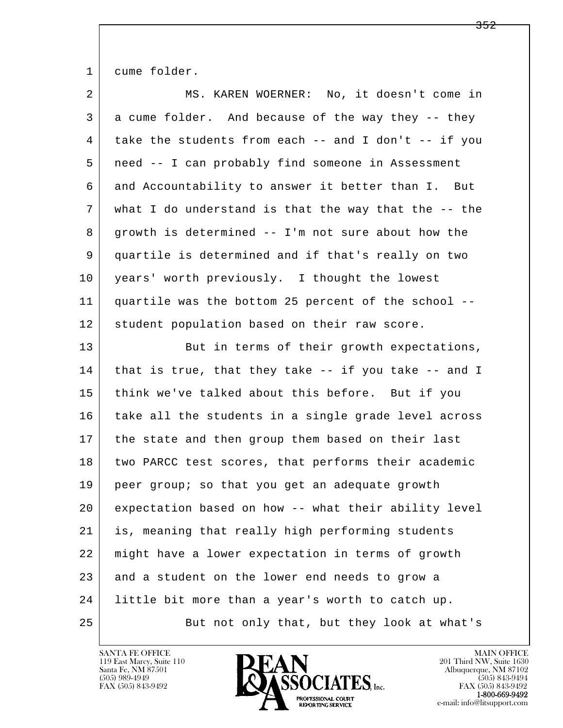1 cume folder.

| 2  | MS. KAREN WOERNER: No, it doesn't come in                  |
|----|------------------------------------------------------------|
| 3  | a cume folder. And because of the way they -- they         |
| 4  | take the students from each -- and I don't -- if you       |
| 5  | need -- I can probably find someone in Assessment          |
| 6  | and Accountability to answer it better than I. But         |
| 7  | what I do understand is that the way that the $-$ - the    |
| 8  | growth is determined -- I'm not sure about how the         |
| 9  | quartile is determined and if that's really on two         |
| 10 | years' worth previously. I thought the lowest              |
| 11 | quartile was the bottom 25 percent of the school --        |
| 12 | student population based on their raw score.               |
| 13 | But in terms of their growth expectations,                 |
| 14 | that is true, that they take $-$ - if you take $-$ - and I |
| 15 | think we've talked about this before. But if you           |
| 16 | take all the students in a single grade level across       |
| 17 | the state and then group them based on their last          |
| 18 | two PARCC test scores, that performs their academic        |
| 19 | peer group; so that you get an adequate growth             |
| 20 | expectation based on how -- what their ability level       |
| 21 | is, meaning that really high performing students           |
| 22 | might have a lower expectation in terms of growth          |
| 23 | and a student on the lower end needs to grow a             |
| 24 | little bit more than a year's worth to catch up.           |
| 25 | But not only that, but they look at what's                 |

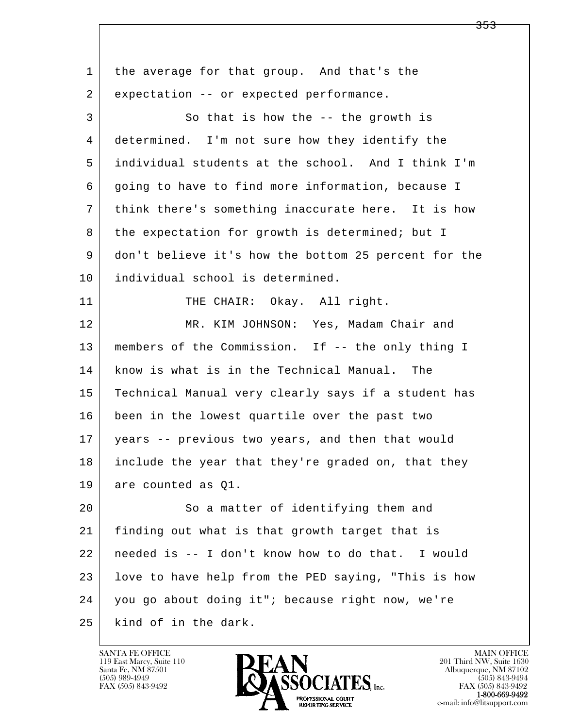l  $\overline{\phantom{a}}$  1 the average for that group. And that's the 2 expectation -- or expected performance. 3 So that is how the -- the growth is 4 determined. I'm not sure how they identify the 5 individual students at the school. And I think I'm 6 going to have to find more information, because I 7 think there's something inaccurate here. It is how 8 the expectation for growth is determined; but I 9 don't believe it's how the bottom 25 percent for the 10 individual school is determined. 11 THE CHAIR: Okay. All right. 12 MR. KIM JOHNSON: Yes, Madam Chair and 13 members of the Commission. If -- the only thing I 14 know is what is in the Technical Manual. The 15 Technical Manual very clearly says if a student has 16 been in the lowest quartile over the past two 17 years -- previous two years, and then that would 18 include the year that they're graded on, that they 19 are counted as Q1. 20 So a matter of identifying them and 21 finding out what is that growth target that is 22 needed is -- I don't know how to do that. I would 23 love to have help from the PED saying, "This is how 24 you go about doing it"; because right now, we're 25 kind of in the dark.

119 East Marcy, Suite 110<br>Santa Fe, NM 87501



FAX (505) 843-9492<br>**1-800-669-9492** 

<del>353</del>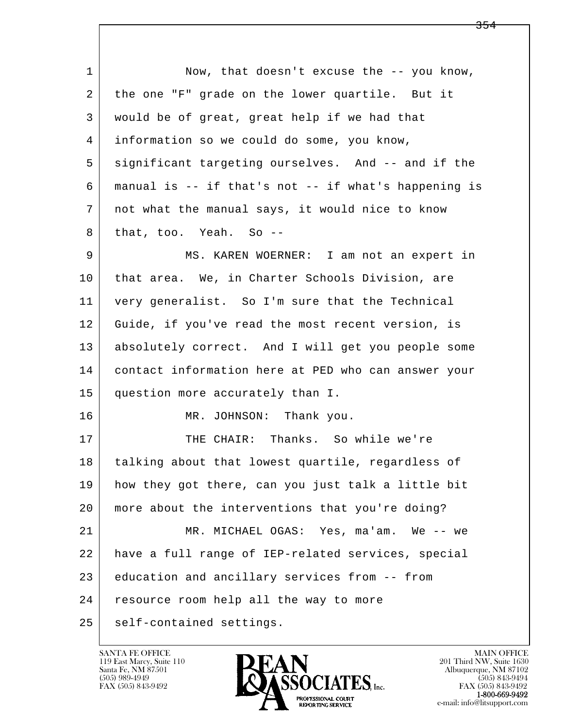l  $\overline{\phantom{a}}$ 1 Now, that doesn't excuse the -- you know, 2 | the one "F" grade on the lower quartile. But it 3 would be of great, great help if we had that 4 information so we could do some, you know, 5 significant targeting ourselves. And -- and if the 6 manual is -- if that's not -- if what's happening is 7 not what the manual says, it would nice to know 8 that, too. Yeah. So --9 MS. KAREN WOERNER: I am not an expert in 10 | that area. We, in Charter Schools Division, are 11 very generalist. So I'm sure that the Technical 12 Guide, if you've read the most recent version, is 13 absolutely correct. And I will get you people some 14 contact information here at PED who can answer your 15 question more accurately than I. 16 MR. JOHNSON: Thank you. 17 | THE CHAIR: Thanks. So while we're 18 talking about that lowest quartile, regardless of 19 how they got there, can you just talk a little bit 20 more about the interventions that you're doing? 21 MR. MICHAEL OGAS: Yes, ma'am. We -- we 22 have a full range of IEP-related services, special 23 education and ancillary services from -- from 24 resource room help all the way to more 25 self-contained settings.

119 East Marcy, Suite 110<br>Santa Fe, NM 87501



FAX (505) 843-9492<br>1-800-669-9492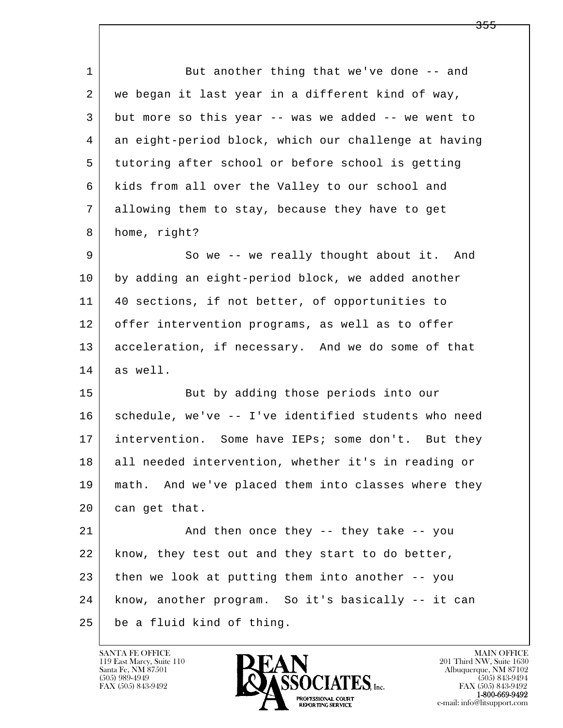l  $\overline{\phantom{a}}$ 1 But another thing that we've done -- and 2 we began it last year in a different kind of way, 3 but more so this year -- was we added -- we went to 4 an eight-period block, which our challenge at having 5 tutoring after school or before school is getting 6 kids from all over the Valley to our school and 7 allowing them to stay, because they have to get 8 home, right? 9 So we -- we really thought about it. And 10 by adding an eight-period block, we added another 11 40 sections, if not better, of opportunities to 12 offer intervention programs, as well as to offer 13 acceleration, if necessary. And we do some of that 14 as well. 15 | But by adding those periods into our 16 schedule, we've -- I've identified students who need 17 intervention. Some have IEPs; some don't. But they 18 all needed intervention, whether it's in reading or 19 math. And we've placed them into classes where they 20 can get that. 21 And then once they -- they take -- you 22 | know, they test out and they start to do better, 23 then we look at putting them into another -- you 24 know, another program. So it's basically -- it can 25 be a fluid kind of thing.

119 East Marcy, Suite 110<br>Santa Fe, NM 87501

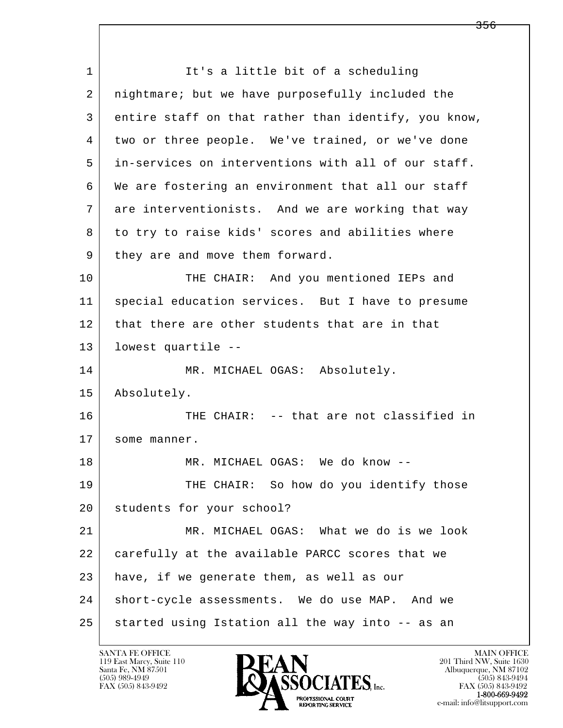l  $\overline{\phantom{a}}$ 1 It's a little bit of a scheduling 2 nightmare; but we have purposefully included the 3 entire staff on that rather than identify, you know, 4 | two or three people. We've trained, or we've done 5 in-services on interventions with all of our staff. 6 We are fostering an environment that all our staff 7 are interventionists. And we are working that way 8 to try to raise kids' scores and abilities where 9 | they are and move them forward. 10 THE CHAIR: And you mentioned IEPs and 11 special education services. But I have to presume 12 that there are other students that are in that 13 lowest quartile -- 14 MR. MICHAEL OGAS: Absolutely. 15 Absolutely. 16 THE CHAIR: -- that are not classified in 17 some manner. 18 MR. MICHAEL OGAS: We do know --19 THE CHAIR: So how do you identify those 20 students for your school? 21 MR. MICHAEL OGAS: What we do is we look 22 carefully at the available PARCC scores that we 23 have, if we generate them, as well as our 24 | short-cycle assessments. We do use MAP. And we 25 started using Istation all the way into -- as an

119 East Marcy, Suite 110<br>Santa Fe, NM 87501



FAX (505) 843-9492<br>**1-800-669-9492** 

<del>356</del>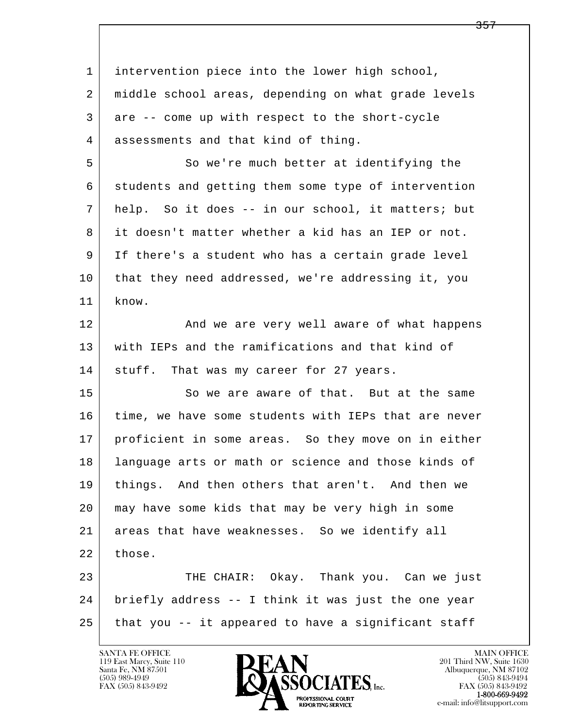l  $\overline{\phantom{a}}$  1 intervention piece into the lower high school, 2 middle school areas, depending on what grade levels 3 are -- come up with respect to the short-cycle 4 assessments and that kind of thing. 5 So we're much better at identifying the 6 students and getting them some type of intervention 7 help. So it does -- in our school, it matters; but 8 it doesn't matter whether a kid has an IEP or not. 9 If there's a student who has a certain grade level 10 that they need addressed, we're addressing it, you 11 know. 12 | The and we are very well aware of what happens 13 with IEPs and the ramifications and that kind of 14 | stuff. That was my career for 27 years. 15 So we are aware of that. But at the same 16 time, we have some students with IEPs that are never 17 proficient in some areas. So they move on in either 18 language arts or math or science and those kinds of 19 things. And then others that aren't. And then we 20 may have some kids that may be very high in some 21 areas that have weaknesses. So we identify all 22 those. 23 THE CHAIR: Okay. Thank you. Can we just 24 briefly address -- I think it was just the one year  $25$  that you  $-$  it appeared to have a significant staff

119 East Marcy, Suite 110<br>Santa Fe, NM 87501



FAX (505) 843-9492<br>1-800-669-9492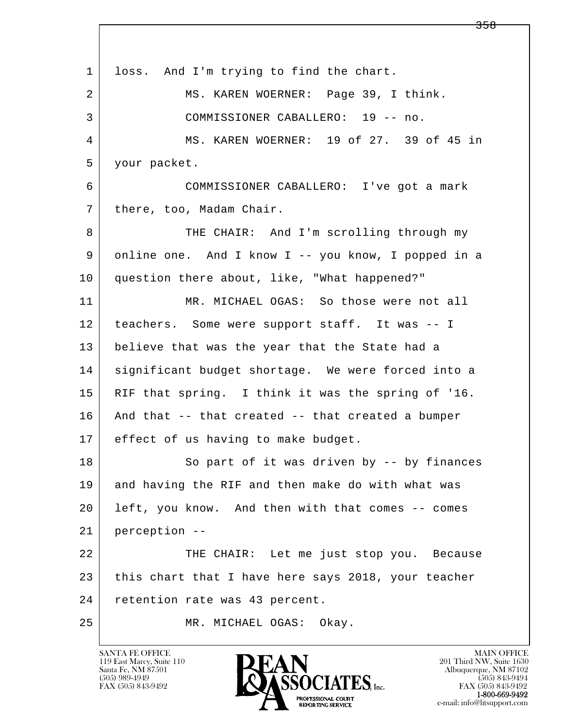l  $\overline{\phantom{a}}$ 1 loss. And I'm trying to find the chart. 2 MS. KAREN WOERNER: Page 39, I think. 3 COMMISSIONER CABALLERO: 19 -- no. 4 MS. KAREN WOERNER: 19 of 27. 39 of 45 in 5 your packet. 6 COMMISSIONER CABALLERO: I've got a mark 7 | there, too, Madam Chair. 8 THE CHAIR: And I'm scrolling through my 9 online one. And I know I -- you know, I popped in a 10 question there about, like, "What happened?" 11 MR. MICHAEL OGAS: So those were not all 12 teachers. Some were support staff. It was -- I 13 believe that was the year that the State had a 14 significant budget shortage. We were forced into a 15 RIF that spring. I think it was the spring of '16. 16 And that -- that created -- that created a bumper 17 effect of us having to make budget. 18 So part of it was driven by -- by finances 19 and having the RIF and then make do with what was 20 left, you know. And then with that comes -- comes 21 perception -- 22 THE CHAIR: Let me just stop you. Because 23 this chart that I have here says 2018, your teacher 24 retention rate was 43 percent. 25 MR. MICHAEL OGAS: Okay.

119 East Marcy, Suite 110<br>Santa Fe, NM 87501

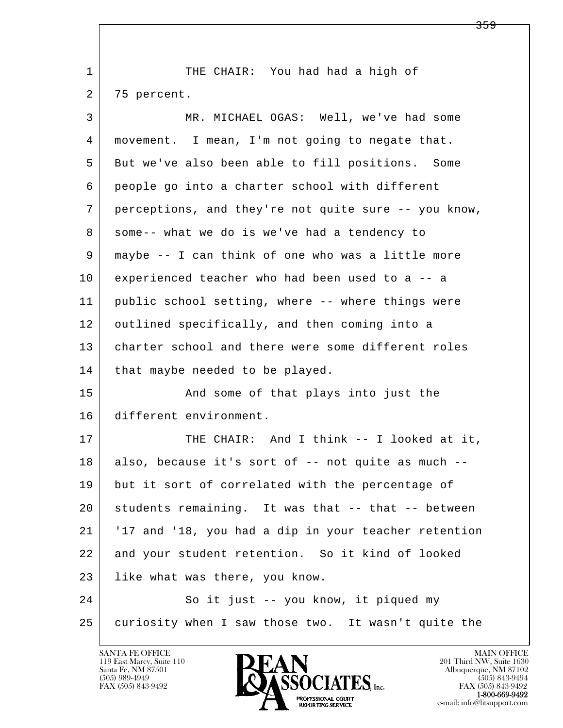| $\mathbf{1}$ | THE CHAIR: You had had a high of                     |
|--------------|------------------------------------------------------|
| 2            | 75 percent.                                          |
| 3            | MR. MICHAEL OGAS: Well, we've had some               |
| 4            | movement. I mean, I'm not going to negate that.      |
| 5            | But we've also been able to fill positions. Some     |
| 6            | people go into a charter school with different       |
| 7            | perceptions, and they're not quite sure -- you know, |
| 8            | some-- what we do is we've had a tendency to         |
| 9            | maybe -- I can think of one who was a little more    |
| 10           | experienced teacher who had been used to a -- a      |
| 11           | public school setting, where -- where things were    |
| 12           | outlined specifically, and then coming into a        |
| 13           | charter school and there were some different roles   |
| 14           | that maybe needed to be played.                      |
| 15           | And some of that plays into just the                 |
| 16           | different environment.                               |
| 17           | THE CHAIR: And I think -- I looked at it,            |
| 18           | also, because it's sort of -- not quite as much --   |
| 19           | but it sort of correlated with the percentage of     |
| 20           | students remaining. It was that -- that -- between   |
| 21           | '17 and '18, you had a dip in your teacher retention |
| 22           | and your student retention. So it kind of looked     |
| 23           | like what was there, you know.                       |
| 24           | So it just -- you know, it piqued my                 |
| 25           | curiosity when I saw those two. It wasn't quite the  |

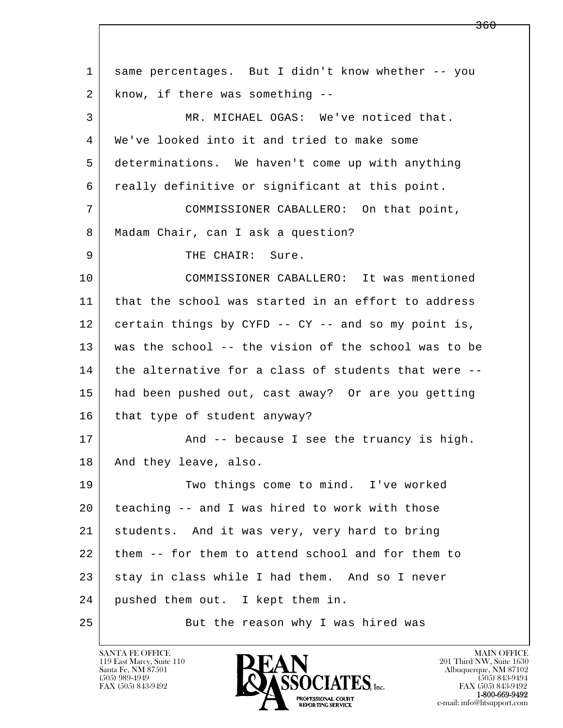l  $\overline{\phantom{a}}$  1 same percentages. But I didn't know whether -- you 2 | know, if there was something -- 3 MR. MICHAEL OGAS: We've noticed that. 4 We've looked into it and tried to make some 5 determinations. We haven't come up with anything 6 really definitive or significant at this point. 7 COMMISSIONER CABALLERO: On that point, 8 | Madam Chair, can I ask a question? 9 THE CHAIR: Sure. 10 COMMISSIONER CABALLERO: It was mentioned 11 | that the school was started in an effort to address 12 certain things by CYFD -- CY -- and so my point is, 13 was the school -- the vision of the school was to be 14 the alternative for a class of students that were -- 15 had been pushed out, cast away? Or are you getting 16 | that type of student anyway? 17 | And -- because I see the truancy is high. 18 | And they leave, also. 19 Two things come to mind. I've worked 20 teaching -- and I was hired to work with those 21 students. And it was very, very hard to bring 22 them -- for them to attend school and for them to 23 stay in class while I had them. And so I never 24 | pushed them out. I kept them in. 25 But the reason why I was hired was

119 East Marcy, Suite 110<br>Santa Fe, NM 87501



FAX (505) 843-9492<br>1-800-669-9492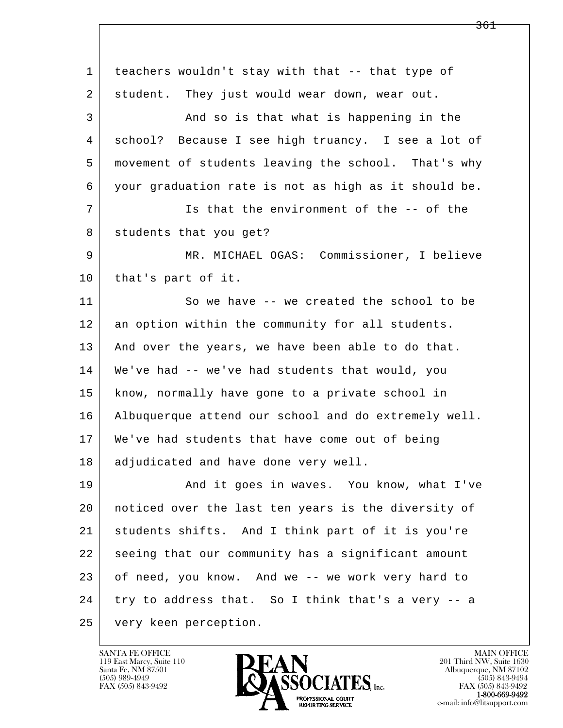l  $\overline{\phantom{a}}$  1 teachers wouldn't stay with that -- that type of 2 | student. They just would wear down, wear out. 3 And so is that what is happening in the 4 school? Because I see high truancy. I see a lot of 5 movement of students leaving the school. That's why 6 your graduation rate is not as high as it should be. 7 Is that the environment of the -- of the 8 | students that you get? 9 MR. MICHAEL OGAS: Commissioner, I believe 10 | that's part of it. 11 So we have -- we created the school to be 12 an option within the community for all students. 13 And over the years, we have been able to do that. 14 We've had -- we've had students that would, you 15 know, normally have gone to a private school in 16 Albuquerque attend our school and do extremely well. 17 We've had students that have come out of being 18 | adjudicated and have done very well. 19 | And it goes in waves. You know, what I've 20 noticed over the last ten years is the diversity of 21 students shifts. And I think part of it is you're 22 seeing that our community has a significant amount 23 of need, you know. And we -- we work very hard to 24 try to address that. So I think that's a very -- a 25 very keen perception.

119 East Marcy, Suite 110<br>Santa Fe, NM 87501

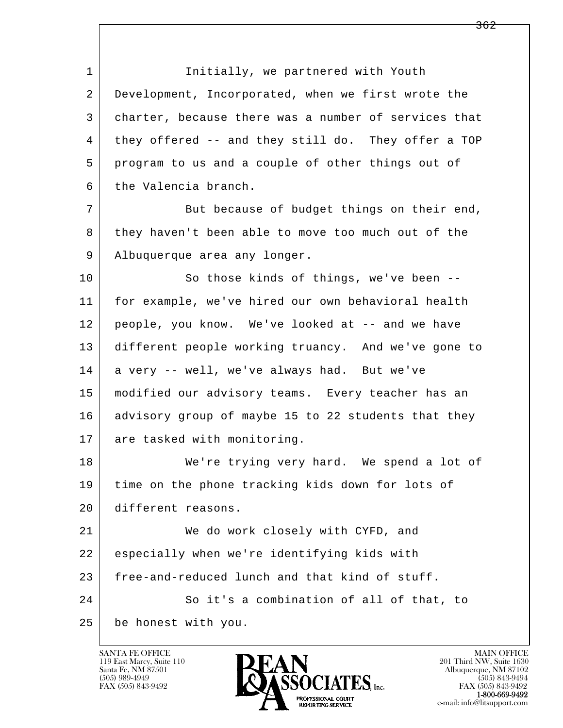1 Initially, we partnered with Youth 2 Development, Incorporated, when we first wrote the 3 charter, because there was a number of services that 4 they offered -- and they still do. They offer a TOP 5 program to us and a couple of other things out of 6 the Valencia branch. 7 But because of budget things on their end,

8 | they haven't been able to move too much out of the 9 | Albuquerque area any longer.

10 So those kinds of things, we've been -- 11 for example, we've hired our own behavioral health 12 people, you know. We've looked at -- and we have 13 different people working truancy. And we've gone to 14 a very -- well, we've always had. But we've 15 modified our advisory teams. Every teacher has an 16 advisory group of maybe 15 to 22 students that they 17 are tasked with monitoring.

18 We're trying very hard. We spend a lot of 19 time on the phone tracking kids down for lots of 20 different reasons.

l  $\overline{\phantom{a}}$  21 We do work closely with CYFD, and 22 especially when we're identifying kids with 23 free-and-reduced lunch and that kind of stuff. 24 So it's a combination of all of that, to 25 be honest with you.

119 East Marcy, Suite 110<br>Santa Fe, NM 87501



FAX (505) 843-9492<br>**1-800-669-9492**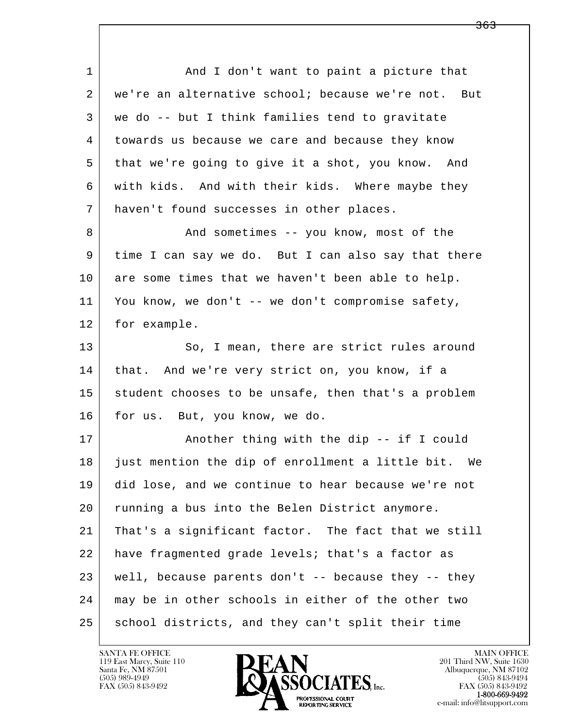l  $\overline{\phantom{a}}$ 1 and I don't want to paint a picture that 2 we're an alternative school; because we're not. But 3 we do -- but I think families tend to gravitate 4 towards us because we care and because they know 5 that we're going to give it a shot, you know. And 6 with kids. And with their kids. Where maybe they 7 haven't found successes in other places. 8 And sometimes -- you know, most of the 9 time I can say we do. But I can also say that there 10 are some times that we haven't been able to help. 11 You know, we don't -- we don't compromise safety, 12 | for example. 13 So, I mean, there are strict rules around 14 | that. And we're very strict on, you know, if a 15 student chooses to be unsafe, then that's a problem 16 for us. But, you know, we do. 17 | Another thing with the dip -- if I could 18 just mention the dip of enrollment a little bit. We 19 did lose, and we continue to hear because we're not 20 running a bus into the Belen District anymore. 21 That's a significant factor. The fact that we still 22 have fragmented grade levels; that's a factor as  $23$  well, because parents don't  $-$  because they  $-$  they 24 may be in other schools in either of the other two 25 school districts, and they can't split their time

119 East Marcy, Suite 110<br>Santa Fe, NM 87501



<del>363</del>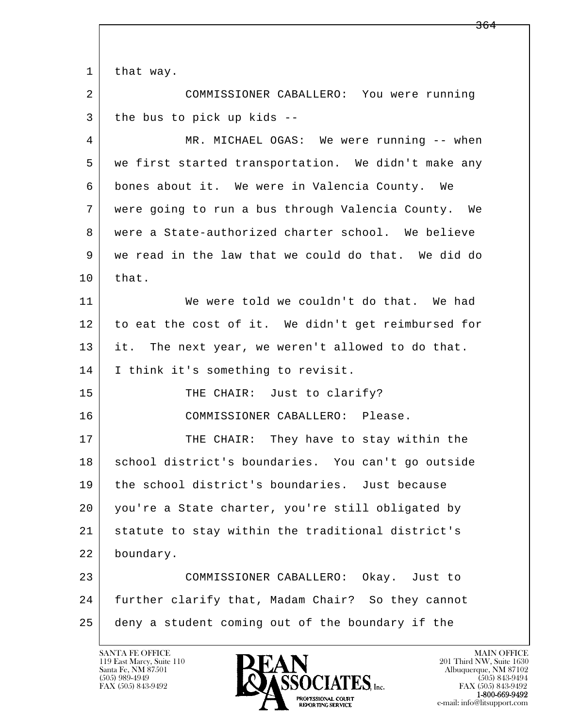l  $\overline{\phantom{a}}$ 1 that way. 2 COMMISSIONER CABALLERO: You were running 3 the bus to pick up kids --4 MR. MICHAEL OGAS: We were running -- when 5 we first started transportation. We didn't make any 6 bones about it. We were in Valencia County. We 7 were going to run a bus through Valencia County. We 8 were a State-authorized charter school. We believe 9 we read in the law that we could do that. We did do  $10$  that. 11 We were told we couldn't do that. We had 12 to eat the cost of it. We didn't get reimbursed for 13 it. The next year, we weren't allowed to do that. 14 | I think it's something to revisit. 15 | THE CHAIR: Just to clarify? 16 COMMISSIONER CABALLERO: Please. 17 THE CHAIR: They have to stay within the 18 | school district's boundaries. You can't go outside 19 the school district's boundaries. Just because 20 you're a State charter, you're still obligated by 21 statute to stay within the traditional district's 22 boundary. 23 COMMISSIONER CABALLERO: Okay. Just to 24 further clarify that, Madam Chair? So they cannot 25 deny a student coming out of the boundary if the

119 East Marcy, Suite 110<br>Santa Fe, NM 87501

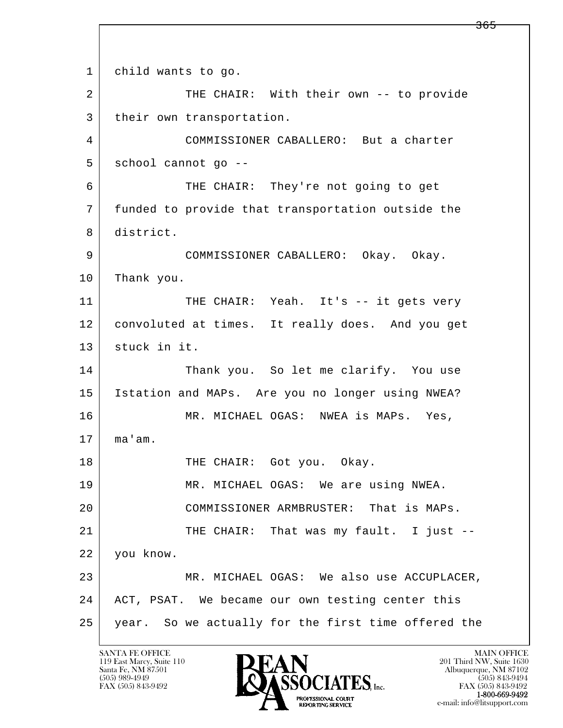l  $\overline{\phantom{a}}$ 1 child wants to go. 2 THE CHAIR: With their own -- to provide 3 | their own transportation. 4 COMMISSIONER CABALLERO: But a charter 5 | school cannot go -- 6 THE CHAIR: They're not going to get 7 funded to provide that transportation outside the 8 district. 9 COMMISSIONER CABALLERO: Okay. Okay. 10 Thank you. 11 THE CHAIR: Yeah. It's -- it gets very 12 convoluted at times. It really does. And you get 13 stuck in it. 14 Thank you. So let me clarify. You use 15 Istation and MAPs. Are you no longer using NWEA? 16 MR. MICHAEL OGAS: NWEA is MAPs. Yes,  $17 \mid$  ma'am. 18 | THE CHAIR: Got you. Okay. 19 MR. MICHAEL OGAS: We are using NWEA. 20 COMMISSIONER ARMBRUSTER: That is MAPs. 21 | THE CHAIR: That was my fault. I just -- 22 you know. 23 MR. MICHAEL OGAS: We also use ACCUPLACER, 24 | ACT, PSAT. We became our own testing center this 25 year. So we actually for the first time offered the

119 East Marcy, Suite 110<br>Santa Fe, NM 87501



<del>365</del>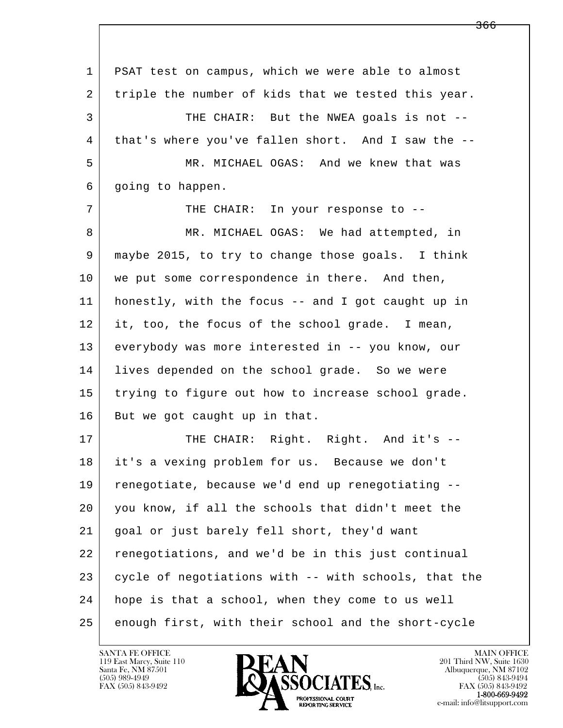l  $\overline{\phantom{a}}$  1 PSAT test on campus, which we were able to almost 2 | triple the number of kids that we tested this year. 3 THE CHAIR: But the NWEA goals is not -- 4 that's where you've fallen short. And I saw the -- 5 MR. MICHAEL OGAS: And we knew that was 6 going to happen. 7 THE CHAIR: In your response to --8 MR. MICHAEL OGAS: We had attempted, in 9 maybe 2015, to try to change those goals. I think 10 we put some correspondence in there. And then, 11 honestly, with the focus -- and I got caught up in 12 it, too, the focus of the school grade. I mean, 13 everybody was more interested in -- you know, our 14 lives depended on the school grade. So we were 15 trying to figure out how to increase school grade. 16 But we got caught up in that. 17 THE CHAIR: Right. Right. And it's -- 18 it's a vexing problem for us. Because we don't 19 renegotiate, because we'd end up renegotiating -- 20 you know, if all the schools that didn't meet the 21 goal or just barely fell short, they'd want 22 renegotiations, and we'd be in this just continual 23 cycle of negotiations with -- with schools, that the 24 hope is that a school, when they come to us well 25 enough first, with their school and the short-cycle

119 East Marcy, Suite 110<br>Santa Fe, NM 87501

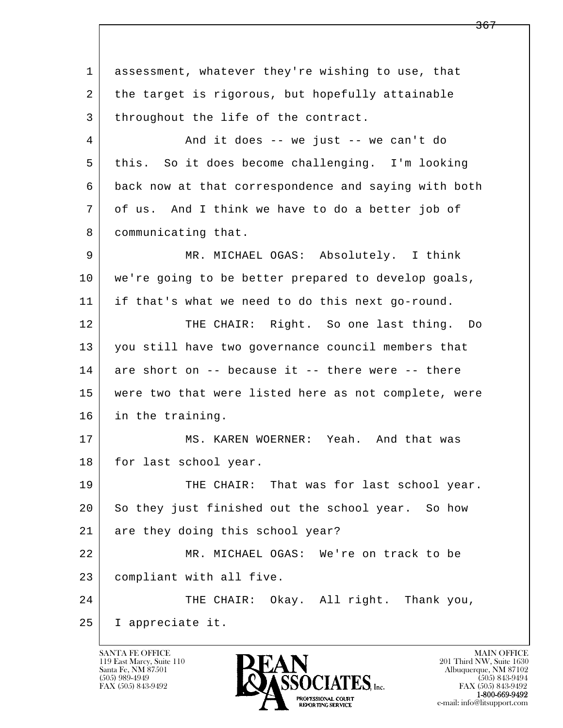l  $\overline{\phantom{a}}$  1 assessment, whatever they're wishing to use, that 2 the target is rigorous, but hopefully attainable 3 | throughout the life of the contract. 4 And it does -- we just -- we can't do 5 this. So it does become challenging. I'm looking 6 back now at that correspondence and saying with both 7 of us. And I think we have to do a better job of 8 | communicating that. 9 MR. MICHAEL OGAS: Absolutely. I think 10 we're going to be better prepared to develop goals, 11 if that's what we need to do this next go-round. 12 THE CHAIR: Right. So one last thing. Do 13 you still have two governance council members that  $14$  are short on  $-$ - because it  $-$ - there were  $-$ - there 15 were two that were listed here as not complete, were 16 in the training. 17 MS. KAREN WOERNER: Yeah. And that was 18 | for last school year. 19 THE CHAIR: That was for last school year. 20 So they just finished out the school year. So how 21 are they doing this school year? 22 MR. MICHAEL OGAS: We're on track to be 23 compliant with all five. 24 THE CHAIR: Okay. All right. Thank you, 25 I appreciate it.

119 East Marcy, Suite 110<br>Santa Fe, NM 87501

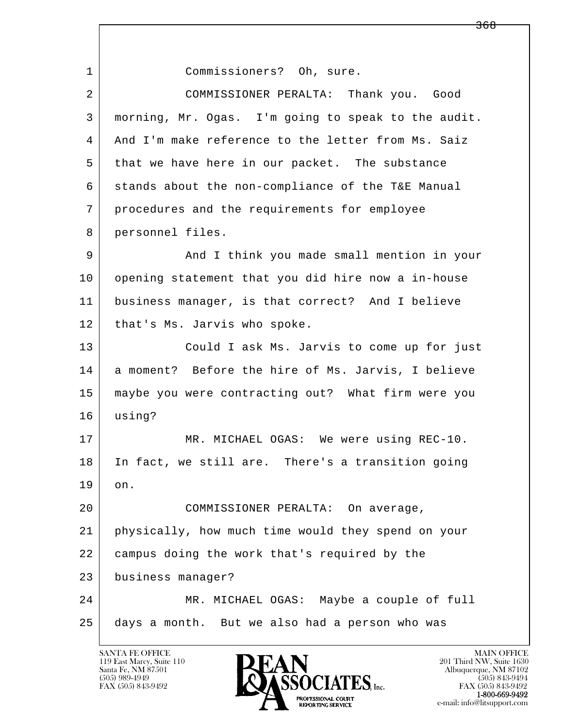l  $\overline{\phantom{a}}$ 1 Commissioners? Oh, sure. 2 COMMISSIONER PERALTA: Thank you. Good 3 morning, Mr. Ogas. I'm going to speak to the audit. 4 And I'm make reference to the letter from Ms. Saiz 5 that we have here in our packet. The substance 6 stands about the non-compliance of the T&E Manual 7 procedures and the requirements for employee 8 personnel files. 9 and I think you made small mention in your 10 opening statement that you did hire now a in-house 11 business manager, is that correct? And I believe 12 | that's Ms. Jarvis who spoke. 13 Could I ask Ms. Jarvis to come up for just 14 a moment? Before the hire of Ms. Jarvis, I believe 15 maybe you were contracting out? What firm were you 16 using? 17 | MR. MICHAEL OGAS: We were using REC-10. 18 In fact, we still are. There's a transition going 19 on. 20 COMMISSIONER PERALTA: On average, 21 physically, how much time would they spend on your 22 campus doing the work that's required by the 23 business manager? 24 MR. MICHAEL OGAS: Maybe a couple of full 25 days a month. But we also had a person who was

119 East Marcy, Suite 110<br>Santa Fe, NM 87501



<del>368</del>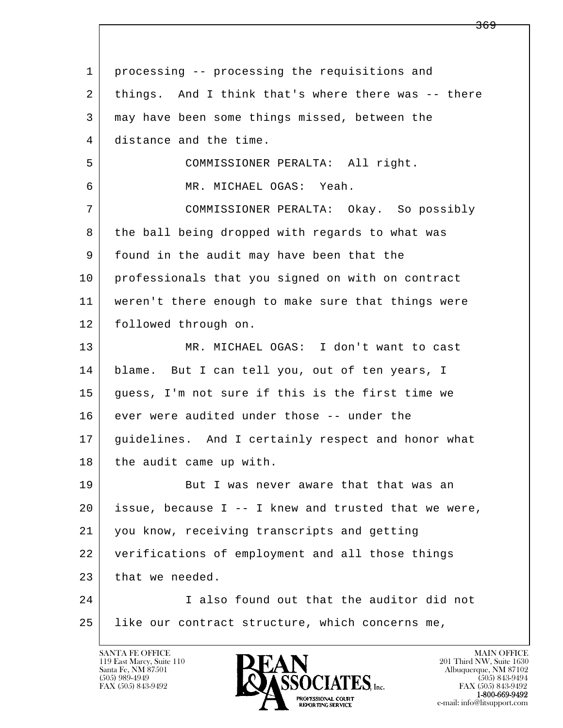| $\mathbf 1$ | processing -- processing the requisitions and        |
|-------------|------------------------------------------------------|
| 2           | things. And I think that's where there was -- there  |
| 3           | may have been some things missed, between the        |
| 4           | distance and the time.                               |
| 5           | COMMISSIONER PERALTA: All right.                     |
| 6           | MR. MICHAEL OGAS: Yeah.                              |
| 7           | COMMISSIONER PERALTA: Okay. So possibly              |
| 8           | the ball being dropped with regards to what was      |
| 9           | found in the audit may have been that the            |
| 10          | professionals that you signed on with on contract    |
| 11          | weren't there enough to make sure that things were   |
| 12          | followed through on.                                 |
| 13          | MR. MICHAEL OGAS: I don't want to cast               |
| 14          | blame. But I can tell you, out of ten years, I       |
| 15          | guess, I'm not sure if this is the first time we     |
| 16          | ever were audited under those -- under the           |
| 17          | quidelines. And I certainly respect and honor what   |
| 18          | the audit came up with.                              |
| 19          | But I was never aware that that was an               |
| 20          | issue, because I -- I knew and trusted that we were, |
| 21          | you know, receiving transcripts and getting          |
| 22          | verifications of employment and all those things     |
| 23          | that we needed.                                      |
| 24          | I also found out that the auditor did not            |
| 25          | like our contract structure, which concerns me,      |
|             |                                                      |

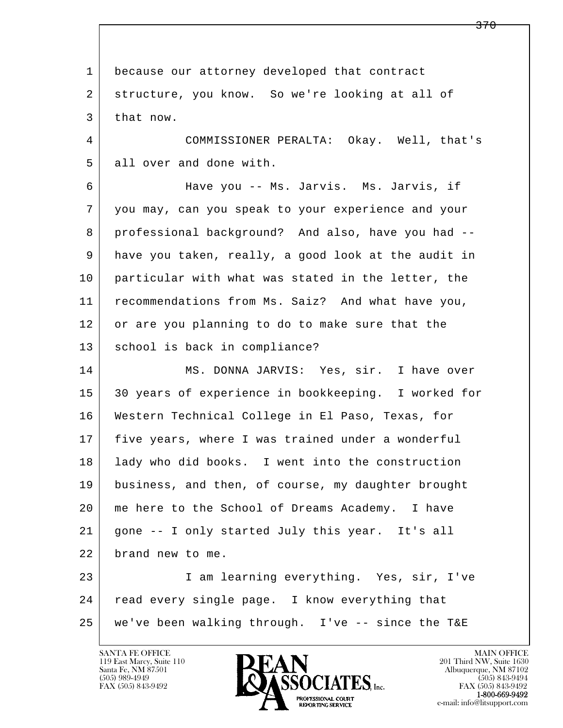l  $\overline{\phantom{a}}$  1 because our attorney developed that contract 2 structure, you know. So we're looking at all of 3 that now. 4 COMMISSIONER PERALTA: Okay. Well, that's 5 all over and done with. 6 Have you -- Ms. Jarvis. Ms. Jarvis, if 7 you may, can you speak to your experience and your 8 professional background? And also, have you had -- 9 have you taken, really, a good look at the audit in 10 particular with what was stated in the letter, the 11 recommendations from Ms. Saiz? And what have you, 12 or are you planning to do to make sure that the 13 | school is back in compliance? 14 MS. DONNA JARVIS: Yes, sir. I have over 15 30 years of experience in bookkeeping. I worked for 16 Western Technical College in El Paso, Texas, for 17 five years, where I was trained under a wonderful 18 lady who did books. I went into the construction 19 business, and then, of course, my daughter brought 20 me here to the School of Dreams Academy. I have 21 gone -- I only started July this year. It's all 22 brand new to me. 23 I am learning everything. Yes, sir, I've 24 | read every single page. I know everything that 25 we've been walking through. I've -- since the T&E

119 East Marcy, Suite 110<br>Santa Fe, NM 87501



FAX (505) 843-9492<br>1-800-669-9492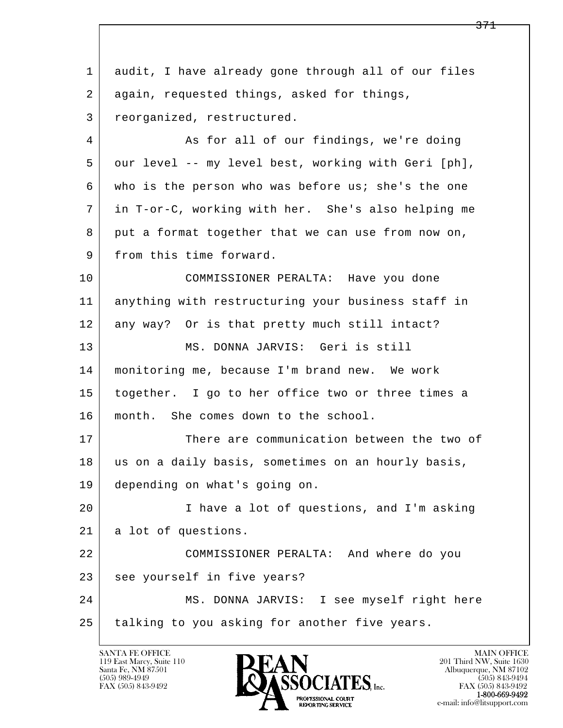l  $\overline{\phantom{a}}$  1 audit, I have already gone through all of our files 2 again, requested things, asked for things, 3 reorganized, restructured. 4 | As for all of our findings, we're doing 5 our level -- my level best, working with Geri [ph], 6 who is the person who was before us; she's the one 7 in T-or-C, working with her. She's also helping me 8 put a format together that we can use from now on, 9 from this time forward. 10 COMMISSIONER PERALTA: Have you done 11 anything with restructuring your business staff in 12 any way? Or is that pretty much still intact? 13 MS. DONNA JARVIS: Geri is still 14 monitoring me, because I'm brand new. We work 15 together. I go to her office two or three times a 16 | month. She comes down to the school. 17 There are communication between the two of 18 | us on a daily basis, sometimes on an hourly basis, 19 depending on what's going on. 20 I have a lot of questions, and I'm asking 21 | a lot of questions. 22 COMMISSIONER PERALTA: And where do you 23 see yourself in five years? 24 MS. DONNA JARVIS: I see myself right here 25 talking to you asking for another five years.

119 East Marcy, Suite 110<br>Santa Fe, NM 87501

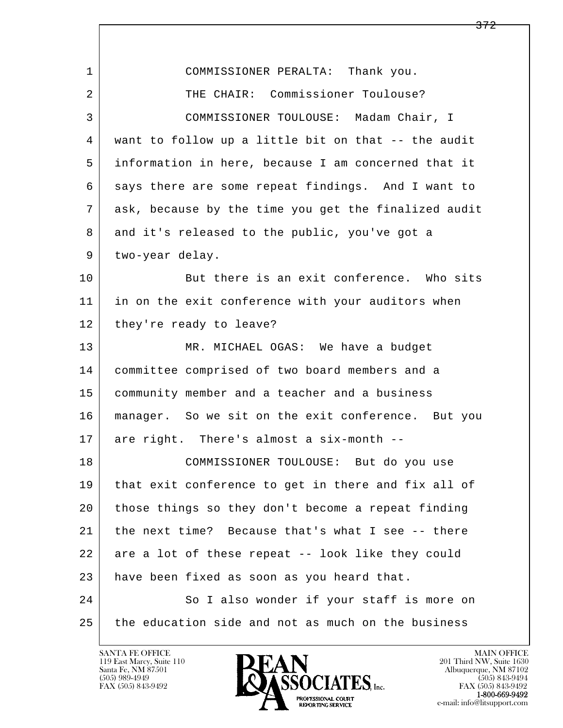| $\mathbf{1}$ | COMMISSIONER PERALTA: Thank you.                     |
|--------------|------------------------------------------------------|
| 2            | THE CHAIR: Commissioner Toulouse?                    |
| 3            | COMMISSIONER TOULOUSE: Madam Chair, I                |
| 4            | want to follow up a little bit on that -- the audit  |
| 5            | information in here, because I am concerned that it  |
| 6            | says there are some repeat findings. And I want to   |
| 7            | ask, because by the time you get the finalized audit |
| 8            | and it's released to the public, you've got a        |
| 9            | two-year delay.                                      |
| 10           | But there is an exit conference. Who sits            |
| 11           | in on the exit conference with your auditors when    |
| 12           | they're ready to leave?                              |
| 13           | MR. MICHAEL OGAS: We have a budget                   |
| 14           | committee comprised of two board members and a       |
| 15           | community member and a teacher and a business        |
| 16           | manager. So we sit on the exit conference. But you   |
| 17           | are right. There's almost a six-month --             |
| 18           | COMMISSIONER TOULOUSE: But do you use                |
| 19           | that exit conference to get in there and fix all of  |
| 20           | those things so they don't become a repeat finding   |
| 21           | the next time? Because that's what I see -- there    |
| 22           | are a lot of these repeat -- look like they could    |
| 23           | have been fixed as soon as you heard that.           |
| 24           | So I also wonder if your staff is more on            |
| 25           | the education side and not as much on the business   |

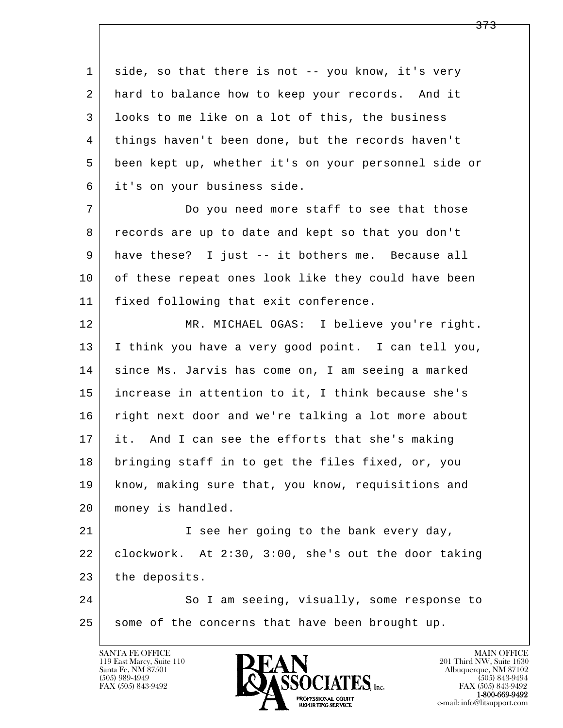l  $\overline{\phantom{a}}$ 1 side, so that there is not -- you know, it's very 2 | hard to balance how to keep your records. And it 3 looks to me like on a lot of this, the business 4 things haven't been done, but the records haven't 5 been kept up, whether it's on your personnel side or 6 it's on your business side. 7 Do you need more staff to see that those 8 records are up to date and kept so that you don't 9 have these? I just -- it bothers me. Because all 10 of these repeat ones look like they could have been 11 fixed following that exit conference. 12 MR. MICHAEL OGAS: I believe you're right. 13 I think you have a very good point. I can tell you, 14 | since Ms. Jarvis has come on, I am seeing a marked 15 increase in attention to it, I think because she's 16 right next door and we're talking a lot more about 17 it. And I can see the efforts that she's making 18 bringing staff in to get the files fixed, or, you 19 know, making sure that, you know, requisitions and 20 money is handled. 21 I see her going to the bank every day, 22 clockwork. At 2:30, 3:00, she's out the door taking 23 the deposits. 24 So I am seeing, visually, some response to 25 some of the concerns that have been brought up.

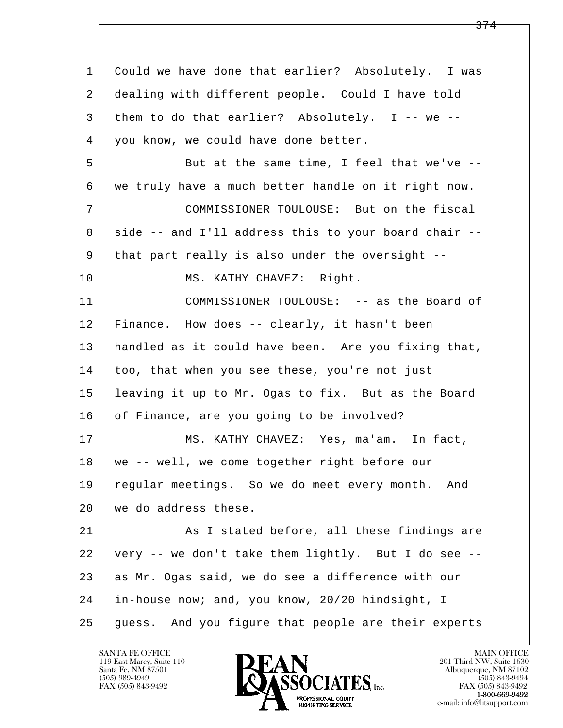l  $\overline{\phantom{a}}$  1 Could we have done that earlier? Absolutely. I was 2 dealing with different people. Could I have told 3 them to do that earlier? Absolutely. I -- we -- 4 you know, we could have done better. 5 But at the same time, I feel that we've -- 6 we truly have a much better handle on it right now. 7 COMMISSIONER TOULOUSE: But on the fiscal 8 side -- and I'll address this to your board chair -- 9 that part really is also under the oversight -- 10 | MS. KATHY CHAVEZ: Right. 11 COMMISSIONER TOULOUSE: -- as the Board of 12 Finance. How does -- clearly, it hasn't been 13 handled as it could have been. Are you fixing that, 14 too, that when you see these, you're not just 15 leaving it up to Mr. Ogas to fix. But as the Board 16 of Finance, are you going to be involved? 17 | MS. KATHY CHAVEZ: Yes, ma'am. In fact, 18 we -- well, we come together right before our 19 regular meetings. So we do meet every month. And 20 we do address these. 21 As I stated before, all these findings are 22 very -- we don't take them lightly. But I do see -- 23 as Mr. Ogas said, we do see a difference with our 24 in-house now; and, you know, 20/20 hindsight, I 25 | guess. And you figure that people are their experts

119 East Marcy, Suite 110<br>Santa Fe, NM 87501



FAX (505) 843-9492<br>**1-800-669-9492**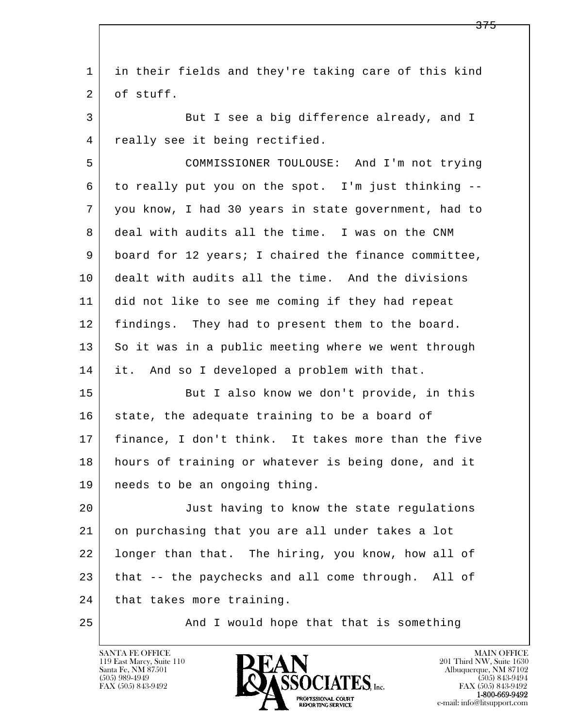l  $\overline{\phantom{a}}$  1 in their fields and they're taking care of this kind 2 of stuff. 3 But I see a big difference already, and I 4 | really see it being rectified. 5 COMMISSIONER TOULOUSE: And I'm not trying 6 to really put you on the spot. I'm just thinking -- 7 you know, I had 30 years in state government, had to 8 deal with audits all the time. I was on the CNM 9 board for 12 years; I chaired the finance committee, 10 dealt with audits all the time. And the divisions 11 did not like to see me coming if they had repeat 12 | findings. They had to present them to the board. 13 So it was in a public meeting where we went through 14 it. And so I developed a problem with that. 15 | But I also know we don't provide, in this 16 state, the adequate training to be a board of 17 finance, I don't think. It takes more than the five 18 | hours of training or whatever is being done, and it 19 needs to be an ongoing thing. 20 Just having to know the state regulations 21 on purchasing that you are all under takes a lot 22 longer than that. The hiring, you know, how all of 23 that -- the paychecks and all come through. All of 24 | that takes more training. 25 | The Mand I would hope that that is something

119 East Marcy, Suite 110<br>Santa Fe, NM 87501

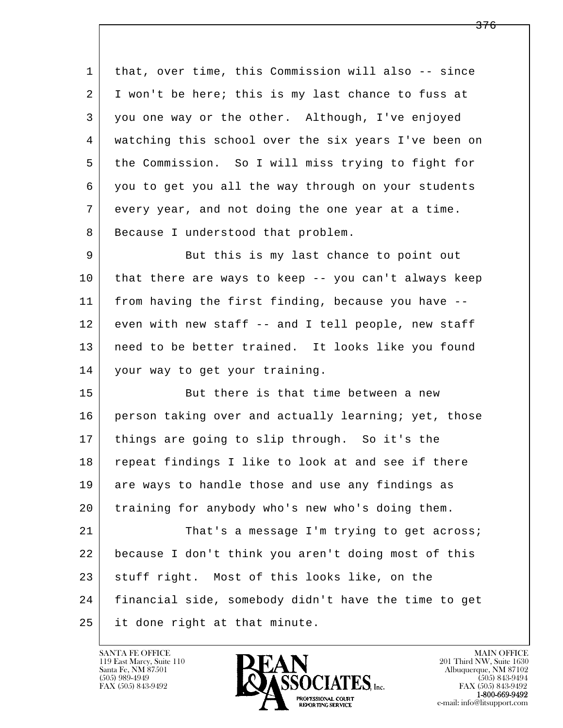1 that, over time, this Commission will also -- since 2 I won't be here; this is my last chance to fuss at 3 you one way or the other. Although, I've enjoyed 4 watching this school over the six years I've been on 5 the Commission. So I will miss trying to fight for 6 you to get you all the way through on your students 7 every year, and not doing the one year at a time. 8 | Because I understood that problem.

9 But this is my last chance to point out 10 that there are ways to keep -- you can't always keep 11 from having the first finding, because you have -- 12 even with new staff -- and I tell people, new staff 13 need to be better trained. It looks like you found 14 your way to get your training.

15 But there is that time between a new 16 person taking over and actually learning; yet, those 17 things are going to slip through. So it's the 18 repeat findings I like to look at and see if there 19 are ways to handle those and use any findings as 20 training for anybody who's new who's doing them.

l  $\overline{\phantom{a}}$ 21 That's a message I'm trying to get across; 22 because I don't think you aren't doing most of this 23 stuff right. Most of this looks like, on the 24 financial side, somebody didn't have the time to get 25 it done right at that minute.

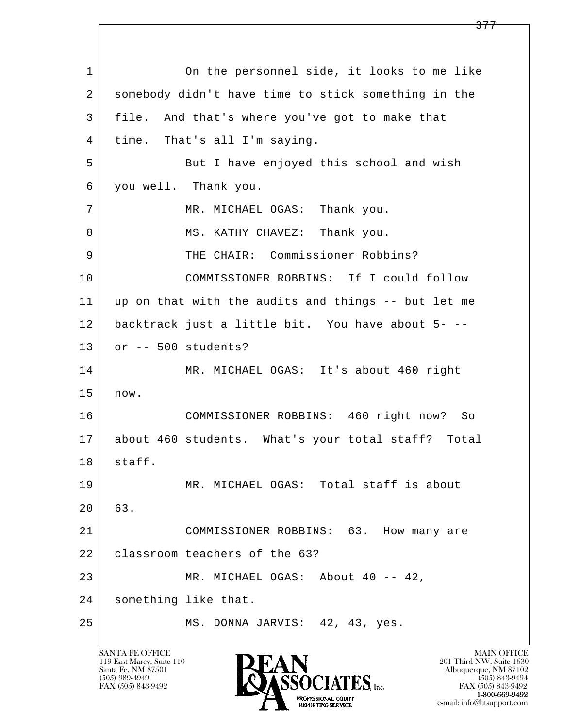l  $\overline{\phantom{a}}$ 1 On the personnel side, it looks to me like 2 somebody didn't have time to stick something in the 3 file. And that's where you've got to make that 4 time. That's all I'm saying. 5 But I have enjoyed this school and wish 6 you well. Thank you. 7 MR. MICHAEL OGAS: Thank you. 8 | MS. KATHY CHAVEZ: Thank you. 9 THE CHAIR: Commissioner Robbins? 10 COMMISSIONER ROBBINS: If I could follow 11 up on that with the audits and things -- but let me 12 backtrack just a little bit. You have about 5- -- 13 or -- 500 students? 14 MR. MICHAEL OGAS: It's about 460 right 15 now. 16 COMMISSIONER ROBBINS: 460 right now? So 17 about 460 students. What's your total staff? Total 18 staff. 19 MR. MICHAEL OGAS: Total staff is about 20 63. 21 COMMISSIONER ROBBINS: 63. How many are 22 | classroom teachers of the 63? 23 | MR. MICHAEL OGAS: About 40 -- 42, 24 something like that. 25 | MS. DONNA JARVIS: 42, 43, yes.

119 East Marcy, Suite 110<br>Santa Fe, NM 87501



FAX (505) 843-9492 FAX (505) 843-9492 e-mail: info@litsupport.com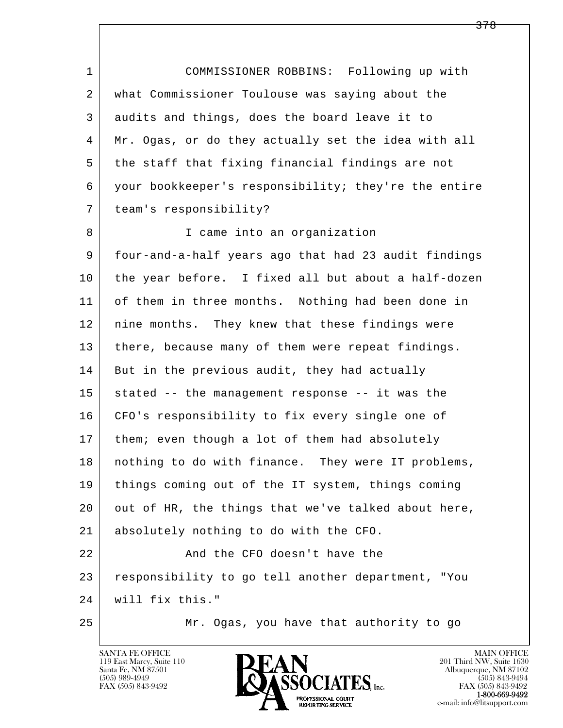1 COMMISSIONER ROBBINS: Following up with 2 what Commissioner Toulouse was saying about the 3 audits and things, does the board leave it to 4 Mr. Ogas, or do they actually set the idea with all 5 the staff that fixing financial findings are not 6 your bookkeeper's responsibility; they're the entire 7 team's responsibility? 8 | Trame into an organization 9 four-and-a-half years ago that had 23 audit findings 10 the year before. I fixed all but about a half-dozen 11 of them in three months. Nothing had been done in 12 | nine months. They knew that these findings were 13 | there, because many of them were repeat findings. 14 But in the previous audit, they had actually  $15$  stated -- the management response -- it was the 16 CFO's responsibility to fix every single one of 17 | them; even though a lot of them had absolutely 18 | nothing to do with finance. They were IT problems, 19 things coming out of the IT system, things coming 20 out of HR, the things that we've talked about here, 21 absolutely nothing to do with the CFO. 22 | Rand the CFO doesn't have the 23 responsibility to go tell another department, "You

- l  $\overline{\phantom{a}}$ 24 will fix this."
- 

25 Mr. Ogas, you have that authority to go



FAX (505) 843-9492<br>1-800-669-9492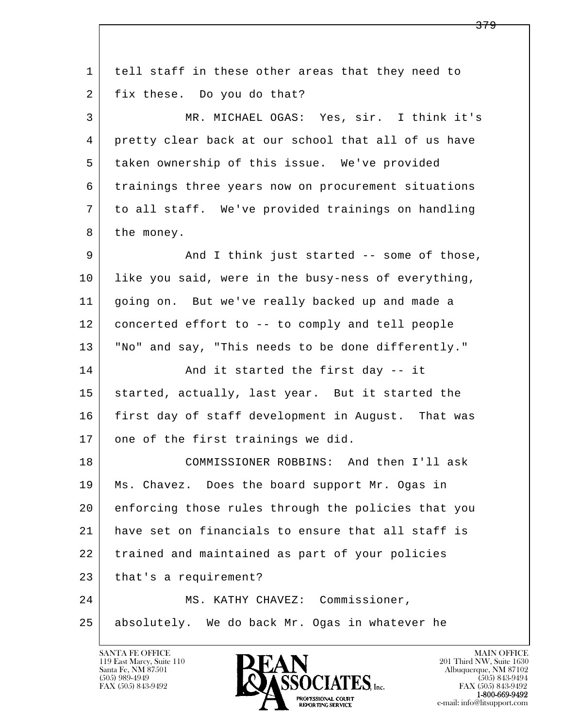| $\mathbf 1$ | tell staff in these other areas that they need to   |
|-------------|-----------------------------------------------------|
| 2           | fix these. Do you do that?                          |
| 3           | MR. MICHAEL OGAS: Yes, sir. I think it's            |
| 4           | pretty clear back at our school that all of us have |
| 5           | taken ownership of this issue. We've provided       |
| 6           | trainings three years now on procurement situations |
| 7           | to all staff. We've provided trainings on handling  |
| 8           | the money.                                          |
| 9           | And I think just started -- some of those,          |
| 10          | like you said, were in the busy-ness of everything, |
| 11          | going on. But we've really backed up and made a     |
| 12          | concerted effort to -- to comply and tell people    |
| 13          | "No" and say, "This needs to be done differently."  |
| 14          | And it started the first day -- it                  |
| 15          | started, actually, last year. But it started the    |
| 16          | first day of staff development in August. That was  |
| 17          | one of the first trainings we did.                  |
| 18          | COMMISSIONER ROBBINS: And then I'll ask             |
| 19          | Ms. Chavez. Does the board support Mr. Ogas in      |
| 20          | enforcing those rules through the policies that you |
| 21          | have set on financials to ensure that all staff is  |
| 22          | trained and maintained as part of your policies     |
| 23          | that's a requirement?                               |
| 24          | MS. KATHY CHAVEZ: Commissioner,                     |
| 25          | absolutely. We do back Mr. Ogas in whatever he      |
|             |                                                     |

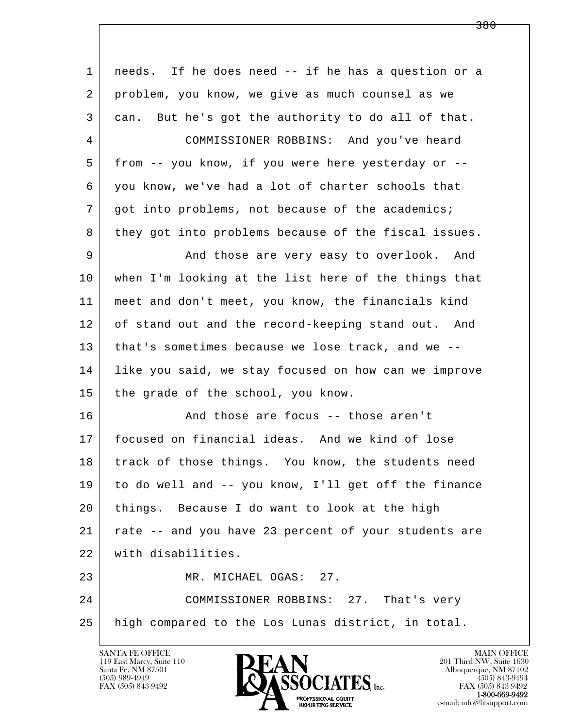| $\mathbf{1}$ | needs. If he does need -- if he has a question or a  |
|--------------|------------------------------------------------------|
| 2            | problem, you know, we give as much counsel as we     |
| 3            | can. But he's got the authority to do all of that.   |
| 4            | COMMISSIONER ROBBINS: And you've heard               |
| 5            | from -- you know, if you were here yesterday or --   |
| 6            | you know, we've had a lot of charter schools that    |
| 7            | got into problems, not because of the academics;     |
| 8            | they got into problems because of the fiscal issues. |
| 9            | And those are very easy to overlook. And             |
| 10           | when I'm looking at the list here of the things that |
| 11           | meet and don't meet, you know, the financials kind   |
| 12           | of stand out and the record-keeping stand out. And   |
| 13           | that's sometimes because we lose track, and we --    |
| 14           | like you said, we stay focused on how can we improve |
| 15           | the grade of the school, you know.                   |
| 16           | And those are focus -- those aren't                  |
| 17           | focused on financial ideas. And we kind of lose      |
| 18           | track of those things. You know, the students need   |
| 19           | to do well and -- you know, I'll get off the finance |
| 20           | things. Because I do want to look at the high        |
| 21           | rate -- and you have 23 percent of your students are |
| 22           | with disabilities.                                   |
| 23           | MR. MICHAEL OGAS: 27.                                |
| 24           | COMMISSIONER ROBBINS: 27. That's very                |
| 25           | high compared to the Los Lunas district, in total.   |
|              |                                                      |

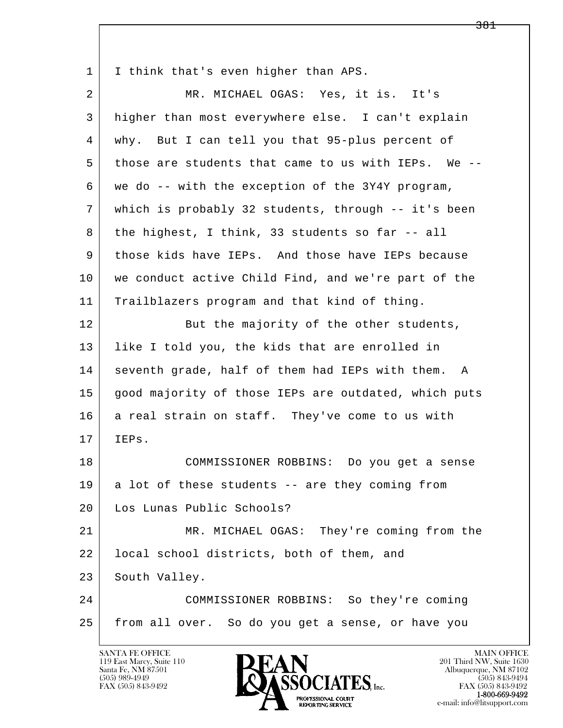l  $\overline{\phantom{a}}$ 1 | I think that's even higher than APS. 2 MR. MICHAEL OGAS: Yes, it is. It's 3 higher than most everywhere else. I can't explain 4 why. But I can tell you that 95-plus percent of 5 those are students that came to us with IEPs. We -- 6 we do -- with the exception of the 3Y4Y program, 7 which is probably 32 students, through -- it's been 8 the highest, I think, 33 students so far  $-$ - all 9 those kids have IEPs. And those have IEPs because 10 | we conduct active Child Find, and we're part of the 11 Trailblazers program and that kind of thing. 12 But the majority of the other students, 13 like I told you, the kids that are enrolled in 14 seventh grade, half of them had IEPs with them. A 15 good majority of those IEPs are outdated, which puts 16 a real strain on staff. They've come to us with 17 IEPs. 18 COMMISSIONER ROBBINS: Do you get a sense  $19$  a lot of these students -- are they coming from 20 Los Lunas Public Schools? 21 MR. MICHAEL OGAS: They're coming from the 22 | local school districts, both of them, and 23 South Valley. 24 COMMISSIONER ROBBINS: So they're coming 25 from all over. So do you get a sense, or have you

119 East Marcy, Suite 110<br>Santa Fe, NM 87501

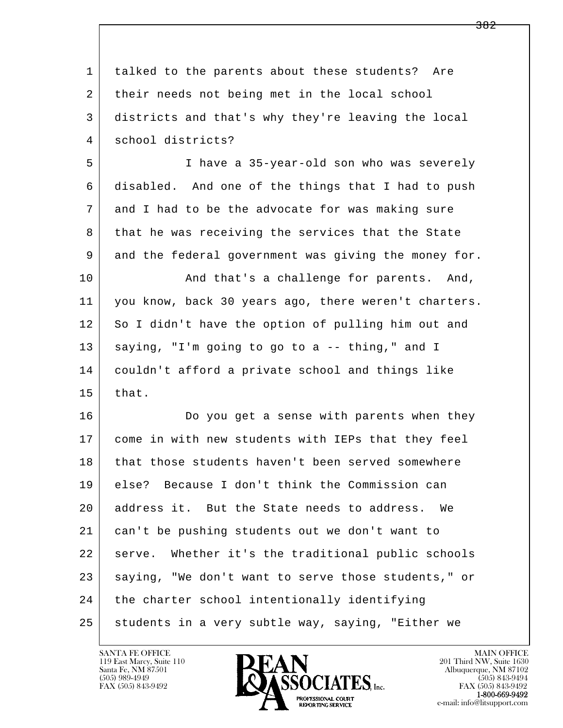| 1  | talked to the parents about these students? Are       |
|----|-------------------------------------------------------|
| 2  | their needs not being met in the local school         |
| 3  | districts and that's why they're leaving the local    |
| 4  | school districts?                                     |
| 5  | I have a 35-year-old son who was severely             |
| 6  | disabled. And one of the things that I had to push    |
| 7  | and I had to be the advocate for was making sure      |
| 8  | that he was receiving the services that the State     |
| 9  | and the federal government was giving the money for.  |
| 10 | And that's a challenge for parents. And,              |
| 11 | you know, back 30 years ago, there weren't charters.  |
| 12 | So I didn't have the option of pulling him out and    |
| 13 | saying, "I'm going to go to a -- thing," and I        |
| 14 | couldn't afford a private school and things like      |
| 15 | that.                                                 |
| 16 | Do you get a sense with parents when they             |
| 17 | come in with new students with IEPs that they feel    |
| 18 | that those students haven't been served somewhere     |
| 19 | else? Because I don't think the Commission can        |
| 20 | address it. But the State needs to address.<br>We     |
| 21 | can't be pushing students out we don't want to        |
| 22 | Whether it's the traditional public schools<br>serve. |
| 23 | saying, "We don't want to serve those students," or   |
| 24 | the charter school intentionally identifying          |
| 25 | students in a very subtle way, saying, "Either we     |

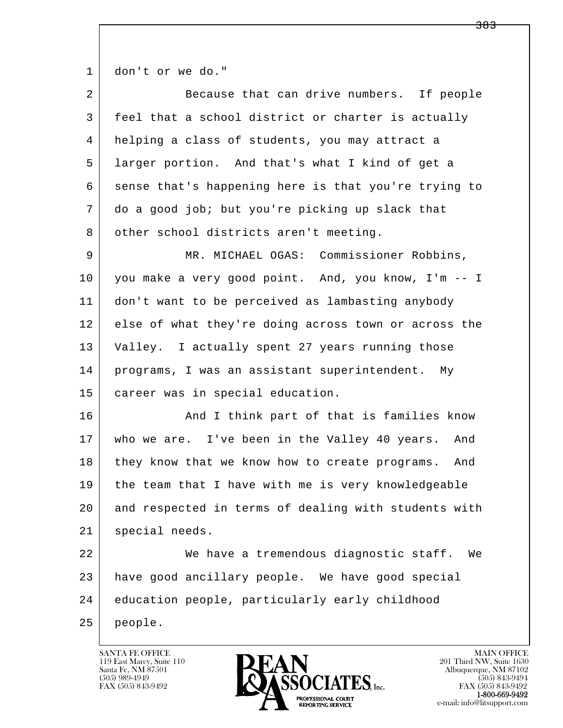1 don't or we do."

| $\overline{2}$ | Because that can drive numbers. If people            |
|----------------|------------------------------------------------------|
| 3              | feel that a school district or charter is actually   |
| 4              | helping a class of students, you may attract a       |
| 5              | larger portion. And that's what I kind of get a      |
| 6              | sense that's happening here is that you're trying to |
| 7              | do a good job; but you're picking up slack that      |
| 8              | other school districts aren't meeting.               |
| 9              | MR. MICHAEL OGAS: Commissioner Robbins,              |
| 10             | you make a very good point. And, you know, I'm -- I  |
| 11             | don't want to be perceived as lambasting anybody     |
| 12             | else of what they're doing across town or across the |
| 13             | Valley. I actually spent 27 years running those      |
| 14             | programs, I was an assistant superintendent. My      |
| 15             | career was in special education.                     |
| 16             | And I think part of that is families know            |
| 17             | who we are. I've been in the Valley 40 years.<br>And |
| 18             | they know that we know how to create programs. And   |
| 19             | the team that I have with me is very knowledgeable   |
| 20             | and respected in terms of dealing with students with |
| 21             | special needs.                                       |
| 22             | We have a tremendous diagnostic staff.<br>We         |
| 23             | have good ancillary people. We have good special     |
| 24             | education people, particularly early childhood       |
| 25             | people.                                              |

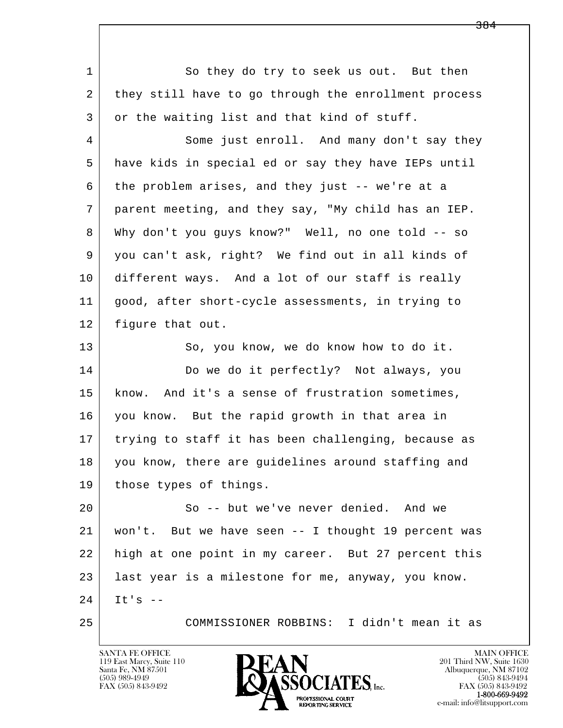l  $\overline{\phantom{a}}$ 1 So they do try to seek us out. But then 2 they still have to go through the enrollment process 3 or the waiting list and that kind of stuff. 4 Some just enroll. And many don't say they 5 have kids in special ed or say they have IEPs until 6 the problem arises, and they just -- we're at a 7 parent meeting, and they say, "My child has an IEP. 8 Why don't you guys know?" Well, no one told -- so 9 you can't ask, right? We find out in all kinds of 10 different ways. And a lot of our staff is really 11 good, after short-cycle assessments, in trying to 12 figure that out. 13 So, you know, we do know how to do it. 14 Do we do it perfectly? Not always, you 15 | know. And it's a sense of frustration sometimes, 16 you know. But the rapid growth in that area in 17 trying to staff it has been challenging, because as 18 you know, there are guidelines around staffing and 19 | those types of things. 20 So -- but we've never denied. And we 21 won't. But we have seen -- I thought 19 percent was 22 high at one point in my career. But 27 percent this 23 last year is a milestone for me, anyway, you know.  $24$  It's  $-$ 25 COMMISSIONER ROBBINS: I didn't mean it as

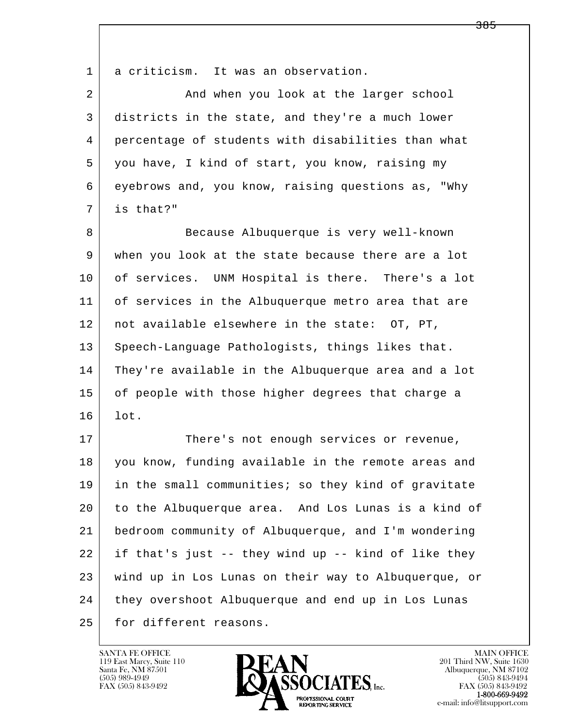1 a criticism. It was an observation.

| 2 | And when you look at the larger school             |
|---|----------------------------------------------------|
| 3 | districts in the state, and they're a much lower   |
| 4 | percentage of students with disabilities than what |
| 5 | you have, I kind of start, you know, raising my    |
| 6 | eyebrows and, you know, raising questions as, "Why |
|   | is that?"                                          |
|   |                                                    |

8 Because Albuquerque is very well-known 9 when you look at the state because there are a lot 10 of services. UNM Hospital is there. There's a lot 11 of services in the Albuquerque metro area that are 12 not available elsewhere in the state: OT, PT, 13 Speech-Language Pathologists, things likes that. 14 They're available in the Albuquerque area and a lot 15 of people with those higher degrees that charge a 16 lot.

l  $\overline{\phantom{a}}$ 17 There's not enough services or revenue, 18 you know, funding available in the remote areas and 19 in the small communities; so they kind of gravitate 20 to the Albuquerque area. And Los Lunas is a kind of 21 bedroom community of Albuquerque, and I'm wondering 22 if that's just -- they wind up -- kind of like they 23 wind up in Los Lunas on their way to Albuquerque, or 24 they overshoot Albuquerque and end up in Los Lunas 25 for different reasons.

119 East Marcy, Suite 110<br>Santa Fe, NM 87501



FAX (505) 843-9492<br>1-800-669-9492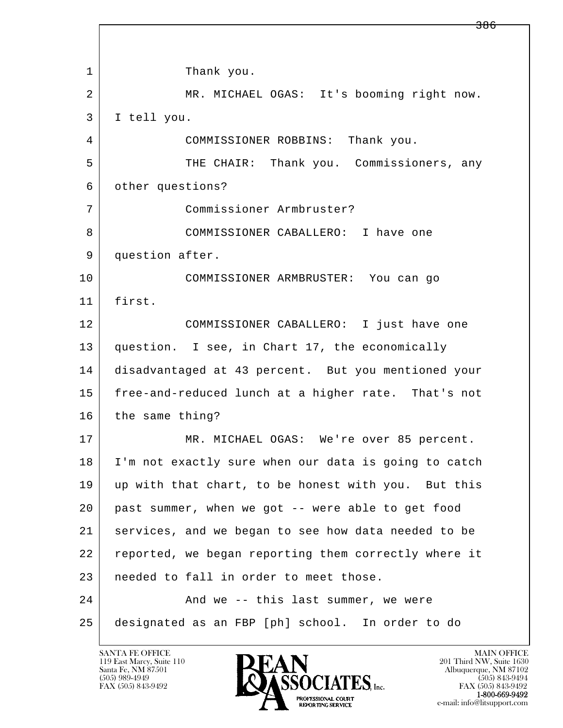l  $\overline{\phantom{a}}$ 1 Thank you. 2 MR. MICHAEL OGAS: It's booming right now. 3 I tell you. 4 COMMISSIONER ROBBINS: Thank you. 5 THE CHAIR: Thank you. Commissioners, any 6 other questions? 7 Commissioner Armbruster? 8 COMMISSIONER CABALLERO: I have one 9 question after. 10 COMMISSIONER ARMBRUSTER: You can go 11 first. 12 COMMISSIONER CABALLERO: I just have one 13 question. I see, in Chart 17, the economically 14 disadvantaged at 43 percent. But you mentioned your 15 free-and-reduced lunch at a higher rate. That's not 16 the same thing? 17 | MR. MICHAEL OGAS: We're over 85 percent. 18 I'm not exactly sure when our data is going to catch 19 up with that chart, to be honest with you. But this 20 past summer, when we got -- were able to get food 21 services, and we began to see how data needed to be 22 reported, we began reporting them correctly where it 23 needed to fall in order to meet those. 24 And we -- this last summer, we were 25 designated as an FBP [ph] school. In order to do

119 East Marcy, Suite 110<br>Santa Fe, NM 87501

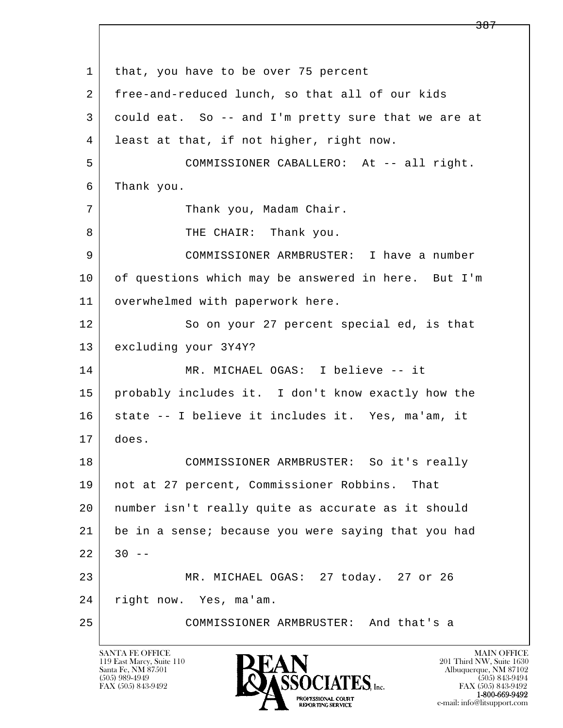l  $\overline{\phantom{a}}$ 1 | that, you have to be over 75 percent 2 free-and-reduced lunch, so that all of our kids 3 could eat. So -- and I'm pretty sure that we are at 4 least at that, if not higher, right now. 5 COMMISSIONER CABALLERO: At -- all right. 6 Thank you. 7 | Thank you, Madam Chair. 8 | THE CHAIR: Thank you. 9 COMMISSIONER ARMBRUSTER: I have a number 10 of questions which may be answered in here. But I'm 11 | overwhelmed with paperwork here. 12 So on your 27 percent special ed, is that 13 excluding your 3Y4Y? 14 MR. MICHAEL OGAS: I believe -- it 15 probably includes it. I don't know exactly how the 16 | state -- I believe it includes it. Yes, ma'am, it 17 does. 18 COMMISSIONER ARMBRUSTER: So it's really 19 not at 27 percent, Commissioner Robbins. That 20 number isn't really quite as accurate as it should 21 be in a sense; because you were saying that you had  $22$  30 -- 23 MR. MICHAEL OGAS: 27 today. 27 or 26 24 right now. Yes, ma'am. 25 COMMISSIONER ARMBRUSTER: And that's a

119 East Marcy, Suite 110<br>Santa Fe, NM 87501

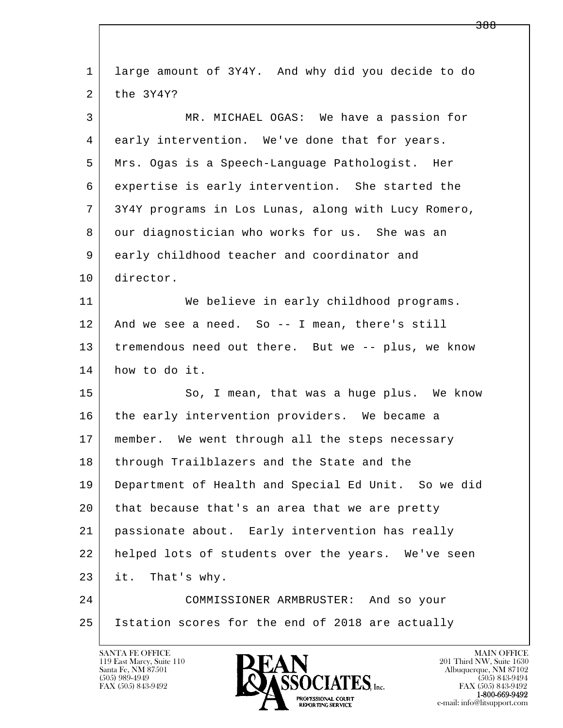| $\mathbf 1$ | large amount of 3Y4Y. And why did you decide to do  |
|-------------|-----------------------------------------------------|
| 2           | the 3Y4Y?                                           |
| 3           | MR. MICHAEL OGAS: We have a passion for             |
| 4           | early intervention. We've done that for years.      |
| 5           | Mrs. Ogas is a Speech-Language Pathologist. Her     |
| 6           | expertise is early intervention. She started the    |
| 7           | 3Y4Y programs in Los Lunas, along with Lucy Romero, |
| 8           | our diagnostician who works for us. She was an      |
| 9           | early childhood teacher and coordinator and         |
| 10          | director.                                           |
| 11          | We believe in early childhood programs.             |
| 12          | And we see a need. So -- I mean, there's still      |
| 13          | tremendous need out there. But we -- plus, we know  |
| 14          | how to do it.                                       |
| 15          | So, I mean, that was a huge plus. We know           |
| 16          | the early intervention providers. We became a       |
| 17          | member. We went through all the steps necessary     |
| 18          | through Trailblazers and the State and the          |
| 19          | Department of Health and Special Ed Unit. So we did |
| 20          | that because that's an area that we are pretty      |
| 21          | passionate about. Early intervention has really     |
| 22          | helped lots of students over the years. We've seen  |
| 23          | it. That's why.                                     |
| 24          | COMMISSIONER ARMBRUSTER: And so your                |
| 25          | Istation scores for the end of 2018 are actually    |
|             |                                                     |

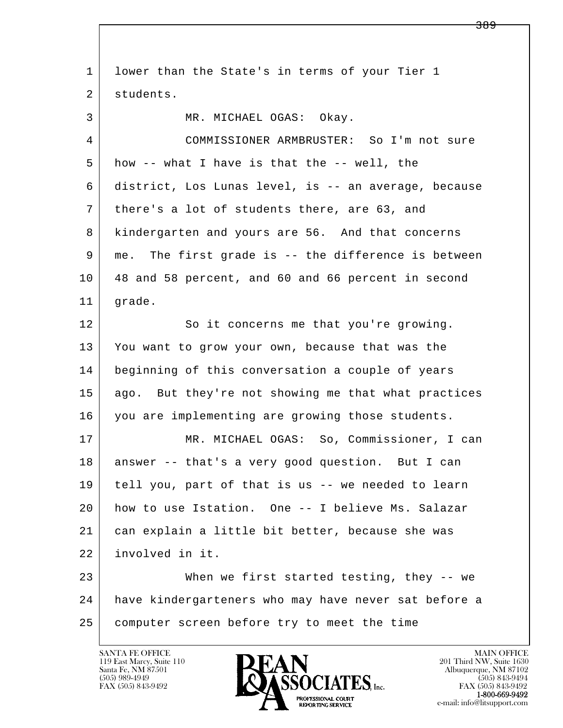| $\mathbf 1$ | lower than the State's in terms of your Tier 1       |
|-------------|------------------------------------------------------|
| 2           | students.                                            |
| 3           | MR. MICHAEL OGAS: Okay.                              |
| 4           | COMMISSIONER ARMBRUSTER: So I'm not sure             |
| 5           | how -- what I have is that the -- well, the          |
| 6           | district, Los Lunas level, is -- an average, because |
| 7           | there's a lot of students there, are 63, and         |
| 8           | kindergarten and yours are 56. And that concerns     |
| 9           | me. The first grade is -- the difference is between  |
| 10          | 48 and 58 percent, and 60 and 66 percent in second   |
| 11          | grade.                                               |
| 12          | So it concerns me that you're growing.               |
| 13          | You want to grow your own, because that was the      |
| 14          | beginning of this conversation a couple of years     |
| 15          | ago. But they're not showing me that what practices  |
| 16          | you are implementing are growing those students.     |
| 17          | MR. MICHAEL OGAS: So, Commissioner, I can            |
| 18          | answer -- that's a very good question. But I can     |
| 19          | tell you, part of that is us -- we needed to learn   |
| 20          | how to use Istation. One -- I believe Ms. Salazar    |
| 21          | can explain a little bit better, because she was     |
| 22          | involved in it.                                      |
| 23          | When we first started testing, they $-$ we           |
| 24          | have kindergarteners who may have never sat before a |
| 25          | computer screen before try to meet the time          |

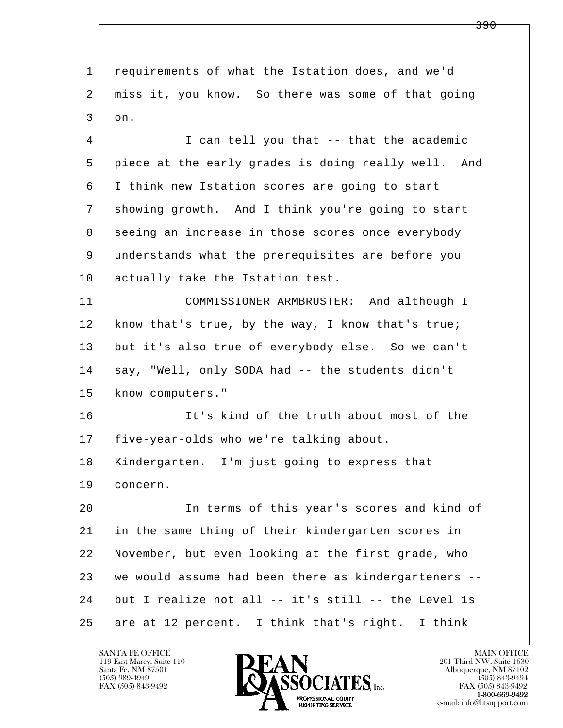l  $\overline{\phantom{a}}$  1 requirements of what the Istation does, and we'd 2 miss it, you know. So there was some of that going  $3$  on. 4 I can tell you that -- that the academic 5 piece at the early grades is doing really well. And 6 I think new Istation scores are going to start 7 showing growth. And I think you're going to start 8 seeing an increase in those scores once everybody 9 understands what the prerequisites are before you 10 actually take the Istation test. 11 COMMISSIONER ARMBRUSTER: And although I 12 | know that's true, by the way, I know that's true; 13 but it's also true of everybody else. So we can't 14 say, "Well, only SODA had -- the students didn't 15 | know computers." 16 It's kind of the truth about most of the 17 five-year-olds who we're talking about. 18 Kindergarten. I'm just going to express that 19 concern. 20 In terms of this year's scores and kind of 21 in the same thing of their kindergarten scores in 22 November, but even looking at the first grade, who 23 we would assume had been there as kindergarteners --  $24$  but I realize not all -- it's still -- the Level 1s 25 are at 12 percent. I think that's right. I think

119 East Marcy, Suite 110<br>Santa Fe, NM 87501



FAX (505) 843-9492<br>**1-800-669-9492**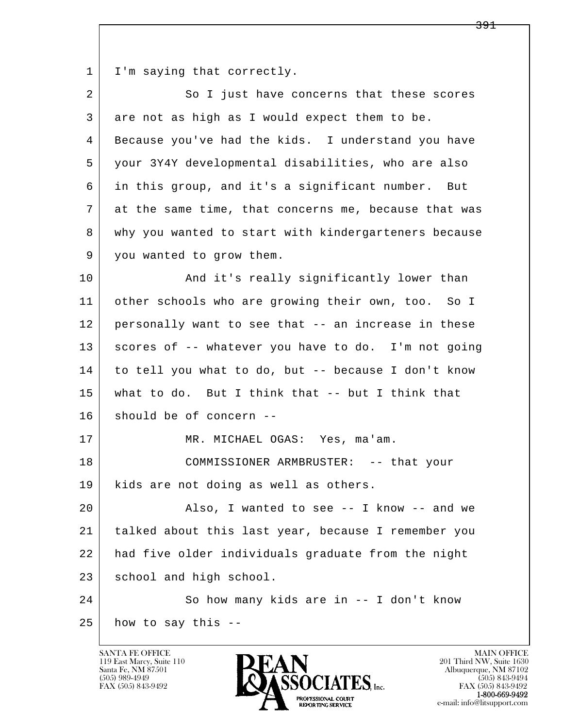1 | I'm saying that correctly.

| $\overline{a}$ | So I just have concerns that these scores            |
|----------------|------------------------------------------------------|
| 3              | are not as high as I would expect them to be.        |
| 4              | Because you've had the kids. I understand you have   |
| 5              | your 3Y4Y developmental disabilities, who are also   |
| 6              | in this group, and it's a significant number. But    |
| 7              | at the same time, that concerns me, because that was |
| 8              | why you wanted to start with kindergarteners because |
| 9              | you wanted to grow them.                             |
| 10             | And it's really significantly lower than             |
| 11             | other schools who are growing their own, too. So I   |
| 12             | personally want to see that -- an increase in these  |
| 13             | scores of -- whatever you have to do. I'm not going  |
| 14             | to tell you what to do, but -- because I don't know  |
| 15             | what to do. But I think that $-$ - but I think that  |
| 16             | should be of concern --                              |
| 17             | MR. MICHAEL OGAS: Yes, ma'am.                        |
| 18             | COMMISSIONER ARMBRUSTER: -- that your                |
| 19             | kids are not doing as well as others.                |
| 20             | Also, I wanted to see -- I know -- and we            |
| 21             | talked about this last year, because I remember you  |
| 22             | had five older individuals graduate from the night   |
| 23             | school and high school.                              |
| 24             | So how many kids are in -- I don't know              |
| 25             | how to say this --                                   |

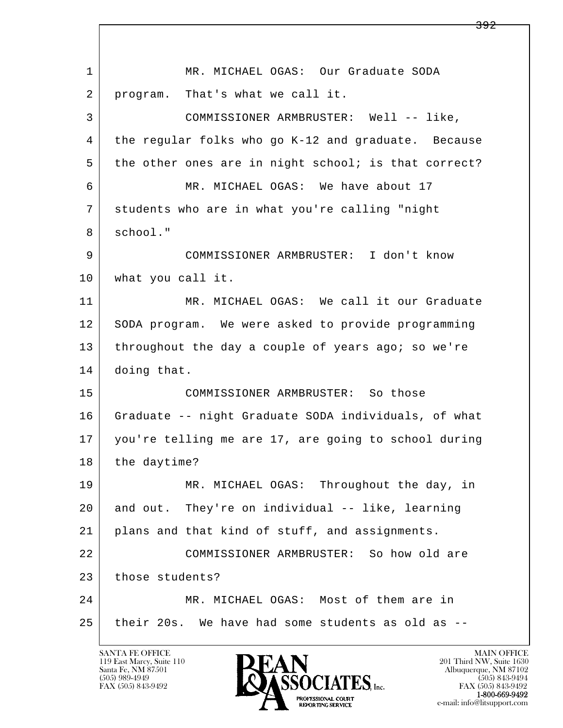l  $\overline{\phantom{a}}$ 1 | MR. MICHAEL OGAS: Our Graduate SODA 2 | program. That's what we call it. 3 COMMISSIONER ARMBRUSTER: Well -- like, 4 the regular folks who go K-12 and graduate. Because 5 the other ones are in night school; is that correct? 6 MR. MICHAEL OGAS: We have about 17 7 students who are in what you're calling "night 8 school." 9 COMMISSIONER ARMBRUSTER: I don't know 10 | what you call it. 11 MR. MICHAEL OGAS: We call it our Graduate 12 SODA program. We were asked to provide programming 13 throughout the day a couple of years ago; so we're 14 doing that. 15 COMMISSIONER ARMBRUSTER: So those 16 Graduate -- night Graduate SODA individuals, of what 17 you're telling me are 17, are going to school during 18 the daytime? 19 MR. MICHAEL OGAS: Throughout the day, in 20 and out. They're on individual -- like, learning 21 plans and that kind of stuff, and assignments. 22 COMMISSIONER ARMBRUSTER: So how old are 23 those students? 24 MR. MICHAEL OGAS: Most of them are in 25 their 20s. We have had some students as old as --

119 East Marcy, Suite 110<br>Santa Fe, NM 87501

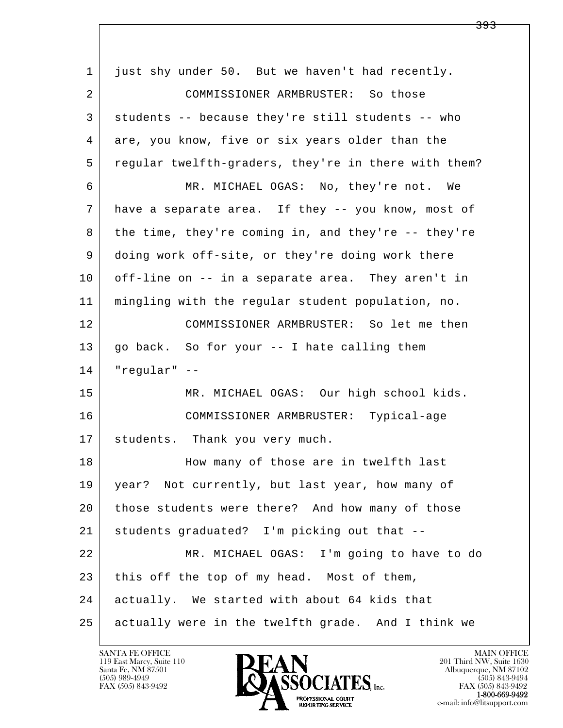l  $\overline{\phantom{a}}$  1 just shy under 50. But we haven't had recently. 2 COMMISSIONER ARMBRUSTER: So those 3 students -- because they're still students -- who 4 are, you know, five or six years older than the 5 regular twelfth-graders, they're in there with them? 6 MR. MICHAEL OGAS: No, they're not. We 7 have a separate area. If they -- you know, most of 8 the time, they're coming in, and they're -- they're 9 doing work off-site, or they're doing work there 10 off-line on -- in a separate area. They aren't in 11 mingling with the regular student population, no. 12 COMMISSIONER ARMBRUSTER: So let me then 13 go back. So for your -- I hate calling them 14 "regular" -- 15 | MR. MICHAEL OGAS: Our high school kids. 16 COMMISSIONER ARMBRUSTER: Typical-age 17 | students. Thank you very much. 18 | How many of those are in twelfth last 19 year? Not currently, but last year, how many of 20 those students were there? And how many of those 21 students graduated? I'm picking out that -- 22 MR. MICHAEL OGAS: I'm going to have to do 23 this off the top of my head. Most of them, 24 actually. We started with about 64 kids that 25 actually were in the twelfth grade. And I think we

119 East Marcy, Suite 110<br>Santa Fe, NM 87501



FAX (505) 843-9492<br>**1-800-669-9492** 

<del>393</del>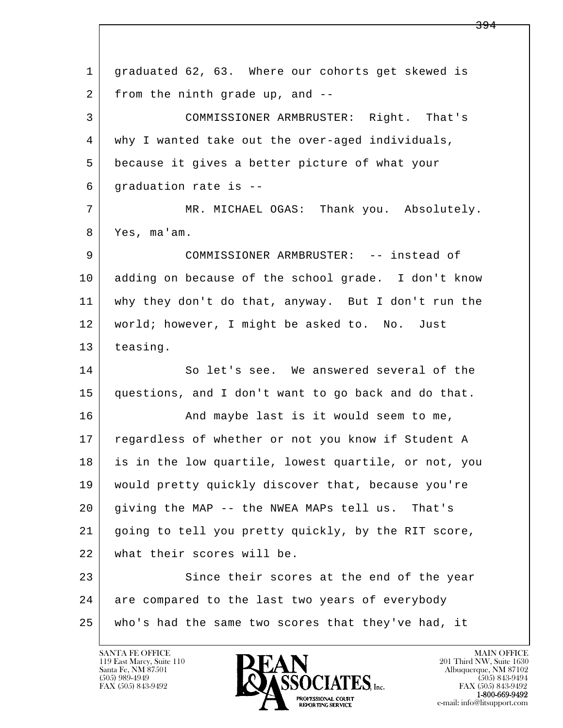l  $\overline{\phantom{a}}$  1 graduated 62, 63. Where our cohorts get skewed is 2 from the ninth grade up, and -- 3 COMMISSIONER ARMBRUSTER: Right. That's 4 why I wanted take out the over-aged individuals, 5 because it gives a better picture of what your 6 graduation rate is -- 7 MR. MICHAEL OGAS: Thank you. Absolutely. 8 Yes, ma'am. 9 COMMISSIONER ARMBRUSTER: -- instead of 10 adding on because of the school grade. I don't know 11 why they don't do that, anyway. But I don't run the 12 | world; however, I might be asked to. No. Just 13 teasing. 14 So let's see. We answered several of the 15 questions, and I don't want to go back and do that. 16 And maybe last is it would seem to me, 17 regardless of whether or not you know if Student A 18 is in the low quartile, lowest quartile, or not, you 19 would pretty quickly discover that, because you're 20 giving the MAP -- the NWEA MAPs tell us. That's 21 going to tell you pretty quickly, by the RIT score, 22 what their scores will be. 23 Since their scores at the end of the year 24 are compared to the last two years of everybody 25 who's had the same two scores that they've had, it

119 East Marcy, Suite 110<br>Santa Fe, NM 87501



FAX (505) 843-9492<br>**1-800-669-9492**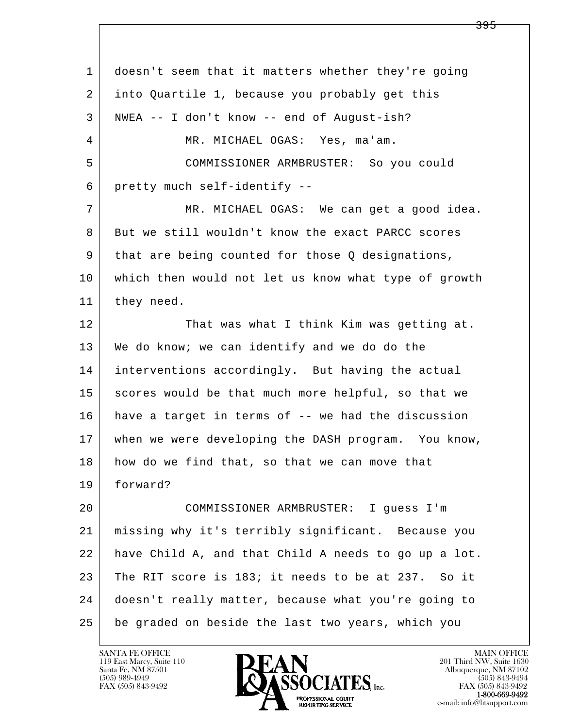l  $\overline{\phantom{a}}$  1 doesn't seem that it matters whether they're going 2 into Quartile 1, because you probably get this 3 NWEA -- I don't know -- end of August-ish? 4 MR. MICHAEL OGAS: Yes, ma'am. 5 COMMISSIONER ARMBRUSTER: So you could 6 pretty much self-identify -- 7 MR. MICHAEL OGAS: We can get a good idea. 8 But we still wouldn't know the exact PARCC scores 9 that are being counted for those Q designations, 10 which then would not let us know what type of growth 11 they need. 12 That was what I think Kim was getting at. 13 We do know; we can identify and we do do the 14 interventions accordingly. But having the actual 15 | scores would be that much more helpful, so that we 16 have a target in terms of -- we had the discussion 17 when we were developing the DASH program. You know, 18 how do we find that, so that we can move that 19 forward? 20 COMMISSIONER ARMBRUSTER: I guess I'm 21 missing why it's terribly significant. Because you 22 have Child A, and that Child A needs to go up a lot. 23 The RIT score is 183; it needs to be at 237. So it 24 doesn't really matter, because what you're going to 25 be graded on beside the last two years, which you

119 East Marcy, Suite 110<br>Santa Fe, NM 87501

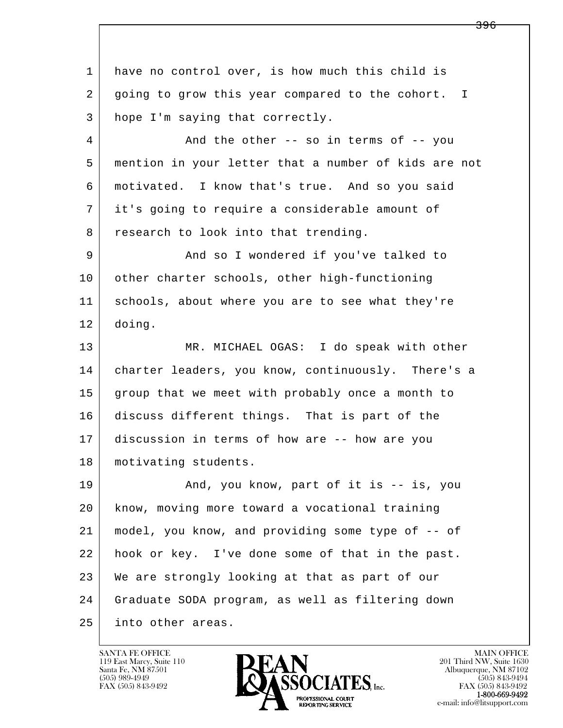l  $\overline{\phantom{a}}$  1 have no control over, is how much this child is 2 going to grow this year compared to the cohort. I 3 hope I'm saying that correctly. 4 And the other -- so in terms of -- you 5 mention in your letter that a number of kids are not 6 motivated. I know that's true. And so you said 7 it's going to require a considerable amount of 8 research to look into that trending. 9 And so I wondered if you've talked to 10 other charter schools, other high-functioning 11 schools, about where you are to see what they're 12 doing. 13 MR. MICHAEL OGAS: I do speak with other 14 charter leaders, you know, continuously. There's a 15 group that we meet with probably once a month to 16 discuss different things. That is part of the 17 discussion in terms of how are -- how are you 18 | motivating students. 19 | And, you know, part of it is -- is, you 20 know, moving more toward a vocational training 21 model, you know, and providing some type of -- of 22 hook or key. I've done some of that in the past. 23 | We are strongly looking at that as part of our 24 Graduate SODA program, as well as filtering down 25 into other areas.



<del>396</del>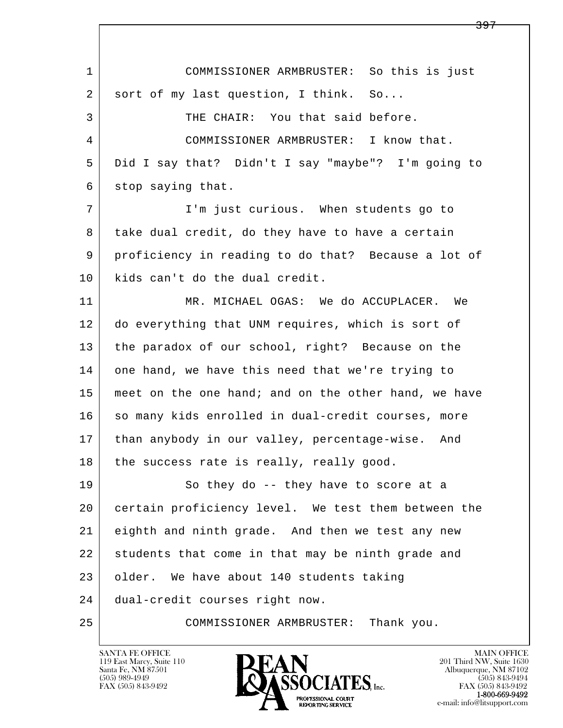l  $\overline{\phantom{a}}$  1 COMMISSIONER ARMBRUSTER: So this is just 2 | sort of my last question, I think. So... 3 THE CHAIR: You that said before. 4 COMMISSIONER ARMBRUSTER: I know that. 5 Did I say that? Didn't I say "maybe"? I'm going to 6 stop saying that. 7 I'm just curious. When students go to 8 take dual credit, do they have to have a certain 9 proficiency in reading to do that? Because a lot of 10 kids can't do the dual credit. 11 MR. MICHAEL OGAS: We do ACCUPLACER. We 12 do everything that UNM requires, which is sort of 13 the paradox of our school, right? Because on the 14 one hand, we have this need that we're trying to 15 | meet on the one hand; and on the other hand, we have 16 so many kids enrolled in dual-credit courses, more 17 | than anybody in our valley, percentage-wise. And  $18$  the success rate is really, really good. 19 So they do -- they have to score at a 20 certain proficiency level. We test them between the 21 eighth and ninth grade. And then we test any new 22 students that come in that may be ninth grade and 23 older. We have about 140 students taking 24 dual-credit courses right now. 25 COMMISSIONER ARMBRUSTER: Thank you.

119 East Marcy, Suite 110<br>Santa Fe, NM 87501

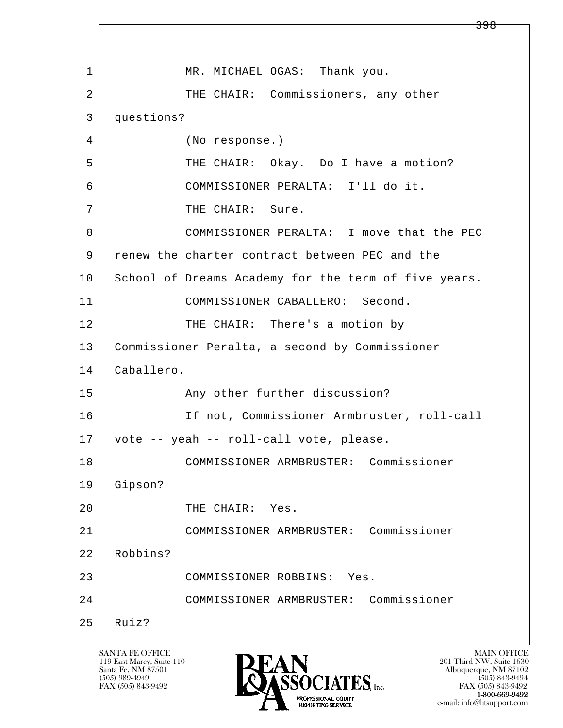l  $\overline{\phantom{a}}$ 1 MR. MICHAEL OGAS: Thank you. 2 THE CHAIR: Commissioners, any other 3 questions? 4 (No response.) 5 THE CHAIR: Okay. Do I have a motion? 6 COMMISSIONER PERALTA: I'll do it. 7 | THE CHAIR: Sure. 8 COMMISSIONER PERALTA: I move that the PEC 9 renew the charter contract between PEC and the 10 School of Dreams Academy for the term of five years. 11 COMMISSIONER CABALLERO: Second. 12 THE CHAIR: There's a motion by 13 Commissioner Peralta, a second by Commissioner 14 Caballero. 15 Any other further discussion? 16 If not, Commissioner Armbruster, roll-call 17 vote -- yeah -- roll-call vote, please. 18 COMMISSIONER ARMBRUSTER: Commissioner 19 Gipson? 20 THE CHAIR: Yes. 21 COMMISSIONER ARMBRUSTER: Commissioner 22 Robbins? 23 COMMISSIONER ROBBINS: Yes. 24 COMMISSIONER ARMBRUSTER: Commissioner  $25$  Ruiz?

119 East Marcy, Suite 110<br>Santa Fe, NM 87501



FAX (505) 843-9492 FAX (505) 843-9492 e-mail: info@litsupport.com

<del>398</del>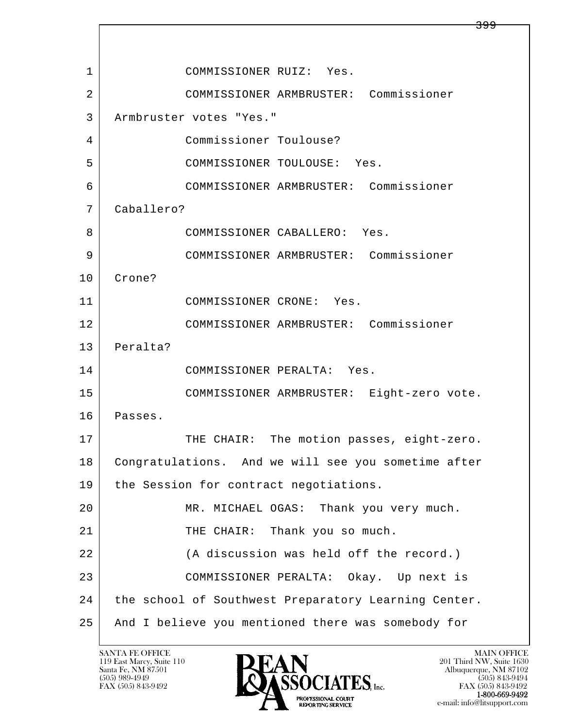l  $\overline{\phantom{a}}$ 1 COMMISSIONER RUIZ: Yes. 2 COMMISSIONER ARMBRUSTER: Commissioner 3 Armbruster votes "Yes." 4 Commissioner Toulouse? 5 COMMISSIONER TOULOUSE: Yes. 6 COMMISSIONER ARMBRUSTER: Commissioner 7 Caballero? 8 COMMISSIONER CABALLERO: Yes. 9 COMMISSIONER ARMBRUSTER: Commissioner 10 Crone? 11 COMMISSIONER CRONE: Yes. 12 COMMISSIONER ARMBRUSTER: Commissioner 13 Peralta? 14 COMMISSIONER PERALTA: Yes. 15 COMMISSIONER ARMBRUSTER: Eight-zero vote. 16 Passes. 17 | THE CHAIR: The motion passes, eight-zero. 18 Congratulations. And we will see you sometime after 19 | the Session for contract negotiations. 20 MR. MICHAEL OGAS: Thank you very much. 21 | THE CHAIR: Thank you so much. 22 | (A discussion was held off the record.) 23 COMMISSIONER PERALTA: Okay. Up next is 24 the school of Southwest Preparatory Learning Center. 25 And I believe you mentioned there was somebody for

119 East Marcy, Suite 110<br>Santa Fe, NM 87501

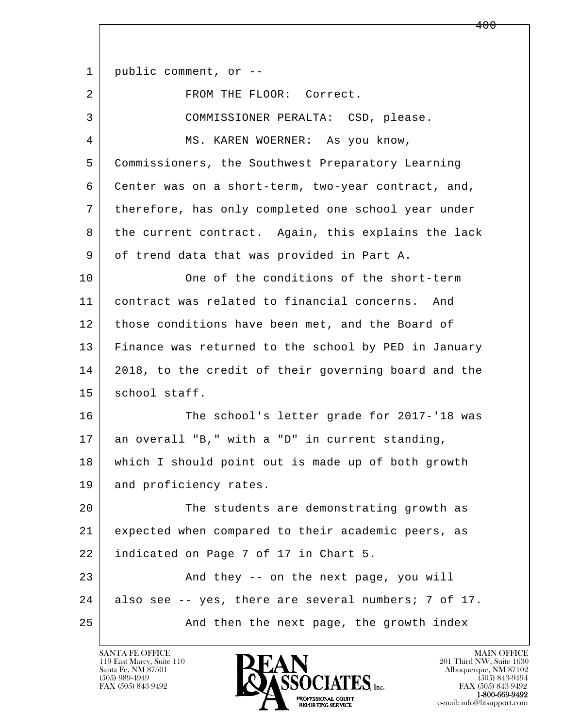l  $\overline{\phantom{a}}$ 1 | public comment, or --2 FROM THE FLOOR: Correct. 3 COMMISSIONER PERALTA: CSD, please. 4 MS. KAREN WOERNER: As you know, 5 Commissioners, the Southwest Preparatory Learning 6 Center was on a short-term, two-year contract, and, 7 therefore, has only completed one school year under 8 the current contract. Again, this explains the lack 9 of trend data that was provided in Part A. 10 One of the conditions of the short-term 11 contract was related to financial concerns. And 12 those conditions have been met, and the Board of 13 Finance was returned to the school by PED in January 14 2018, to the credit of their governing board and the 15 | school staff. 16 The school's letter grade for 2017-'18 was 17 an overall "B," with a "D" in current standing, 18 which I should point out is made up of both growth 19 and proficiency rates. 20 The students are demonstrating growth as 21 expected when compared to their academic peers, as 22 indicated on Page 7 of 17 in Chart 5. 23 And they -- on the next page, you will 24 also see -- yes, there are several numbers; 7 of 17. 25 And then the next page, the growth index

119 East Marcy, Suite 110<br>Santa Fe, NM 87501

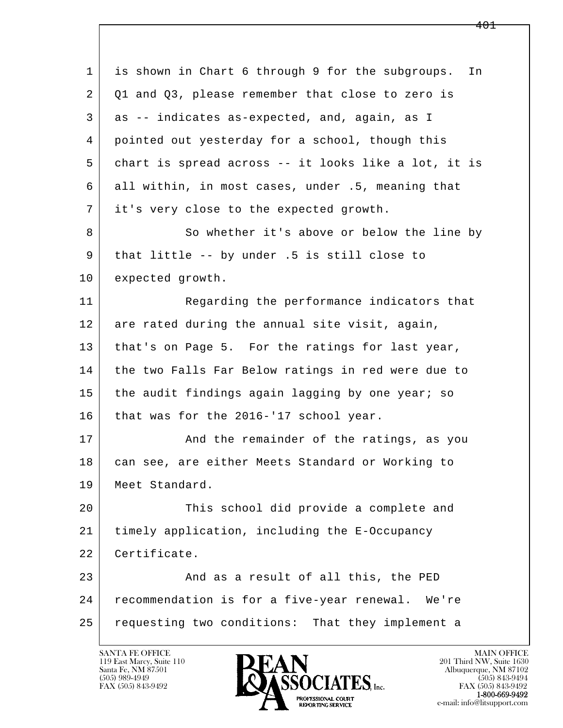| $\mathbf{1}$ | is shown in Chart 6 through 9 for the subgroups.<br>In |
|--------------|--------------------------------------------------------|
| 2            | Q1 and Q3, please remember that close to zero is       |
| 3            | as -- indicates as-expected, and, again, as I          |
| 4            | pointed out yesterday for a school, though this        |
| 5            | chart is spread across -- it looks like a lot, it is   |
| 6            | all within, in most cases, under .5, meaning that      |
| 7            | it's very close to the expected growth.                |
| 8            | So whether it's above or below the line by             |
| 9            | that little -- by under .5 is still close to           |
| 10           | expected growth.                                       |
| 11           | Regarding the performance indicators that              |
| 12           | are rated during the annual site visit, again,         |
| 13           | that's on Page 5. For the ratings for last year,       |
| 14           | the two Falls Far Below ratings in red were due to     |
| 15           | the audit findings again lagging by one year; so       |
| 16           | that was for the 2016-'17 school year.                 |
| 17           | And the remainder of the ratings, as you               |
| 18           | can see, are either Meets Standard or Working to       |
| 19           | Meet Standard.                                         |
| 20           | This school did provide a complete and                 |
| 21           | timely application, including the E-Occupancy          |
| 22           | Certificate.                                           |
| 23           | And as a result of all this, the PED                   |
| 24           | recommendation is for a five-year renewal. We're       |
| 25           | requesting two conditions: That they implement a       |
|              |                                                        |

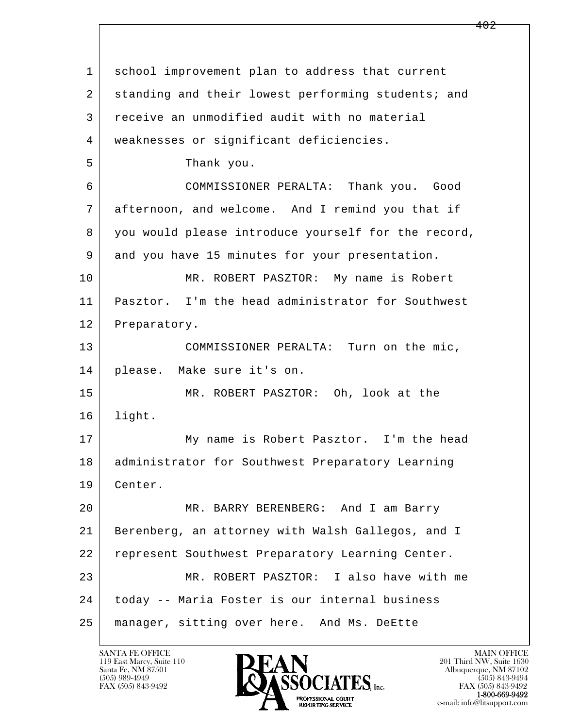l  $\overline{\phantom{a}}$  1 school improvement plan to address that current 2 standing and their lowest performing students; and 3 receive an unmodified audit with no material 4 weaknesses or significant deficiencies. 5 Thank you. 6 COMMISSIONER PERALTA: Thank you. Good 7 afternoon, and welcome. And I remind you that if 8 you would please introduce yourself for the record, 9 and you have 15 minutes for your presentation. 10 MR. ROBERT PASZTOR: My name is Robert 11 Pasztor. I'm the head administrator for Southwest 12 Preparatory. 13 COMMISSIONER PERALTA: Turn on the mic, 14 please. Make sure it's on. 15 MR. ROBERT PASZTOR: Oh, look at the 16 light. 17 My name is Robert Pasztor. I'm the head 18 administrator for Southwest Preparatory Learning 19 Center. 20 MR. BARRY BERENBERG: And I am Barry 21 Berenberg, an attorney with Walsh Gallegos, and I 22 represent Southwest Preparatory Learning Center. 23 MR. ROBERT PASZTOR: I also have with me 24 today -- Maria Foster is our internal business 25 manager, sitting over here. And Ms. DeEtte

119 East Marcy, Suite 110<br>Santa Fe, NM 87501

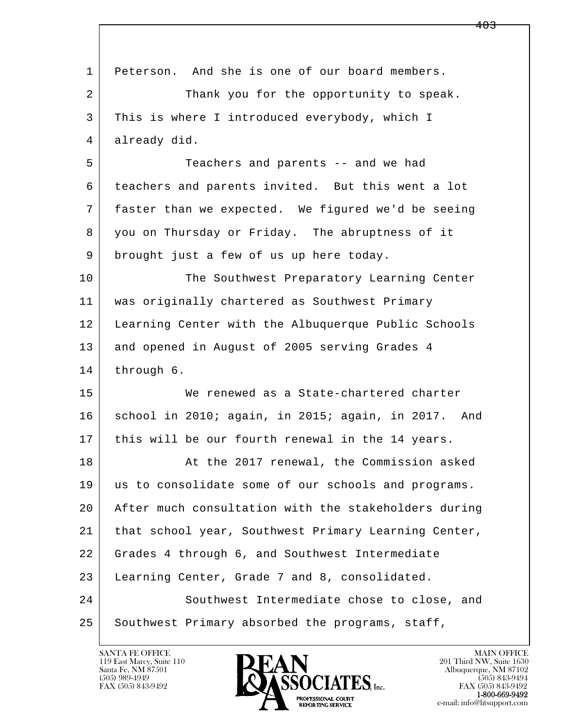| 1  | Peterson. And she is one of our board members.       |
|----|------------------------------------------------------|
| 2  | Thank you for the opportunity to speak.              |
| 3  | This is where I introduced everybody, which I        |
| 4  | already did.                                         |
| 5  | Teachers and parents -- and we had                   |
| 6  | teachers and parents invited. But this went a lot    |
| 7  | faster than we expected. We figured we'd be seeing   |
| 8  | you on Thursday or Friday. The abruptness of it      |
| 9  | brought just a few of us up here today.              |
| 10 | The Southwest Preparatory Learning Center            |
| 11 | was originally chartered as Southwest Primary        |
| 12 | Learning Center with the Albuquerque Public Schools  |
| 13 | and opened in August of 2005 serving Grades 4        |
| 14 | through 6.                                           |
| 15 | We renewed as a State-chartered charter              |
| 16 | school in 2010; again, in 2015; again, in 2017. And  |
| 17 | this will be our fourth renewal in the 14 years.     |
| 18 | At the 2017 renewal, the Commission asked            |
| 19 | us to consolidate some of our schools and programs.  |
| 20 | After much consultation with the stakeholders during |
| 21 | that school year, Southwest Primary Learning Center, |
| 22 | Grades 4 through 6, and Southwest Intermediate       |
| 23 | Learning Center, Grade 7 and 8, consolidated.        |
| 24 | Southwest Intermediate chose to close, and           |
| 25 | Southwest Primary absorbed the programs, staff,      |

 $\lceil$ 

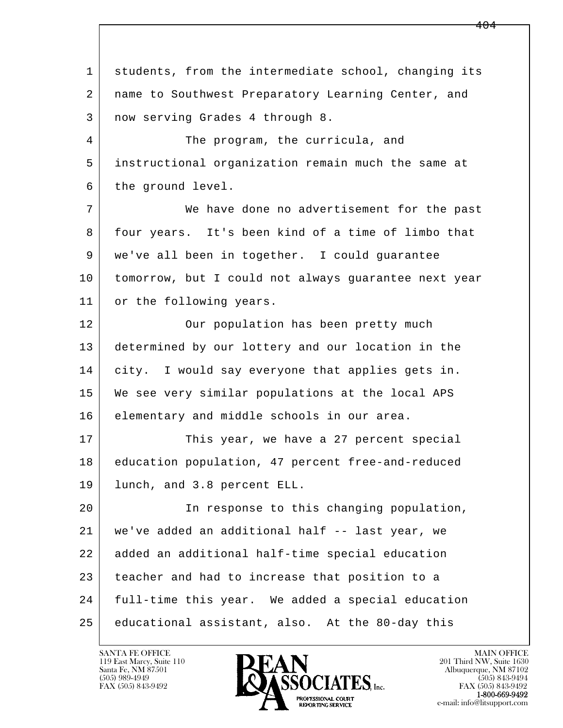l  $\overline{\phantom{a}}$  1 students, from the intermediate school, changing its 2 name to Southwest Preparatory Learning Center, and 3 now serving Grades 4 through 8. 4 The program, the curricula, and 5 instructional organization remain much the same at 6 the ground level. 7 We have done no advertisement for the past 8 four years. It's been kind of a time of limbo that 9 we've all been in together. I could guarantee 10 tomorrow, but I could not always guarantee next year 11 or the following years. 12 | Our population has been pretty much 13 determined by our lottery and our location in the 14 city. I would say everyone that applies gets in. 15 We see very similar populations at the local APS 16 elementary and middle schools in our area. 17 This year, we have a 27 percent special 18 education population, 47 percent free-and-reduced 19 lunch, and 3.8 percent ELL. 20 In response to this changing population, 21 we've added an additional half -- last year, we 22 added an additional half-time special education 23 teacher and had to increase that position to a 24 full-time this year. We added a special education 25 educational assistant, also. At the 80-day this

119 East Marcy, Suite 110<br>Santa Fe, NM 87501

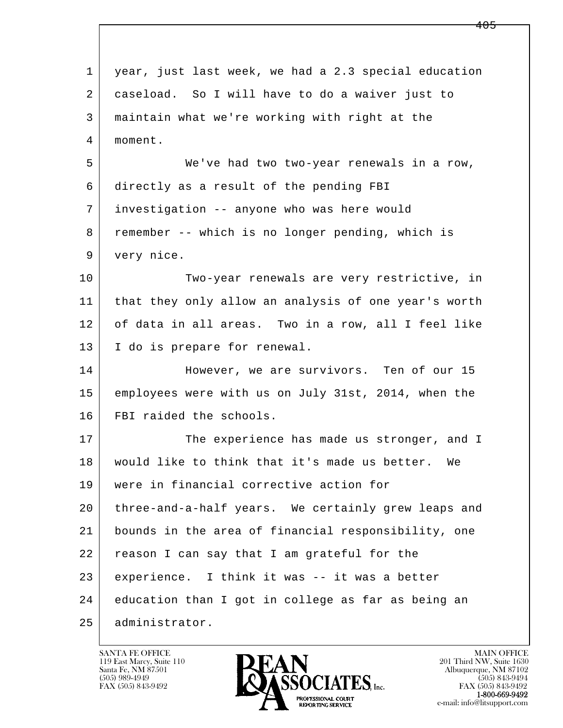l  $\overline{\phantom{a}}$  1 year, just last week, we had a 2.3 special education 2 caseload. So I will have to do a waiver just to 3 maintain what we're working with right at the 4 moment. 5 We've had two two-year renewals in a row, 6 directly as a result of the pending FBI 7 investigation -- anyone who was here would 8 remember -- which is no longer pending, which is 9 very nice. 10 Two-year renewals are very restrictive, in 11 that they only allow an analysis of one year's worth 12 of data in all areas. Two in a row, all I feel like 13 I do is prepare for renewal. 14 However, we are survivors. Ten of our 15 15 employees were with us on July 31st, 2014, when the 16 FBI raided the schools. 17 The experience has made us stronger, and I 18 would like to think that it's made us better. We 19 were in financial corrective action for 20 three-and-a-half years. We certainly grew leaps and 21 bounds in the area of financial responsibility, one 22 reason I can say that I am grateful for the 23 experience. I think it was -- it was a better 24 education than I got in college as far as being an 25 administrator.

119 East Marcy, Suite 110<br>Santa Fe, NM 87501

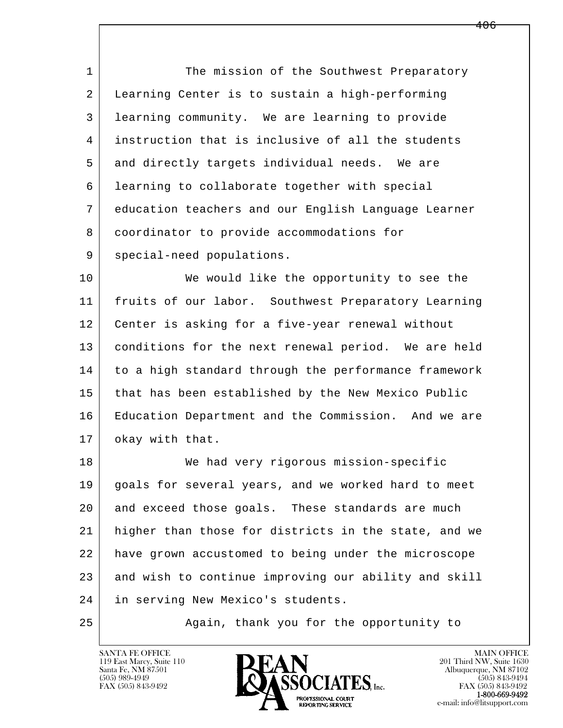1 The mission of the Southwest Preparatory 2 Learning Center is to sustain a high-performing 3 learning community. We are learning to provide 4 instruction that is inclusive of all the students 5 and directly targets individual needs. We are 6 learning to collaborate together with special 7 education teachers and our English Language Learner 8 coordinator to provide accommodations for 9 | special-need populations.

10 We would like the opportunity to see the 11 fruits of our labor. Southwest Preparatory Learning 12 Center is asking for a five-year renewal without 13 conditions for the next renewal period. We are held 14 to a high standard through the performance framework 15 that has been established by the New Mexico Public 16 Education Department and the Commission. And we are 17 | okay with that.

l  $\overline{\phantom{a}}$  18 We had very rigorous mission-specific 19 goals for several years, and we worked hard to meet 20 and exceed those goals. These standards are much 21 higher than those for districts in the state, and we 22 have grown accustomed to being under the microscope 23 and wish to continue improving our ability and skill 24 in serving New Mexico's students.

25 Again, thank you for the opportunity to

119 East Marcy, Suite 110<br>Santa Fe, NM 87501

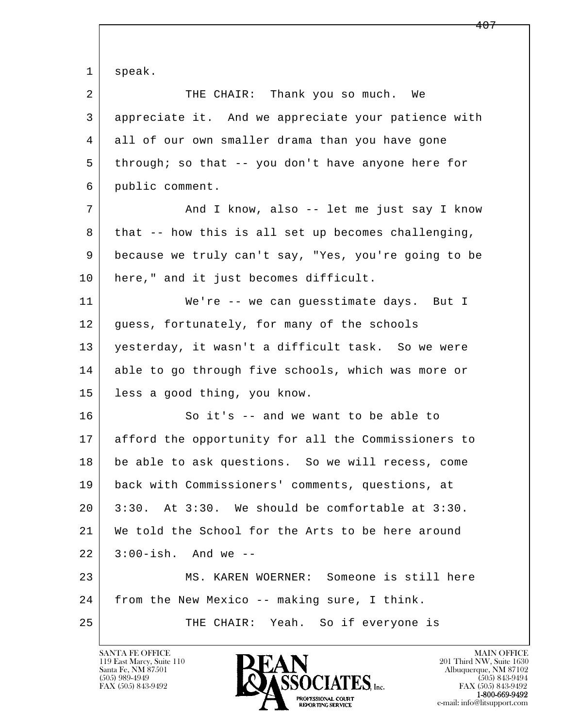l  $\overline{\phantom{a}}$  1 speak. 2 THE CHAIR: Thank you so much. We 3 appreciate it. And we appreciate your patience with 4 all of our own smaller drama than you have gone 5 through; so that -- you don't have anyone here for 6 public comment. 7 | And I know, also -- let me just say I know 8 | that -- how this is all set up becomes challenging, 9 because we truly can't say, "Yes, you're going to be 10 here," and it just becomes difficult. 11 | We're -- we can guesstimate days. But I 12 quess, fortunately, for many of the schools 13 yesterday, it wasn't a difficult task. So we were 14 able to go through five schools, which was more or 15 less a good thing, you know. 16 So it's -- and we want to be able to 17 afford the opportunity for all the Commissioners to 18 be able to ask questions. So we will recess, come 19 back with Commissioners' comments, questions, at  $20$  | 3:30. At 3:30. We should be comfortable at 3:30. 21 We told the School for the Arts to be here around 22 3:00-ish. And we -- 23 MS. KAREN WOERNER: Someone is still here 24 from the New Mexico -- making sure, I think. 25 THE CHAIR: Yeah. So if everyone is

119 East Marcy, Suite 110<br>Santa Fe, NM 87501

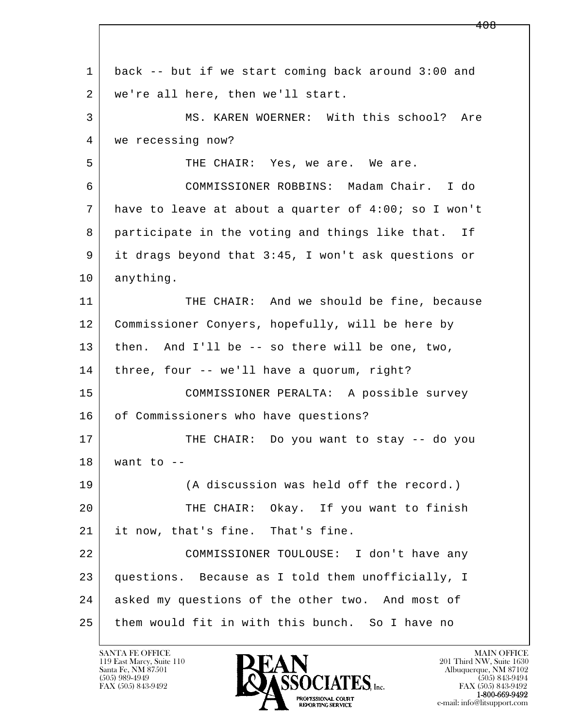| 1  | back -- but if we start coming back around 3:00 and  |
|----|------------------------------------------------------|
| 2  | we're all here, then we'll start.                    |
| 3  | MS. KAREN WOERNER: With this school? Are             |
| 4  | we recessing now?                                    |
| 5  | THE CHAIR: Yes, we are. We are.                      |
| 6  | COMMISSIONER ROBBINS: Madam Chair. I do              |
| 7  | have to leave at about a quarter of 4:00; so I won't |
| 8  | participate in the voting and things like that. If   |
| 9  | it drags beyond that 3:45, I won't ask questions or  |
| 10 | anything.                                            |
| 11 | THE CHAIR: And we should be fine, because            |
| 12 | Commissioner Conyers, hopefully, will be here by     |
| 13 | then. And I'll be -- so there will be one, two,      |
| 14 | three, four -- we'll have a quorum, right?           |
| 15 | COMMISSIONER PERALTA: A possible survey              |
| 16 | of Commissioners who have questions?                 |
| 17 | THE CHAIR: Do you want to stay -- do you             |
| 18 | want to $-$                                          |
| 19 | (A discussion was held off the record.)              |
| 20 | THE CHAIR: Okay. If you want to finish               |
| 21 | it now, that's fine. That's fine.                    |
| 22 | COMMISSIONER TOULOUSE: I don't have any              |
| 23 | questions. Because as I told them unofficially, I    |
| 24 | asked my questions of the other two. And most of     |
| 25 | them would fit in with this bunch. So I have no      |

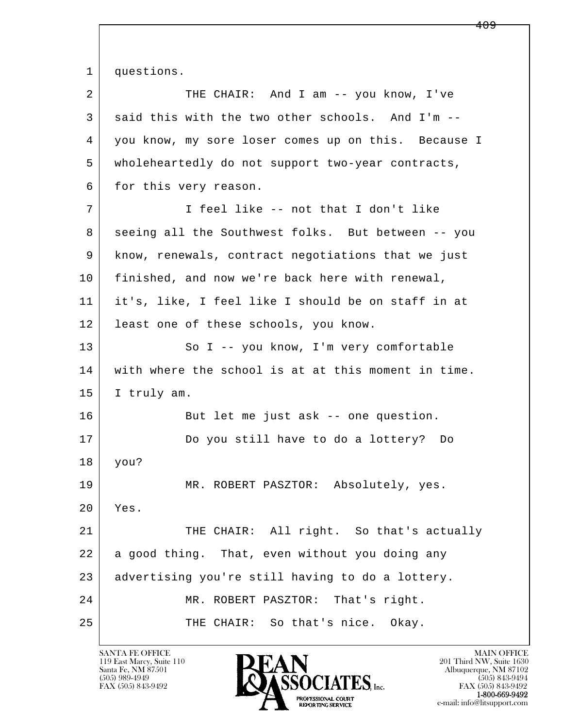l  $\overline{\phantom{a}}$ 1 questions. 2 THE CHAIR: And I am -- you know, I've  $3$  said this with the two other schools. And I'm  $-$ - 4 you know, my sore loser comes up on this. Because I 5 wholeheartedly do not support two-year contracts, 6 for this very reason. 7 | I feel like -- not that I don't like 8 seeing all the Southwest folks. But between -- you 9 know, renewals, contract negotiations that we just 10 finished, and now we're back here with renewal, 11 it's, like, I feel like I should be on staff in at 12 least one of these schools, you know. 13 So I -- you know, I'm very comfortable 14 with where the school is at at this moment in time. 15 I truly am. 16 But let me just ask -- one question. 17 Do you still have to do a lottery? Do 18 you? 19 MR. ROBERT PASZTOR: Absolutely, yes. 20 Yes. 21 THE CHAIR: All right. So that's actually 22 a good thing. That, even without you doing any 23 advertising you're still having to do a lottery. 24 | MR. ROBERT PASZTOR: That's right. 25 | THE CHAIR: So that's nice. Okay.

119 East Marcy, Suite 110<br>Santa Fe, NM 87501

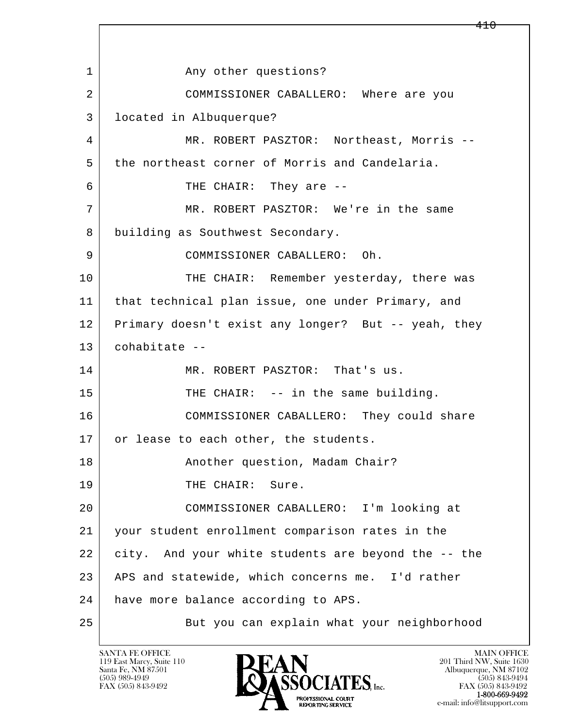l  $\overline{\phantom{a}}$ 1 any other questions? 2 COMMISSIONER CABALLERO: Where are you 3 located in Albuquerque? 4 MR. ROBERT PASZTOR: Northeast, Morris -- 5 the northeast corner of Morris and Candelaria. 6 THE CHAIR: They are -- 7 MR. ROBERT PASZTOR: We're in the same 8 building as Southwest Secondary. 9 COMMISSIONER CABALLERO: Oh. 10 THE CHAIR: Remember yesterday, there was 11 that technical plan issue, one under Primary, and 12 Primary doesn't exist any longer? But -- yeah, they 13 cohabitate -- 14 MR. ROBERT PASZTOR: That's us. 15 THE CHAIR: -- in the same building. 16 COMMISSIONER CABALLERO: They could share 17 or lease to each other, the students. 18 | Resembler question, Madam Chair? 19 THE CHAIR: Sure. 20 COMMISSIONER CABALLERO: I'm looking at 21 your student enrollment comparison rates in the 22 city. And your white students are beyond the -- the 23 APS and statewide, which concerns me. I'd rather 24 | have more balance according to APS. 25 | But you can explain what your neighborhood

119 East Marcy, Suite 110<br>Santa Fe, NM 87501

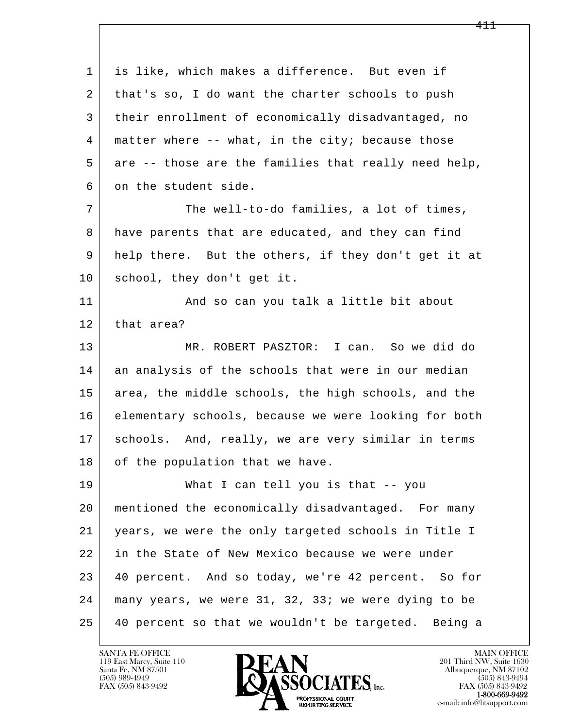l  $\overline{\phantom{a}}$  1 is like, which makes a difference. But even if 2 | that's so, I do want the charter schools to push 3 their enrollment of economically disadvantaged, no 4 matter where -- what, in the city; because those 5 are -- those are the families that really need help, 6 on the student side. 7 The well-to-do families, a lot of times, 8 have parents that are educated, and they can find 9 help there. But the others, if they don't get it at 10 school, they don't get it. 11 | And so can you talk a little bit about 12 | that area? 13 MR. ROBERT PASZTOR: I can. So we did do 14 an analysis of the schools that were in our median 15 area, the middle schools, the high schools, and the 16 elementary schools, because we were looking for both 17 | schools. And, really, we are very similar in terms 18 of the population that we have. 19 What I can tell you is that -- you 20 mentioned the economically disadvantaged. For many 21 years, we were the only targeted schools in Title I 22 in the State of New Mexico because we were under 23 40 percent. And so today, we're 42 percent. So for 24 many years, we were 31, 32, 33; we were dying to be 25 40 percent so that we wouldn't be targeted. Being a

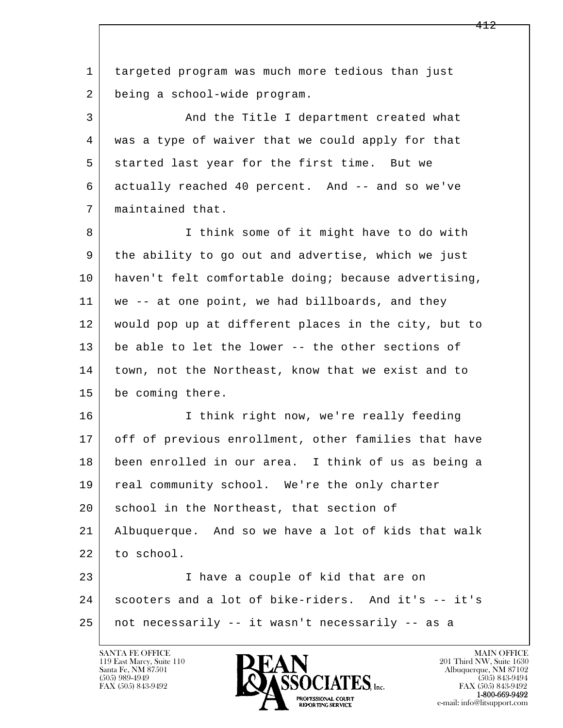l  $\overline{\phantom{a}}$  1 targeted program was much more tedious than just 2 being a school-wide program. 3 And the Title I department created what 4 was a type of waiver that we could apply for that 5 started last year for the first time. But we 6 actually reached 40 percent. And -- and so we've 7 maintained that. 8 I think some of it might have to do with 9 the ability to go out and advertise, which we just 10 haven't felt comfortable doing; because advertising, 11 | we -- at one point, we had billboards, and they 12 would pop up at different places in the city, but to 13 be able to let the lower -- the other sections of 14 town, not the Northeast, know that we exist and to 15 be coming there. 16 I think right now, we're really feeding 17 off of previous enrollment, other families that have 18 been enrolled in our area. I think of us as being a 19 | real community school. We're the only charter 20 | school in the Northeast, that section of 21 Albuquerque. And so we have a lot of kids that walk 22 to school. 23 I have a couple of kid that are on 24 scooters and a lot of bike-riders. And it's -- it's 25 not necessarily -- it wasn't necessarily -- as a

119 East Marcy, Suite 110<br>Santa Fe, NM 87501

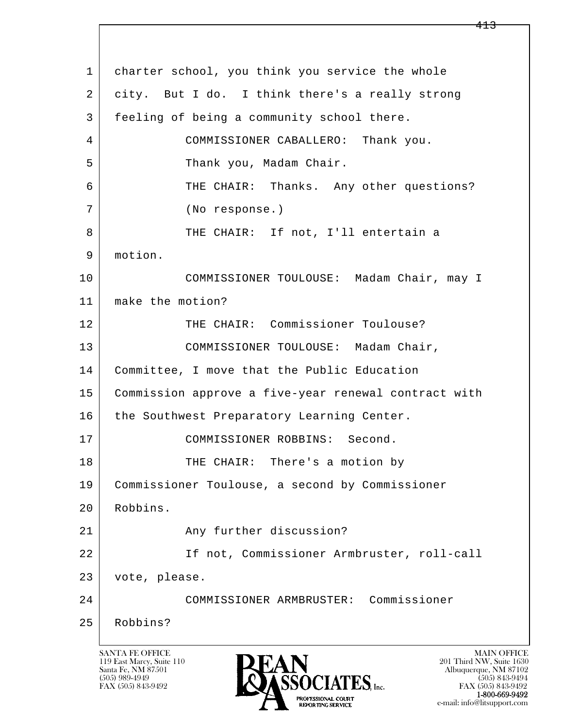l  $\overline{\phantom{a}}$ SANTA FE OFFICE MAIN OFFICE MAIN OFFICE MAIN OFFICE MAIN OFFICE 1 charter school, you think you service the whole 2 city. But I do. I think there's a really strong 3 feeling of being a community school there. 4 COMMISSIONER CABALLERO: Thank you. 5 | Thank you, Madam Chair. 6 THE CHAIR: Thanks. Any other questions? 7 (No response.) 8 THE CHAIR: If not, I'll entertain a 9 motion. 10 COMMISSIONER TOULOUSE: Madam Chair, may I 11 make the motion? 12 THE CHAIR: Commissioner Toulouse? 13 | COMMISSIONER TOULOUSE: Madam Chair, 14 Committee, I move that the Public Education 15 Commission approve a five-year renewal contract with 16 | the Southwest Preparatory Learning Center. 17 COMMISSIONER ROBBINS: Second. 18 THE CHAIR: There's a motion by 19 Commissioner Toulouse, a second by Commissioner 20 Robbins. 21 Any further discussion? 22 If not, Commissioner Armbruster, roll-call 23 vote, please. 24 COMMISSIONER ARMBRUSTER: Commissioner 25 Robbins?

119 East Marcy, Suite 110<br>Santa Fe, NM 87501

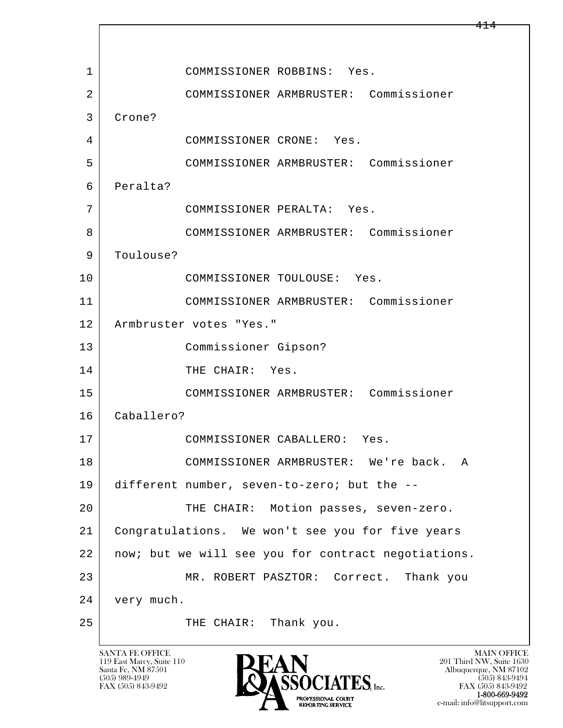l  $\overline{\phantom{a}}$  1 COMMISSIONER ROBBINS: Yes. 2 COMMISSIONER ARMBRUSTER: Commissioner 3 Crone? 4 COMMISSIONER CRONE: Yes. 5 COMMISSIONER ARMBRUSTER: Commissioner 6 Peralta? 7 COMMISSIONER PERALTA: Yes. 8 COMMISSIONER ARMBRUSTER: Commissioner 9 | Toulouse? 10 COMMISSIONER TOULOUSE: Yes. 11 COMMISSIONER ARMBRUSTER: Commissioner 12 | Armbruster votes "Yes." 13 Commissioner Gipson? 14 THE CHAIR: Yes. 15 COMMISSIONER ARMBRUSTER: Commissioner 16 Caballero? 17 COMMISSIONER CABALLERO: Yes. 18 COMMISSIONER ARMBRUSTER: We're back. A 19 different number, seven-to-zero; but the -- 20 THE CHAIR: Motion passes, seven-zero. 21 Congratulations. We won't see you for five years 22 | now; but we will see you for contract negotiations. 23 MR. ROBERT PASZTOR: Correct. Thank you 24 very much. 25 THE CHAIR: Thank you.

119 East Marcy, Suite 110<br>Santa Fe, NM 87501



FAX (505) 843-9492 FAX (505) 843-9492 e-mail: info@litsupport.com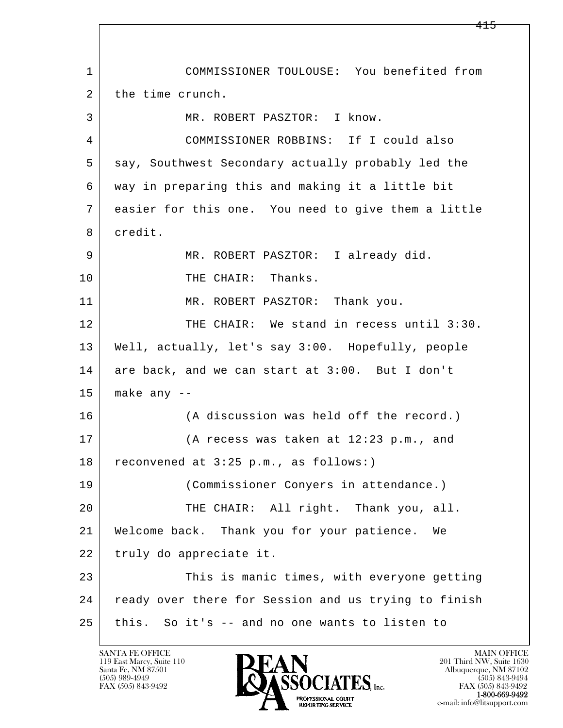l  $\overline{\phantom{a}}$  1 COMMISSIONER TOULOUSE: You benefited from 2 the time crunch. 3 MR. ROBERT PASZTOR: I know. 4 COMMISSIONER ROBBINS: If I could also 5 say, Southwest Secondary actually probably led the 6 way in preparing this and making it a little bit 7 easier for this one. You need to give them a little 8 credit. 9 MR. ROBERT PASZTOR: I already did. 10 THE CHAIR: Thanks. 11 MR. ROBERT PASZTOR: Thank you. 12 THE CHAIR: We stand in recess until 3:30. 13 Well, actually, let's say 3:00. Hopefully, people 14 are back, and we can start at 3:00. But I don't  $15$  make any  $-$ 16 (A discussion was held off the record.) 17 (A recess was taken at 12:23 p.m., and 18 | reconvened at 3:25 p.m., as follows:) 19 (Commissioner Conyers in attendance.) 20 THE CHAIR: All right. Thank you, all. 21 Welcome back. Thank you for your patience. We 22 truly do appreciate it. 23 This is manic times, with everyone getting 24 ready over there for Session and us trying to finish 25 this. So it's -- and no one wants to listen to

119 East Marcy, Suite 110<br>Santa Fe, NM 87501

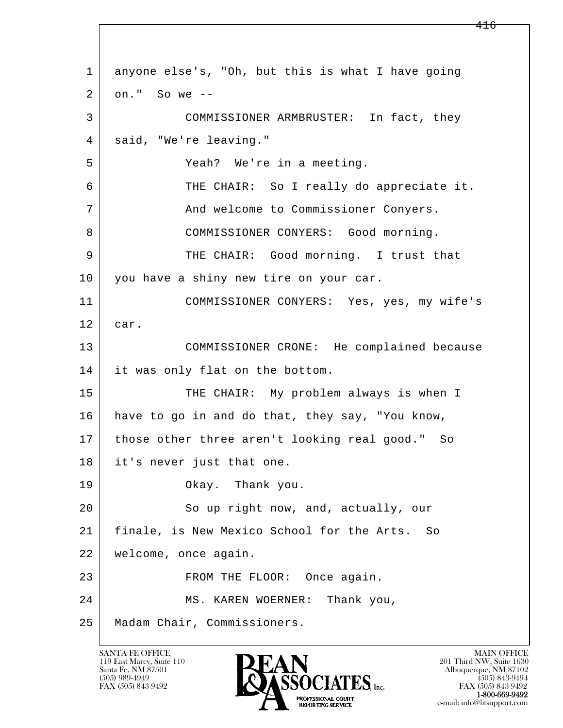l  $\overline{\phantom{a}}$  1 anyone else's, "Oh, but this is what I have going  $2$  on." So we  $-$  3 COMMISSIONER ARMBRUSTER: In fact, they 4 said, "We're leaving." 5 Yeah? We're in a meeting. 6 THE CHAIR: So I really do appreciate it. 7 | And welcome to Commissioner Conyers. 8 COMMISSIONER CONYERS: Good morning. 9 THE CHAIR: Good morning. I trust that 10 you have a shiny new tire on your car. 11 COMMISSIONER CONYERS: Yes, yes, my wife's 12 car. 13 COMMISSIONER CRONE: He complained because 14 it was only flat on the bottom. 15 THE CHAIR: My problem always is when I 16 have to go in and do that, they say, "You know, 17 those other three aren't looking real good." So 18 it's never just that one. 19 Okay. Thank you. 20 So up right now, and, actually, our 21 finale, is New Mexico School for the Arts. So 22 welcome, once again. 23 FROM THE FLOOR: Once again. 24 MS. KAREN WOERNER: Thank you, 25 Madam Chair, Commissioners.

119 East Marcy, Suite 110<br>Santa Fe, NM 87501



FAX (505) 843-9492 FAX (505) 843-9492 e-mail: info@litsupport.com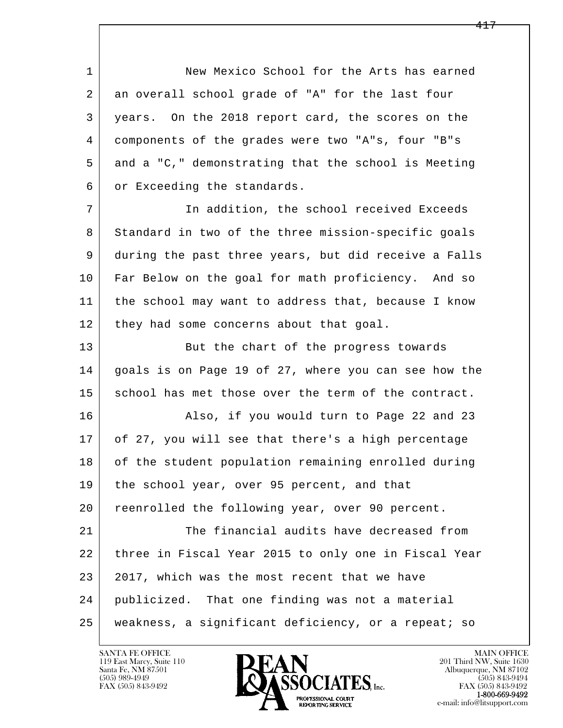1 New Mexico School for the Arts has earned 2 an overall school grade of "A" for the last four 3 years. On the 2018 report card, the scores on the 4 components of the grades were two "A"s, four "B"s 5 and a "C," demonstrating that the school is Meeting 6 or Exceeding the standards.

 7 In addition, the school received Exceeds 8 Standard in two of the three mission-specific goals 9 during the past three years, but did receive a Falls 10 Far Below on the goal for math proficiency. And so 11 the school may want to address that, because I know 12 they had some concerns about that goal.

13 But the chart of the progress towards 14 qoals is on Page 19 of 27, where you can see how the 15 school has met those over the term of the contract.

16 Also, if you would turn to Page 22 and 23 17 of 27, you will see that there's a high percentage 18 of the student population remaining enrolled during 19 | the school year, over 95 percent, and that 20 reenrolled the following year, over 90 percent.

l  $\overline{\phantom{a}}$ 21 The financial audits have decreased from 22 three in Fiscal Year 2015 to only one in Fiscal Year 23 2017, which was the most recent that we have 24 publicized. That one finding was not a material 25 weakness, a significant deficiency, or a repeat; so

119 East Marcy, Suite 110<br>Santa Fe, NM 87501

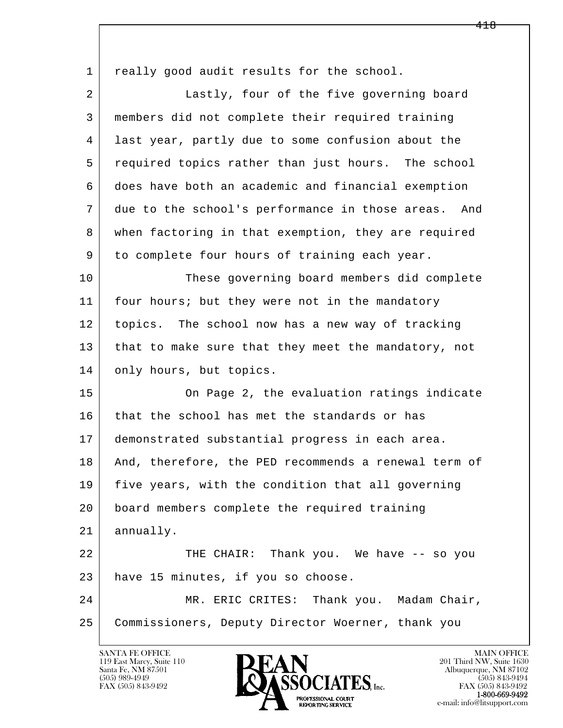l  $\overline{\phantom{a}}$ 1 really good audit results for the school. 2 Lastly, four of the five governing board 3 members did not complete their required training 4 last year, partly due to some confusion about the 5 required topics rather than just hours. The school 6 does have both an academic and financial exemption 7 due to the school's performance in those areas. And 8 when factoring in that exemption, they are required 9 to complete four hours of training each year. 10 These governing board members did complete 11 | four hours; but they were not in the mandatory 12 topics. The school now has a new way of tracking 13 that to make sure that they meet the mandatory, not 14 only hours, but topics. 15 On Page 2, the evaluation ratings indicate 16 that the school has met the standards or has 17 demonstrated substantial progress in each area. 18 | And, therefore, the PED recommends a renewal term of 19 five years, with the condition that all governing 20 board members complete the required training 21 annually. 22 THE CHAIR: Thank you. We have -- so you 23 have 15 minutes, if you so choose. 24 MR. ERIC CRITES: Thank you. Madam Chair, 25 | Commissioners, Deputy Director Woerner, thank you

119 East Marcy, Suite 110<br>Santa Fe, NM 87501



FAX (505) 843-9492<br>**1-800-669-9492**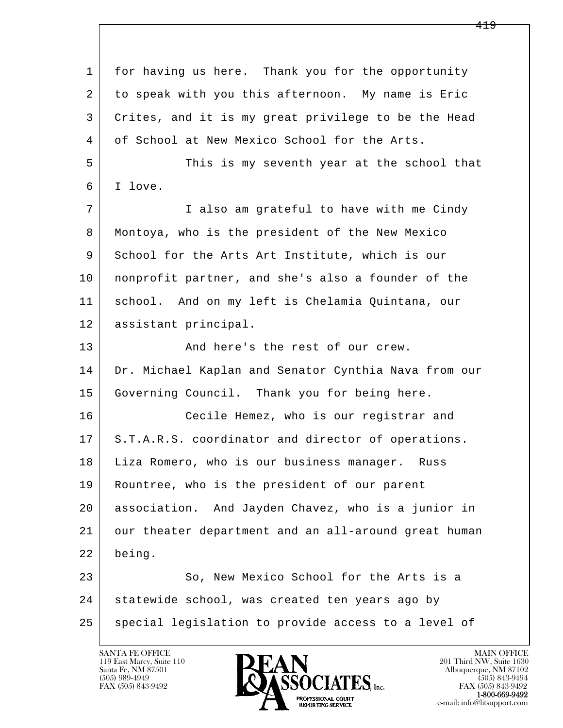l  $\overline{\phantom{a}}$  1 for having us here. Thank you for the opportunity 2 to speak with you this afternoon. My name is Eric 3 Crites, and it is my great privilege to be the Head 4 of School at New Mexico School for the Arts. 5 This is my seventh year at the school that 6 I love. 7 | Talso am grateful to have with me Cindy 8 Montoya, who is the president of the New Mexico 9 School for the Arts Art Institute, which is our 10 nonprofit partner, and she's also a founder of the 11 school. And on my left is Chelamia Quintana, our 12 assistant principal. 13 And here's the rest of our crew. 14 | Dr. Michael Kaplan and Senator Cynthia Nava from our 15 Governing Council. Thank you for being here. 16 Cecile Hemez, who is our registrar and 17 | S.T.A.R.S. coordinator and director of operations. 18 Liza Romero, who is our business manager. Russ 19 Rountree, who is the president of our parent 20 association. And Jayden Chavez, who is a junior in 21 our theater department and an all-around great human 22 being. 23 So, New Mexico School for the Arts is a 24 | statewide school, was created ten years ago by 25 special legislation to provide access to a level of

119 East Marcy, Suite 110<br>Santa Fe, NM 87501

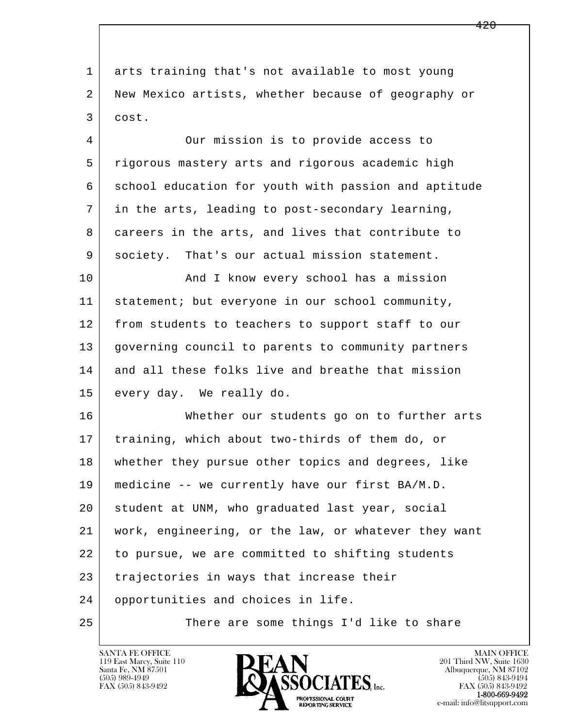l  $\overline{\phantom{a}}$  1 arts training that's not available to most young 2 New Mexico artists, whether because of geography or 3 cost. 4 Our mission is to provide access to 5 rigorous mastery arts and rigorous academic high 6 school education for youth with passion and aptitude 7 in the arts, leading to post-secondary learning, 8 careers in the arts, and lives that contribute to 9 society. That's our actual mission statement. 10 | And I know every school has a mission 11 statement; but everyone in our school community, 12 from students to teachers to support staff to our 13 governing council to parents to community partners 14 and all these folks live and breathe that mission 15 every day. We really do. 16 Whether our students go on to further arts 17 | training, which about two-thirds of them do, or 18 whether they pursue other topics and degrees, like 19 medicine -- we currently have our first BA/M.D. 20 student at UNM, who graduated last year, social 21 work, engineering, or the law, or whatever they want 22 to pursue, we are committed to shifting students 23 trajectories in ways that increase their 24 opportunities and choices in life. 25 There are some things I'd like to share

119 East Marcy, Suite 110<br>Santa Fe, NM 87501

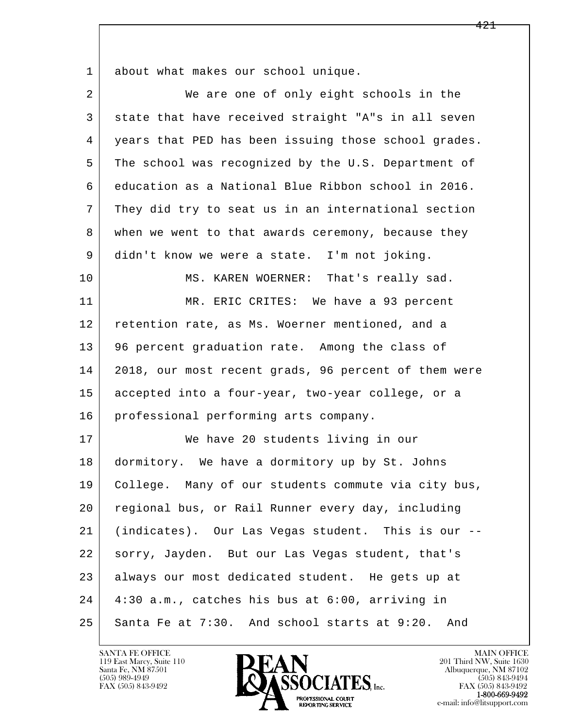1 about what makes our school unique.

| 2  | We are one of only eight schools in the              |
|----|------------------------------------------------------|
| 3  | state that have received straight "A"s in all seven  |
| 4  | years that PED has been issuing those school grades. |
| 5  | The school was recognized by the U.S. Department of  |
| 6  | education as a National Blue Ribbon school in 2016.  |
| 7  | They did try to seat us in an international section  |
| 8  | when we went to that awards ceremony, because they   |
| 9  | didn't know we were a state. I'm not joking.         |
| 10 | MS. KAREN WOERNER: That's really sad.                |
| 11 | MR. ERIC CRITES: We have a 93 percent                |
| 12 | retention rate, as Ms. Woerner mentioned, and a      |
| 13 | 96 percent graduation rate. Among the class of       |
| 14 | 2018, our most recent grads, 96 percent of them were |
| 15 | accepted into a four-year, two-year college, or a    |
| 16 | professional performing arts company.                |
| 17 | We have 20 students living in our                    |
| 18 | dormitory. We have a dormitory up by St. Johns       |
| 19 | College. Many of our students commute via city bus,  |
| 20 | regional bus, or Rail Runner every day, including    |
| 21 | (indicates). Our Las Vegas student. This is our --   |
| 22 | sorry, Jayden. But our Las Vegas student, that's     |
| 23 | always our most dedicated student. He gets up at     |
| 24 | 4:30 a.m., catches his bus at 6:00, arriving in      |
| 25 | Santa Fe at 7:30. And school starts at 9:20.<br>And  |

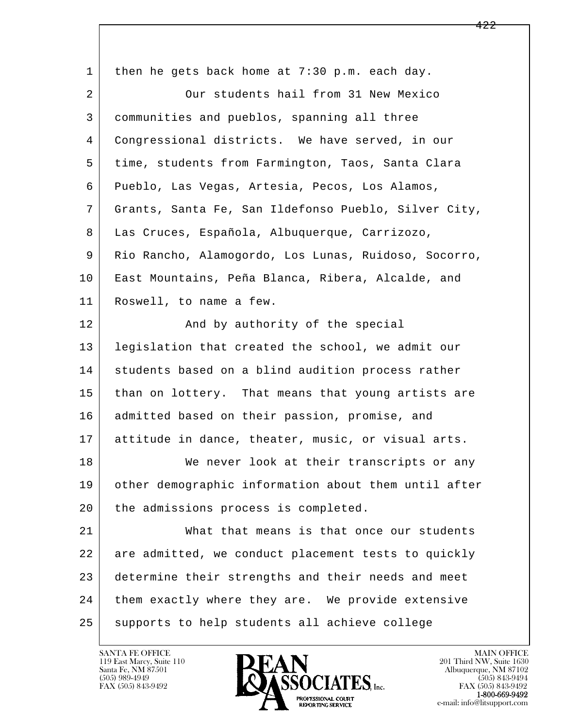l  $\overline{\phantom{a}}$ 1 then he gets back home at 7:30 p.m. each day. 2 Our students hail from 31 New Mexico 3 communities and pueblos, spanning all three 4 Congressional districts. We have served, in our 5 time, students from Farmington, Taos, Santa Clara 6 Pueblo, Las Vegas, Artesia, Pecos, Los Alamos, 7 Grants, Santa Fe, San Ildefonso Pueblo, Silver City, 8 Las Cruces, Española, Albuquerque, Carrizozo, 9 Rio Rancho, Alamogordo, Los Lunas, Ruidoso, Socorro, 10 East Mountains, Peña Blanca, Ribera, Alcalde, and 11 Roswell, to name a few. 12 And by authority of the special 13 legislation that created the school, we admit our 14 | students based on a blind audition process rather 15 than on lottery. That means that young artists are 16 | admitted based on their passion, promise, and 17 attitude in dance, theater, music, or visual arts. 18 We never look at their transcripts or any 19 other demographic information about them until after 20 | the admissions process is completed. 21 | What that means is that once our students 22 are admitted, we conduct placement tests to quickly 23 determine their strengths and their needs and meet 24 them exactly where they are. We provide extensive 25 supports to help students all achieve college

119 East Marcy, Suite 110<br>Santa Fe, NM 87501

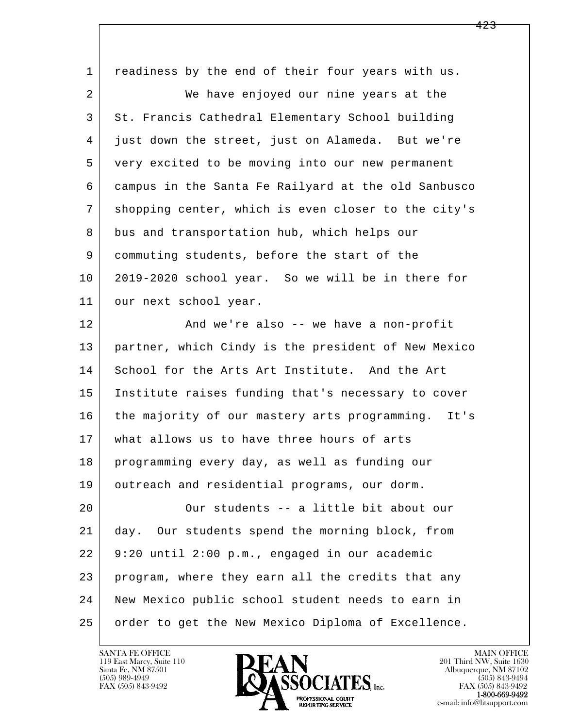| $\mathbf 1$    | readiness by the end of their four years with us.   |
|----------------|-----------------------------------------------------|
| $\overline{2}$ | We have enjoyed our nine years at the               |
| 3              | St. Francis Cathedral Elementary School building    |
| 4              | just down the street, just on Alameda. But we're    |
| 5              | very excited to be moving into our new permanent    |
| 6              | campus in the Santa Fe Railyard at the old Sanbusco |
| 7              | shopping center, which is even closer to the city's |
| 8              | bus and transportation hub, which helps our         |
| 9              | commuting students, before the start of the         |
| 10             | 2019-2020 school year. So we will be in there for   |
| 11             | our next school year.                               |
| 12             | And we're also -- we have a non-profit              |
| 13             | partner, which Cindy is the president of New Mexico |
| 14             | School for the Arts Art Institute. And the Art      |
| 15             | Institute raises funding that's necessary to cover  |
| 16             | the majority of our mastery arts programming. It's  |
| 17             | what allows us to have three hours of arts          |
| 18             | programming every day, as well as funding our       |
| 19             | outreach and residential programs, our dorm.        |
| 20             | Our students -- a little bit about our              |
| 21             | Our students spend the morning block, from<br>day.  |
| 22             | 9:20 until 2:00 p.m., engaged in our academic       |
| 23             | program, where they earn all the credits that any   |
| 24             | New Mexico public school student needs to earn in   |
| 25             | order to get the New Mexico Diploma of Excellence.  |

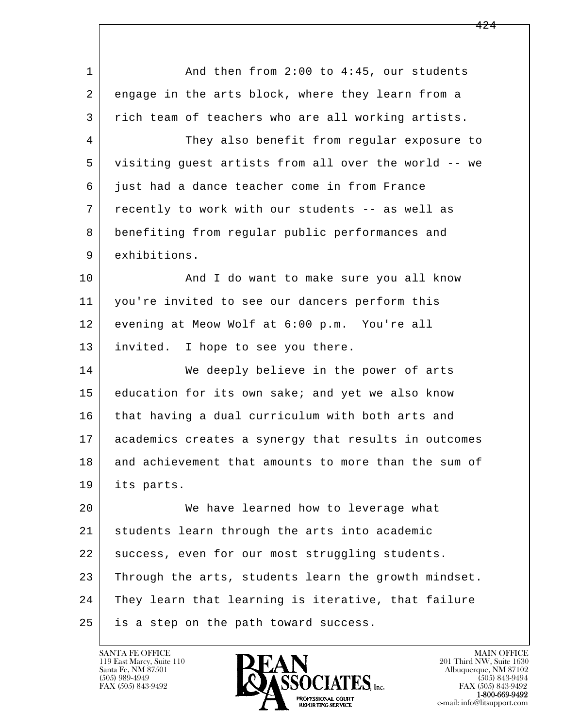| $\mathbf 1$    | And then from 2:00 to 4:45, our students             |
|----------------|------------------------------------------------------|
| 2              | engage in the arts block, where they learn from a    |
| 3              | rich team of teachers who are all working artists.   |
| $\overline{4}$ | They also benefit from regular exposure to           |
| 5              | visiting guest artists from all over the world -- we |
| 6              | just had a dance teacher come in from France         |
| 7              | recently to work with our students -- as well as     |
| 8              | benefiting from regular public performances and      |
| 9              | exhibitions.                                         |
| 10             | And I do want to make sure you all know              |
| 11             | you're invited to see our dancers perform this       |
| 12             | evening at Meow Wolf at 6:00 p.m. You're all         |
| 13             | invited. I hope to see you there.                    |
| 14             | We deeply believe in the power of arts               |
| 15             | education for its own sake; and yet we also know     |
| 16             | that having a dual curriculum with both arts and     |
| 17             | academics creates a synergy that results in outcomes |
| 18             | and achievement that amounts to more than the sum of |
| 19             | its parts.                                           |
| 20             | We have learned how to leverage what                 |
| 21             | students learn through the arts into academic        |
| 22             | success, even for our most struggling students.      |
| 23             | Through the arts, students learn the growth mindset. |
| 24             | They learn that learning is iterative, that failure  |
| 25             | is a step on the path toward success.                |

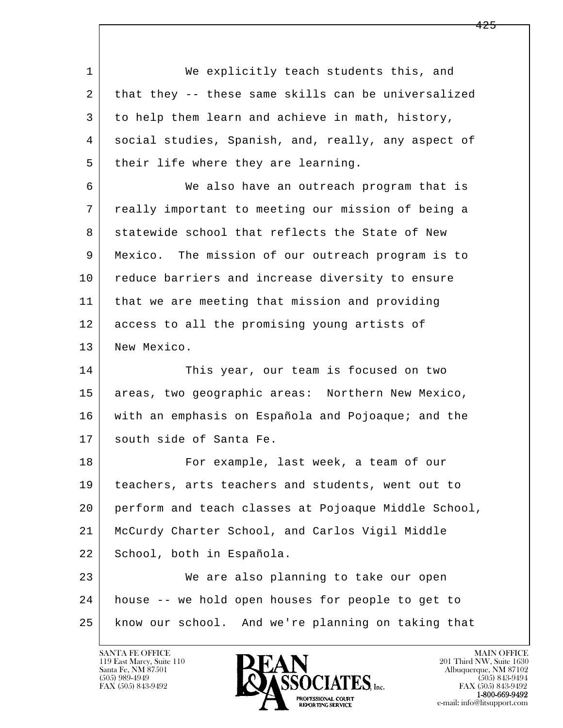1 We explicitly teach students this, and 2 | that they -- these same skills can be universalized 3 to help them learn and achieve in math, history, 4 social studies, Spanish, and, really, any aspect of 5 | their life where they are learning.

 6 We also have an outreach program that is 7 really important to meeting our mission of being a 8 statewide school that reflects the State of New 9 Mexico. The mission of our outreach program is to 10 reduce barriers and increase diversity to ensure 11 that we are meeting that mission and providing 12 access to all the promising young artists of 13 New Mexico.

14 This year, our team is focused on two 15 | areas, two geographic areas: Northern New Mexico, 16 with an emphasis on Española and Pojoaque; and the 17 south side of Santa Fe.

18 For example, last week, a team of our 19 teachers, arts teachers and students, went out to 20 perform and teach classes at Pojoaque Middle School, 21 McCurdy Charter School, and Carlos Vigil Middle 22 School, both in Española.

l  $\overline{\phantom{a}}$  23 We are also planning to take our open 24 house -- we hold open houses for people to get to 25 know our school. And we're planning on taking that

119 East Marcy, Suite 110<br>Santa Fe, NM 87501



FAX (505) 843-9492<br>**1-800-669-9492**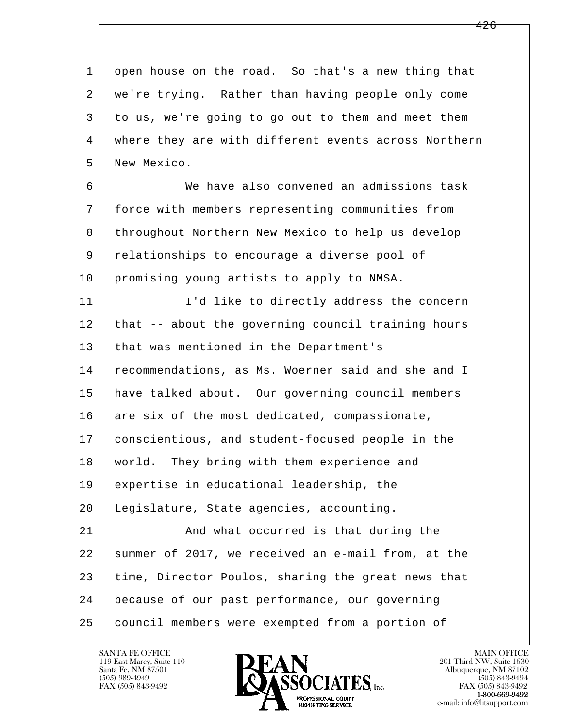l  $\overline{\phantom{a}}$  1 open house on the road. So that's a new thing that 2 we're trying. Rather than having people only come 3 to us, we're going to go out to them and meet them 4 where they are with different events across Northern 5 New Mexico. 6 We have also convened an admissions task 7 force with members representing communities from 8 throughout Northern New Mexico to help us develop 9 relationships to encourage a diverse pool of 10 promising young artists to apply to NMSA. 11 | T'd like to directly address the concern 12 that -- about the governing council training hours 13 | that was mentioned in the Department's 14 recommendations, as Ms. Woerner said and she and I 15 have talked about. Our governing council members 16 are six of the most dedicated, compassionate, 17 conscientious, and student-focused people in the 18 | world. They bring with them experience and 19 expertise in educational leadership, the 20 Legislature, State agencies, accounting. 21 | And what occurred is that during the 22 summer of 2017, we received an e-mail from, at the 23 time, Director Poulos, sharing the great news that 24 because of our past performance, our governing 25 council members were exempted from a portion of

119 East Marcy, Suite 110<br>Santa Fe, NM 87501



FAX (505) 843-9492<br>**1-800-669-9492**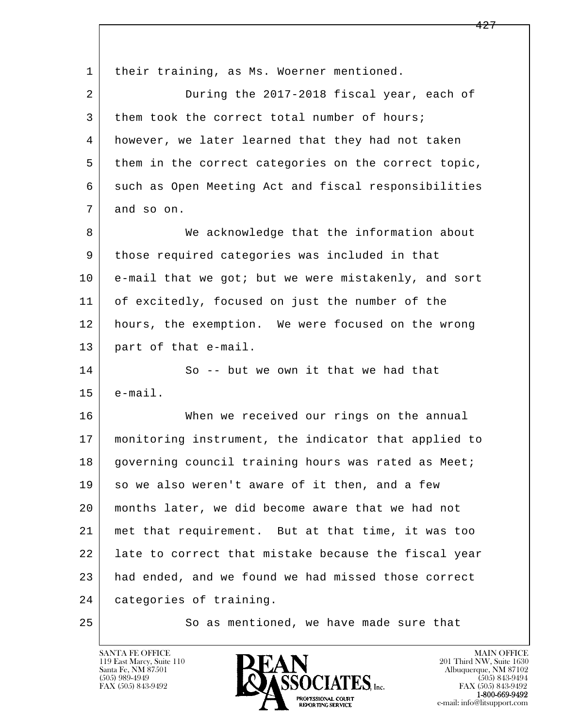| $\mathbf{1}$   | their training, as Ms. Woerner mentioned.            |
|----------------|------------------------------------------------------|
| $\overline{a}$ | During the 2017-2018 fiscal year, each of            |
| 3              | them took the correct total number of hours;         |
| 4              | however, we later learned that they had not taken    |
| 5              | them in the correct categories on the correct topic, |
| 6              | such as Open Meeting Act and fiscal responsibilities |
| 7              | and so on.                                           |
| 8              | We acknowledge that the information about            |
| 9              | those required categories was included in that       |
| 10             | e-mail that we got; but we were mistakenly, and sort |
| 11             | of excitedly, focused on just the number of the      |
| 12             | hours, the exemption. We were focused on the wrong   |
| 13             | part of that e-mail.                                 |
| 14             | So -- but we own it that we had that                 |
| 15             | $e$ -mail.                                           |
| 16             | When we received our rings on the annual             |
| 17             | monitoring instrument, the indicator that applied to |
| 18             | governing council training hours was rated as Meet;  |
| 19             | so we also weren't aware of it then, and a few       |
| 20             | months later, we did become aware that we had not    |
| 21             | met that requirement. But at that time, it was too   |
| 22             | late to correct that mistake because the fiscal year |
| 23             | had ended, and we found we had missed those correct  |
| 24             | categories of training.                              |
| 25             | So as mentioned, we have made sure that              |

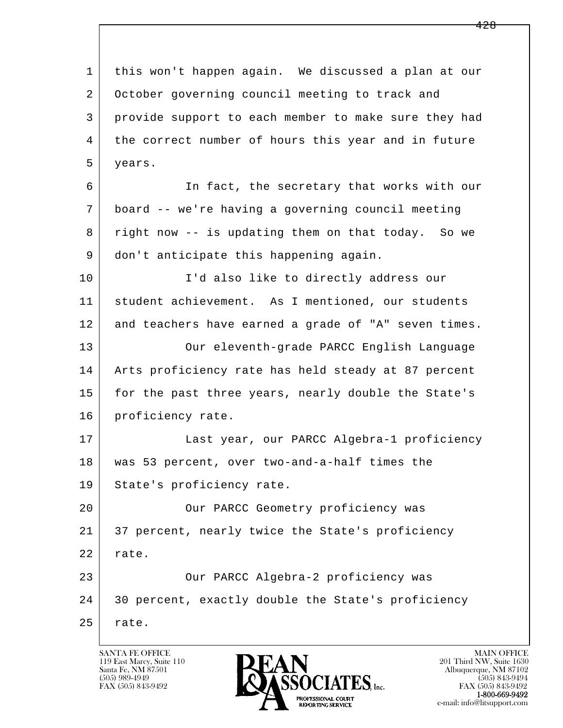l  $\overline{\phantom{a}}$  1 this won't happen again. We discussed a plan at our 2 October governing council meeting to track and 3 provide support to each member to make sure they had 4 the correct number of hours this year and in future 5 years. 6 In fact, the secretary that works with our 7 board -- we're having a governing council meeting 8 right now -- is updating them on that today. So we 9 don't anticipate this happening again. 10 | T'd also like to directly address our 11 student achievement. As I mentioned, our students 12 and teachers have earned a grade of "A" seven times. 13 Our eleventh-grade PARCC English Language 14 Arts proficiency rate has held steady at 87 percent 15 for the past three years, nearly double the State's 16 | proficiency rate. 17 | Last year, our PARCC Algebra-1 proficiency 18 was 53 percent, over two-and-a-half times the 19 State's proficiency rate. 20 | Cur PARCC Geometry proficiency was 21 37 percent, nearly twice the State's proficiency 22 rate. 23 | Cur PARCC Algebra-2 proficiency was 24 30 percent, exactly double the State's proficiency  $25$  rate.

119 East Marcy, Suite 110<br>Santa Fe, NM 87501



FAX (505) 843-9492 FAX (505) 843-9492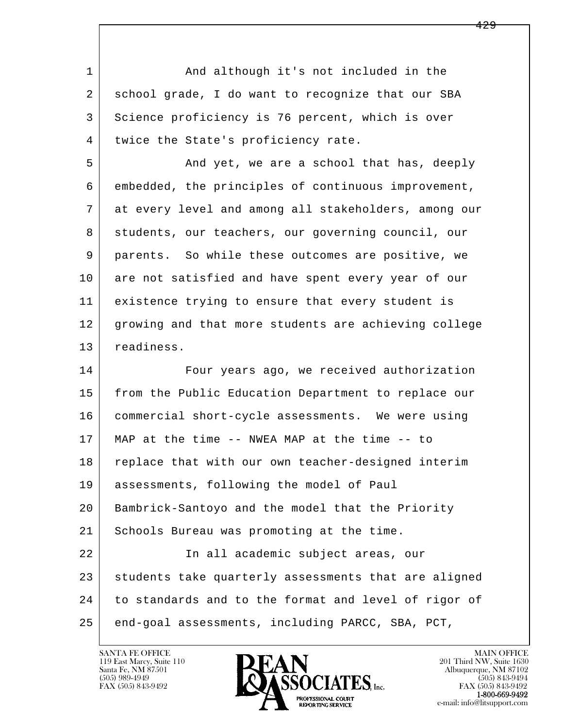| $\mathbf{1}$ | And although it's not included in the                |
|--------------|------------------------------------------------------|
| 2            | school grade, I do want to recognize that our SBA    |
| 3            | Science proficiency is 76 percent, which is over     |
| 4            | twice the State's proficiency rate.                  |
| 5            | And yet, we are a school that has, deeply            |
| 6            | embedded, the principles of continuous improvement,  |
| 7            | at every level and among all stakeholders, among our |
| 8            | students, our teachers, our governing council, our   |
| 9            | parents. So while these outcomes are positive, we    |
| 10           | are not satisfied and have spent every year of our   |
| 11           | existence trying to ensure that every student is     |
| 12           | growing and that more students are achieving college |
| 13           | readiness.                                           |
| 14           | Four years ago, we received authorization            |
| 15           | from the Public Education Department to replace our  |
| 16           | commercial short-cycle assessments. We were using    |
| 17           | MAP at the time -- NWEA MAP at the time -- to        |
| 18           | replace that with our own teacher-designed interim   |
| 19           | assessments, following the model of Paul             |
| 20           | Bambrick-Santoyo and the model that the Priority     |
| 21           | Schools Bureau was promoting at the time.            |
| 22           | In all academic subject areas, our                   |
| 23           | students take quarterly assessments that are aligned |
| 24           | to standards and to the format and level of rigor of |
| 25           | end-goal assessments, including PARCC, SBA, PCT,     |

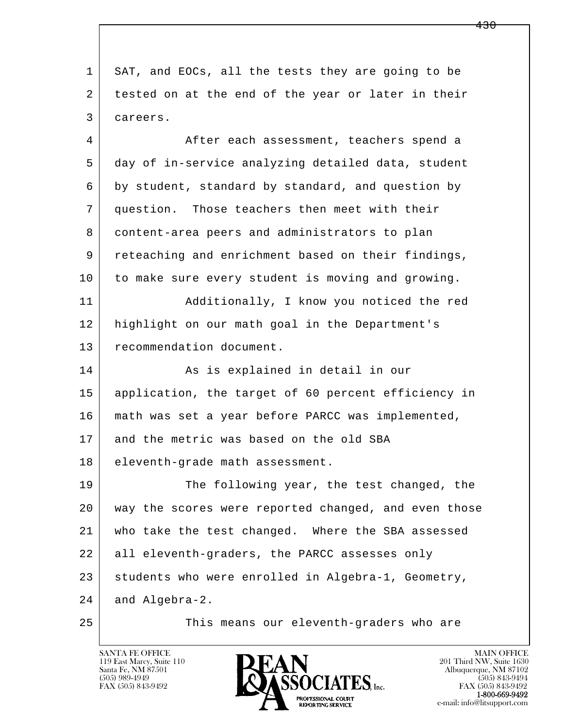l  $\overline{\phantom{a}}$  1 SAT, and EOCs, all the tests they are going to be 2 | tested on at the end of the year or later in their 3 careers. 4 After each assessment, teachers spend a 5 day of in-service analyzing detailed data, student 6 by student, standard by standard, and question by 7 question. Those teachers then meet with their 8 content-area peers and administrators to plan 9 reteaching and enrichment based on their findings, 10 to make sure every student is moving and growing. 11 Additionally, I know you noticed the red 12 highlight on our math goal in the Department's 13 recommendation document. 14 As is explained in detail in our 15 application, the target of 60 percent efficiency in 16 math was set a year before PARCC was implemented, 17 and the metric was based on the old SBA 18 eleventh-grade math assessment. 19 The following year, the test changed, the 20 way the scores were reported changed, and even those 21 who take the test changed. Where the SBA assessed 22 all eleventh-graders, the PARCC assesses only 23 students who were enrolled in Algebra-1, Geometry, 24 and Algebra-2. 25 This means our eleventh-graders who are

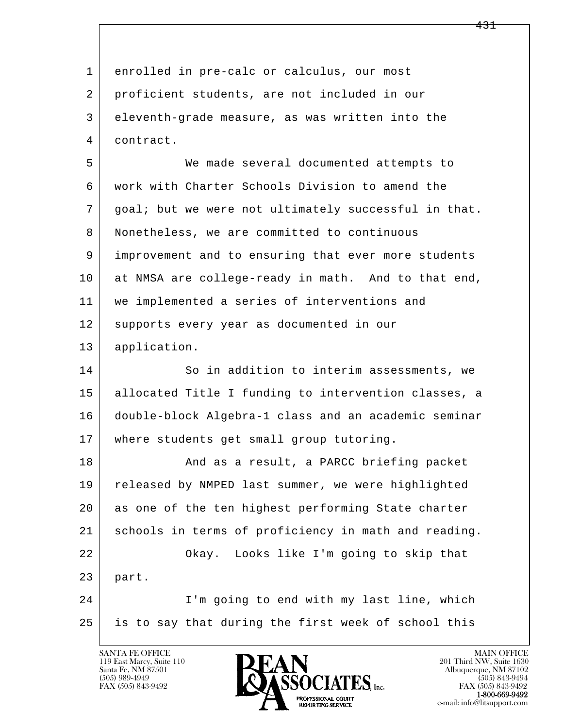| $\mathbf{1}$ | enrolled in pre-calc or calculus, our most           |
|--------------|------------------------------------------------------|
| 2            | proficient students, are not included in our         |
| 3            | eleventh-grade measure, as was written into the      |
| 4            | contract.                                            |
| 5            | We made several documented attempts to               |
| 6            | work with Charter Schools Division to amend the      |
| 7            | goal; but we were not ultimately successful in that. |
| 8            | Nonetheless, we are committed to continuous          |
| 9            | improvement and to ensuring that ever more students  |
| 10           | at NMSA are college-ready in math. And to that end,  |
| 11           | we implemented a series of interventions and         |
| 12           | supports every year as documented in our             |
| 13           | application.                                         |
| 14           | So in addition to interim assessments, we            |
| 15           | allocated Title I funding to intervention classes, a |
| 16           | double-block Algebra-1 class and an academic seminar |
| 17           | where students get small group tutoring.             |
| 18           | And as a result, a PARCC briefing packet             |
| 19           | released by NMPED last summer, we were highlighted   |
| 20           | as one of the ten highest performing State charter   |
| 21           | schools in terms of proficiency in math and reading. |
| 22           | Okay. Looks like I'm going to skip that              |
| 23           | part.                                                |
| 24           | I'm going to end with my last line, which            |
| 25           | is to say that during the first week of school this  |
|              |                                                      |

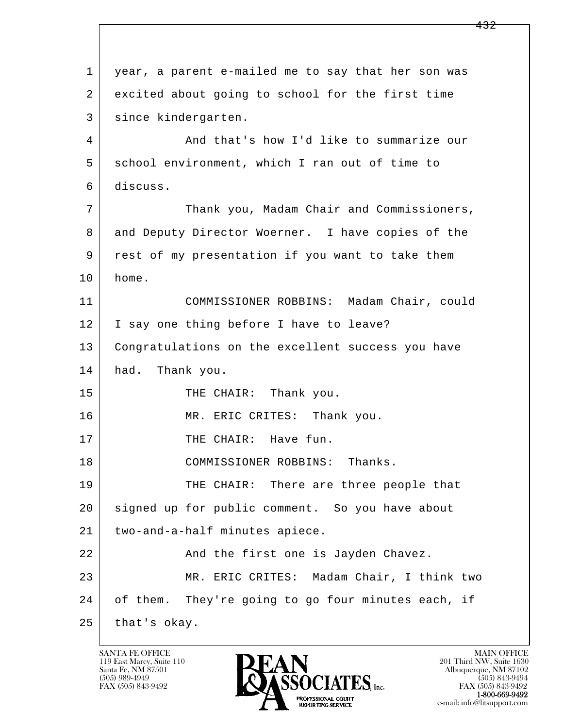l  $\overline{\phantom{a}}$  1 year, a parent e-mailed me to say that her son was 2 excited about going to school for the first time 3 since kindergarten. 4 And that's how I'd like to summarize our 5 school environment, which I ran out of time to 6 discuss. 7 Thank you, Madam Chair and Commissioners, 8 and Deputy Director Woerner. I have copies of the 9 rest of my presentation if you want to take them 10 home. 11 COMMISSIONER ROBBINS: Madam Chair, could 12 | I say one thing before I have to leave? 13 Congratulations on the excellent success you have 14 had. Thank you. 15 THE CHAIR: Thank you. 16 MR. ERIC CRITES: Thank you. 17 | THE CHAIR: Have fun. 18 COMMISSIONER ROBBINS: Thanks. 19 THE CHAIR: There are three people that 20 signed up for public comment. So you have about 21 two-and-a-half minutes apiece. 22 And the first one is Jayden Chavez. 23 MR. ERIC CRITES: Madam Chair, I think two 24 of them. They're going to go four minutes each, if 25 that's okay.

119 East Marcy, Suite 110<br>Santa Fe, NM 87501

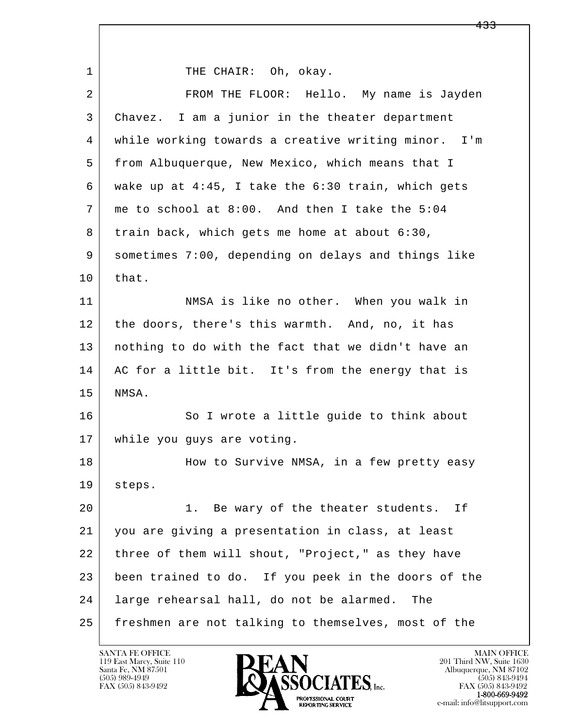l  $\overline{\phantom{a}}$ 1 THE CHAIR: Oh, okay. 2 FROM THE FLOOR: Hello. My name is Jayden 3 Chavez. I am a junior in the theater department 4 while working towards a creative writing minor. I'm 5 from Albuquerque, New Mexico, which means that I 6 wake up at 4:45, I take the 6:30 train, which gets 7 | me to school at  $8:00$ . And then I take the  $5:04$  8 train back, which gets me home at about 6:30, 9 sometimes 7:00, depending on delays and things like  $10$  that. 11 | NMSA is like no other. When you walk in 12 the doors, there's this warmth. And, no, it has 13 nothing to do with the fact that we didn't have an 14 AC for a little bit. It's from the energy that is 15 NMSA. 16 So I wrote a little guide to think about 17 while you guys are voting. 18 How to Survive NMSA, in a few pretty easy 19 steps. 20 | The wary of the theater students. If 21 you are giving a presentation in class, at least 22 three of them will shout, "Project," as they have 23 been trained to do. If you peek in the doors of the 24 large rehearsal hall, do not be alarmed. The 25 freshmen are not talking to themselves, most of the

119 East Marcy, Suite 110<br>Santa Fe, NM 87501

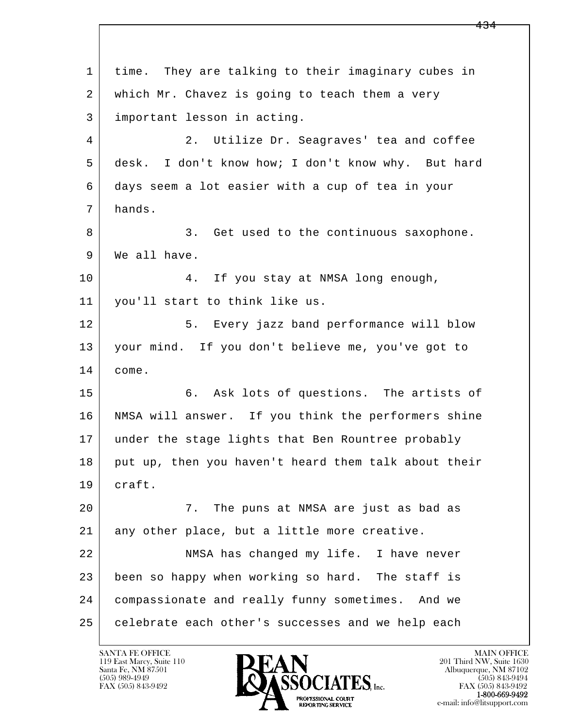l  $\overline{\phantom{a}}$  1 time. They are talking to their imaginary cubes in 2 | which Mr. Chavez is going to teach them a very 3 important lesson in acting. 4 2. Utilize Dr. Seagraves' tea and coffee 5 desk. I don't know how; I don't know why. But hard 6 days seem a lot easier with a cup of tea in your 7 hands. 8 3. Get used to the continuous saxophone. 9 | We all have. 10 4. If you stay at NMSA long enough, 11 you'll start to think like us. 12 5. Every jazz band performance will blow 13 your mind. If you don't believe me, you've got to 14 come. 15 6. Ask lots of questions. The artists of 16 | NMSA will answer. If you think the performers shine 17 under the stage lights that Ben Rountree probably 18 put up, then you haven't heard them talk about their 19 craft. 20 7. The puns at NMSA are just as bad as 21 any other place, but a little more creative. 22 NMSA has changed my life. I have never 23 been so happy when working so hard. The staff is 24 compassionate and really funny sometimes. And we 25 celebrate each other's successes and we help each

119 East Marcy, Suite 110<br>Santa Fe, NM 87501

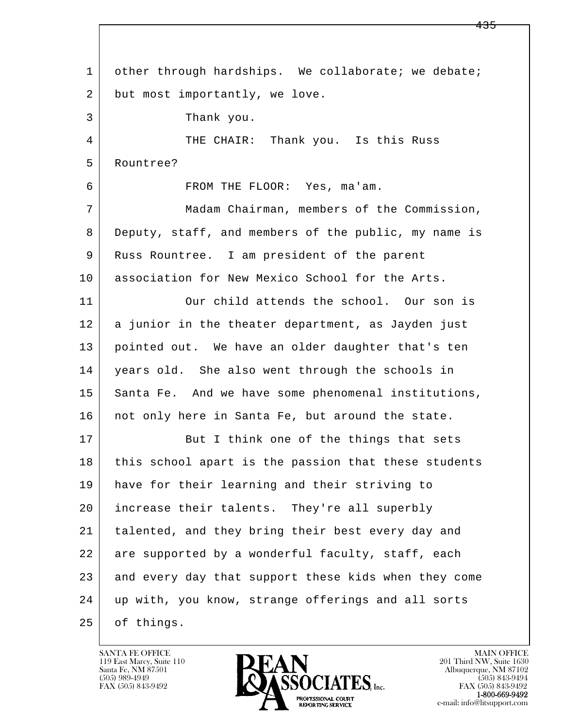l  $\overline{\phantom{a}}$ 1 other through hardships. We collaborate; we debate; 2 but most importantly, we love. 3 Thank you. 4 THE CHAIR: Thank you. Is this Russ 5 Rountree? 6 FROM THE FLOOR: Yes, ma'am. 7 Madam Chairman, members of the Commission, 8 Deputy, staff, and members of the public, my name is 9 | Russ Rountree. I am president of the parent 10 | association for New Mexico School for the Arts. 11 Our child attends the school. Our son is 12 a junior in the theater department, as Jayden just 13 pointed out. We have an older daughter that's ten 14 years old. She also went through the schools in 15 Santa Fe. And we have some phenomenal institutions, 16 not only here in Santa Fe, but around the state. 17 | But I think one of the things that sets 18 | this school apart is the passion that these students 19 have for their learning and their striving to 20 increase their talents. They're all superbly 21 talented, and they bring their best every day and 22 are supported by a wonderful faculty, staff, each 23 and every day that support these kids when they come 24 up with, you know, strange offerings and all sorts 25 of things.

119 East Marcy, Suite 110<br>Santa Fe, NM 87501



FAX (505) 843-9492<br>1-800-669-9492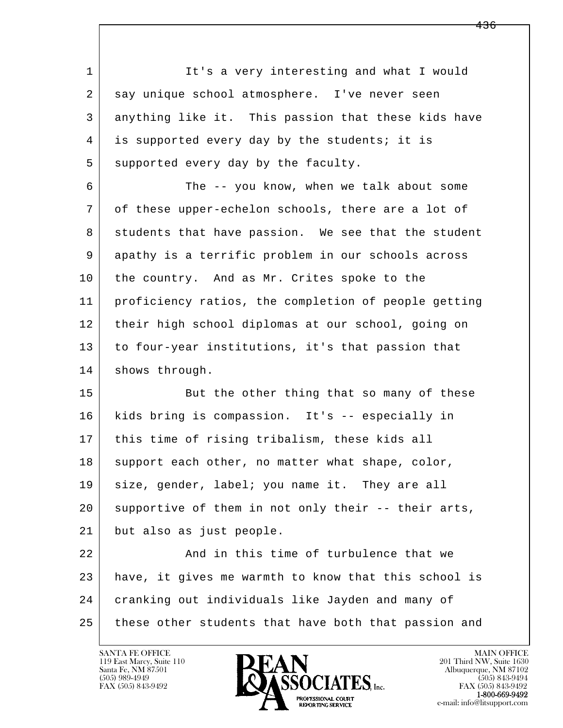l  $\overline{\phantom{a}}$ 1 It's a very interesting and what I would 2 | say unique school atmosphere. I've never seen 3 anything like it. This passion that these kids have 4 is supported every day by the students; it is 5 supported every day by the faculty. 6 The -- you know, when we talk about some 7 of these upper-echelon schools, there are a lot of 8 | students that have passion. We see that the student 9 apathy is a terrific problem in our schools across 10 the country. And as Mr. Crites spoke to the 11 proficiency ratios, the completion of people getting 12 their high school diplomas at our school, going on 13 to four-year institutions, it's that passion that 14 shows through. 15 But the other thing that so many of these 16 kids bring is compassion. It's -- especially in 17 this time of rising tribalism, these kids all 18 support each other, no matter what shape, color, 19 size, gender, label; you name it. They are all 20 supportive of them in not only their -- their arts, 21 but also as just people. 22 And in this time of turbulence that we 23 have, it gives me warmth to know that this school is 24 cranking out individuals like Jayden and many of 25 these other students that have both that passion and

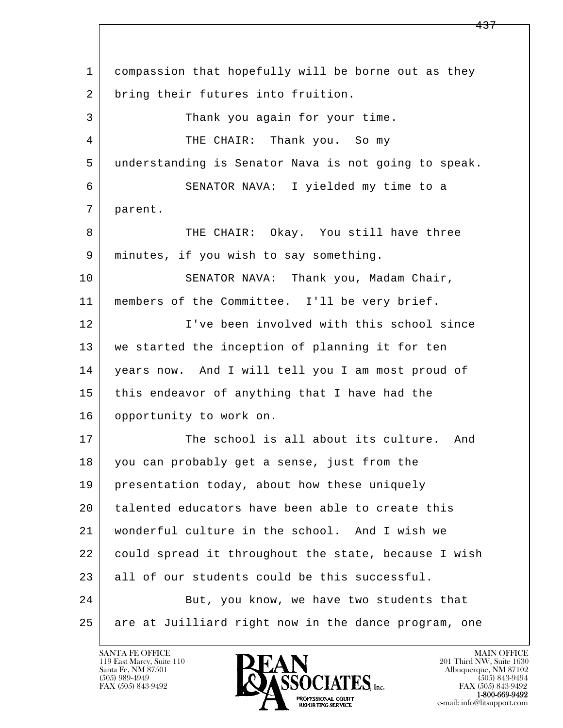l  $\overline{\phantom{a}}$  1 compassion that hopefully will be borne out as they 2 bring their futures into fruition. 3 Thank you again for your time. 4 THE CHAIR: Thank you. So my 5 understanding is Senator Nava is not going to speak. 6 SENATOR NAVA: I yielded my time to a 7 parent. 8 THE CHAIR: Okay. You still have three 9 minutes, if you wish to say something. 10 SENATOR NAVA: Thank you, Madam Chair, 11 members of the Committee. I'll be very brief. 12 I've been involved with this school since 13 we started the inception of planning it for ten 14 years now. And I will tell you I am most proud of 15 this endeavor of anything that I have had the 16 opportunity to work on. 17 The school is all about its culture. And 18 you can probably get a sense, just from the 19 | presentation today, about how these uniquely 20 talented educators have been able to create this 21 wonderful culture in the school. And I wish we 22 could spread it throughout the state, because I wish 23 all of our students could be this successful. 24 But, you know, we have two students that 25 are at Juilliard right now in the dance program, one

119 East Marcy, Suite 110<br>Santa Fe, NM 87501

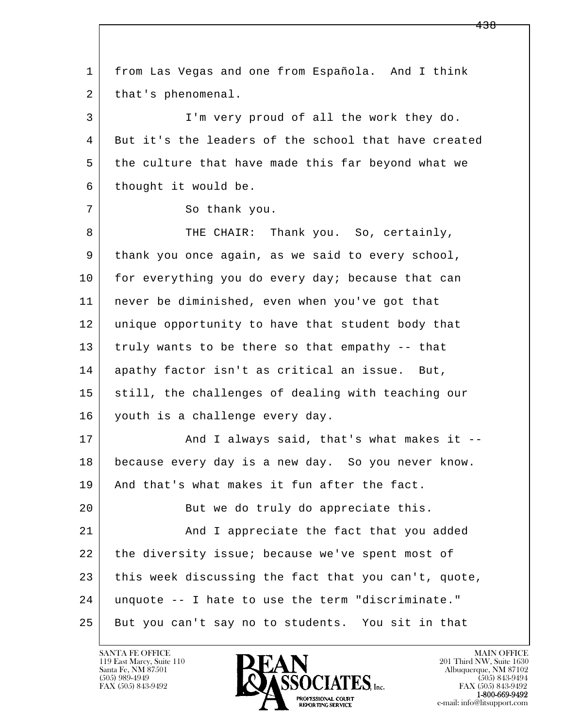l  $\overline{\phantom{a}}$  1 from Las Vegas and one from Española. And I think 2 | that's phenomenal. 3 I'm very proud of all the work they do. 4 But it's the leaders of the school that have created 5 the culture that have made this far beyond what we 6 thought it would be. 7 So thank you. 8 THE CHAIR: Thank you. So, certainly, 9 thank you once again, as we said to every school, 10 for everything you do every day; because that can 11 never be diminished, even when you've got that 12 unique opportunity to have that student body that 13 truly wants to be there so that empathy -- that 14 apathy factor isn't as critical an issue. But, 15 still, the challenges of dealing with teaching our 16 youth is a challenge every day. 17 | The Mand I always said, that's what makes it -- 18 because every day is a new day. So you never know. 19 And that's what makes it fun after the fact. 20 But we do truly do appreciate this. 21 | And I appreciate the fact that you added 22 the diversity issue; because we've spent most of 23 this week discussing the fact that you can't, quote, 24 unquote -- I hate to use the term "discriminate." 25 But you can't say no to students. You sit in that

119 East Marcy, Suite 110<br>Santa Fe, NM 87501



FAX (505) 843-9492<br>**1-800-669-9492**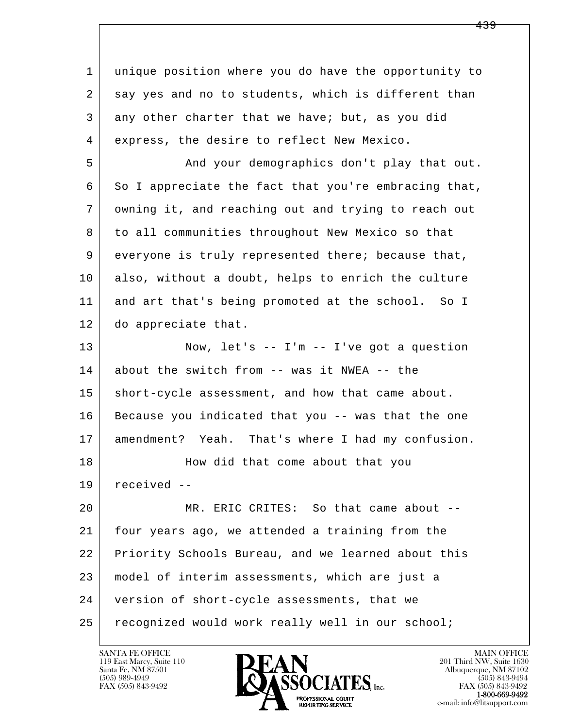l  $\overline{\phantom{a}}$  1 unique position where you do have the opportunity to 2 | say yes and no to students, which is different than 3 any other charter that we have; but, as you did 4 express, the desire to reflect New Mexico. 5 And your demographics don't play that out. 6 So I appreciate the fact that you're embracing that, 7 owning it, and reaching out and trying to reach out 8 to all communities throughout New Mexico so that 9 everyone is truly represented there; because that, 10 also, without a doubt, helps to enrich the culture 11 and art that's being promoted at the school. So I 12 do appreciate that. 13 Now, let's -- I'm -- I've got a question 14 about the switch from -- was it NWEA -- the 15 | short-cycle assessment, and how that came about. 16 Because you indicated that you -- was that the one 17 amendment? Yeah. That's where I had my confusion. 18 | Mow did that come about that you 19 received -- 20 MR. ERIC CRITES: So that came about -- 21 four years ago, we attended a training from the 22 Priority Schools Bureau, and we learned about this 23 model of interim assessments, which are just a 24 version of short-cycle assessments, that we 25 recognized would work really well in our school;

119 East Marcy, Suite 110<br>Santa Fe, NM 87501

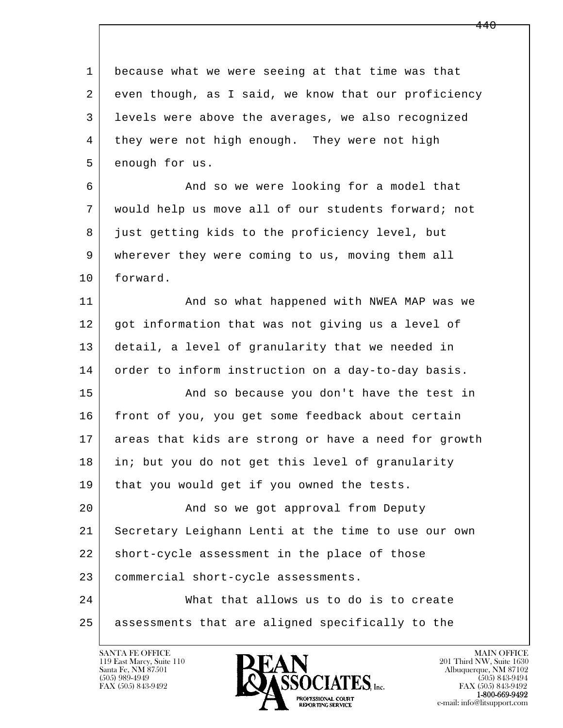l  $\overline{\phantom{a}}$  1 because what we were seeing at that time was that 2 even though, as I said, we know that our proficiency 3 levels were above the averages, we also recognized 4 they were not high enough. They were not high 5 enough for us. 6 And so we were looking for a model that 7 would help us move all of our students forward; not 8 just getting kids to the proficiency level, but 9 wherever they were coming to us, moving them all 10 forward. 11 | And so what happened with NWEA MAP was we 12 got information that was not giving us a level of 13 detail, a level of granularity that we needed in 14 order to inform instruction on a day-to-day basis. 15 | The Sand so because you don't have the test in 16 front of you, you get some feedback about certain 17 areas that kids are strong or have a need for growth 18 in; but you do not get this level of granularity 19 | that you would get if you owned the tests. 20 | Rand so we got approval from Deputy 21 Secretary Leighann Lenti at the time to use our own 22 short-cycle assessment in the place of those 23 commercial short-cycle assessments. 24 What that allows us to do is to create 25 assessments that are aligned specifically to the

119 East Marcy, Suite 110<br>Santa Fe, NM 87501



FAX (505) 843-9492<br>**1-800-669-9492**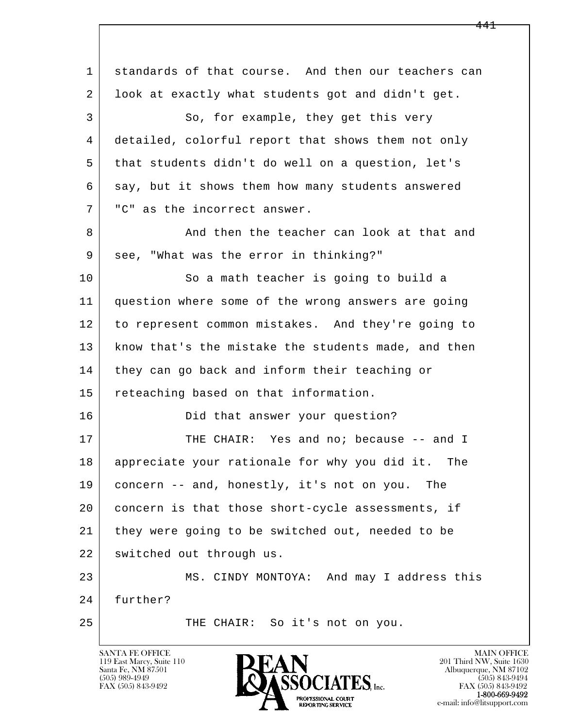l  $\overline{\phantom{a}}$  1 standards of that course. And then our teachers can 2 look at exactly what students got and didn't get. 3 So, for example, they get this very 4 detailed, colorful report that shows them not only 5 that students didn't do well on a question, let's 6 say, but it shows them how many students answered 7 "C" as the incorrect answer. 8 And then the teacher can look at that and 9 see, "What was the error in thinking?" 10 So a math teacher is going to build a 11 question where some of the wrong answers are going 12 to represent common mistakes. And they're going to 13 | know that's the mistake the students made, and then 14 they can go back and inform their teaching or 15 reteaching based on that information. 16 Did that answer your question? 17 THE CHAIR: Yes and no; because -- and I 18 appreciate your rationale for why you did it. The 19 concern -- and, honestly, it's not on you. The 20 concern is that those short-cycle assessments, if 21 they were going to be switched out, needed to be 22 switched out through us. 23 MS. CINDY MONTOYA: And may I address this 24 further? 25 THE CHAIR: So it's not on you.

119 East Marcy, Suite 110<br>Santa Fe, NM 87501

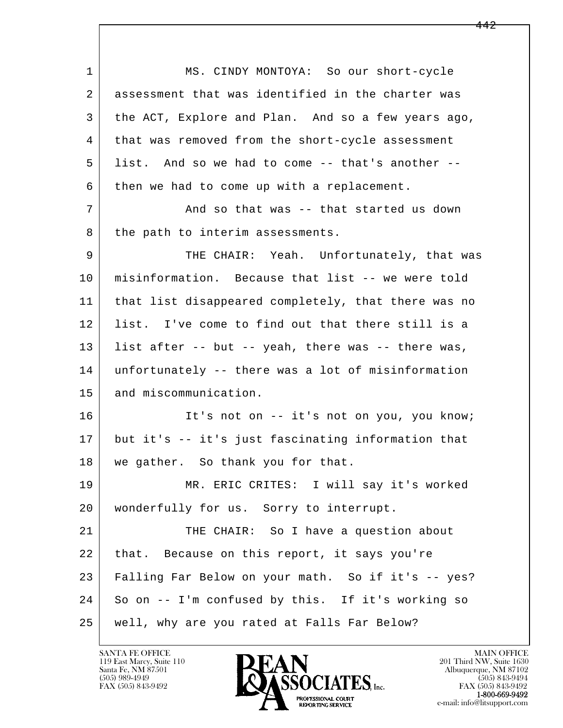l  $\overline{\phantom{a}}$ 1 MS. CINDY MONTOYA: So our short-cycle 2 assessment that was identified in the charter was 3 the ACT, Explore and Plan. And so a few years ago, 4 that was removed from the short-cycle assessment 5 list. And so we had to come -- that's another -- 6 then we had to come up with a replacement. 7 And so that was -- that started us down 8 the path to interim assessments. 9 THE CHAIR: Yeah. Unfortunately, that was 10 misinformation. Because that list -- we were told 11 that list disappeared completely, that there was no 12 list. I've come to find out that there still is a 13 list after -- but -- yeah, there was -- there was, 14 unfortunately -- there was a lot of misinformation 15 and miscommunication. 16 It's not on -- it's not on you, you know; 17 but it's -- it's just fascinating information that 18 | we gather. So thank you for that. 19 MR. ERIC CRITES: I will say it's worked 20 | wonderfully for us. Sorry to interrupt. 21 THE CHAIR: So I have a question about 22 | that. Because on this report, it says you're 23 Falling Far Below on your math. So if it's -- yes? 24 So on -- I'm confused by this. If it's working so 25 well, why are you rated at Falls Far Below?

119 East Marcy, Suite 110<br>Santa Fe, NM 87501

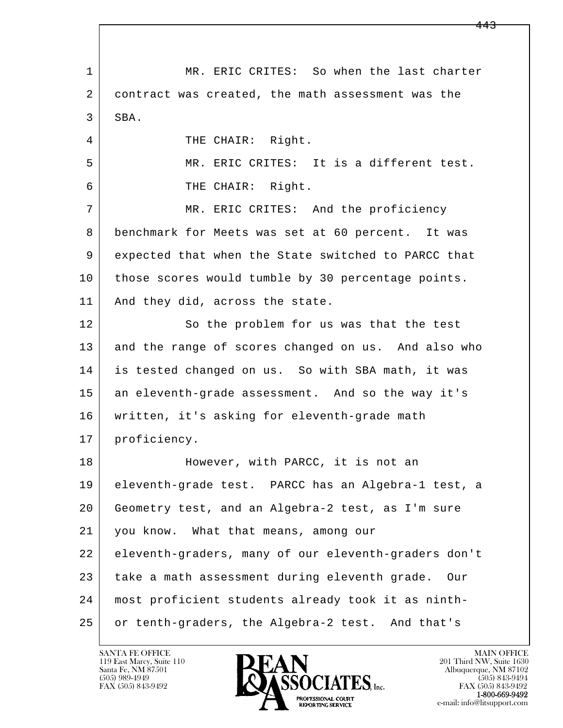l  $\overline{\phantom{a}}$ 1 | MR. ERIC CRITES: So when the last charter 2 contract was created, the math assessment was the 3 SBA. 4 THE CHAIR: Right. 5 MR. ERIC CRITES: It is a different test. 6 THE CHAIR: Right. 7 MR. ERIC CRITES: And the proficiency 8 benchmark for Meets was set at 60 percent. It was 9 expected that when the State switched to PARCC that 10 | those scores would tumble by 30 percentage points. 11 | And they did, across the state. 12 So the problem for us was that the test 13 and the range of scores changed on us. And also who 14 is tested changed on us. So with SBA math, it was 15 an eleventh-grade assessment. And so the way it's 16 written, it's asking for eleventh-grade math 17 proficiency. 18 | However, with PARCC, it is not an 19 eleventh-grade test. PARCC has an Algebra-1 test, a 20 Geometry test, and an Algebra-2 test, as I'm sure 21 you know. What that means, among our 22 eleventh-graders, many of our eleventh-graders don't 23 take a math assessment during eleventh grade. Our 24 most proficient students already took it as ninth- 25 or tenth-graders, the Algebra-2 test. And that's

119 East Marcy, Suite 110<br>Santa Fe, NM 87501



FAX (505) 843-9492<br>**1-800-669-9492**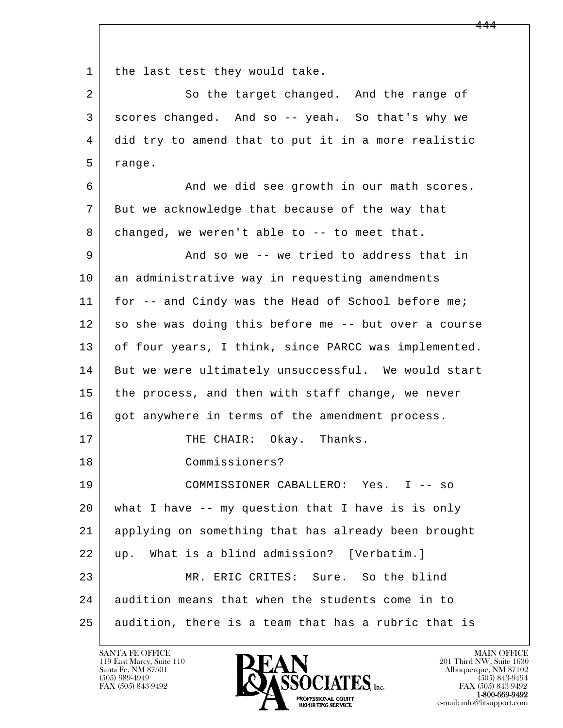1 | the last test they would take.

2 So the target changed. And the range of 3 scores changed. And so -- yeah. So that's why we 4 did try to amend that to put it in a more realistic 5 range.

6 And we did see growth in our math scores. 7 But we acknowledge that because of the way that 8 | changed, we weren't able to -- to meet that. 9 And so we -- we tried to address that in 10 an administrative way in requesting amendments

11 | for -- and Cindy was the Head of School before me; 12 so she was doing this before me -- but over a course 13 of four years, I think, since PARCC was implemented. 14 But we were ultimately unsuccessful. We would start 15 the process, and then with staff change, we never 16 got anywhere in terms of the amendment process.

17 | THE CHAIR: Okay. Thanks.

18 Commissioners?

l  $\overline{\phantom{a}}$  19 COMMISSIONER CABALLERO: Yes. I -- so 20 what I have -- my question that I have is is only 21 applying on something that has already been brought 22 up. What is a blind admission? [Verbatim.] 23 MR. ERIC CRITES: Sure. So the blind 24 audition means that when the students come in to 25 audition, there is a team that has a rubric that is

119 East Marcy, Suite 110<br>Santa Fe, NM 87501

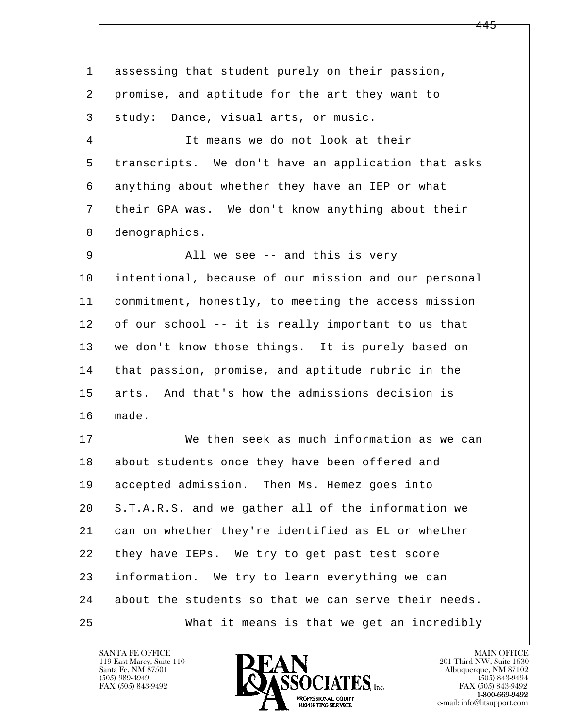l  $\overline{\phantom{a}}$  1 assessing that student purely on their passion, 2 promise, and aptitude for the art they want to 3 | study: Dance, visual arts, or music. 4 It means we do not look at their 5 transcripts. We don't have an application that asks 6 anything about whether they have an IEP or what 7 | their GPA was. We don't know anything about their 8 demographics. 9 all we see -- and this is very 10 intentional, because of our mission and our personal 11 commitment, honestly, to meeting the access mission 12 of our school -- it is really important to us that 13 we don't know those things. It is purely based on 14 that passion, promise, and aptitude rubric in the 15 arts. And that's how the admissions decision is 16 made. 17 We then seek as much information as we can 18 about students once they have been offered and 19 accepted admission. Then Ms. Hemez goes into 20 S.T.A.R.S. and we gather all of the information we 21 can on whether they're identified as EL or whether 22 they have IEPs. We try to get past test score 23 information. We try to learn everything we can 24 about the students so that we can serve their needs. 25 What it means is that we get an incredibly

119 East Marcy, Suite 110<br>Santa Fe, NM 87501

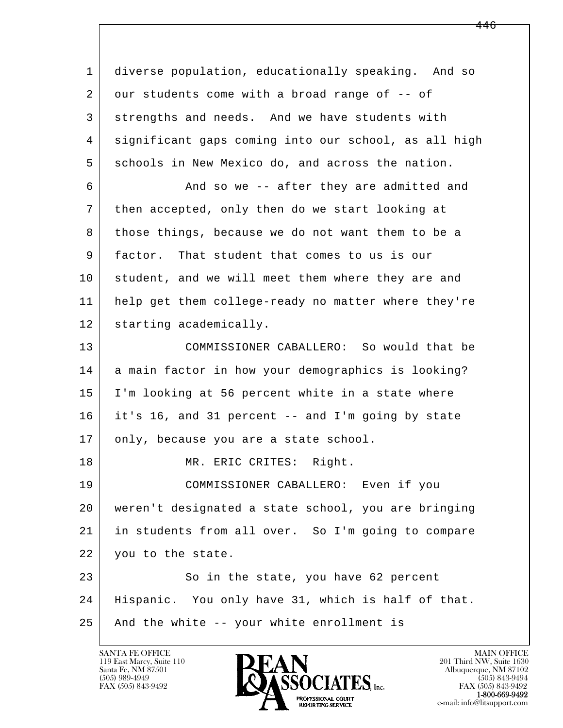l  $\overline{\phantom{a}}$  1 diverse population, educationally speaking. And so 2 our students come with a broad range of -- of 3 strengths and needs. And we have students with 4 significant gaps coming into our school, as all high 5 schools in New Mexico do, and across the nation. 6 And so we -- after they are admitted and 7 then accepted, only then do we start looking at 8 those things, because we do not want them to be a 9 factor. That student that comes to us is our 10 student, and we will meet them where they are and 11 help get them college-ready no matter where they're 12 starting academically. 13 COMMISSIONER CABALLERO: So would that be 14 a main factor in how your demographics is looking? 15 | I'm looking at 56 percent white in a state where 16 it's 16, and 31 percent -- and I'm going by state 17 only, because you are a state school. 18 | MR. ERIC CRITES: Right. 19 COMMISSIONER CABALLERO: Even if you 20 weren't designated a state school, you are bringing 21 in students from all over. So I'm going to compare 22 you to the state. 23 So in the state, you have 62 percent 24 Hispanic. You only have 31, which is half of that. 25 And the white -- your white enrollment is

119 East Marcy, Suite 110<br>Santa Fe, NM 87501

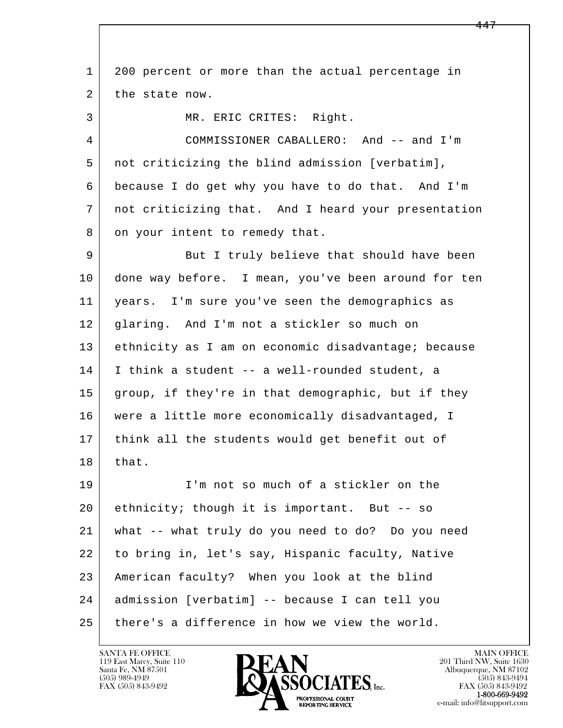l  $\overline{\phantom{a}}$  1 200 percent or more than the actual percentage in 2 the state now. 3 | MR. ERIC CRITES: Right. 4 COMMISSIONER CABALLERO: And -- and I'm 5 not criticizing the blind admission [verbatim], 6 because I do get why you have to do that. And I'm 7 not criticizing that. And I heard your presentation 8 on your intent to remedy that. 9 But I truly believe that should have been 10 done way before. I mean, you've been around for ten 11 years. I'm sure you've seen the demographics as 12 glaring. And I'm not a stickler so much on 13 ethnicity as I am on economic disadvantage; because 14 I think a student -- a well-rounded student, a 15 | group, if they're in that demographic, but if they 16 were a little more economically disadvantaged, I 17 think all the students would get benefit out of  $18$  that. 19 I'm not so much of a stickler on the 20 ethnicity; though it is important. But -- so 21 what -- what truly do you need to do? Do you need 22 to bring in, let's say, Hispanic faculty, Native 23 American faculty? When you look at the blind 24 admission [verbatim] -- because I can tell you  $25$  there's a difference in how we view the world.

119 East Marcy, Suite 110<br>Santa Fe, NM 87501



FAX (505) 843-9492<br>1-800-669-9492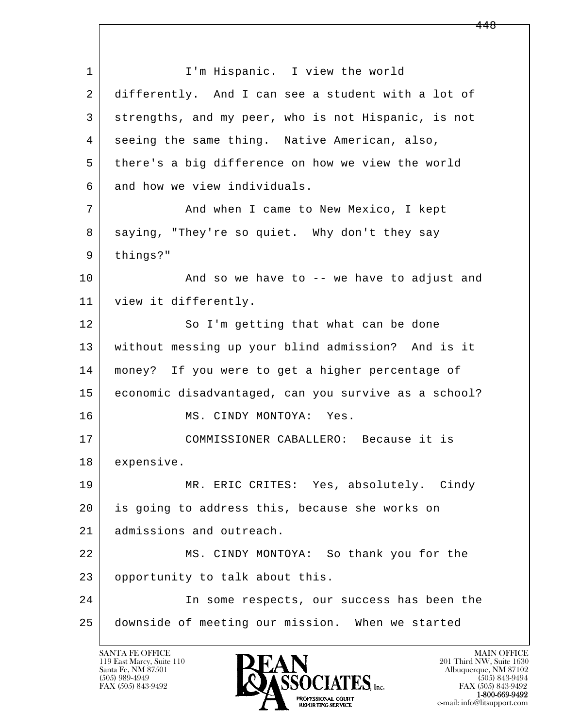l  $\overline{\phantom{a}}$ 1 | I'm Hispanic. I view the world 2 differently. And I can see a student with a lot of 3 strengths, and my peer, who is not Hispanic, is not 4 seeing the same thing. Native American, also, 5 | there's a big difference on how we view the world 6 and how we view individuals. 7 And when I came to New Mexico, I kept 8 saying, "They're so quiet. Why don't they say 9 things?" 10 | And so we have to -- we have to adjust and 11 view it differently. 12 So I'm getting that what can be done 13 without messing up your blind admission? And is it 14 money? If you were to get a higher percentage of 15 economic disadvantaged, can you survive as a school? 16 MS. CINDY MONTOYA: Yes. 17 COMMISSIONER CABALLERO: Because it is 18 expensive. 19 MR. ERIC CRITES: Yes, absolutely. Cindy 20 is going to address this, because she works on 21 admissions and outreach. 22 | MS. CINDY MONTOYA: So thank you for the 23 opportunity to talk about this. 24 In some respects, our success has been the 25 downside of meeting our mission. When we started

119 East Marcy, Suite 110<br>Santa Fe, NM 87501

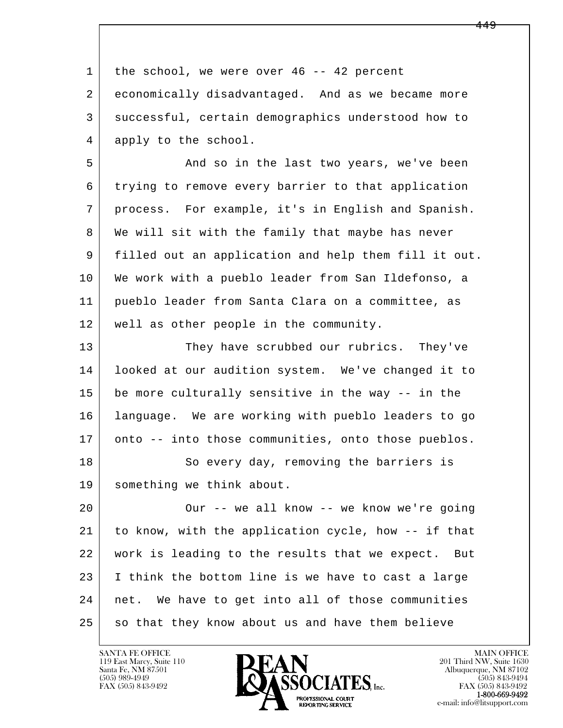| 1  | the school, we were over $46 - - 42$ percent         |
|----|------------------------------------------------------|
| 2  | economically disadvantaged. And as we became more    |
| 3  | successful, certain demographics understood how to   |
| 4  | apply to the school.                                 |
| 5  | And so in the last two years, we've been             |
| 6  | trying to remove every barrier to that application   |
| 7  | process. For example, it's in English and Spanish.   |
| 8  | We will sit with the family that maybe has never     |
| 9  | filled out an application and help them fill it out. |
| 10 | We work with a pueblo leader from San Ildefonso, a   |
| 11 | pueblo leader from Santa Clara on a committee, as    |
| 12 | well as other people in the community.               |
| 13 | They have scrubbed our rubrics. They've              |
| 14 | looked at our audition system. We've changed it to   |
| 15 | be more culturally sensitive in the way -- in the    |
| 16 | language. We are working with pueblo leaders to go   |
| 17 | onto -- into those communities, onto those pueblos.  |
| 18 | So every day, removing the barriers is               |
| 19 | something we think about.                            |
| 20 | Our -- we all know -- we know we're going            |
| 21 | to know, with the application cycle, how -- if that  |
| 22 | work is leading to the results that we expect. But   |
| 23 | I think the bottom line is we have to cast a large   |
| 24 | net. We have to get into all of those communities    |
| 25 | so that they know about us and have them believe     |

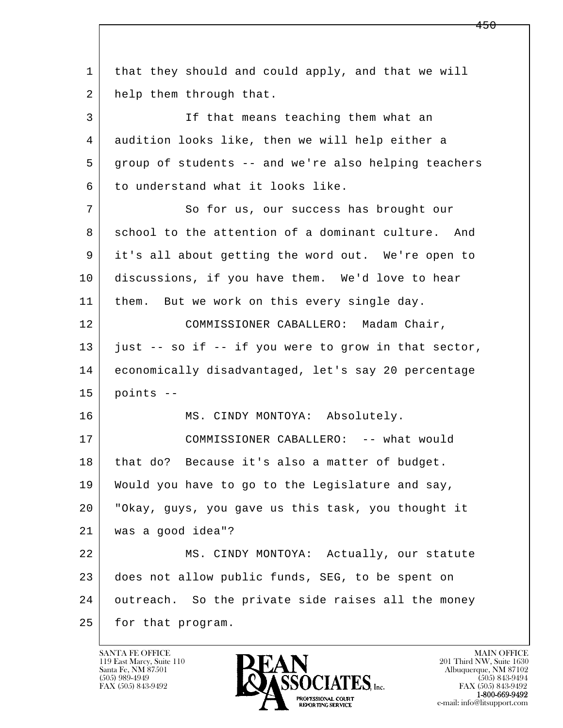| $\mathbf 1$ | that they should and could apply, and that we will   |
|-------------|------------------------------------------------------|
| 2           | help them through that.                              |
| 3           | If that means teaching them what an                  |
| 4           | audition looks like, then we will help either a      |
| 5           | group of students -- and we're also helping teachers |
| 6           | to understand what it looks like.                    |
| 7           | So for us, our success has brought our               |
| 8           | school to the attention of a dominant culture. And   |
| 9           | it's all about getting the word out. We're open to   |
| 10          | discussions, if you have them. We'd love to hear     |
| 11          | them. But we work on this every single day.          |
| 12          | COMMISSIONER CABALLERO: Madam Chair,                 |
| 13          | just -- so if -- if you were to grow in that sector, |
| 14          | economically disadvantaged, let's say 20 percentage  |
| 15          | points --                                            |
| 16          | MS. CINDY MONTOYA: Absolutely.                       |
| 17          | COMMISSIONER CABALLERO: -- what would                |
| 18          | that do? Because it's also a matter of budget.       |
| 19          | Would you have to go to the Legislature and say,     |
| 20          | "Okay, guys, you gave us this task, you thought it   |
| 21          | was a good idea"?                                    |
| 22          | MS. CINDY MONTOYA: Actually, our statute             |
| 23          | does not allow public funds, SEG, to be spent on     |
| 24          | outreach. So the private side raises all the money   |
| 25          | for that program.                                    |

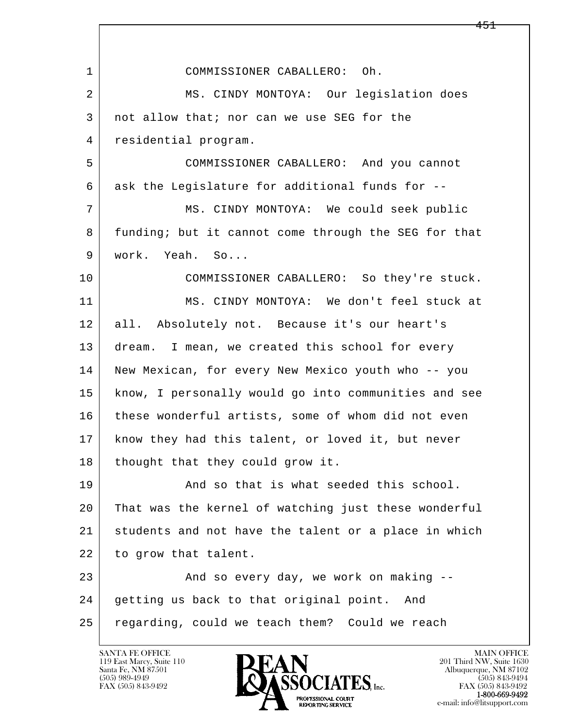| $\mathbf 1$ | COMMISSIONER CABALLERO: Oh.                          |
|-------------|------------------------------------------------------|
| 2           | MS. CINDY MONTOYA: Our legislation does              |
| 3           | not allow that; nor can we use SEG for the           |
| 4           | residential program.                                 |
| 5           | COMMISSIONER CABALLERO: And you cannot               |
| 6           | ask the Legislature for additional funds for --      |
| 7           | MS. CINDY MONTOYA: We could seek public              |
| 8           | funding; but it cannot come through the SEG for that |
| 9           | work. Yeah. So                                       |
| 10          | COMMISSIONER CABALLERO: So they're stuck.            |
| 11          | MS. CINDY MONTOYA: We don't feel stuck at            |
| 12          | all. Absolutely not. Because it's our heart's        |
| 13          | dream. I mean, we created this school for every      |
| 14          | New Mexican, for every New Mexico youth who -- you   |
| 15          | know, I personally would go into communities and see |
| 16          | these wonderful artists, some of whom did not even   |
| 17          | know they had this talent, or loved it, but never    |
| 18          | thought that they could grow it.                     |
| 19          | And so that is what seeded this school.              |
| 20          | That was the kernel of watching just these wonderful |
| 21          | students and not have the talent or a place in which |
| 22          | to grow that talent.                                 |
| 23          | And so every day, we work on making --               |
| 24          | getting us back to that original point.<br>And       |
| 25          | regarding, could we teach them? Could we reach       |
|             |                                                      |

 $\lceil$ 

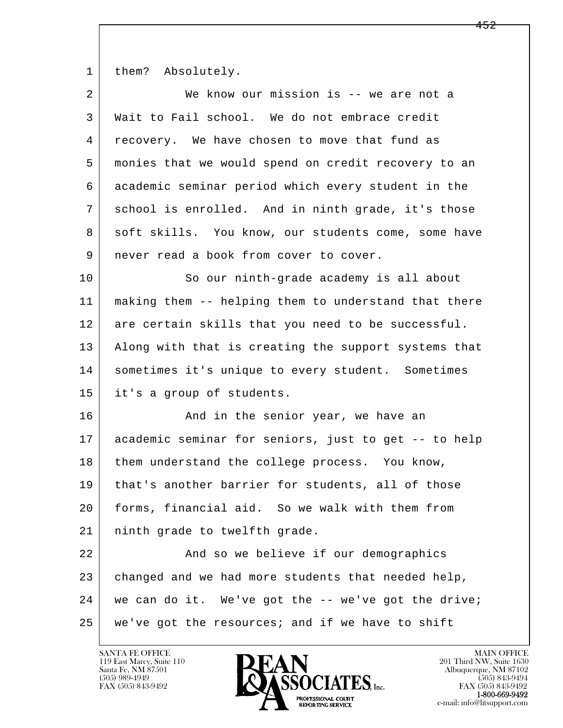1 them? Absolutely.

| 2  | We know our mission is -- we are not a               |
|----|------------------------------------------------------|
| 3  | Wait to Fail school. We do not embrace credit        |
| 4  | recovery. We have chosen to move that fund as        |
| 5  | monies that we would spend on credit recovery to an  |
| 6  | academic seminar period which every student in the   |
| 7  | school is enrolled. And in ninth grade, it's those   |
| 8  | soft skills. You know, our students come, some have  |
| 9  | never read a book from cover to cover.               |
| 10 | So our ninth-grade academy is all about              |
| 11 | making them -- helping them to understand that there |
| 12 | are certain skills that you need to be successful.   |
| 13 | Along with that is creating the support systems that |
| 14 | sometimes it's unique to every student. Sometimes    |
| 15 | it's a group of students.                            |
| 16 | And in the senior year, we have an                   |
| 17 | academic seminar for seniors, just to get -- to help |
| 18 | them understand the college process. You know,       |
| 19 | that's another barrier for students, all of those    |
| 20 | forms, financial aid. So we walk with them from      |
| 21 | ninth grade to twelfth grade.                        |
| 22 | And so we believe if our demographics                |
| 23 | changed and we had more students that needed help,   |
| 24 | we can do it. We've got the -- we've got the drive;  |
| 25 | we've got the resources; and if we have to shift     |

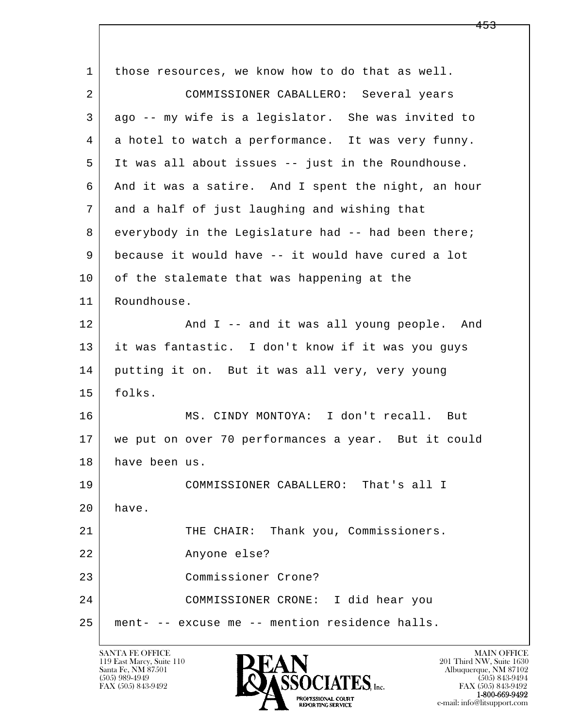| 1  | those resources, we know how to do that as well.    |
|----|-----------------------------------------------------|
| 2  | COMMISSIONER CABALLERO: Several years               |
| 3  | ago -- my wife is a legislator. She was invited to  |
| 4  | a hotel to watch a performance. It was very funny.  |
| 5  | It was all about issues -- just in the Roundhouse.  |
| 6  | And it was a satire. And I spent the night, an hour |
| 7  | and a half of just laughing and wishing that        |
| 8  | everybody in the Legislature had -- had been there; |
| 9  | because it would have -- it would have cured a lot  |
| 10 | of the stalemate that was happening at the          |
| 11 | Roundhouse.                                         |
| 12 | And I -- and it was all young people. And           |
| 13 | it was fantastic. I don't know if it was you guys   |
| 14 | putting it on. But it was all very, very young      |
| 15 | folks.                                              |
| 16 | MS. CINDY MONTOYA: I don't recall. But              |
| 17 | we put on over 70 performances a year. But it could |
| 18 | have been us.                                       |
| 19 | COMMISSIONER CABALLERO: That's all I                |
| 20 | have.                                               |
| 21 | THE CHAIR: Thank you, Commissioners.                |
| 22 | Anyone else?                                        |
| 23 | Commissioner Crone?                                 |
| 24 | COMMISSIONER CRONE: I did hear you                  |
| 25 | ment- -- excuse me -- mention residence halls.      |

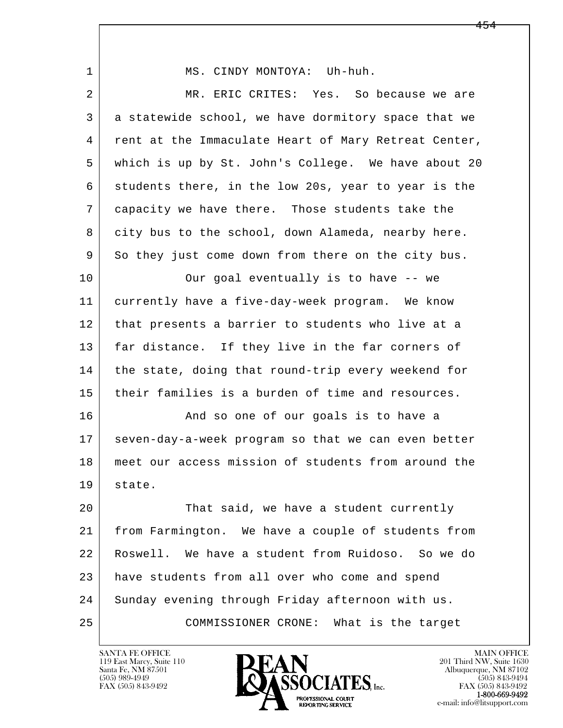| 1  | MS. CINDY MONTOYA: Uh-huh.                           |
|----|------------------------------------------------------|
| 2  | MR. ERIC CRITES: Yes. So because we are              |
| 3  | a statewide school, we have dormitory space that we  |
| 4  | rent at the Immaculate Heart of Mary Retreat Center, |
| 5  | which is up by St. John's College. We have about 20  |
| 6  | students there, in the low 20s, year to year is the  |
| 7  | capacity we have there. Those students take the      |
| 8  | city bus to the school, down Alameda, nearby here.   |
| 9  | So they just come down from there on the city bus.   |
| 10 | Our goal eventually is to have -- we                 |
| 11 | currently have a five-day-week program. We know      |
| 12 | that presents a barrier to students who live at a    |
| 13 | far distance. If they live in the far corners of     |
| 14 | the state, doing that round-trip every weekend for   |
| 15 | their families is a burden of time and resources.    |
| 16 | And so one of our goals is to have a                 |
| 17 | seven-day-a-week program so that we can even better  |
| 18 | meet our access mission of students from around the  |
| 19 | state.                                               |
| 20 | That said, we have a student currently               |
| 21 | from Farmington. We have a couple of students from   |
| 22 | Roswell. We have a student from Ruidoso. So we do    |
| 23 | have students from all over who come and spend       |
| 24 | Sunday evening through Friday afternoon with us.     |
| 25 | COMMISSIONER CRONE: What is the target               |
|    |                                                      |

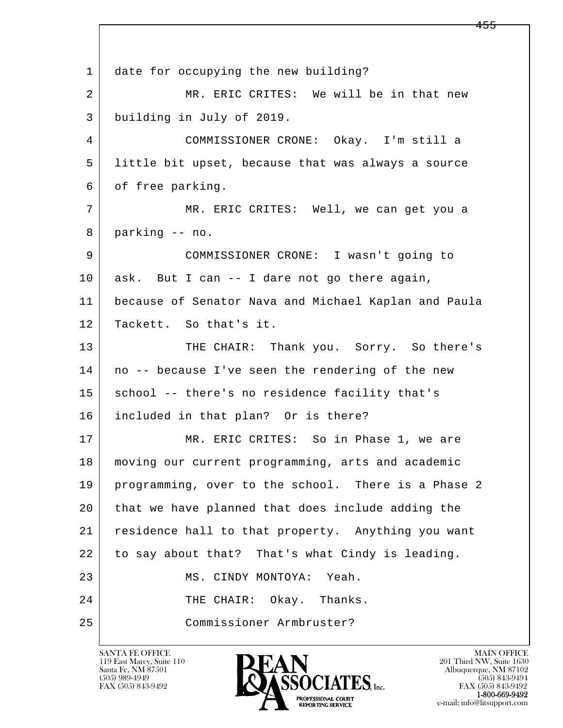l  $\overline{\phantom{a}}$ 1 date for occupying the new building? 2 MR. ERIC CRITES: We will be in that new 3 building in July of 2019. 4 COMMISSIONER CRONE: Okay. I'm still a 5 little bit upset, because that was always a source 6 of free parking. 7 MR. ERIC CRITES: Well, we can get you a 8 parking -- no. 9 COMMISSIONER CRONE: I wasn't going to 10 ask. But I can -- I dare not go there again, 11 because of Senator Nava and Michael Kaplan and Paula 12 Tackett. So that's it. 13 THE CHAIR: Thank you. Sorry. So there's 14 | no -- because I've seen the rendering of the new 15 | school -- there's no residence facility that's 16 included in that plan? Or is there? 17 MR. ERIC CRITES: So in Phase 1, we are 18 moving our current programming, arts and academic 19 programming, over to the school. There is a Phase 2 20 that we have planned that does include adding the 21 residence hall to that property. Anything you want 22 to say about that? That's what Cindy is leading. 23 MS. CINDY MONTOYA: Yeah. 24 THE CHAIR: Okay. Thanks. 25 Commissioner Armbruster?

119 East Marcy, Suite 110<br>Santa Fe, NM 87501



FAX (505) 843-9492<br>1-800-669-9492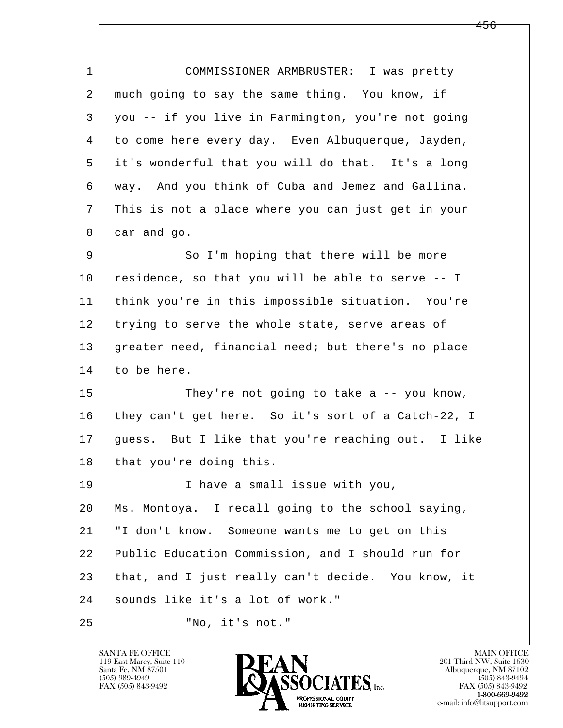| $\mathbf{1}$ | COMMISSIONER ARMBRUSTER: I was pretty              |
|--------------|----------------------------------------------------|
| 2            | much going to say the same thing. You know, if     |
| 3            | you -- if you live in Farmington, you're not going |
| 4            | to come here every day. Even Albuquerque, Jayden,  |
| 5            | it's wonderful that you will do that. It's a long  |
| 6            | way. And you think of Cuba and Jemez and Gallina.  |
| 7            | This is not a place where you can just get in your |
| 8            | car and go.                                        |
| 9            | So I'm hoping that there will be more              |
| 10           | residence, so that you will be able to serve -- I  |
| 11           | think you're in this impossible situation. You're  |
| 12           | trying to serve the whole state, serve areas of    |
| 13           | greater need, financial need; but there's no place |
| 14           | to be here.                                        |
| 15           | They're not going to take $a - - y$ ou know,       |
| 16           | they can't get here. So it's sort of a Catch-22, I |
| 17           | guess. But I like that you're reaching out. I like |
| 18           | that you're doing this.                            |
| 19           | I have a small issue with you,                     |
| 20           | Ms. Montoya. I recall going to the school saying,  |
| 21           | "I don't know. Someone wants me to get on this     |
| 22           | Public Education Commission, and I should run for  |
| 23           | that, and I just really can't decide. You know, it |
| 24           | sounds like it's a lot of work."                   |
| 25           | "No, it's not."                                    |

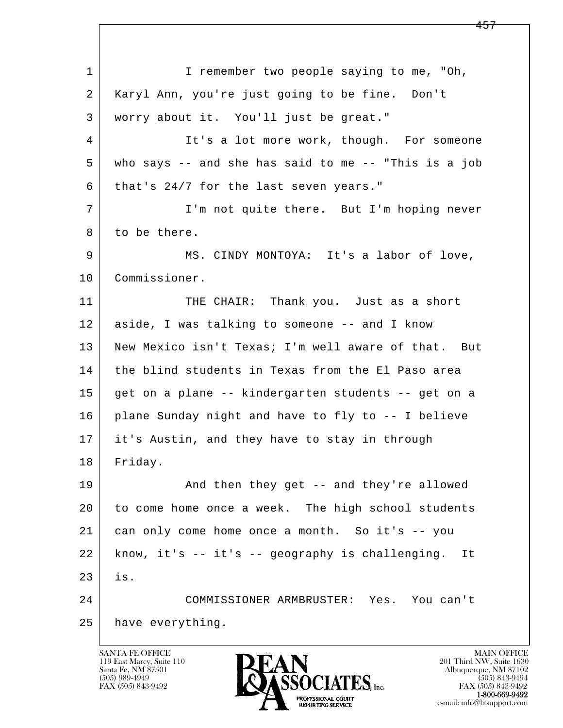l  $\overline{\phantom{a}}$ 1 I remember two people saying to me, "Oh, 2 Karyl Ann, you're just going to be fine. Don't 3 worry about it. You'll just be great." 4 It's a lot more work, though. For someone 5 who says -- and she has said to me -- "This is a job  $6$  that's 24/7 for the last seven years." 7 I'm not quite there. But I'm hoping never 8 to be there. 9 MS. CINDY MONTOYA: It's a labor of love, 10 Commissioner. 11 THE CHAIR: Thank you. Just as a short 12 aside, I was talking to someone -- and I know 13 New Mexico isn't Texas; I'm well aware of that. But 14 the blind students in Texas from the El Paso area 15 get on a plane -- kindergarten students -- get on a 16 plane Sunday night and have to fly to -- I believe 17 it's Austin, and they have to stay in through 18 Friday. 19 | And then they get -- and they're allowed 20 to come home once a week. The high school students 21 can only come home once a month. So it's -- you 22 know, it's -- it's -- geography is challenging. It  $23$  is. 24 COMMISSIONER ARMBRUSTER: Yes. You can't 25 have everything.

119 East Marcy, Suite 110<br>Santa Fe, NM 87501

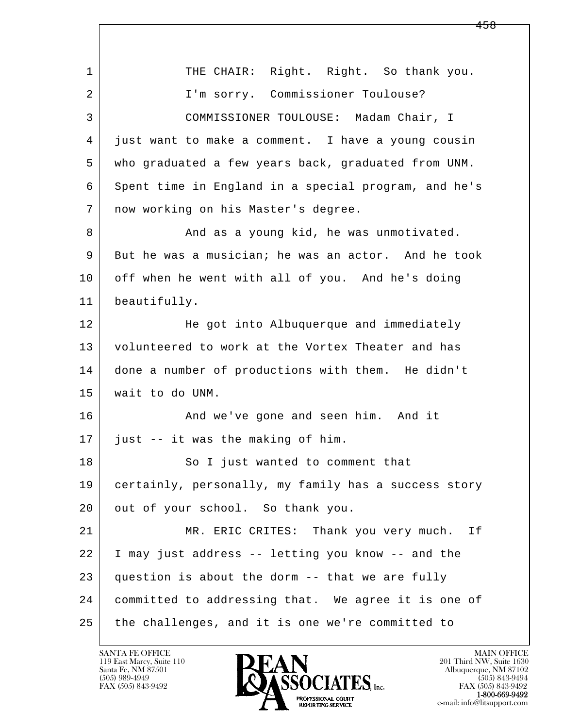l  $\overline{\phantom{a}}$ 1 THE CHAIR: Right. Right. So thank you. 2 I'm sorry. Commissioner Toulouse? 3 COMMISSIONER TOULOUSE: Madam Chair, I 4 just want to make a comment. I have a young cousin 5 who graduated a few years back, graduated from UNM. 6 Spent time in England in a special program, and he's 7 now working on his Master's degree. 8 And as a young kid, he was unmotivated. 9 But he was a musician; he was an actor. And he took 10 off when he went with all of you. And he's doing 11 beautifully. 12 He got into Albuquerque and immediately 13 volunteered to work at the Vortex Theater and has 14 done a number of productions with them. He didn't 15 wait to do UNM. 16 And we've gone and seen him. And it 17 just -- it was the making of him. 18 | So I just wanted to comment that 19 certainly, personally, my family has a success story 20 out of your school. So thank you. 21 MR. ERIC CRITES: Thank you very much. If 22 I may just address -- letting you know -- and the  $23$  question is about the dorm  $-$ - that we are fully 24 committed to addressing that. We agree it is one of 25 the challenges, and it is one we're committed to

119 East Marcy, Suite 110<br>Santa Fe, NM 87501

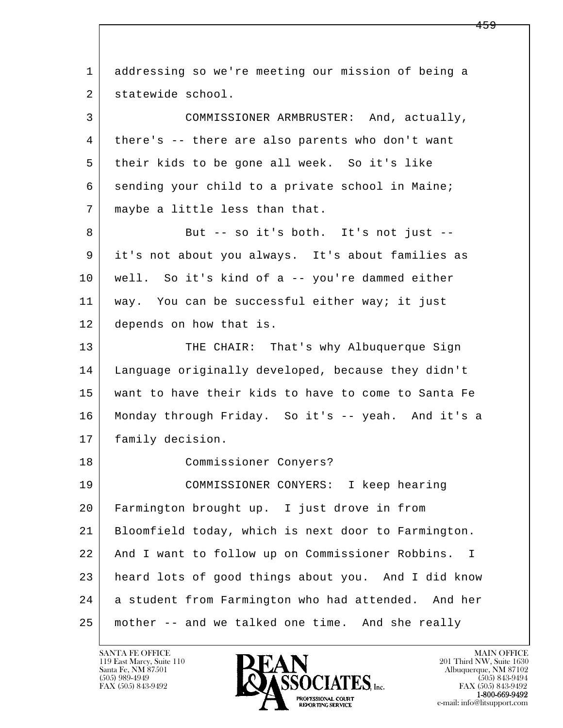l  $\overline{\phantom{a}}$  1 addressing so we're meeting our mission of being a 2 statewide school. 3 COMMISSIONER ARMBRUSTER: And, actually, 4 there's -- there are also parents who don't want 5 their kids to be gone all week. So it's like 6 sending your child to a private school in Maine; 7 | maybe a little less than that. 8 But -- so it's both. It's not just -- 9 it's not about you always. It's about families as 10 well. So it's kind of a -- you're dammed either 11 | way. You can be successful either way; it just 12 depends on how that is. 13 THE CHAIR: That's why Albuquerque Sign 14 Language originally developed, because they didn't 15 want to have their kids to have to come to Santa Fe 16 Monday through Friday. So it's -- yeah. And it's a 17 | family decision. 18 Commissioner Conyers? 19 COMMISSIONER CONYERS: I keep hearing 20 Farmington brought up. I just drove in from 21 Bloomfield today, which is next door to Farmington. 22 And I want to follow up on Commissioner Robbins. I 23 heard lots of good things about you. And I did know 24 a student from Farmington who had attended. And her 25 mother -- and we talked one time. And she really

119 East Marcy, Suite 110<br>Santa Fe, NM 87501

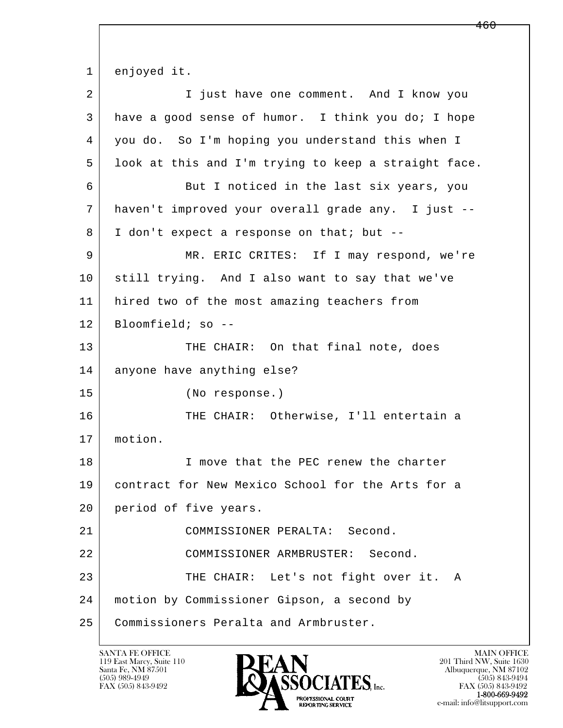l  $\overline{\phantom{a}}$  1 enjoyed it. 2 I just have one comment. And I know you 3 have a good sense of humor. I think you do; I hope 4 you do. So I'm hoping you understand this when I 5 look at this and I'm trying to keep a straight face. 6 But I noticed in the last six years, you 7 haven't improved your overall grade any. I just -- 8 I don't expect a response on that; but -- 9 MR. ERIC CRITES: If I may respond, we're 10 still trying. And I also want to say that we've 11 hired two of the most amazing teachers from 12 Bloomfield; so -- 13 THE CHAIR: On that final note, does 14 anyone have anything else? 15 (No response.) 16 THE CHAIR: Otherwise, I'll entertain a 17 motion. 18 I move that the PEC renew the charter 19 contract for New Mexico School for the Arts for a 20 period of five years. 21 COMMISSIONER PERALTA: Second. 22 | COMMISSIONER ARMBRUSTER: Second. 23 THE CHAIR: Let's not fight over it. A 24 motion by Commissioner Gipson, a second by 25 Commissioners Peralta and Armbruster.

119 East Marcy, Suite 110<br>Santa Fe, NM 87501



FAX (505) 843-9492<br>1-800-669-9492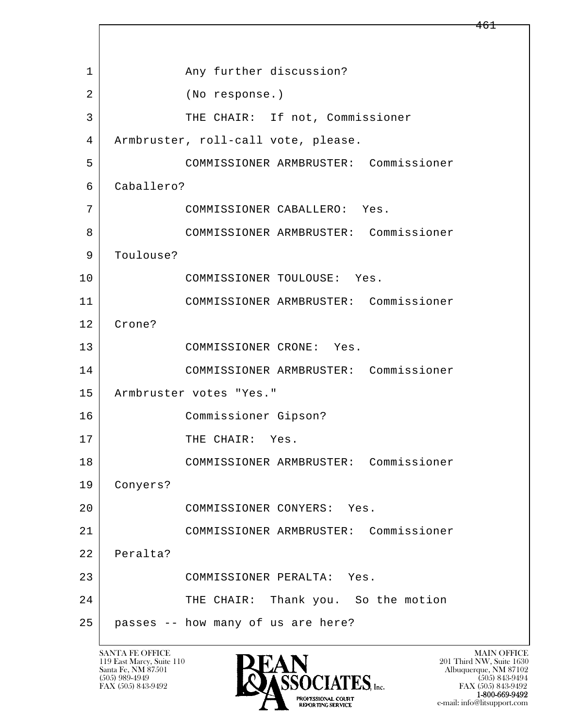l  $\overline{\phantom{a}}$ 1 Any further discussion? 2 (No response.) 3 THE CHAIR: If not, Commissioner 4 | Armbruster, roll-call vote, please. 5 COMMISSIONER ARMBRUSTER: Commissioner 6 Caballero? 7 COMMISSIONER CABALLERO: Yes. 8 COMMISSIONER ARMBRUSTER: Commissioner 9 | Toulouse? 10 COMMISSIONER TOULOUSE: Yes. 11 COMMISSIONER ARMBRUSTER: Commissioner 12 Crone? 13 COMMISSIONER CRONE: Yes. 14 COMMISSIONER ARMBRUSTER: Commissioner 15 | Armbruster votes "Yes." 16 Commissioner Gipson? 17 THE CHAIR: Yes. 18 COMMISSIONER ARMBRUSTER: Commissioner 19 Conyers? 20 COMMISSIONER CONYERS: Yes. 21 COMMISSIONER ARMBRUSTER: Commissioner 22 Peralta? 23 COMMISSIONER PERALTA: Yes. 24 THE CHAIR: Thank you. So the motion 25 passes -- how many of us are here?

119 East Marcy, Suite 110<br>Santa Fe, NM 87501



FAX (505) 843-9492<br>**1-800-669-9492** e-mail: info@litsupport.com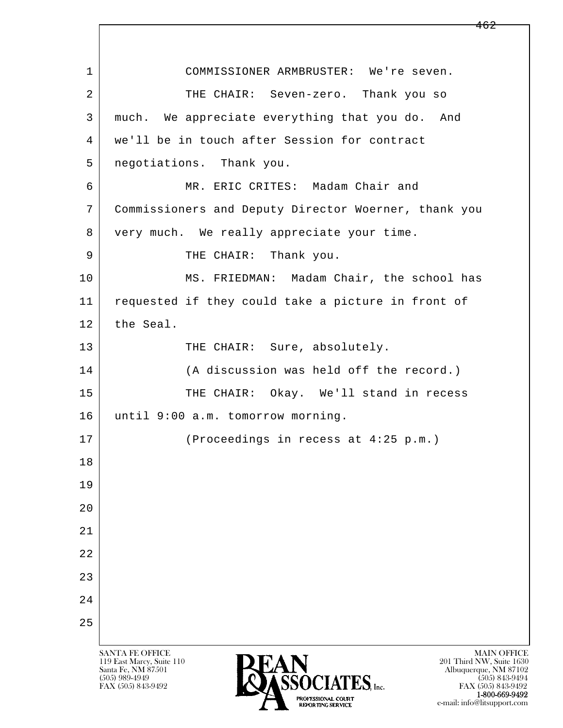l  $\overline{\phantom{a}}$ SANTA FE OFFICE MAIN OFFICE MAIN OFFICE MAIN OFFICE MAIN OFFICE 1 COMMISSIONER ARMBRUSTER: We're seven. 2 THE CHAIR: Seven-zero. Thank you so 3 much. We appreciate everything that you do. And 4 we'll be in touch after Session for contract 5 negotiations. Thank you. 6 MR. ERIC CRITES: Madam Chair and 7 Commissioners and Deputy Director Woerner, thank you 8 very much. We really appreciate your time. 9 | THE CHAIR: Thank you. 10 | MS. FRIEDMAN: Madam Chair, the school has 11 requested if they could take a picture in front of 12 the Seal. 13 THE CHAIR: Sure, absolutely. 14 (A discussion was held off the record.) 15 THE CHAIR: Okay. We'll stand in recess 16 until 9:00 a.m. tomorrow morning. 17 (Proceedings in recess at 4:25 p.m.) 18 19  $2.0$  21 22 23 24 25

119 East Marcy, Suite 110<br>Santa Fe, NM 87501